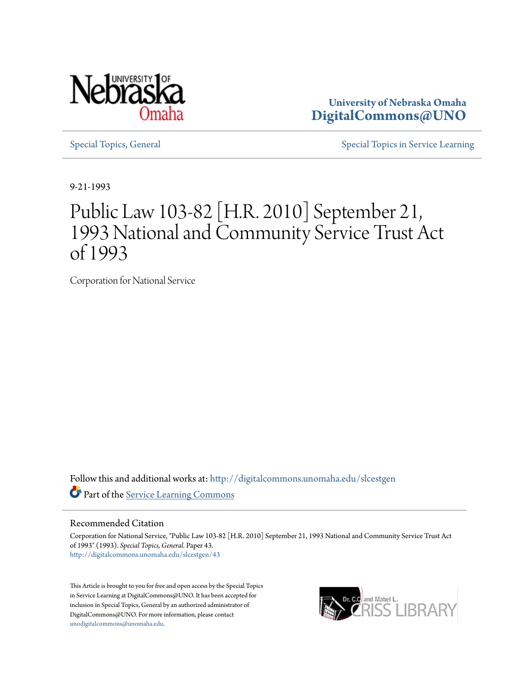

**University of Nebraska Omaha [DigitalCommons@UNO](http://digitalcommons.unomaha.edu?utm_source=digitalcommons.unomaha.edu%2Fslcestgen%2F43&utm_medium=PDF&utm_campaign=PDFCoverPages)**

[Special Topics, General](http://digitalcommons.unomaha.edu/slcestgen?utm_source=digitalcommons.unomaha.edu%2Fslcestgen%2F43&utm_medium=PDF&utm_campaign=PDFCoverPages) [Special Topics in Service Learning](http://digitalcommons.unomaha.edu/slcespecialtopics?utm_source=digitalcommons.unomaha.edu%2Fslcestgen%2F43&utm_medium=PDF&utm_campaign=PDFCoverPages)

9-21-1993

# Public Law 103-82 [H.R. 2010] September 21, 1993 National and Community Service Trust Act of 1993

Corporation for National Service

Follow this and additional works at: [http://digitalcommons.unomaha.edu/slcestgen](http://digitalcommons.unomaha.edu/slcestgen?utm_source=digitalcommons.unomaha.edu%2Fslcestgen%2F43&utm_medium=PDF&utm_campaign=PDFCoverPages) Part of the [Service Learning Commons](http://network.bepress.com/hgg/discipline/1024?utm_source=digitalcommons.unomaha.edu%2Fslcestgen%2F43&utm_medium=PDF&utm_campaign=PDFCoverPages)

# Recommended Citation

Corporation for National Service, "Public Law 103-82 [H.R. 2010] September 21, 1993 National and Community Service Trust Act of 1993" (1993). *Special Topics, General.* Paper 43. [http://digitalcommons.unomaha.edu/slcestgen/43](http://digitalcommons.unomaha.edu/slcestgen/43?utm_source=digitalcommons.unomaha.edu%2Fslcestgen%2F43&utm_medium=PDF&utm_campaign=PDFCoverPages)

This Article is brought to you for free and open access by the Special Topics in Service Learning at DigitalCommons@UNO. It has been accepted for inclusion in Special Topics, General by an authorized administrator of DigitalCommons@UNO. For more information, please contact [unodigitalcommons@unomaha.edu](mailto:unodigitalcommons@unomaha.edu).

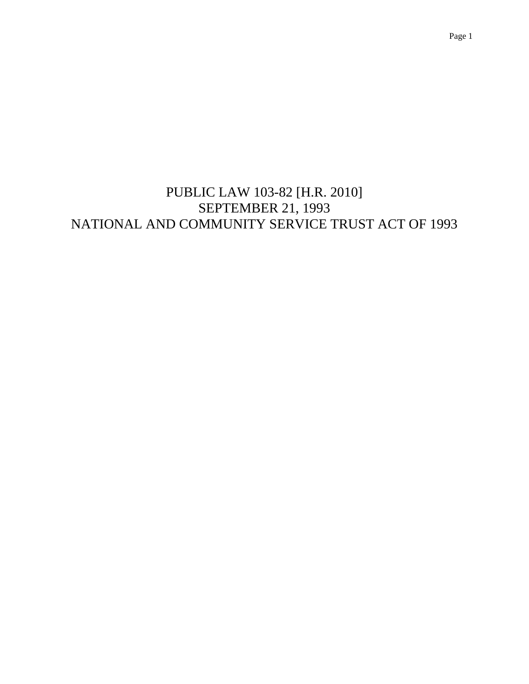PUBLIC LAW 103-82 [H.R. 2010] SEPTEMBER 21, 1993 NATIONAL AND COMMUNITY SERVICE TRUST ACT OF 1993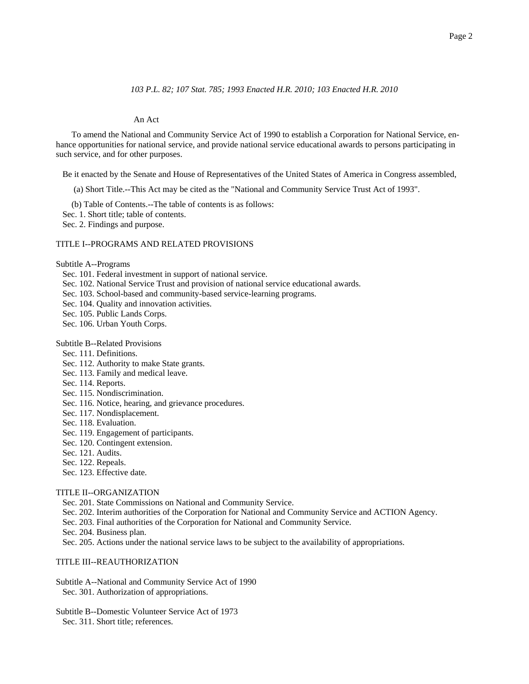# *103 P.L. 82; 107 Stat. 785; 1993 Enacted H.R. 2010; 103 Enacted H.R. 2010*

## An Act

To amend the National and Community Service Act of 1990 to establish a Corporation for National Service, enhance opportunities for national service, and provide national service educational awards to persons participating in such service, and for other purposes.

Be it enacted by the Senate and House of Representatives of the United States of America in Congress assembled,

(a) Short Title.--This Act may be cited as the "National and Community Service Trust Act of 1993".

- (b) Table of Contents.--The table of contents is as follows:
- Sec. 1. Short title; table of contents.
- Sec. 2. Findings and purpose.

## TITLE I--PROGRAMS AND RELATED PROVISIONS

Subtitle A--Programs

- Sec. 101. Federal investment in support of national service.
- Sec. 102. National Service Trust and provision of national service educational awards.
- Sec. 103. School-based and community-based service-learning programs.
- Sec. 104. Quality and innovation activities.
- Sec. 105. Public Lands Corps.
- Sec. 106. Urban Youth Corps.
- Subtitle B--Related Provisions
- Sec. 111. Definitions.
- Sec. 112. Authority to make State grants.
- Sec. 113. Family and medical leave.
- Sec. 114. Reports.
- Sec. 115. Nondiscrimination.
- Sec. 116. Notice, hearing, and grievance procedures.
- Sec. 117. Nondisplacement.
- Sec. 118. Evaluation.
- Sec. 119. Engagement of participants.
- Sec. 120. Contingent extension.
- Sec. 121. Audits.
- Sec. 122. Repeals.
- Sec. 123. Effective date.

## TITLE II--ORGANIZATION

- Sec. 201. State Commissions on National and Community Service.
- Sec. 202. Interim authorities of the Corporation for National and Community Service and ACTION Agency.
- Sec. 203. Final authorities of the Corporation for National and Community Service.
- Sec. 204. Business plan.
- Sec. 205. Actions under the national service laws to be subject to the availability of appropriations.

# TITLE III--REAUTHORIZATION

- Subtitle A--National and Community Service Act of 1990 Sec. 301. Authorization of appropriations.
- Subtitle B--Domestic Volunteer Service Act of 1973 Sec. 311. Short title; references.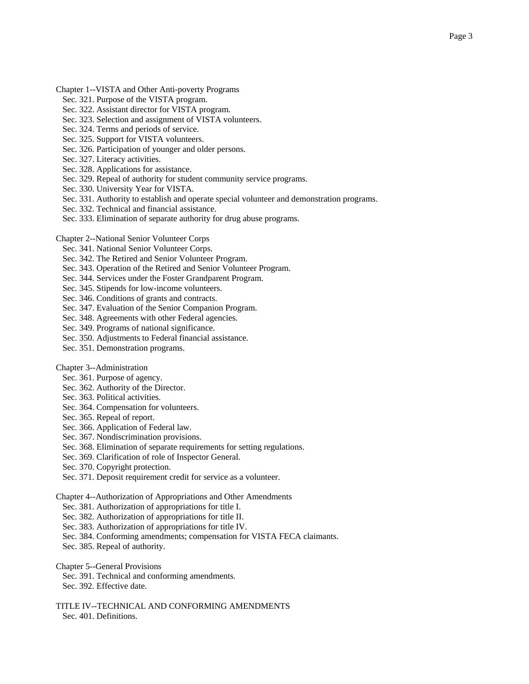- Sec. 321. Purpose of the VISTA program.
- Sec. 322. Assistant director for VISTA program.
- Sec. 323. Selection and assignment of VISTA volunteers.
- Sec. 324. Terms and periods of service.
- Sec. 325. Support for VISTA volunteers.
- Sec. 326. Participation of younger and older persons.
- Sec. 327. Literacy activities.
- Sec. 328. Applications for assistance.
- Sec. 329. Repeal of authority for student community service programs.
- Sec. 330. University Year for VISTA.
- Sec. 331. Authority to establish and operate special volunteer and demonstration programs.
- Sec. 332. Technical and financial assistance.
- Sec. 333. Elimination of separate authority for drug abuse programs.
- Chapter 2--National Senior Volunteer Corps
	- Sec. 341. National Senior Volunteer Corps.
	- Sec. 342. The Retired and Senior Volunteer Program.
	- Sec. 343. Operation of the Retired and Senior Volunteer Program.
	- Sec. 344. Services under the Foster Grandparent Program.
	- Sec. 345. Stipends for low-income volunteers.
	- Sec. 346. Conditions of grants and contracts.
	- Sec. 347. Evaluation of the Senior Companion Program.
	- Sec. 348. Agreements with other Federal agencies.
	- Sec. 349. Programs of national significance.
	- Sec. 350. Adjustments to Federal financial assistance.
	- Sec. 351. Demonstration programs.

## Chapter 3--Administration

- Sec. 361. Purpose of agency.
- Sec. 362. Authority of the Director.
- Sec. 363. Political activities.
- Sec. 364. Compensation for volunteers.
- Sec. 365. Repeal of report.
- Sec. 366. Application of Federal law.
- Sec. 367. Nondiscrimination provisions.
- Sec. 368. Elimination of separate requirements for setting regulations.
- Sec. 369. Clarification of role of Inspector General.
- Sec. 370. Copyright protection.
- Sec. 371. Deposit requirement credit for service as a volunteer.

Chapter 4--Authorization of Appropriations and Other Amendments

- Sec. 381. Authorization of appropriations for title I.
- Sec. 382. Authorization of appropriations for title II.
- Sec. 383. Authorization of appropriations for title IV.
- Sec. 384. Conforming amendments; compensation for VISTA FECA claimants.
- Sec. 385. Repeal of authority.

Chapter 5--General Provisions

- Sec. 391. Technical and conforming amendments.
- Sec. 392. Effective date.

TITLE IV--TECHNICAL AND CONFORMING AMENDMENTS Sec. 401. Definitions.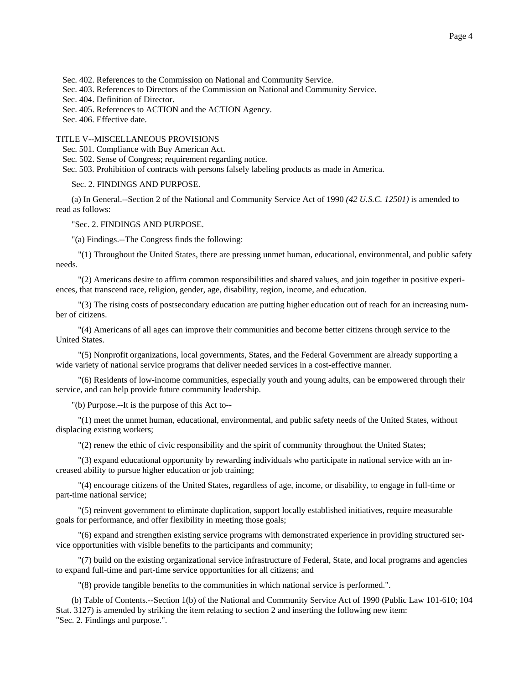Sec. 402. References to the Commission on National and Community Service.

Sec. 403. References to Directors of the Commission on National and Community Service.

Sec. 404. Definition of Director.

Sec. 405. References to ACTION and the ACTION Agency.

Sec. 406. Effective date.

TITLE V--MISCELLANEOUS PROVISIONS

Sec. 501. Compliance with Buy American Act.

Sec. 502. Sense of Congress; requirement regarding notice.

Sec. 503. Prohibition of contracts with persons falsely labeling products as made in America.

Sec. 2. FINDINGS AND PURPOSE.

(a) In General.--Section 2 of the National and Community Service Act of 1990 *(42 U.S.C. 12501)* is amended to read as follows:

"Sec. 2. FINDINGS AND PURPOSE.

"(a) Findings.--The Congress finds the following:

 "(1) Throughout the United States, there are pressing unmet human, educational, environmental, and public safety needs.

 "(2) Americans desire to affirm common responsibilities and shared values, and join together in positive experiences, that transcend race, religion, gender, age, disability, region, income, and education.

 "(3) The rising costs of postsecondary education are putting higher education out of reach for an increasing number of citizens.

 "(4) Americans of all ages can improve their communities and become better citizens through service to the United States.

 "(5) Nonprofit organizations, local governments, States, and the Federal Government are already supporting a wide variety of national service programs that deliver needed services in a cost-effective manner.

 "(6) Residents of low-income communities, especially youth and young adults, can be empowered through their service, and can help provide future community leadership.

"(b) Purpose.--It is the purpose of this Act to--

 "(1) meet the unmet human, educational, environmental, and public safety needs of the United States, without displacing existing workers;

"(2) renew the ethic of civic responsibility and the spirit of community throughout the United States;

 "(3) expand educational opportunity by rewarding individuals who participate in national service with an increased ability to pursue higher education or job training;

 "(4) encourage citizens of the United States, regardless of age, income, or disability, to engage in full-time or part-time national service;

 "(5) reinvent government to eliminate duplication, support locally established initiatives, require measurable goals for performance, and offer flexibility in meeting those goals;

 "(6) expand and strengthen existing service programs with demonstrated experience in providing structured service opportunities with visible benefits to the participants and community;

 "(7) build on the existing organizational service infrastructure of Federal, State, and local programs and agencies to expand full-time and part-time service opportunities for all citizens; and

"(8) provide tangible benefits to the communities in which national service is performed.".

(b) Table of Contents.--Section 1(b) of the National and Community Service Act of 1990 (Public Law 101-610; 104 Stat. 3127) is amended by striking the item relating to section 2 and inserting the following new item: "Sec. 2. Findings and purpose.".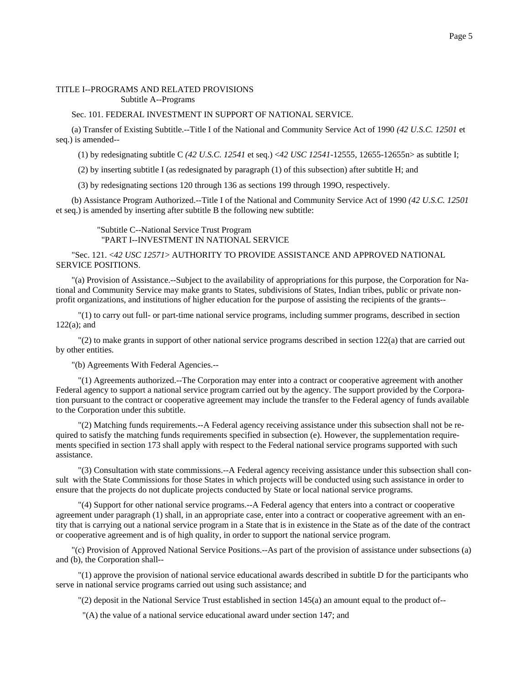## TITLE I--PROGRAMS AND RELATED PROVISIONS Subtitle A--Programs

# Sec. 101. FEDERAL INVESTMENT IN SUPPORT OF NATIONAL SERVICE.

(a) Transfer of Existing Subtitle.--Title I of the National and Community Service Act of 1990 *(42 U.S.C. 12501* et seq.) is amended--

(1) by redesignating subtitle C *(42 U.S.C. 12541* et seq.) <*42 USC 12541*-12555, 12655-12655n> as subtitle I;

(2) by inserting subtitle I (as redesignated by paragraph (1) of this subsection) after subtitle H; and

(3) by redesignating sections 120 through 136 as sections 199 through 199O, respectively.

(b) Assistance Program Authorized.--Title I of the National and Community Service Act of 1990 *(42 U.S.C. 12501* et seq.) is amended by inserting after subtitle B the following new subtitle:

 "Subtitle C--National Service Trust Program "PART I--INVESTMENT IN NATIONAL SERVICE

"Sec. 121. <*42 USC 12571*> AUTHORITY TO PROVIDE ASSISTANCE AND APPROVED NATIONAL SERVICE POSITIONS.

"(a) Provision of Assistance.--Subject to the availability of appropriations for this purpose, the Corporation for National and Community Service may make grants to States, subdivisions of States, Indian tribes, public or private nonprofit organizations, and institutions of higher education for the purpose of assisting the recipients of the grants--

 "(1) to carry out full- or part-time national service programs, including summer programs, described in section 122(a); and

 "(2) to make grants in support of other national service programs described in section 122(a) that are carried out by other entities.

"(b) Agreements With Federal Agencies.--

 "(1) Agreements authorized.--The Corporation may enter into a contract or cooperative agreement with another Federal agency to support a national service program carried out by the agency. The support provided by the Corporation pursuant to the contract or cooperative agreement may include the transfer to the Federal agency of funds available to the Corporation under this subtitle.

 "(2) Matching funds requirements.--A Federal agency receiving assistance under this subsection shall not be required to satisfy the matching funds requirements specified in subsection (e). However, the supplementation requirements specified in section 173 shall apply with respect to the Federal national service programs supported with such assistance.

 "(3) Consultation with state commissions.--A Federal agency receiving assistance under this subsection shall consult with the State Commissions for those States in which projects will be conducted using such assistance in order to ensure that the projects do not duplicate projects conducted by State or local national service programs.

 "(4) Support for other national service programs.--A Federal agency that enters into a contract or cooperative agreement under paragraph (1) shall, in an appropriate case, enter into a contract or cooperative agreement with an entity that is carrying out a national service program in a State that is in existence in the State as of the date of the contract or cooperative agreement and is of high quality, in order to support the national service program.

"(c) Provision of Approved National Service Positions.--As part of the provision of assistance under subsections (a) and (b), the Corporation shall--

 "(1) approve the provision of national service educational awards described in subtitle D for the participants who serve in national service programs carried out using such assistance; and

"(2) deposit in the National Service Trust established in section 145(a) an amount equal to the product of--

"(A) the value of a national service educational award under section 147; and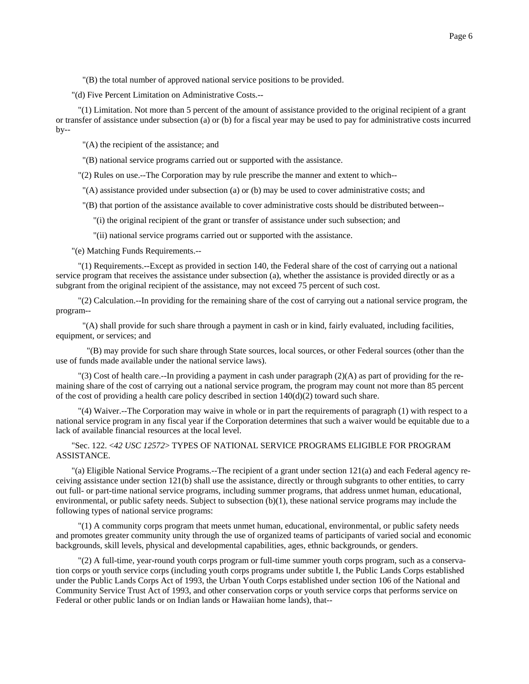"(B) the total number of approved national service positions to be provided.

"(d) Five Percent Limitation on Administrative Costs.--

 "(1) Limitation. Not more than 5 percent of the amount of assistance provided to the original recipient of a grant or transfer of assistance under subsection (a) or (b) for a fiscal year may be used to pay for administrative costs incurred  $by--$ 

"(A) the recipient of the assistance; and

"(B) national service programs carried out or supported with the assistance.

"(2) Rules on use.--The Corporation may by rule prescribe the manner and extent to which--

"(A) assistance provided under subsection (a) or (b) may be used to cover administrative costs; and

"(B) that portion of the assistance available to cover administrative costs should be distributed between--

"(i) the original recipient of the grant or transfer of assistance under such subsection; and

"(ii) national service programs carried out or supported with the assistance.

"(e) Matching Funds Requirements.--

 "(1) Requirements.--Except as provided in section 140, the Federal share of the cost of carrying out a national service program that receives the assistance under subsection (a), whether the assistance is provided directly or as a subgrant from the original recipient of the assistance, may not exceed 75 percent of such cost.

 "(2) Calculation.--In providing for the remaining share of the cost of carrying out a national service program, the program--

 "(A) shall provide for such share through a payment in cash or in kind, fairly evaluated, including facilities, equipment, or services; and

 "(B) may provide for such share through State sources, local sources, or other Federal sources (other than the use of funds made available under the national service laws).

 "(3) Cost of health care.--In providing a payment in cash under paragraph (2)(A) as part of providing for the remaining share of the cost of carrying out a national service program, the program may count not more than 85 percent of the cost of providing a health care policy described in section  $140(d)(2)$  toward such share.

 "(4) Waiver.--The Corporation may waive in whole or in part the requirements of paragraph (1) with respect to a national service program in any fiscal year if the Corporation determines that such a waiver would be equitable due to a lack of available financial resources at the local level.

"Sec. 122. <*42 USC 12572*> TYPES OF NATIONAL SERVICE PROGRAMS ELIGIBLE FOR PROGRAM ASSISTANCE.

"(a) Eligible National Service Programs.--The recipient of a grant under section 121(a) and each Federal agency receiving assistance under section 121(b) shall use the assistance, directly or through subgrants to other entities, to carry out full- or part-time national service programs, including summer programs, that address unmet human, educational, environmental, or public safety needs. Subject to subsection (b)(1), these national service programs may include the following types of national service programs:

 "(1) A community corps program that meets unmet human, educational, environmental, or public safety needs and promotes greater community unity through the use of organized teams of participants of varied social and economic backgrounds, skill levels, physical and developmental capabilities, ages, ethnic backgrounds, or genders.

 "(2) A full-time, year-round youth corps program or full-time summer youth corps program, such as a conservation corps or youth service corps (including youth corps programs under subtitle I, the Public Lands Corps established under the Public Lands Corps Act of 1993, the Urban Youth Corps established under section 106 of the National and Community Service Trust Act of 1993, and other conservation corps or youth service corps that performs service on Federal or other public lands or on Indian lands or Hawaiian home lands), that--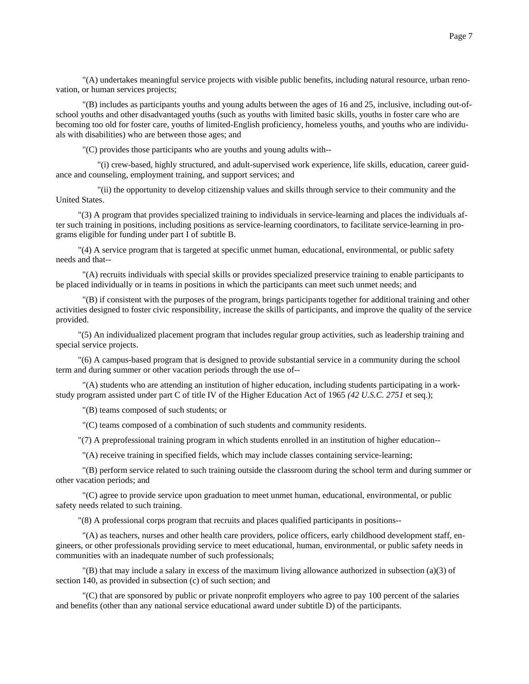"(A) undertakes meaningful service projects with visible public benefits, including natural resource, urban renovation, or human services projects;

 "(B) includes as participants youths and young adults between the ages of 16 and 25, inclusive, including out-ofschool youths and other disadvantaged youths (such as youths with limited basic skills, youths in foster care who are becoming too old for foster care, youths of limited-English proficiency, homeless youths, and youths who are individuals with disabilities) who are between those ages; and

"(C) provides those participants who are youths and young adults with--

 "(i) crew-based, highly structured, and adult-supervised work experience, life skills, education, career guidance and counseling, employment training, and support services; and

 "(ii) the opportunity to develop citizenship values and skills through service to their community and the United States.

 "(3) A program that provides specialized training to individuals in service-learning and places the individuals after such training in positions, including positions as service-learning coordinators, to facilitate service-learning in programs eligible for funding under part I of subtitle B.

 "(4) A service program that is targeted at specific unmet human, educational, environmental, or public safety needs and that--

 "(A) recruits individuals with special skills or provides specialized preservice training to enable participants to be placed individually or in teams in positions in which the participants can meet such unmet needs; and

 "(B) if consistent with the purposes of the program, brings participants together for additional training and other activities designed to foster civic responsibility, increase the skills of participants, and improve the quality of the service provided.

 "(5) An individualized placement program that includes regular group activities, such as leadership training and special service projects.

 "(6) A campus-based program that is designed to provide substantial service in a community during the school term and during summer or other vacation periods through the use of--

 "(A) students who are attending an institution of higher education, including students participating in a workstudy program assisted under part C of title IV of the Higher Education Act of 1965 *(42 U.S.C. 2751* et seq.);

"(B) teams composed of such students; or

"(C) teams composed of a combination of such students and community residents.

"(7) A preprofessional training program in which students enrolled in an institution of higher education--

"(A) receive training in specified fields, which may include classes containing service-learning;

 "(B) perform service related to such training outside the classroom during the school term and during summer or other vacation periods; and

 "(C) agree to provide service upon graduation to meet unmet human, educational, environmental, or public safety needs related to such training.

"(8) A professional corps program that recruits and places qualified participants in positions--

 "(A) as teachers, nurses and other health care providers, police officers, early childhood development staff, engineers, or other professionals providing service to meet educational, human, environmental, or public safety needs in communities with an inadequate number of such professionals;

 $'(B)$  that may include a salary in excess of the maximum living allowance authorized in subsection (a)(3) of section 140, as provided in subsection (c) of such section; and

 "(C) that are sponsored by public or private nonprofit employers who agree to pay 100 percent of the salaries and benefits (other than any national service educational award under subtitle D) of the participants.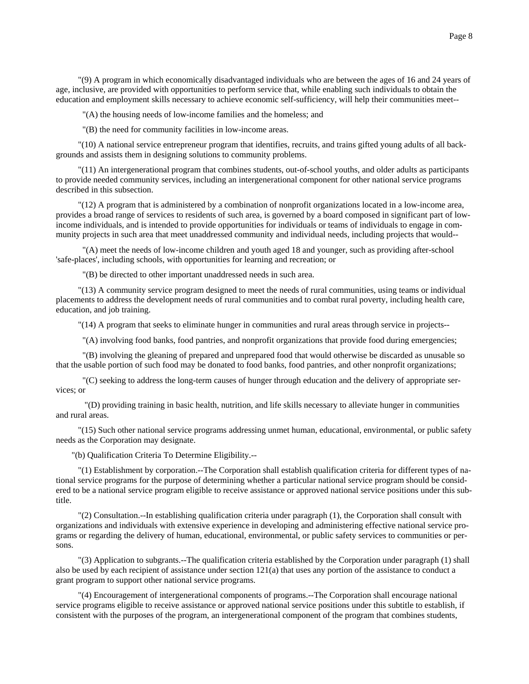"(9) A program in which economically disadvantaged individuals who are between the ages of 16 and 24 years of age, inclusive, are provided with opportunities to perform service that, while enabling such individuals to obtain the education and employment skills necessary to achieve economic self-sufficiency, will help their communities meet--

"(A) the housing needs of low-income families and the homeless; and

"(B) the need for community facilities in low-income areas.

 "(10) A national service entrepreneur program that identifies, recruits, and trains gifted young adults of all backgrounds and assists them in designing solutions to community problems.

 "(11) An intergenerational program that combines students, out-of-school youths, and older adults as participants to provide needed community services, including an intergenerational component for other national service programs described in this subsection.

 "(12) A program that is administered by a combination of nonprofit organizations located in a low-income area, provides a broad range of services to residents of such area, is governed by a board composed in significant part of lowincome individuals, and is intended to provide opportunities for individuals or teams of individuals to engage in community projects in such area that meet unaddressed community and individual needs, including projects that would--

 "(A) meet the needs of low-income children and youth aged 18 and younger, such as providing after-school 'safe-places', including schools, with opportunities for learning and recreation; or

"(B) be directed to other important unaddressed needs in such area.

 "(13) A community service program designed to meet the needs of rural communities, using teams or individual placements to address the development needs of rural communities and to combat rural poverty, including health care, education, and job training.

"(14) A program that seeks to eliminate hunger in communities and rural areas through service in projects--

"(A) involving food banks, food pantries, and nonprofit organizations that provide food during emergencies;

 "(B) involving the gleaning of prepared and unprepared food that would otherwise be discarded as unusable so that the usable portion of such food may be donated to food banks, food pantries, and other nonprofit organizations;

 "(C) seeking to address the long-term causes of hunger through education and the delivery of appropriate services; or

 "(D) providing training in basic health, nutrition, and life skills necessary to alleviate hunger in communities and rural areas.

 "(15) Such other national service programs addressing unmet human, educational, environmental, or public safety needs as the Corporation may designate.

"(b) Qualification Criteria To Determine Eligibility.--

 "(1) Establishment by corporation.--The Corporation shall establish qualification criteria for different types of national service programs for the purpose of determining whether a particular national service program should be considered to be a national service program eligible to receive assistance or approved national service positions under this subtitle.

 "(2) Consultation.--In establishing qualification criteria under paragraph (1), the Corporation shall consult with organizations and individuals with extensive experience in developing and administering effective national service programs or regarding the delivery of human, educational, environmental, or public safety services to communities or persons.

 "(3) Application to subgrants.--The qualification criteria established by the Corporation under paragraph (1) shall also be used by each recipient of assistance under section 121(a) that uses any portion of the assistance to conduct a grant program to support other national service programs.

 "(4) Encouragement of intergenerational components of programs.--The Corporation shall encourage national service programs eligible to receive assistance or approved national service positions under this subtitle to establish, if consistent with the purposes of the program, an intergenerational component of the program that combines students,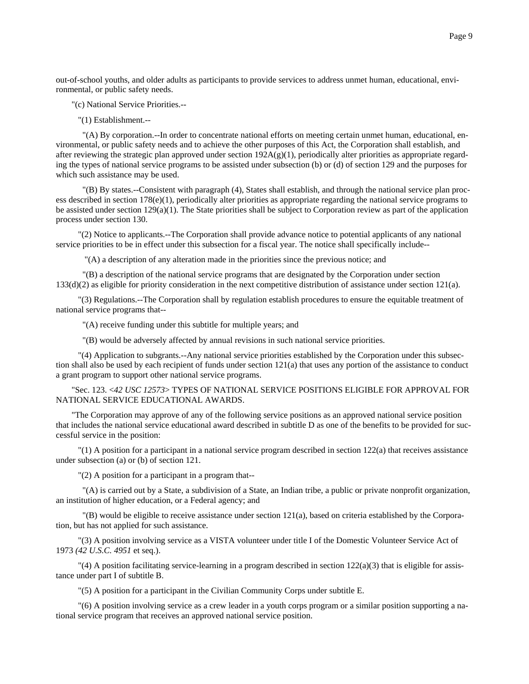out-of-school youths, and older adults as participants to provide services to address unmet human, educational, environmental, or public safety needs.

"(c) National Service Priorities.--

"(1) Establishment.--

 "(A) By corporation.--In order to concentrate national efforts on meeting certain unmet human, educational, environmental, or public safety needs and to achieve the other purposes of this Act, the Corporation shall establish, and after reviewing the strategic plan approved under section  $192A(g)(1)$ , periodically alter priorities as appropriate regarding the types of national service programs to be assisted under subsection (b) or (d) of section 129 and the purposes for which such assistance may be used.

 "(B) By states.--Consistent with paragraph (4), States shall establish, and through the national service plan process described in section 178(e)(1), periodically alter priorities as appropriate regarding the national service programs to be assisted under section  $129(a)(1)$ . The State priorities shall be subject to Corporation review as part of the application process under section 130.

 "(2) Notice to applicants.--The Corporation shall provide advance notice to potential applicants of any national service priorities to be in effect under this subsection for a fiscal year. The notice shall specifically include--

"(A) a description of any alteration made in the priorities since the previous notice; and

 "(B) a description of the national service programs that are designated by the Corporation under section 133(d)(2) as eligible for priority consideration in the next competitive distribution of assistance under section 121(a).

 "(3) Regulations.--The Corporation shall by regulation establish procedures to ensure the equitable treatment of national service programs that--

"(A) receive funding under this subtitle for multiple years; and

"(B) would be adversely affected by annual revisions in such national service priorities.

 "(4) Application to subgrants.--Any national service priorities established by the Corporation under this subsection shall also be used by each recipient of funds under section 121(a) that uses any portion of the assistance to conduct a grant program to support other national service programs.

"Sec. 123. <*42 USC 12573*> TYPES OF NATIONAL SERVICE POSITIONS ELIGIBLE FOR APPROVAL FOR NATIONAL SERVICE EDUCATIONAL AWARDS.

"The Corporation may approve of any of the following service positions as an approved national service position that includes the national service educational award described in subtitle D as one of the benefits to be provided for successful service in the position:

 "(1) A position for a participant in a national service program described in section 122(a) that receives assistance under subsection (a) or (b) of section 121.

"(2) A position for a participant in a program that--

 "(A) is carried out by a State, a subdivision of a State, an Indian tribe, a public or private nonprofit organization, an institution of higher education, or a Federal agency; and

 "(B) would be eligible to receive assistance under section 121(a), based on criteria established by the Corporation, but has not applied for such assistance.

 "(3) A position involving service as a VISTA volunteer under title I of the Domestic Volunteer Service Act of 1973 *(42 U.S.C. 4951* et seq.).

 $\Gamma$ (4) A position facilitating service-learning in a program described in section 122(a)(3) that is eligible for assistance under part I of subtitle B.

"(5) A position for a participant in the Civilian Community Corps under subtitle E.

 "(6) A position involving service as a crew leader in a youth corps program or a similar position supporting a national service program that receives an approved national service position.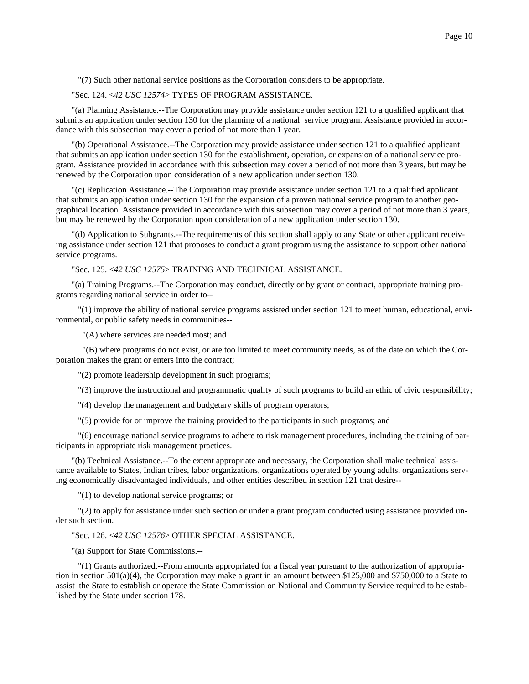"(7) Such other national service positions as the Corporation considers to be appropriate.

# "Sec. 124. <*42 USC 12574*> TYPES OF PROGRAM ASSISTANCE.

"(a) Planning Assistance.--The Corporation may provide assistance under section 121 to a qualified applicant that submits an application under section 130 for the planning of a national service program. Assistance provided in accordance with this subsection may cover a period of not more than 1 year.

"(b) Operational Assistance.--The Corporation may provide assistance under section 121 to a qualified applicant that submits an application under section 130 for the establishment, operation, or expansion of a national service program. Assistance provided in accordance with this subsection may cover a period of not more than 3 years, but may be renewed by the Corporation upon consideration of a new application under section 130.

"(c) Replication Assistance.--The Corporation may provide assistance under section 121 to a qualified applicant that submits an application under section 130 for the expansion of a proven national service program to another geographical location. Assistance provided in accordance with this subsection may cover a period of not more than 3 years, but may be renewed by the Corporation upon consideration of a new application under section 130.

"(d) Application to Subgrants.--The requirements of this section shall apply to any State or other applicant receiving assistance under section 121 that proposes to conduct a grant program using the assistance to support other national service programs.

"Sec. 125. <*42 USC 12575*> TRAINING AND TECHNICAL ASSISTANCE.

"(a) Training Programs.--The Corporation may conduct, directly or by grant or contract, appropriate training programs regarding national service in order to--

 "(1) improve the ability of national service programs assisted under section 121 to meet human, educational, environmental, or public safety needs in communities--

"(A) where services are needed most; and

 "(B) where programs do not exist, or are too limited to meet community needs, as of the date on which the Corporation makes the grant or enters into the contract;

"(2) promote leadership development in such programs;

"(3) improve the instructional and programmatic quality of such programs to build an ethic of civic responsibility;

"(4) develop the management and budgetary skills of program operators;

"(5) provide for or improve the training provided to the participants in such programs; and

 "(6) encourage national service programs to adhere to risk management procedures, including the training of participants in appropriate risk management practices.

"(b) Technical Assistance.--To the extent appropriate and necessary, the Corporation shall make technical assistance available to States, Indian tribes, labor organizations, organizations operated by young adults, organizations serving economically disadvantaged individuals, and other entities described in section 121 that desire--

"(1) to develop national service programs; or

 "(2) to apply for assistance under such section or under a grant program conducted using assistance provided under such section.

"Sec. 126. <*42 USC 12576*> OTHER SPECIAL ASSISTANCE.

"(a) Support for State Commissions.--

 "(1) Grants authorized.--From amounts appropriated for a fiscal year pursuant to the authorization of appropriation in section  $501(a)(4)$ , the Corporation may make a grant in an amount between \$125,000 and \$750,000 to a State to assist the State to establish or operate the State Commission on National and Community Service required to be established by the State under section 178.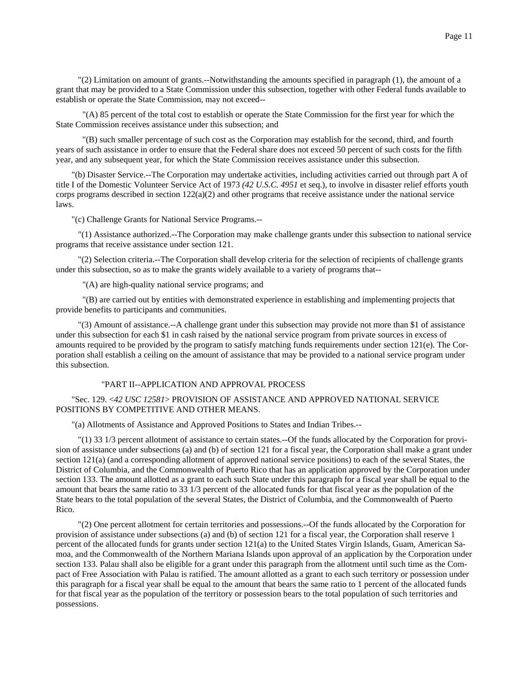"(2) Limitation on amount of grants.--Notwithstanding the amounts specified in paragraph (1), the amount of a grant that may be provided to a State Commission under this subsection, together with other Federal funds available to establish or operate the State Commission, may not exceed--

 "(A) 85 percent of the total cost to establish or operate the State Commission for the first year for which the State Commission receives assistance under this subsection; and

 "(B) such smaller percentage of such cost as the Corporation may establish for the second, third, and fourth years of such assistance in order to ensure that the Federal share does not exceed 50 percent of such costs for the fifth year, and any subsequent year, for which the State Commission receives assistance under this subsection.

"(b) Disaster Service.--The Corporation may undertake activities, including activities carried out through part A of title I of the Domestic Volunteer Service Act of 1973 *(42 U.S.C. 4951* et seq.), to involve in disaster relief efforts youth corps programs described in section  $122(a)(2)$  and other programs that receive assistance under the national service laws.

"(c) Challenge Grants for National Service Programs.--

 "(1) Assistance authorized.--The Corporation may make challenge grants under this subsection to national service programs that receive assistance under section 121.

 "(2) Selection criteria.--The Corporation shall develop criteria for the selection of recipients of challenge grants under this subsection, so as to make the grants widely available to a variety of programs that--

"(A) are high-quality national service programs; and

 "(B) are carried out by entities with demonstrated experience in establishing and implementing projects that provide benefits to participants and communities.

 "(3) Amount of assistance.--A challenge grant under this subsection may provide not more than \$1 of assistance under this subsection for each \$1 in cash raised by the national service program from private sources in excess of amounts required to be provided by the program to satisfy matching funds requirements under section 121(e). The Corporation shall establish a ceiling on the amount of assistance that may be provided to a national service program under this subsection.

# "PART II--APPLICATION AND APPROVAL PROCESS

# "Sec. 129. <*42 USC 12581*> PROVISION OF ASSISTANCE AND APPROVED NATIONAL SERVICE POSITIONS BY COMPETITIVE AND OTHER MEANS.

"(a) Allotments of Assistance and Approved Positions to States and Indian Tribes.--

 "(1) 33 1/3 percent allotment of assistance to certain states.--Of the funds allocated by the Corporation for provision of assistance under subsections (a) and (b) of section 121 for a fiscal year, the Corporation shall make a grant under section 121(a) (and a corresponding allotment of approved national service positions) to each of the several States, the District of Columbia, and the Commonwealth of Puerto Rico that has an application approved by the Corporation under section 133. The amount allotted as a grant to each such State under this paragraph for a fiscal year shall be equal to the amount that bears the same ratio to 33 1/3 percent of the allocated funds for that fiscal year as the population of the State bears to the total population of the several States, the District of Columbia, and the Commonwealth of Puerto Rico.

 "(2) One percent allotment for certain territories and possessions.--Of the funds allocated by the Corporation for provision of assistance under subsections (a) and (b) of section 121 for a fiscal year, the Corporation shall reserve 1 percent of the allocated funds for grants under section 121(a) to the United States Virgin Islands, Guam, American Samoa, and the Commonwealth of the Northern Mariana Islands upon approval of an application by the Corporation under section 133. Palau shall also be eligible for a grant under this paragraph from the allotment until such time as the Compact of Free Association with Palau is ratified. The amount allotted as a grant to each such territory or possession under this paragraph for a fiscal year shall be equal to the amount that bears the same ratio to 1 percent of the allocated funds for that fiscal year as the population of the territory or possession bears to the total population of such territories and possessions.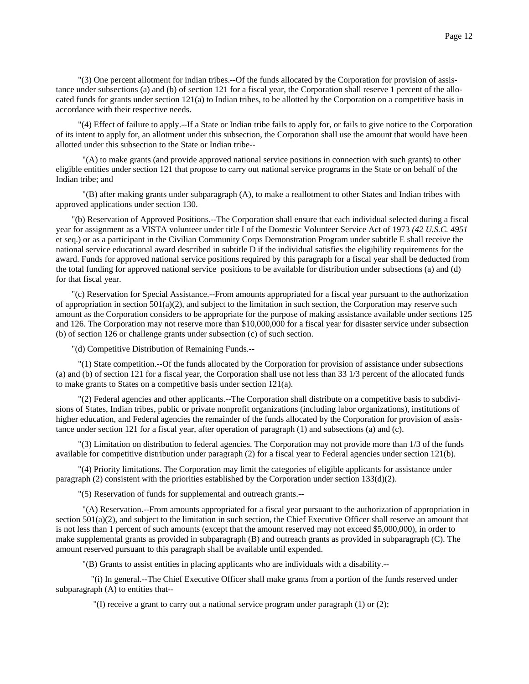"(3) One percent allotment for indian tribes.--Of the funds allocated by the Corporation for provision of assistance under subsections (a) and (b) of section 121 for a fiscal year, the Corporation shall reserve 1 percent of the allocated funds for grants under section 121(a) to Indian tribes, to be allotted by the Corporation on a competitive basis in accordance with their respective needs.

 "(4) Effect of failure to apply.--If a State or Indian tribe fails to apply for, or fails to give notice to the Corporation of its intent to apply for, an allotment under this subsection, the Corporation shall use the amount that would have been allotted under this subsection to the State or Indian tribe--

 "(A) to make grants (and provide approved national service positions in connection with such grants) to other eligible entities under section 121 that propose to carry out national service programs in the State or on behalf of the Indian tribe; and

 "(B) after making grants under subparagraph (A), to make a reallotment to other States and Indian tribes with approved applications under section 130.

"(b) Reservation of Approved Positions.--The Corporation shall ensure that each individual selected during a fiscal year for assignment as a VISTA volunteer under title I of the Domestic Volunteer Service Act of 1973 *(42 U.S.C. 4951* et seq.) or as a participant in the Civilian Community Corps Demonstration Program under subtitle E shall receive the national service educational award described in subtitle D if the individual satisfies the eligibility requirements for the award. Funds for approved national service positions required by this paragraph for a fiscal year shall be deducted from the total funding for approved national service positions to be available for distribution under subsections (a) and (d) for that fiscal year.

"(c) Reservation for Special Assistance.--From amounts appropriated for a fiscal year pursuant to the authorization of appropriation in section  $501(a)(2)$ , and subject to the limitation in such section, the Corporation may reserve such amount as the Corporation considers to be appropriate for the purpose of making assistance available under sections 125 and 126. The Corporation may not reserve more than \$10,000,000 for a fiscal year for disaster service under subsection (b) of section 126 or challenge grants under subsection (c) of such section.

"(d) Competitive Distribution of Remaining Funds.--

 "(1) State competition.--Of the funds allocated by the Corporation for provision of assistance under subsections (a) and (b) of section 121 for a fiscal year, the Corporation shall use not less than 33 1/3 percent of the allocated funds to make grants to States on a competitive basis under section 121(a).

 "(2) Federal agencies and other applicants.--The Corporation shall distribute on a competitive basis to subdivisions of States, Indian tribes, public or private nonprofit organizations (including labor organizations), institutions of higher education, and Federal agencies the remainder of the funds allocated by the Corporation for provision of assistance under section 121 for a fiscal year, after operation of paragraph (1) and subsections (a) and (c).

 "(3) Limitation on distribution to federal agencies. The Corporation may not provide more than 1/3 of the funds available for competitive distribution under paragraph (2) for a fiscal year to Federal agencies under section 121(b).

 "(4) Priority limitations. The Corporation may limit the categories of eligible applicants for assistance under paragraph (2) consistent with the priorities established by the Corporation under section 133(d)(2).

"(5) Reservation of funds for supplemental and outreach grants.--

 "(A) Reservation.--From amounts appropriated for a fiscal year pursuant to the authorization of appropriation in section 501(a)(2), and subject to the limitation in such section, the Chief Executive Officer shall reserve an amount that is not less than 1 percent of such amounts (except that the amount reserved may not exceed \$5,000,000), in order to make supplemental grants as provided in subparagraph (B) and outreach grants as provided in subparagraph (C). The amount reserved pursuant to this paragraph shall be available until expended.

"(B) Grants to assist entities in placing applicants who are individuals with a disability.--

 "(i) In general.--The Chief Executive Officer shall make grants from a portion of the funds reserved under subparagraph (A) to entities that--

 $\Gamma(I)$  receive a grant to carry out a national service program under paragraph (1) or (2);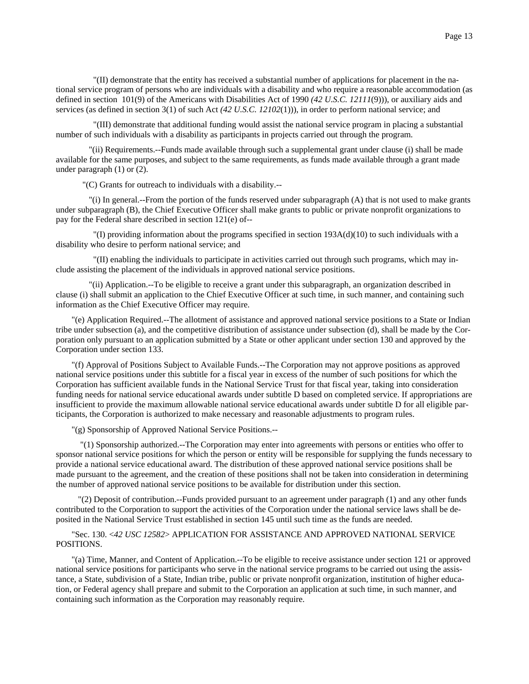"(II) demonstrate that the entity has received a substantial number of applications for placement in the national service program of persons who are individuals with a disability and who require a reasonable accommodation (as defined in section 101(9) of the Americans with Disabilities Act of 1990 *(42 U.S.C. 12111*(9))), or auxiliary aids and services (as defined in section 3(1) of such Act *(42 U.S.C. 12102*(1))), in order to perform national service; and

 "(III) demonstrate that additional funding would assist the national service program in placing a substantial number of such individuals with a disability as participants in projects carried out through the program.

 "(ii) Requirements.--Funds made available through such a supplemental grant under clause (i) shall be made available for the same purposes, and subject to the same requirements, as funds made available through a grant made under paragraph (1) or (2).

"(C) Grants for outreach to individuals with a disability.--

 "(i) In general.--From the portion of the funds reserved under subparagraph (A) that is not used to make grants under subparagraph (B), the Chief Executive Officer shall make grants to public or private nonprofit organizations to pay for the Federal share described in section 121(e) of--

"(I) providing information about the programs specified in section  $193A(d)(10)$  to such individuals with a disability who desire to perform national service; and

 "(II) enabling the individuals to participate in activities carried out through such programs, which may include assisting the placement of the individuals in approved national service positions.

 "(ii) Application.--To be eligible to receive a grant under this subparagraph, an organization described in clause (i) shall submit an application to the Chief Executive Officer at such time, in such manner, and containing such information as the Chief Executive Officer may require.

"(e) Application Required.--The allotment of assistance and approved national service positions to a State or Indian tribe under subsection (a), and the competitive distribution of assistance under subsection (d), shall be made by the Corporation only pursuant to an application submitted by a State or other applicant under section 130 and approved by the Corporation under section 133.

"(f) Approval of Positions Subject to Available Funds.--The Corporation may not approve positions as approved national service positions under this subtitle for a fiscal year in excess of the number of such positions for which the Corporation has sufficient available funds in the National Service Trust for that fiscal year, taking into consideration funding needs for national service educational awards under subtitle D based on completed service. If appropriations are insufficient to provide the maximum allowable national service educational awards under subtitle D for all eligible participants, the Corporation is authorized to make necessary and reasonable adjustments to program rules.

"(g) Sponsorship of Approved National Service Positions.--

 "(1) Sponsorship authorized.--The Corporation may enter into agreements with persons or entities who offer to sponsor national service positions for which the person or entity will be responsible for supplying the funds necessary to provide a national service educational award. The distribution of these approved national service positions shall be made pursuant to the agreement, and the creation of these positions shall not be taken into consideration in determining the number of approved national service positions to be available for distribution under this section.

 "(2) Deposit of contribution.--Funds provided pursuant to an agreement under paragraph (1) and any other funds contributed to the Corporation to support the activities of the Corporation under the national service laws shall be deposited in the National Service Trust established in section 145 until such time as the funds are needed.

"Sec. 130. <*42 USC 12582*> APPLICATION FOR ASSISTANCE AND APPROVED NATIONAL SERVICE POSITIONS.

"(a) Time, Manner, and Content of Application.--To be eligible to receive assistance under section 121 or approved national service positions for participants who serve in the national service programs to be carried out using the assistance, a State, subdivision of a State, Indian tribe, public or private nonprofit organization, institution of higher education, or Federal agency shall prepare and submit to the Corporation an application at such time, in such manner, and containing such information as the Corporation may reasonably require.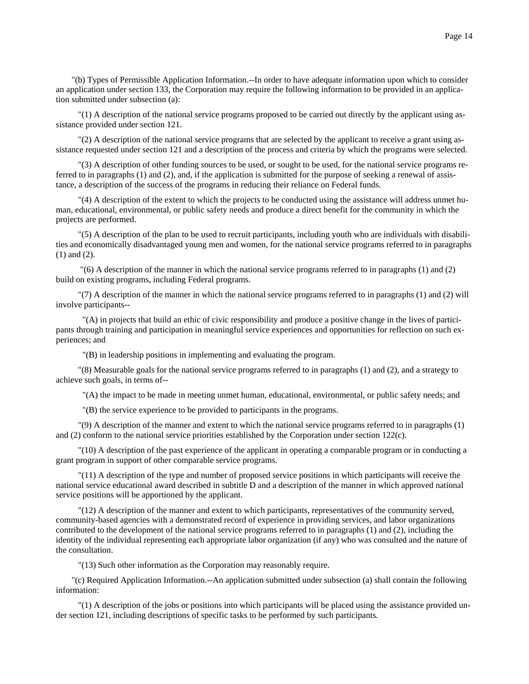"(b) Types of Permissible Application Information.--In order to have adequate information upon which to consider an application under section 133, the Corporation may require the following information to be provided in an application submitted under subsection (a):

 "(1) A description of the national service programs proposed to be carried out directly by the applicant using assistance provided under section 121.

 "(2) A description of the national service programs that are selected by the applicant to receive a grant using assistance requested under section 121 and a description of the process and criteria by which the programs were selected.

 "(3) A description of other funding sources to be used, or sought to be used, for the national service programs referred to in paragraphs (1) and (2), and, if the application is submitted for the purpose of seeking a renewal of assistance, a description of the success of the programs in reducing their reliance on Federal funds.

 "(4) A description of the extent to which the projects to be conducted using the assistance will address unmet human, educational, environmental, or public safety needs and produce a direct benefit for the community in which the projects are performed.

 "(5) A description of the plan to be used to recruit participants, including youth who are individuals with disabilities and economically disadvantaged young men and women, for the national service programs referred to in paragraphs (1) and (2).

 "(6) A description of the manner in which the national service programs referred to in paragraphs (1) and (2) build on existing programs, including Federal programs.

 "(7) A description of the manner in which the national service programs referred to in paragraphs (1) and (2) will involve participants--

 "(A) in projects that build an ethic of civic responsibility and produce a positive change in the lives of participants through training and participation in meaningful service experiences and opportunities for reflection on such experiences; and

"(B) in leadership positions in implementing and evaluating the program.

 "(8) Measurable goals for the national service programs referred to in paragraphs (1) and (2), and a strategy to achieve such goals, in terms of--

"(A) the impact to be made in meeting unmet human, educational, environmental, or public safety needs; and

"(B) the service experience to be provided to participants in the programs.

 "(9) A description of the manner and extent to which the national service programs referred to in paragraphs (1) and (2) conform to the national service priorities established by the Corporation under section 122(c).

 "(10) A description of the past experience of the applicant in operating a comparable program or in conducting a grant program in support of other comparable service programs.

 "(11) A description of the type and number of proposed service positions in which participants will receive the national service educational award described in subtitle D and a description of the manner in which approved national service positions will be apportioned by the applicant.

 "(12) A description of the manner and extent to which participants, representatives of the community served, community-based agencies with a demonstrated record of experience in providing services, and labor organizations contributed to the development of the national service programs referred to in paragraphs (1) and (2), including the identity of the individual representing each appropriate labor organization (if any) who was consulted and the nature of the consultation.

"(13) Such other information as the Corporation may reasonably require.

"(c) Required Application Information.--An application submitted under subsection (a) shall contain the following information:

 "(1) A description of the jobs or positions into which participants will be placed using the assistance provided under section 121, including descriptions of specific tasks to be performed by such participants.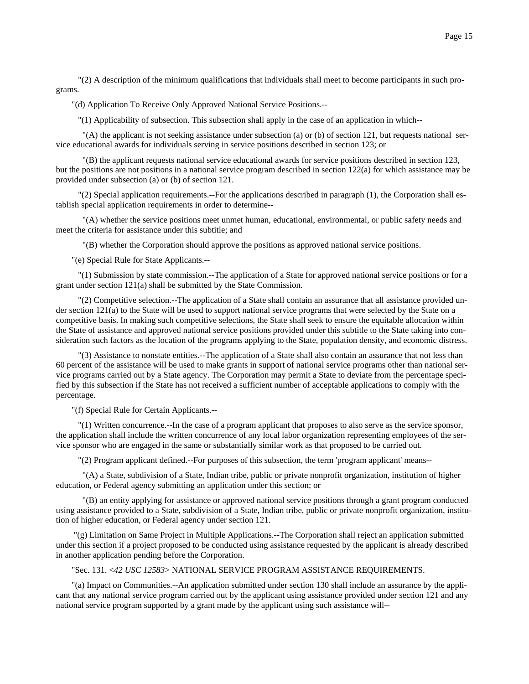"(2) A description of the minimum qualifications that individuals shall meet to become participants in such programs.

"(d) Application To Receive Only Approved National Service Positions.--

"(1) Applicability of subsection. This subsection shall apply in the case of an application in which--

 $(A)$  the applicant is not seeking assistance under subsection (a) or (b) of section 121, but requests national service educational awards for individuals serving in service positions described in section 123; or

 "(B) the applicant requests national service educational awards for service positions described in section 123, but the positions are not positions in a national service program described in section 122(a) for which assistance may be provided under subsection (a) or (b) of section 121.

 "(2) Special application requirements.--For the applications described in paragraph (1), the Corporation shall establish special application requirements in order to determine--

 "(A) whether the service positions meet unmet human, educational, environmental, or public safety needs and meet the criteria for assistance under this subtitle; and

"(B) whether the Corporation should approve the positions as approved national service positions.

"(e) Special Rule for State Applicants.--

 "(1) Submission by state commission.--The application of a State for approved national service positions or for a grant under section 121(a) shall be submitted by the State Commission.

 "(2) Competitive selection.--The application of a State shall contain an assurance that all assistance provided under section 121(a) to the State will be used to support national service programs that were selected by the State on a competitive basis. In making such competitive selections, the State shall seek to ensure the equitable allocation within the State of assistance and approved national service positions provided under this subtitle to the State taking into consideration such factors as the location of the programs applying to the State, population density, and economic distress.

 "(3) Assistance to nonstate entities.--The application of a State shall also contain an assurance that not less than 60 percent of the assistance will be used to make grants in support of national service programs other than national service programs carried out by a State agency. The Corporation may permit a State to deviate from the percentage specified by this subsection if the State has not received a sufficient number of acceptable applications to comply with the percentage.

"(f) Special Rule for Certain Applicants.--

 "(1) Written concurrence.--In the case of a program applicant that proposes to also serve as the service sponsor, the application shall include the written concurrence of any local labor organization representing employees of the service sponsor who are engaged in the same or substantially similar work as that proposed to be carried out.

"(2) Program applicant defined.--For purposes of this subsection, the term 'program applicant' means--

 "(A) a State, subdivision of a State, Indian tribe, public or private nonprofit organization, institution of higher education, or Federal agency submitting an application under this section; or

 "(B) an entity applying for assistance or approved national service positions through a grant program conducted using assistance provided to a State, subdivision of a State, Indian tribe, public or private nonprofit organization, institution of higher education, or Federal agency under section 121.

 "(g) Limitation on Same Project in Multiple Applications.--The Corporation shall reject an application submitted under this section if a project proposed to be conducted using assistance requested by the applicant is already described in another application pending before the Corporation.

### "Sec. 131. <*42 USC 12583*> NATIONAL SERVICE PROGRAM ASSISTANCE REQUIREMENTS.

"(a) Impact on Communities.--An application submitted under section 130 shall include an assurance by the applicant that any national service program carried out by the applicant using assistance provided under section 121 and any national service program supported by a grant made by the applicant using such assistance will--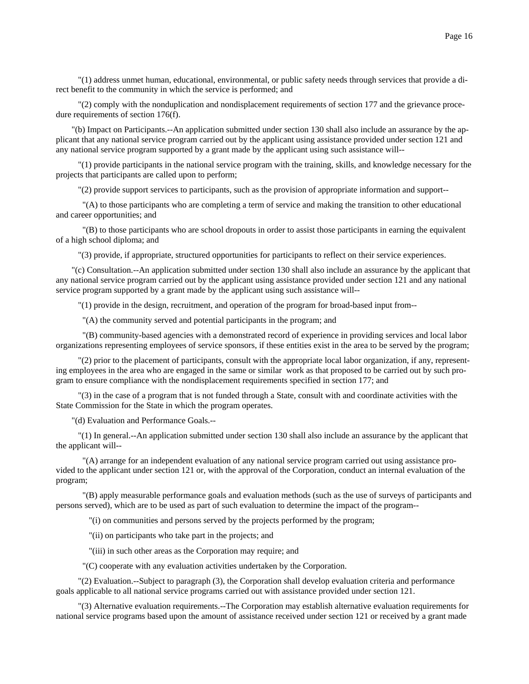"(1) address unmet human, educational, environmental, or public safety needs through services that provide a direct benefit to the community in which the service is performed; and

 "(2) comply with the nonduplication and nondisplacement requirements of section 177 and the grievance procedure requirements of section 176(f).

"(b) Impact on Participants.--An application submitted under section 130 shall also include an assurance by the applicant that any national service program carried out by the applicant using assistance provided under section 121 and any national service program supported by a grant made by the applicant using such assistance will--

 "(1) provide participants in the national service program with the training, skills, and knowledge necessary for the projects that participants are called upon to perform;

"(2) provide support services to participants, such as the provision of appropriate information and support--

 "(A) to those participants who are completing a term of service and making the transition to other educational and career opportunities; and

 "(B) to those participants who are school dropouts in order to assist those participants in earning the equivalent of a high school diploma; and

"(3) provide, if appropriate, structured opportunities for participants to reflect on their service experiences.

"(c) Consultation.--An application submitted under section 130 shall also include an assurance by the applicant that any national service program carried out by the applicant using assistance provided under section 121 and any national service program supported by a grant made by the applicant using such assistance will--

"(1) provide in the design, recruitment, and operation of the program for broad-based input from--

"(A) the community served and potential participants in the program; and

 "(B) community-based agencies with a demonstrated record of experience in providing services and local labor organizations representing employees of service sponsors, if these entities exist in the area to be served by the program;

 "(2) prior to the placement of participants, consult with the appropriate local labor organization, if any, representing employees in the area who are engaged in the same or similar work as that proposed to be carried out by such program to ensure compliance with the nondisplacement requirements specified in section 177; and

 "(3) in the case of a program that is not funded through a State, consult with and coordinate activities with the State Commission for the State in which the program operates.

"(d) Evaluation and Performance Goals.--

 "(1) In general.--An application submitted under section 130 shall also include an assurance by the applicant that the applicant will--

 "(A) arrange for an independent evaluation of any national service program carried out using assistance provided to the applicant under section 121 or, with the approval of the Corporation, conduct an internal evaluation of the program;

 "(B) apply measurable performance goals and evaluation methods (such as the use of surveys of participants and persons served), which are to be used as part of such evaluation to determine the impact of the program--

"(i) on communities and persons served by the projects performed by the program;

"(ii) on participants who take part in the projects; and

"(iii) in such other areas as the Corporation may require; and

"(C) cooperate with any evaluation activities undertaken by the Corporation.

 "(2) Evaluation.--Subject to paragraph (3), the Corporation shall develop evaluation criteria and performance goals applicable to all national service programs carried out with assistance provided under section 121.

 "(3) Alternative evaluation requirements.--The Corporation may establish alternative evaluation requirements for national service programs based upon the amount of assistance received under section 121 or received by a grant made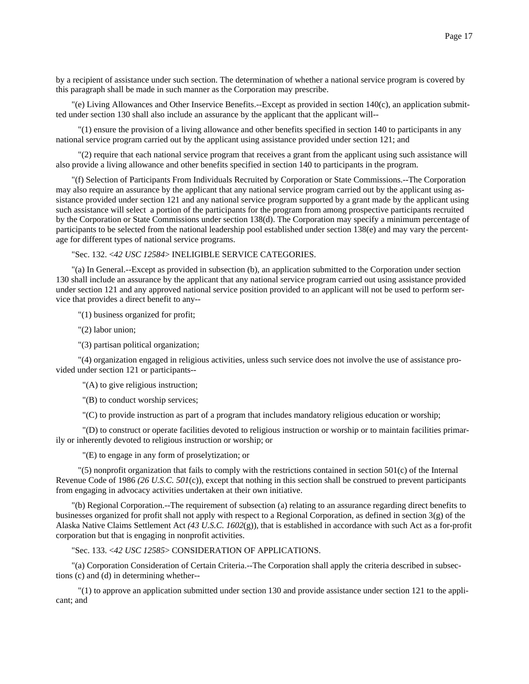by a recipient of assistance under such section. The determination of whether a national service program is covered by this paragraph shall be made in such manner as the Corporation may prescribe.

"(e) Living Allowances and Other Inservice Benefits.--Except as provided in section 140(c), an application submitted under section 130 shall also include an assurance by the applicant that the applicant will--

 "(1) ensure the provision of a living allowance and other benefits specified in section 140 to participants in any national service program carried out by the applicant using assistance provided under section 121; and

 "(2) require that each national service program that receives a grant from the applicant using such assistance will also provide a living allowance and other benefits specified in section 140 to participants in the program.

"(f) Selection of Participants From Individuals Recruited by Corporation or State Commissions.--The Corporation may also require an assurance by the applicant that any national service program carried out by the applicant using assistance provided under section 121 and any national service program supported by a grant made by the applicant using such assistance will select a portion of the participants for the program from among prospective participants recruited by the Corporation or State Commissions under section 138(d). The Corporation may specify a minimum percentage of participants to be selected from the national leadership pool established under section 138(e) and may vary the percentage for different types of national service programs.

"Sec. 132. <*42 USC 12584*> INELIGIBLE SERVICE CATEGORIES.

"(a) In General.--Except as provided in subsection (b), an application submitted to the Corporation under section 130 shall include an assurance by the applicant that any national service program carried out using assistance provided under section 121 and any approved national service position provided to an applicant will not be used to perform service that provides a direct benefit to any--

"(1) business organized for profit;

"(2) labor union;

"(3) partisan political organization;

 "(4) organization engaged in religious activities, unless such service does not involve the use of assistance provided under section 121 or participants--

"(A) to give religious instruction;

"(B) to conduct worship services;

"(C) to provide instruction as part of a program that includes mandatory religious education or worship;

 "(D) to construct or operate facilities devoted to religious instruction or worship or to maintain facilities primarily or inherently devoted to religious instruction or worship; or

"(E) to engage in any form of proselytization; or

 "(5) nonprofit organization that fails to comply with the restrictions contained in section 501(c) of the Internal Revenue Code of 1986 *(26 U.S.C. 501*(c)), except that nothing in this section shall be construed to prevent participants from engaging in advocacy activities undertaken at their own initiative.

"(b) Regional Corporation.--The requirement of subsection (a) relating to an assurance regarding direct benefits to businesses organized for profit shall not apply with respect to a Regional Corporation, as defined in section  $3(g)$  of the Alaska Native Claims Settlement Act *(43 U.S.C. 1602*(g)), that is established in accordance with such Act as a for-profit corporation but that is engaging in nonprofit activities.

"Sec. 133. <*42 USC 12585*> CONSIDERATION OF APPLICATIONS.

"(a) Corporation Consideration of Certain Criteria.--The Corporation shall apply the criteria described in subsections (c) and (d) in determining whether--

 "(1) to approve an application submitted under section 130 and provide assistance under section 121 to the applicant; and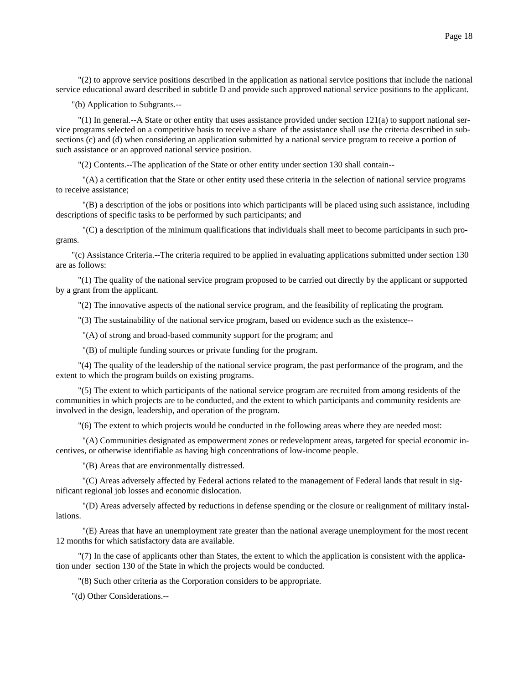"(2) to approve service positions described in the application as national service positions that include the national service educational award described in subtitle D and provide such approved national service positions to the applicant.

"(b) Application to Subgrants.--

 "(1) In general.--A State or other entity that uses assistance provided under section 121(a) to support national service programs selected on a competitive basis to receive a share of the assistance shall use the criteria described in subsections (c) and (d) when considering an application submitted by a national service program to receive a portion of such assistance or an approved national service position.

"(2) Contents.--The application of the State or other entity under section 130 shall contain--

 "(A) a certification that the State or other entity used these criteria in the selection of national service programs to receive assistance;

 "(B) a description of the jobs or positions into which participants will be placed using such assistance, including descriptions of specific tasks to be performed by such participants; and

 "(C) a description of the minimum qualifications that individuals shall meet to become participants in such programs.

"(c) Assistance Criteria.--The criteria required to be applied in evaluating applications submitted under section 130 are as follows:

 "(1) The quality of the national service program proposed to be carried out directly by the applicant or supported by a grant from the applicant.

"(2) The innovative aspects of the national service program, and the feasibility of replicating the program.

"(3) The sustainability of the national service program, based on evidence such as the existence--

"(A) of strong and broad-based community support for the program; and

"(B) of multiple funding sources or private funding for the program.

 "(4) The quality of the leadership of the national service program, the past performance of the program, and the extent to which the program builds on existing programs.

 "(5) The extent to which participants of the national service program are recruited from among residents of the communities in which projects are to be conducted, and the extent to which participants and community residents are involved in the design, leadership, and operation of the program.

"(6) The extent to which projects would be conducted in the following areas where they are needed most:

 "(A) Communities designated as empowerment zones or redevelopment areas, targeted for special economic incentives, or otherwise identifiable as having high concentrations of low-income people.

"(B) Areas that are environmentally distressed.

 "(C) Areas adversely affected by Federal actions related to the management of Federal lands that result in significant regional job losses and economic dislocation.

 "(D) Areas adversely affected by reductions in defense spending or the closure or realignment of military installations.

 "(E) Areas that have an unemployment rate greater than the national average unemployment for the most recent 12 months for which satisfactory data are available.

 "(7) In the case of applicants other than States, the extent to which the application is consistent with the application under section 130 of the State in which the projects would be conducted.

"(8) Such other criteria as the Corporation considers to be appropriate.

"(d) Other Considerations.--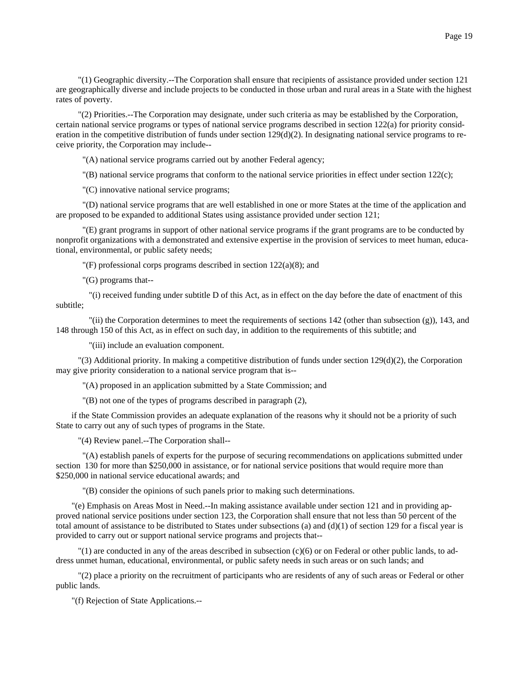"(1) Geographic diversity.--The Corporation shall ensure that recipients of assistance provided under section 121 are geographically diverse and include projects to be conducted in those urban and rural areas in a State with the highest rates of poverty.

 "(2) Priorities.--The Corporation may designate, under such criteria as may be established by the Corporation, certain national service programs or types of national service programs described in section 122(a) for priority consideration in the competitive distribution of funds under section  $129(d)(2)$ . In designating national service programs to receive priority, the Corporation may include--

"(A) national service programs carried out by another Federal agency;

"(B) national service programs that conform to the national service priorities in effect under section 122(c);

"(C) innovative national service programs;

 "(D) national service programs that are well established in one or more States at the time of the application and are proposed to be expanded to additional States using assistance provided under section 121;

 "(E) grant programs in support of other national service programs if the grant programs are to be conducted by nonprofit organizations with a demonstrated and extensive expertise in the provision of services to meet human, educational, environmental, or public safety needs;

"(F) professional corps programs described in section 122(a)(8); and

"(G) programs that--

 "(i) received funding under subtitle D of this Act, as in effect on the day before the date of enactment of this subtitle;

 "(ii) the Corporation determines to meet the requirements of sections 142 (other than subsection (g)), 143, and 148 through 150 of this Act, as in effect on such day, in addition to the requirements of this subtitle; and

"(iii) include an evaluation component.

 "(3) Additional priority. In making a competitive distribution of funds under section 129(d)(2), the Corporation may give priority consideration to a national service program that is--

"(A) proposed in an application submitted by a State Commission; and

"(B) not one of the types of programs described in paragraph (2),

if the State Commission provides an adequate explanation of the reasons why it should not be a priority of such State to carry out any of such types of programs in the State.

"(4) Review panel.--The Corporation shall--

 "(A) establish panels of experts for the purpose of securing recommendations on applications submitted under section 130 for more than \$250,000 in assistance, or for national service positions that would require more than \$250,000 in national service educational awards; and

"(B) consider the opinions of such panels prior to making such determinations.

"(e) Emphasis on Areas Most in Need.--In making assistance available under section 121 and in providing approved national service positions under section 123, the Corporation shall ensure that not less than 50 percent of the total amount of assistance to be distributed to States under subsections (a) and  $(d)(1)$  of section 129 for a fiscal year is provided to carry out or support national service programs and projects that--

 "(1) are conducted in any of the areas described in subsection (c)(6) or on Federal or other public lands, to address unmet human, educational, environmental, or public safety needs in such areas or on such lands; and

 "(2) place a priority on the recruitment of participants who are residents of any of such areas or Federal or other public lands.

"(f) Rejection of State Applications.--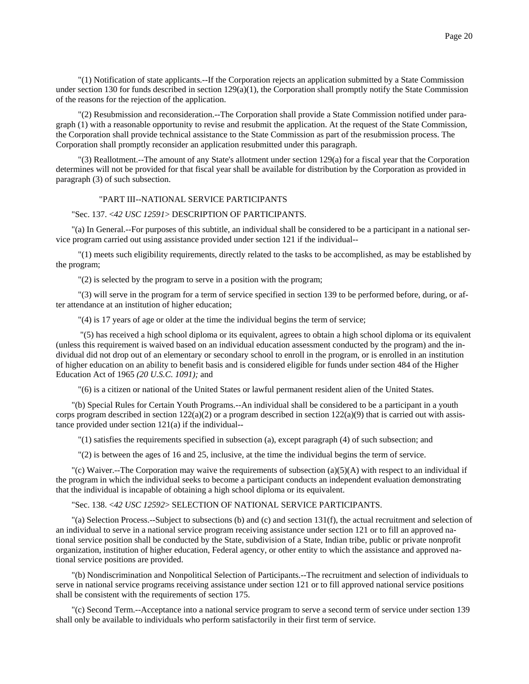"(1) Notification of state applicants.--If the Corporation rejects an application submitted by a State Commission under section 130 for funds described in section  $129(a)(1)$ , the Corporation shall promptly notify the State Commission of the reasons for the rejection of the application.

 "(2) Resubmission and reconsideration.--The Corporation shall provide a State Commission notified under paragraph (1) with a reasonable opportunity to revise and resubmit the application. At the request of the State Commission, the Corporation shall provide technical assistance to the State Commission as part of the resubmission process. The Corporation shall promptly reconsider an application resubmitted under this paragraph.

 "(3) Reallotment.--The amount of any State's allotment under section 129(a) for a fiscal year that the Corporation determines will not be provided for that fiscal year shall be available for distribution by the Corporation as provided in paragraph (3) of such subsection.

# "PART III--NATIONAL SERVICE PARTICIPANTS

## "Sec. 137. <*42 USC 12591*> DESCRIPTION OF PARTICIPANTS.

"(a) In General.--For purposes of this subtitle, an individual shall be considered to be a participant in a national service program carried out using assistance provided under section 121 if the individual--

 "(1) meets such eligibility requirements, directly related to the tasks to be accomplished, as may be established by the program;

"(2) is selected by the program to serve in a position with the program;

 "(3) will serve in the program for a term of service specified in section 139 to be performed before, during, or after attendance at an institution of higher education;

"(4) is 17 years of age or older at the time the individual begins the term of service;

 "(5) has received a high school diploma or its equivalent, agrees to obtain a high school diploma or its equivalent (unless this requirement is waived based on an individual education assessment conducted by the program) and the individual did not drop out of an elementary or secondary school to enroll in the program, or is enrolled in an institution of higher education on an ability to benefit basis and is considered eligible for funds under section 484 of the Higher Education Act of 1965 *(20 U.S.C. 1091);* and

"(6) is a citizen or national of the United States or lawful permanent resident alien of the United States.

"(b) Special Rules for Certain Youth Programs.--An individual shall be considered to be a participant in a youth corps program described in section  $122(a)(2)$  or a program described in section  $122(a)(9)$  that is carried out with assistance provided under section 121(a) if the individual--

"(1) satisfies the requirements specified in subsection (a), except paragraph (4) of such subsection; and

"(2) is between the ages of 16 and 25, inclusive, at the time the individual begins the term of service.

"(c) Waiver.--The Corporation may waive the requirements of subsection (a)(5)(A) with respect to an individual if the program in which the individual seeks to become a participant conducts an independent evaluation demonstrating that the individual is incapable of obtaining a high school diploma or its equivalent.

"Sec. 138. <*42 USC 12592*> SELECTION OF NATIONAL SERVICE PARTICIPANTS.

"(a) Selection Process.--Subject to subsections (b) and (c) and section 131(f), the actual recruitment and selection of an individual to serve in a national service program receiving assistance under section 121 or to fill an approved national service position shall be conducted by the State, subdivision of a State, Indian tribe, public or private nonprofit organization, institution of higher education, Federal agency, or other entity to which the assistance and approved national service positions are provided.

"(b) Nondiscrimination and Nonpolitical Selection of Participants.--The recruitment and selection of individuals to serve in national service programs receiving assistance under section 121 or to fill approved national service positions shall be consistent with the requirements of section 175.

"(c) Second Term.--Acceptance into a national service program to serve a second term of service under section 139 shall only be available to individuals who perform satisfactorily in their first term of service.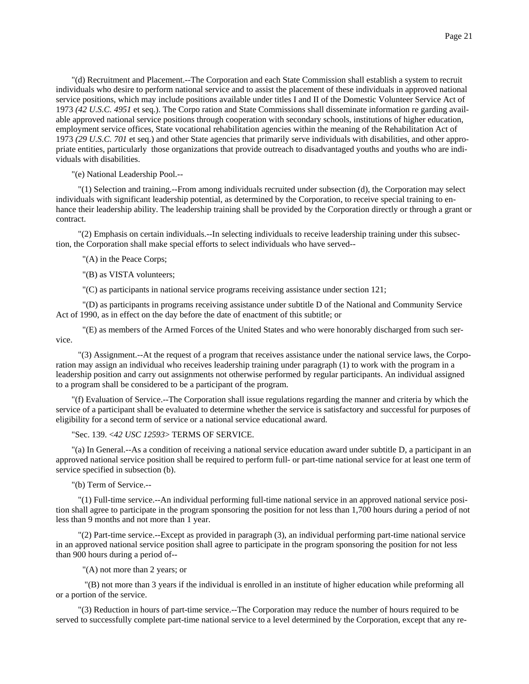"(d) Recruitment and Placement.--The Corporation and each State Commission shall establish a system to recruit individuals who desire to perform national service and to assist the placement of these individuals in approved national service positions, which may include positions available under titles I and II of the Domestic Volunteer Service Act of 1973 *(42 U.S.C. 4951* et seq.). The Corpo ration and State Commissions shall disseminate information re garding available approved national service positions through cooperation with secondary schools, institutions of higher education, employment service offices, State vocational rehabilitation agencies within the meaning of the Rehabilitation Act of 1973 *(29 U.S.C. 701* et seq.) and other State agencies that primarily serve individuals with disabilities, and other appropriate entities, particularly those organizations that provide outreach to disadvantaged youths and youths who are individuals with disabilities.

"(e) National Leadership Pool.--

 "(1) Selection and training.--From among individuals recruited under subsection (d), the Corporation may select individuals with significant leadership potential, as determined by the Corporation, to receive special training to enhance their leadership ability. The leadership training shall be provided by the Corporation directly or through a grant or contract.

 "(2) Emphasis on certain individuals.--In selecting individuals to receive leadership training under this subsection, the Corporation shall make special efforts to select individuals who have served--

"(A) in the Peace Corps;

"(B) as VISTA volunteers;

"(C) as participants in national service programs receiving assistance under section 121;

 "(D) as participants in programs receiving assistance under subtitle D of the National and Community Service Act of 1990, as in effect on the day before the date of enactment of this subtitle; or

 "(E) as members of the Armed Forces of the United States and who were honorably discharged from such service.

 "(3) Assignment.--At the request of a program that receives assistance under the national service laws, the Corporation may assign an individual who receives leadership training under paragraph (1) to work with the program in a leadership position and carry out assignments not otherwise performed by regular participants. An individual assigned to a program shall be considered to be a participant of the program.

"(f) Evaluation of Service.--The Corporation shall issue regulations regarding the manner and criteria by which the service of a participant shall be evaluated to determine whether the service is satisfactory and successful for purposes of eligibility for a second term of service or a national service educational award.

"Sec. 139. <*42 USC 12593*> TERMS OF SERVICE.

"(a) In General.--As a condition of receiving a national service education award under subtitle D, a participant in an approved national service position shall be required to perform full- or part-time national service for at least one term of service specified in subsection (b).

"(b) Term of Service.--

 "(1) Full-time service.--An individual performing full-time national service in an approved national service position shall agree to participate in the program sponsoring the position for not less than 1,700 hours during a period of not less than 9 months and not more than 1 year.

 "(2) Part-time service.--Except as provided in paragraph (3), an individual performing part-time national service in an approved national service position shall agree to participate in the program sponsoring the position for not less than 900 hours during a period of--

"(A) not more than 2 years; or

 "(B) not more than 3 years if the individual is enrolled in an institute of higher education while preforming all or a portion of the service.

 "(3) Reduction in hours of part-time service.--The Corporation may reduce the number of hours required to be served to successfully complete part-time national service to a level determined by the Corporation, except that any re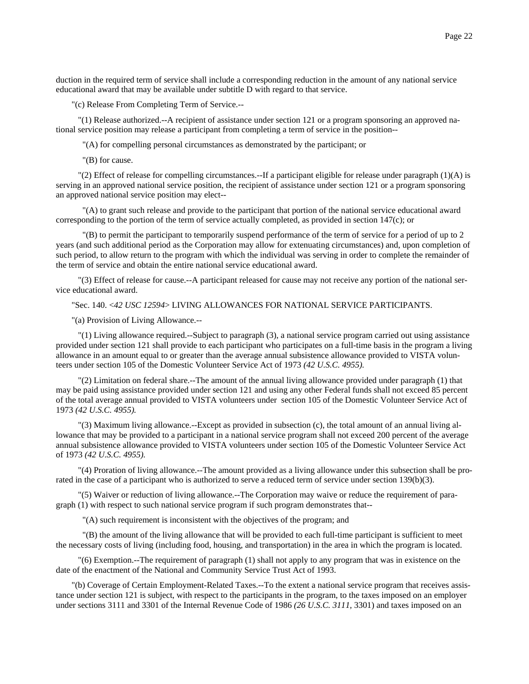duction in the required term of service shall include a corresponding reduction in the amount of any national service educational award that may be available under subtitle D with regard to that service.

"(c) Release From Completing Term of Service.--

 "(1) Release authorized.--A recipient of assistance under section 121 or a program sponsoring an approved national service position may release a participant from completing a term of service in the position--

"(A) for compelling personal circumstances as demonstrated by the participant; or

"(B) for cause.

 $\Gamma(2)$  Effect of release for compelling circumstances.--If a participant eligible for release under paragraph (1)(A) is serving in an approved national service position, the recipient of assistance under section 121 or a program sponsoring an approved national service position may elect--

 "(A) to grant such release and provide to the participant that portion of the national service educational award corresponding to the portion of the term of service actually completed, as provided in section 147(c); or

 "(B) to permit the participant to temporarily suspend performance of the term of service for a period of up to 2 years (and such additional period as the Corporation may allow for extenuating circumstances) and, upon completion of such period, to allow return to the program with which the individual was serving in order to complete the remainder of the term of service and obtain the entire national service educational award.

 "(3) Effect of release for cause.--A participant released for cause may not receive any portion of the national service educational award.

"Sec. 140. <*42 USC 12594*> LIVING ALLOWANCES FOR NATIONAL SERVICE PARTICIPANTS.

"(a) Provision of Living Allowance.--

 "(1) Living allowance required.--Subject to paragraph (3), a national service program carried out using assistance provided under section 121 shall provide to each participant who participates on a full-time basis in the program a living allowance in an amount equal to or greater than the average annual subsistence allowance provided to VISTA volunteers under section 105 of the Domestic Volunteer Service Act of 1973 *(42 U.S.C. 4955).*

 "(2) Limitation on federal share.--The amount of the annual living allowance provided under paragraph (1) that may be paid using assistance provided under section 121 and using any other Federal funds shall not exceed 85 percent of the total average annual provided to VISTA volunteers under section 105 of the Domestic Volunteer Service Act of 1973 *(42 U.S.C. 4955).*

 "(3) Maximum living allowance.--Except as provided in subsection (c), the total amount of an annual living allowance that may be provided to a participant in a national service program shall not exceed 200 percent of the average annual subsistence allowance provided to VISTA volunteers under section 105 of the Domestic Volunteer Service Act of 1973 *(42 U.S.C. 4955).*

 "(4) Proration of living allowance.--The amount provided as a living allowance under this subsection shall be prorated in the case of a participant who is authorized to serve a reduced term of service under section 139(b)(3).

 "(5) Waiver or reduction of living allowance.--The Corporation may waive or reduce the requirement of paragraph (1) with respect to such national service program if such program demonstrates that--

"(A) such requirement is inconsistent with the objectives of the program; and

 "(B) the amount of the living allowance that will be provided to each full-time participant is sufficient to meet the necessary costs of living (including food, housing, and transportation) in the area in which the program is located.

 "(6) Exemption.--The requirement of paragraph (1) shall not apply to any program that was in existence on the date of the enactment of the National and Community Service Trust Act of 1993.

"(b) Coverage of Certain Employment-Related Taxes.--To the extent a national service program that receives assistance under section 121 is subject, with respect to the participants in the program, to the taxes imposed on an employer under sections 3111 and 3301 of the Internal Revenue Code of 1986 *(26 U.S.C. 3111,* 3301) and taxes imposed on an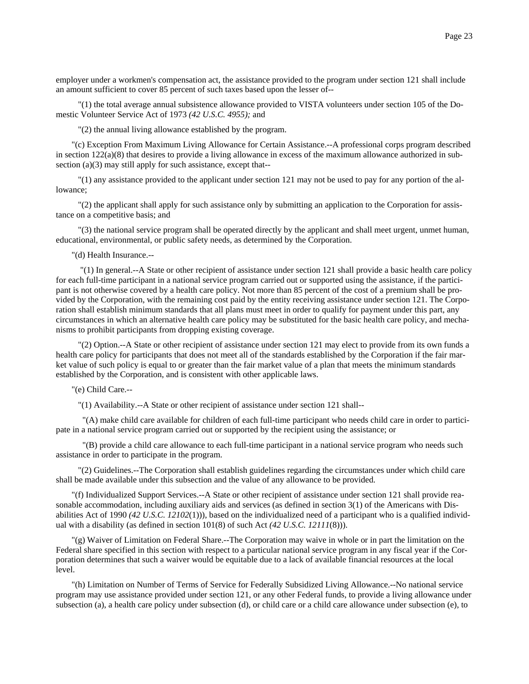employer under a workmen's compensation act, the assistance provided to the program under section 121 shall include an amount sufficient to cover 85 percent of such taxes based upon the lesser of--

 "(1) the total average annual subsistence allowance provided to VISTA volunteers under section 105 of the Domestic Volunteer Service Act of 1973 *(42 U.S.C. 4955);* and

"(2) the annual living allowance established by the program.

"(c) Exception From Maximum Living Allowance for Certain Assistance.--A professional corps program described in section 122(a)(8) that desires to provide a living allowance in excess of the maximum allowance authorized in subsection (a)(3) may still apply for such assistance, except that--

 "(1) any assistance provided to the applicant under section 121 may not be used to pay for any portion of the allowance;

 "(2) the applicant shall apply for such assistance only by submitting an application to the Corporation for assistance on a competitive basis; and

 "(3) the national service program shall be operated directly by the applicant and shall meet urgent, unmet human, educational, environmental, or public safety needs, as determined by the Corporation.

"(d) Health Insurance.--

 "(1) In general.--A State or other recipient of assistance under section 121 shall provide a basic health care policy for each full-time participant in a national service program carried out or supported using the assistance, if the participant is not otherwise covered by a health care policy. Not more than 85 percent of the cost of a premium shall be provided by the Corporation, with the remaining cost paid by the entity receiving assistance under section 121. The Corporation shall establish minimum standards that all plans must meet in order to qualify for payment under this part, any circumstances in which an alternative health care policy may be substituted for the basic health care policy, and mechanisms to prohibit participants from dropping existing coverage.

 "(2) Option.--A State or other recipient of assistance under section 121 may elect to provide from its own funds a health care policy for participants that does not meet all of the standards established by the Corporation if the fair market value of such policy is equal to or greater than the fair market value of a plan that meets the minimum standards established by the Corporation, and is consistent with other applicable laws.

"(e) Child Care.--

"(1) Availability.--A State or other recipient of assistance under section 121 shall--

 "(A) make child care available for children of each full-time participant who needs child care in order to participate in a national service program carried out or supported by the recipient using the assistance; or

 "(B) provide a child care allowance to each full-time participant in a national service program who needs such assistance in order to participate in the program.

 "(2) Guidelines.--The Corporation shall establish guidelines regarding the circumstances under which child care shall be made available under this subsection and the value of any allowance to be provided.

"(f) Individualized Support Services.--A State or other recipient of assistance under section 121 shall provide reasonable accommodation, including auxiliary aids and services (as defined in section 3(1) of the Americans with Disabilities Act of 1990 *(42 U.S.C. 12102*(1))), based on the individualized need of a participant who is a qualified individual with a disability (as defined in section 101(8) of such Act *(42 U.S.C. 12111*(8))).

"(g) Waiver of Limitation on Federal Share.--The Corporation may waive in whole or in part the limitation on the Federal share specified in this section with respect to a particular national service program in any fiscal year if the Corporation determines that such a waiver would be equitable due to a lack of available financial resources at the local level.

"(h) Limitation on Number of Terms of Service for Federally Subsidized Living Allowance.--No national service program may use assistance provided under section 121, or any other Federal funds, to provide a living allowance under subsection (a), a health care policy under subsection (d), or child care or a child care allowance under subsection (e), to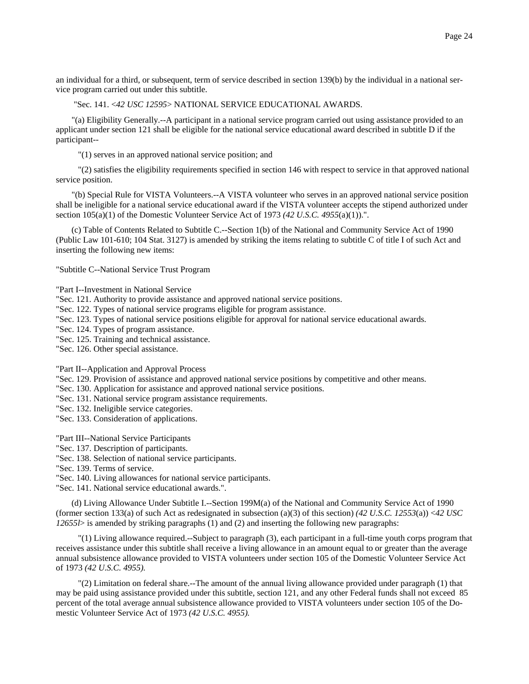# "Sec. 141. <*42 USC 12595*> NATIONAL SERVICE EDUCATIONAL AWARDS.

"(a) Eligibility Generally.--A participant in a national service program carried out using assistance provided to an applicant under section 121 shall be eligible for the national service educational award described in subtitle D if the participant--

"(1) serves in an approved national service position; and

 "(2) satisfies the eligibility requirements specified in section 146 with respect to service in that approved national service position.

"(b) Special Rule for VISTA Volunteers.--A VISTA volunteer who serves in an approved national service position shall be ineligible for a national service educational award if the VISTA volunteer accepts the stipend authorized under section 105(a)(1) of the Domestic Volunteer Service Act of 1973 *(42 U.S.C. 4955*(a)(1)).".

(c) Table of Contents Related to Subtitle C.--Section 1(b) of the National and Community Service Act of 1990 (Public Law 101-610; 104 Stat. 3127) is amended by striking the items relating to subtitle C of title I of such Act and inserting the following new items:

"Subtitle C--National Service Trust Program

"Part I--Investment in National Service

"Sec. 121. Authority to provide assistance and approved national service positions.

"Sec. 122. Types of national service programs eligible for program assistance.

"Sec. 123. Types of national service positions eligible for approval for national service educational awards.

"Sec. 124. Types of program assistance.

"Sec. 125. Training and technical assistance.

"Sec. 126. Other special assistance.

"Part II--Application and Approval Process

"Sec. 129. Provision of assistance and approved national service positions by competitive and other means.

"Sec. 130. Application for assistance and approved national service positions.

"Sec. 131. National service program assistance requirements.

"Sec. 132. Ineligible service categories.

"Sec. 133. Consideration of applications.

"Part III--National Service Participants

"Sec. 137. Description of participants.

"Sec. 138. Selection of national service participants.

"Sec. 139. Terms of service.

"Sec. 140. Living allowances for national service participants.

"Sec. 141. National service educational awards.".

(d) Living Allowance Under Subtitle I.--Section 199M(a) of the National and Community Service Act of 1990 (former section 133(a) of such Act as redesignated in subsection (a)(3) of this section) *(42 U.S.C. 12553*(a)) <*42 USC 12655l*> is amended by striking paragraphs (1) and (2) and inserting the following new paragraphs:

 "(1) Living allowance required.--Subject to paragraph (3), each participant in a full-time youth corps program that receives assistance under this subtitle shall receive a living allowance in an amount equal to or greater than the average annual subsistence allowance provided to VISTA volunteers under section 105 of the Domestic Volunteer Service Act of 1973 *(42 U.S.C. 4955).*

 "(2) Limitation on federal share.--The amount of the annual living allowance provided under paragraph (1) that may be paid using assistance provided under this subtitle, section 121, and any other Federal funds shall not exceed 85 percent of the total average annual subsistence allowance provided to VISTA volunteers under section 105 of the Domestic Volunteer Service Act of 1973 *(42 U.S.C. 4955).*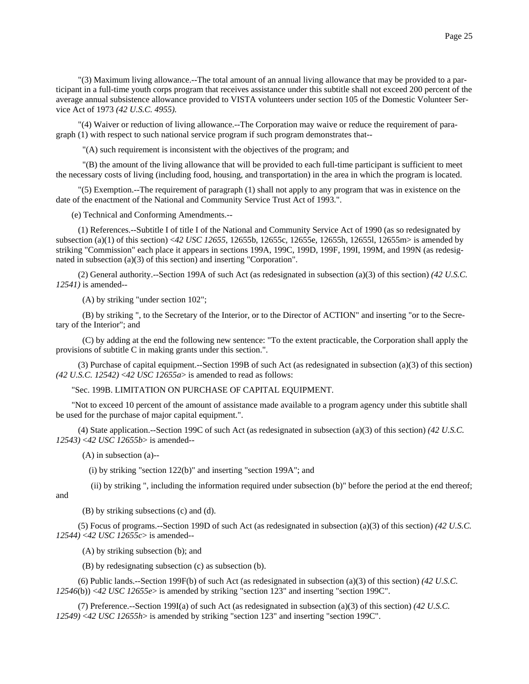"(3) Maximum living allowance.--The total amount of an annual living allowance that may be provided to a participant in a full-time youth corps program that receives assistance under this subtitle shall not exceed 200 percent of the average annual subsistence allowance provided to VISTA volunteers under section 105 of the Domestic Volunteer Service Act of 1973 *(42 U.S.C. 4955).*

 "(4) Waiver or reduction of living allowance.--The Corporation may waive or reduce the requirement of paragraph (1) with respect to such national service program if such program demonstrates that--

"(A) such requirement is inconsistent with the objectives of the program; and

 "(B) the amount of the living allowance that will be provided to each full-time participant is sufficient to meet the necessary costs of living (including food, housing, and transportation) in the area in which the program is located.

 "(5) Exemption.--The requirement of paragraph (1) shall not apply to any program that was in existence on the date of the enactment of the National and Community Service Trust Act of 1993.".

(e) Technical and Conforming Amendments.--

 (1) References.--Subtitle I of title I of the National and Community Service Act of 1990 (as so redesignated by subsection (a)(1) of this section) <*42 USC 12655,* 12655b, 12655c, 12655e, 12655h, 12655l, 12655m> is amended by striking "Commission" each place it appears in sections 199A, 199C, 199D, 199F, 199I, 199M, and 199N (as redesignated in subsection (a)(3) of this section) and inserting "Corporation".

 (2) General authority.--Section 199A of such Act (as redesignated in subsection (a)(3) of this section) *(42 U.S.C. 12541)* is amended--

(A) by striking "under section 102";

 (B) by striking ", to the Secretary of the Interior, or to the Director of ACTION" and inserting "or to the Secretary of the Interior"; and

 (C) by adding at the end the following new sentence: "To the extent practicable, the Corporation shall apply the provisions of subtitle C in making grants under this section.".

 (3) Purchase of capital equipment.--Section 199B of such Act (as redesignated in subsection (a)(3) of this section) *(42 U.S.C. 12542)* <*42 USC 12655a*> is amended to read as follows:

"Sec. 199B. LIMITATION ON PURCHASE OF CAPITAL EQUIPMENT.

"Not to exceed 10 percent of the amount of assistance made available to a program agency under this subtitle shall be used for the purchase of major capital equipment.".

 (4) State application.--Section 199C of such Act (as redesignated in subsection (a)(3) of this section) *(42 U.S.C. 12543)* <*42 USC 12655b*> is amended--

(A) in subsection (a)--

(i) by striking "section 122(b)" and inserting "section 199A"; and

(ii) by striking ", including the information required under subsection (b)" before the period at the end thereof;

and

(B) by striking subsections (c) and (d).

 (5) Focus of programs.--Section 199D of such Act (as redesignated in subsection (a)(3) of this section) *(42 U.S.C. 12544)* <*42 USC 12655c*> is amended--

(A) by striking subsection (b); and

(B) by redesignating subsection (c) as subsection (b).

 (6) Public lands.--Section 199F(b) of such Act (as redesignated in subsection (a)(3) of this section) *(42 U.S.C. 12546*(b)) <*42 USC 12655e*> is amended by striking "section 123" and inserting "section 199C".

 (7) Preference.--Section 199I(a) of such Act (as redesignated in subsection (a)(3) of this section) *(42 U.S.C. 12549)* <*42 USC 12655h*> is amended by striking "section 123" and inserting "section 199C".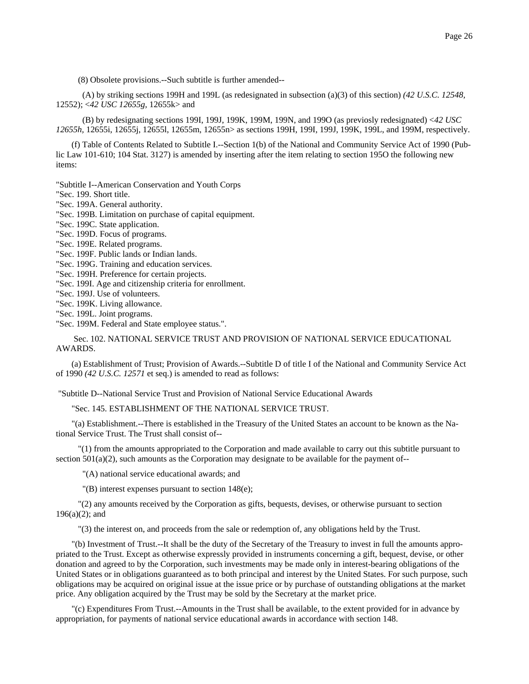(8) Obsolete provisions.--Such subtitle is further amended--

 (A) by striking sections 199H and 199L (as redesignated in subsection (a)(3) of this section) *(42 U.S.C. 12548,* 12552); <*42 USC 12655g,* 12655k> and

 (B) by redesignating sections 199I, 199J, 199K, 199M, 199N, and 199O (as previosly redesignated) <*42 USC 12655h,* 12655i, 12655j, 12655l, 12655m, 12655n> as sections 199H, 199I, 199J, 199K, 199L, and 199M, respectively.

(f) Table of Contents Related to Subtitle I.--Section 1(b) of the National and Community Service Act of 1990 (Public Law 101-610; 104 Stat. 3127) is amended by inserting after the item relating to section 195O the following new items:

"Subtitle I--American Conservation and Youth Corps

"Sec. 199. Short title.

"Sec. 199A. General authority.

"Sec. 199B. Limitation on purchase of capital equipment.

"Sec. 199C. State application.

"Sec. 199D. Focus of programs.

"Sec. 199E. Related programs.

"Sec. 199F. Public lands or Indian lands.

"Sec. 199G. Training and education services.

"Sec. 199H. Preference for certain projects.

"Sec. 199I. Age and citizenship criteria for enrollment.

"Sec. 199J. Use of volunteers.

"Sec. 199K. Living allowance.

"Sec. 199L. Joint programs.

"Sec. 199M. Federal and State employee status.".

 Sec. 102. NATIONAL SERVICE TRUST AND PROVISION OF NATIONAL SERVICE EDUCATIONAL AWARDS.

(a) Establishment of Trust; Provision of Awards.--Subtitle D of title I of the National and Community Service Act of 1990 *(42 U.S.C. 12571* et seq.) is amended to read as follows:

"Subtitle D--National Service Trust and Provision of National Service Educational Awards

"Sec. 145. ESTABLISHMENT OF THE NATIONAL SERVICE TRUST.

"(a) Establishment.--There is established in the Treasury of the United States an account to be known as the National Service Trust. The Trust shall consist of--

 "(1) from the amounts appropriated to the Corporation and made available to carry out this subtitle pursuant to section  $501(a)(2)$ , such amounts as the Corporation may designate to be available for the payment of--

"(A) national service educational awards; and

"(B) interest expenses pursuant to section 148(e);

 "(2) any amounts received by the Corporation as gifts, bequests, devises, or otherwise pursuant to section 196(a)(2); and

"(3) the interest on, and proceeds from the sale or redemption of, any obligations held by the Trust.

"(b) Investment of Trust.--It shall be the duty of the Secretary of the Treasury to invest in full the amounts appropriated to the Trust. Except as otherwise expressly provided in instruments concerning a gift, bequest, devise, or other donation and agreed to by the Corporation, such investments may be made only in interest-bearing obligations of the United States or in obligations guaranteed as to both principal and interest by the United States. For such purpose, such obligations may be acquired on original issue at the issue price or by purchase of outstanding obligations at the market price. Any obligation acquired by the Trust may be sold by the Secretary at the market price.

"(c) Expenditures From Trust.--Amounts in the Trust shall be available, to the extent provided for in advance by appropriation, for payments of national service educational awards in accordance with section 148.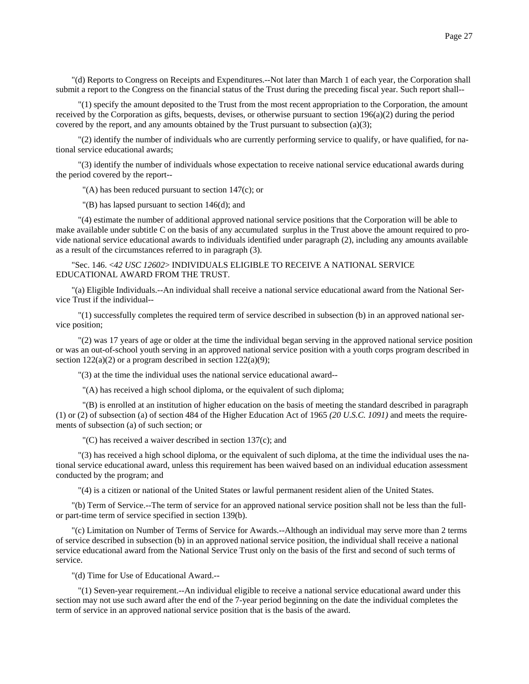"(d) Reports to Congress on Receipts and Expenditures.--Not later than March 1 of each year, the Corporation shall submit a report to the Congress on the financial status of the Trust during the preceding fiscal year. Such report shall--

 "(1) specify the amount deposited to the Trust from the most recent appropriation to the Corporation, the amount received by the Corporation as gifts, bequests, devises, or otherwise pursuant to section  $196(a)(2)$  during the period covered by the report, and any amounts obtained by the Trust pursuant to subsection  $(a)(3)$ ;

 "(2) identify the number of individuals who are currently performing service to qualify, or have qualified, for national service educational awards;

 "(3) identify the number of individuals whose expectation to receive national service educational awards during the period covered by the report--

 $(A)$  has been reduced pursuant to section 147 $(c)$ ; or

"(B) has lapsed pursuant to section 146(d); and

 "(4) estimate the number of additional approved national service positions that the Corporation will be able to make available under subtitle C on the basis of any accumulated surplus in the Trust above the amount required to provide national service educational awards to individuals identified under paragraph (2), including any amounts available as a result of the circumstances referred to in paragraph (3).

# "Sec. 146. <*42 USC 12602*> INDIVIDUALS ELIGIBLE TO RECEIVE A NATIONAL SERVICE EDUCATIONAL AWARD FROM THE TRUST.

"(a) Eligible Individuals.--An individual shall receive a national service educational award from the National Service Trust if the individual--

 "(1) successfully completes the required term of service described in subsection (b) in an approved national service position;

 "(2) was 17 years of age or older at the time the individual began serving in the approved national service position or was an out-of-school youth serving in an approved national service position with a youth corps program described in section  $122(a)(2)$  or a program described in section  $122(a)(9)$ ;

"(3) at the time the individual uses the national service educational award--

"(A) has received a high school diploma, or the equivalent of such diploma;

 "(B) is enrolled at an institution of higher education on the basis of meeting the standard described in paragraph (1) or (2) of subsection (a) of section 484 of the Higher Education Act of 1965 *(20 U.S.C. 1091)* and meets the requirements of subsection (a) of such section; or

"(C) has received a waiver described in section 137(c); and

 "(3) has received a high school diploma, or the equivalent of such diploma, at the time the individual uses the national service educational award, unless this requirement has been waived based on an individual education assessment conducted by the program; and

"(4) is a citizen or national of the United States or lawful permanent resident alien of the United States.

"(b) Term of Service.--The term of service for an approved national service position shall not be less than the fullor part-time term of service specified in section 139(b).

"(c) Limitation on Number of Terms of Service for Awards.--Although an individual may serve more than 2 terms of service described in subsection (b) in an approved national service position, the individual shall receive a national service educational award from the National Service Trust only on the basis of the first and second of such terms of service.

"(d) Time for Use of Educational Award.--

 "(1) Seven-year requirement.--An individual eligible to receive a national service educational award under this section may not use such award after the end of the 7-year period beginning on the date the individual completes the term of service in an approved national service position that is the basis of the award.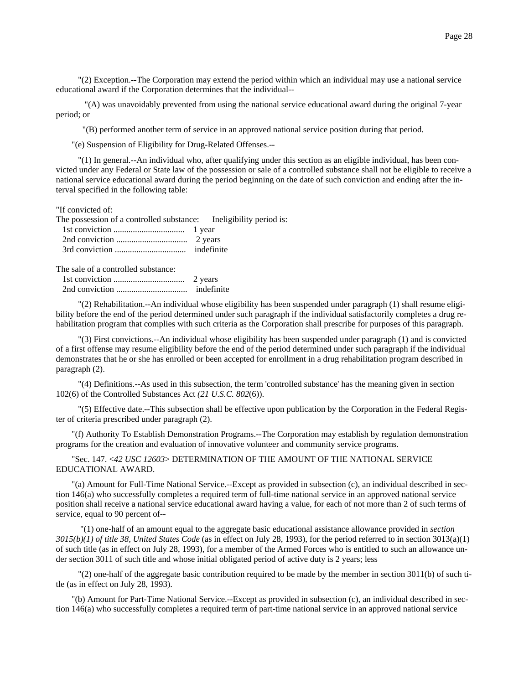"(2) Exception.--The Corporation may extend the period within which an individual may use a national service educational award if the Corporation determines that the individual--

 "(A) was unavoidably prevented from using the national service educational award during the original 7-year period; or

"(B) performed another term of service in an approved national service position during that period.

"(e) Suspension of Eligibility for Drug-Related Offenses.--

 "(1) In general.--An individual who, after qualifying under this section as an eligible individual, has been convicted under any Federal or State law of the possession or sale of a controlled substance shall not be eligible to receive a national service educational award during the period beginning on the date of such conviction and ending after the interval specified in the following table:

"If convicted of:

| The possession of a controlled substance: Ineligibility period is: |  |
|--------------------------------------------------------------------|--|
| 1 year 1 year                                                      |  |
|                                                                    |  |
|                                                                    |  |

The sale of a controlled substance:

 1st conviction ................................. 2 years 2nd conviction ................................. indefinite

 "(2) Rehabilitation.--An individual whose eligibility has been suspended under paragraph (1) shall resume eligibility before the end of the period determined under such paragraph if the individual satisfactorily completes a drug rehabilitation program that complies with such criteria as the Corporation shall prescribe for purposes of this paragraph.

 "(3) First convictions.--An individual whose eligibility has been suspended under paragraph (1) and is convicted of a first offense may resume eligibility before the end of the period determined under such paragraph if the individual demonstrates that he or she has enrolled or been accepted for enrollment in a drug rehabilitation program described in paragraph (2).

 "(4) Definitions.--As used in this subsection, the term 'controlled substance' has the meaning given in section 102(6) of the Controlled Substances Act *(21 U.S.C. 802*(6)).

 "(5) Effective date.--This subsection shall be effective upon publication by the Corporation in the Federal Register of criteria prescribed under paragraph (2).

"(f) Authority To Establish Demonstration Programs.--The Corporation may establish by regulation demonstration programs for the creation and evaluation of innovative volunteer and community service programs.

"Sec. 147. <*42 USC 12603*> DETERMINATION OF THE AMOUNT OF THE NATIONAL SERVICE EDUCATIONAL AWARD.

"(a) Amount for Full-Time National Service.--Except as provided in subsection (c), an individual described in section 146(a) who successfully completes a required term of full-time national service in an approved national service position shall receive a national service educational award having a value, for each of not more than 2 of such terms of service, equal to 90 percent of--

 "(1) one-half of an amount equal to the aggregate basic educational assistance allowance provided in *section 3015(b)(1) of title 38, United States Code* (as in effect on July 28, 1993), for the period referred to in section 3013(a)(1) of such title (as in effect on July 28, 1993), for a member of the Armed Forces who is entitled to such an allowance under section 3011 of such title and whose initial obligated period of active duty is 2 years; less

 "(2) one-half of the aggregate basic contribution required to be made by the member in section 3011(b) of such title (as in effect on July 28, 1993).

"(b) Amount for Part-Time National Service.--Except as provided in subsection (c), an individual described in section 146(a) who successfully completes a required term of part-time national service in an approved national service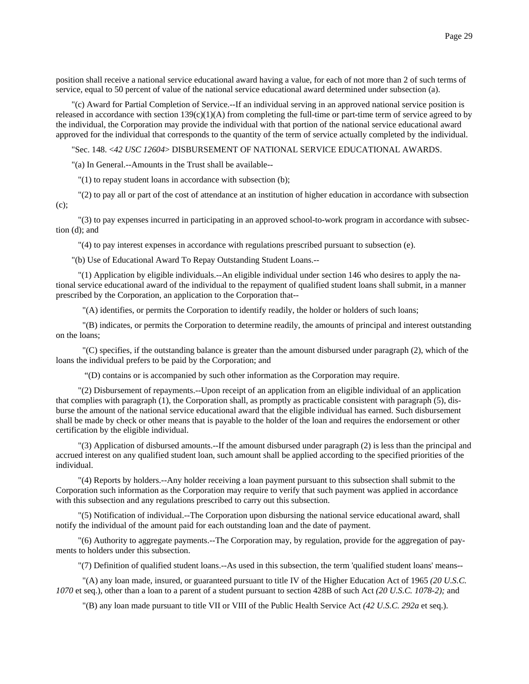"(c) Award for Partial Completion of Service.--If an individual serving in an approved national service position is released in accordance with section  $139(c)(1)(A)$  from completing the full-time or part-time term of service agreed to by the individual, the Corporation may provide the individual with that portion of the national service educational award approved for the individual that corresponds to the quantity of the term of service actually completed by the individual.

"Sec. 148. <*42 USC 12604*> DISBURSEMENT OF NATIONAL SERVICE EDUCATIONAL AWARDS.

"(a) In General.--Amounts in the Trust shall be available--

"(1) to repay student loans in accordance with subsection (b);

"(2) to pay all or part of the cost of attendance at an institution of higher education in accordance with subsection

(c);

 "(3) to pay expenses incurred in participating in an approved school-to-work program in accordance with subsection (d); and

"(4) to pay interest expenses in accordance with regulations prescribed pursuant to subsection (e).

"(b) Use of Educational Award To Repay Outstanding Student Loans.--

 "(1) Application by eligible individuals.--An eligible individual under section 146 who desires to apply the national service educational award of the individual to the repayment of qualified student loans shall submit, in a manner prescribed by the Corporation, an application to the Corporation that--

"(A) identifies, or permits the Corporation to identify readily, the holder or holders of such loans;

 "(B) indicates, or permits the Corporation to determine readily, the amounts of principal and interest outstanding on the loans;

 "(C) specifies, if the outstanding balance is greater than the amount disbursed under paragraph (2), which of the loans the individual prefers to be paid by the Corporation; and

"(D) contains or is accompanied by such other information as the Corporation may require.

 "(2) Disbursement of repayments.--Upon receipt of an application from an eligible individual of an application that complies with paragraph (1), the Corporation shall, as promptly as practicable consistent with paragraph (5), disburse the amount of the national service educational award that the eligible individual has earned. Such disbursement shall be made by check or other means that is payable to the holder of the loan and requires the endorsement or other certification by the eligible individual.

 "(3) Application of disbursed amounts.--If the amount disbursed under paragraph (2) is less than the principal and accrued interest on any qualified student loan, such amount shall be applied according to the specified priorities of the individual.

 "(4) Reports by holders.--Any holder receiving a loan payment pursuant to this subsection shall submit to the Corporation such information as the Corporation may require to verify that such payment was applied in accordance with this subsection and any regulations prescribed to carry out this subsection.

 "(5) Notification of individual.--The Corporation upon disbursing the national service educational award, shall notify the individual of the amount paid for each outstanding loan and the date of payment.

 "(6) Authority to aggregate payments.--The Corporation may, by regulation, provide for the aggregation of payments to holders under this subsection.

"(7) Definition of qualified student loans.--As used in this subsection, the term 'qualified student loans' means--

 "(A) any loan made, insured, or guaranteed pursuant to title IV of the Higher Education Act of 1965 *(20 U.S.C. 1070* et seq.), other than a loan to a parent of a student pursuant to section 428B of such Act *(20 U.S.C. 1078-2);* and

"(B) any loan made pursuant to title VII or VIII of the Public Health Service Act *(42 U.S.C. 292a* et seq.).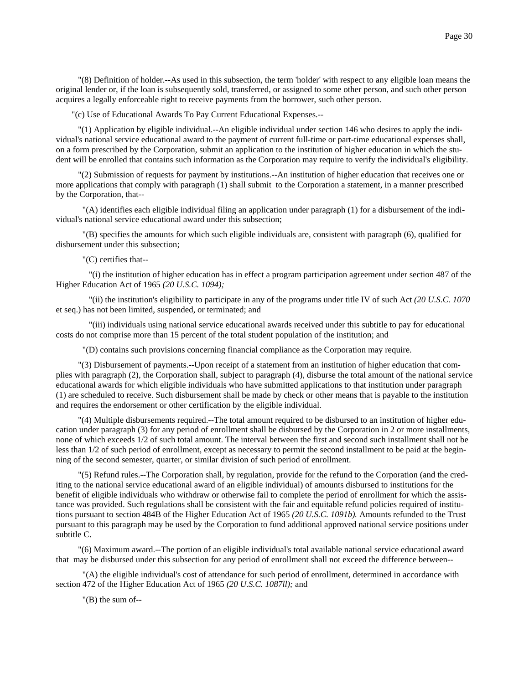"(8) Definition of holder.--As used in this subsection, the term 'holder' with respect to any eligible loan means the original lender or, if the loan is subsequently sold, transferred, or assigned to some other person, and such other person acquires a legally enforceable right to receive payments from the borrower, such other person.

"(c) Use of Educational Awards To Pay Current Educational Expenses.--

 "(1) Application by eligible individual.--An eligible individual under section 146 who desires to apply the individual's national service educational award to the payment of current full-time or part-time educational expenses shall, on a form prescribed by the Corporation, submit an application to the institution of higher education in which the student will be enrolled that contains such information as the Corporation may require to verify the individual's eligibility.

 "(2) Submission of requests for payment by institutions.--An institution of higher education that receives one or more applications that comply with paragraph (1) shall submit to the Corporation a statement, in a manner prescribed by the Corporation, that--

 "(A) identifies each eligible individual filing an application under paragraph (1) for a disbursement of the individual's national service educational award under this subsection;

 "(B) specifies the amounts for which such eligible individuals are, consistent with paragraph (6), qualified for disbursement under this subsection;

"(C) certifies that--

 "(i) the institution of higher education has in effect a program participation agreement under section 487 of the Higher Education Act of 1965 *(20 U.S.C. 1094);*

 "(ii) the institution's eligibility to participate in any of the programs under title IV of such Act *(20 U.S.C. 1070* et seq.) has not been limited, suspended, or terminated; and

 "(iii) individuals using national service educational awards received under this subtitle to pay for educational costs do not comprise more than 15 percent of the total student population of the institution; and

"(D) contains such provisions concerning financial compliance as the Corporation may require.

 "(3) Disbursement of payments.--Upon receipt of a statement from an institution of higher education that complies with paragraph (2), the Corporation shall, subject to paragraph (4), disburse the total amount of the national service educational awards for which eligible individuals who have submitted applications to that institution under paragraph (1) are scheduled to receive. Such disbursement shall be made by check or other means that is payable to the institution and requires the endorsement or other certification by the eligible individual.

 "(4) Multiple disbursements required.--The total amount required to be disbursed to an institution of higher education under paragraph (3) for any period of enrollment shall be disbursed by the Corporation in 2 or more installments, none of which exceeds 1/2 of such total amount. The interval between the first and second such installment shall not be less than 1/2 of such period of enrollment, except as necessary to permit the second installment to be paid at the beginning of the second semester, quarter, or similar division of such period of enrollment.

 "(5) Refund rules.--The Corporation shall, by regulation, provide for the refund to the Corporation (and the crediting to the national service educational award of an eligible individual) of amounts disbursed to institutions for the benefit of eligible individuals who withdraw or otherwise fail to complete the period of enrollment for which the assistance was provided. Such regulations shall be consistent with the fair and equitable refund policies required of institutions pursuant to section 484B of the Higher Education Act of 1965 *(20 U.S.C. 1091b).* Amounts refunded to the Trust pursuant to this paragraph may be used by the Corporation to fund additional approved national service positions under subtitle C.

 "(6) Maximum award.--The portion of an eligible individual's total available national service educational award that may be disbursed under this subsection for any period of enrollment shall not exceed the difference between--

 "(A) the eligible individual's cost of attendance for such period of enrollment, determined in accordance with section 472 of the Higher Education Act of 1965 *(20 U.S.C. 1087ll);* and

"(B) the sum of--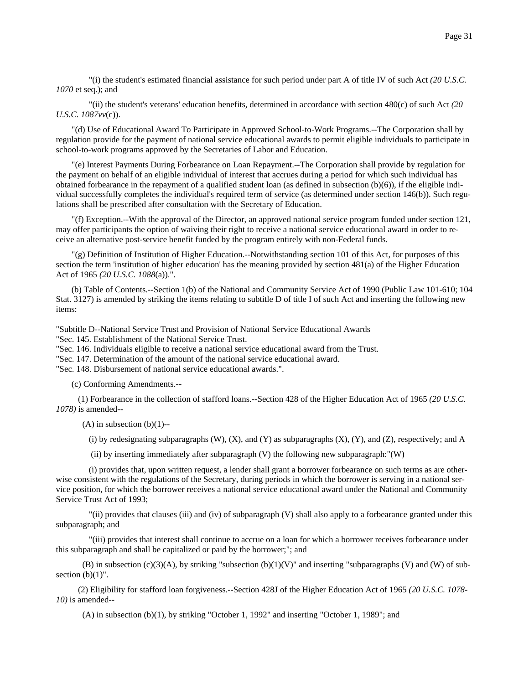"(i) the student's estimated financial assistance for such period under part A of title IV of such Act *(20 U.S.C. 1070* et seq.); and

 "(ii) the student's veterans' education benefits, determined in accordance with section 480(c) of such Act *(20 U.S.C. 1087vv*(c)).

"(d) Use of Educational Award To Participate in Approved School-to-Work Programs.--The Corporation shall by regulation provide for the payment of national service educational awards to permit eligible individuals to participate in school-to-work programs approved by the Secretaries of Labor and Education.

"(e) Interest Payments During Forbearance on Loan Repayment.--The Corporation shall provide by regulation for the payment on behalf of an eligible individual of interest that accrues during a period for which such individual has obtained forbearance in the repayment of a qualified student loan (as defined in subsection (b)(6)), if the eligible individual successfully completes the individual's required term of service (as determined under section 146(b)). Such regulations shall be prescribed after consultation with the Secretary of Education.

"(f) Exception.--With the approval of the Director, an approved national service program funded under section 121, may offer participants the option of waiving their right to receive a national service educational award in order to receive an alternative post-service benefit funded by the program entirely with non-Federal funds.

"(g) Definition of Institution of Higher Education.--Notwithstanding section 101 of this Act, for purposes of this section the term 'institution of higher education' has the meaning provided by section 481(a) of the Higher Education Act of 1965 *(20 U.S.C. 1088*(a)).".

(b) Table of Contents.--Section 1(b) of the National and Community Service Act of 1990 (Public Law 101-610; 104 Stat. 3127) is amended by striking the items relating to subtitle D of title I of such Act and inserting the following new items:

"Subtitle D--National Service Trust and Provision of National Service Educational Awards

"Sec. 145. Establishment of the National Service Trust.

"Sec. 146. Individuals eligible to receive a national service educational award from the Trust.

"Sec. 147. Determination of the amount of the national service educational award.

"Sec. 148. Disbursement of national service educational awards.".

(c) Conforming Amendments.--

 (1) Forbearance in the collection of stafford loans.--Section 428 of the Higher Education Act of 1965 *(20 U.S.C. 1078)* is amended--

 $(A)$  in subsection  $(b)(1)$ --

(i) by redesignating subparagraphs  $(W)$ ,  $(X)$ , and  $(Y)$  as subparagraphs  $(X)$ ,  $(Y)$ , and  $(Z)$ , respectively; and A

(ii) by inserting immediately after subparagraph (V) the following new subparagraph:"(W)

 (i) provides that, upon written request, a lender shall grant a borrower forbearance on such terms as are otherwise consistent with the regulations of the Secretary, during periods in which the borrower is serving in a national service position, for which the borrower receives a national service educational award under the National and Community Service Trust Act of 1993;

 "(ii) provides that clauses (iii) and (iv) of subparagraph (V) shall also apply to a forbearance granted under this subparagraph; and

 "(iii) provides that interest shall continue to accrue on a loan for which a borrower receives forbearance under this subparagraph and shall be capitalized or paid by the borrower;"; and

(B) in subsection (c)(3)(A), by striking "subsection (b)(1)(V)" and inserting "subparagraphs (V) and (W) of subsection  $(b)(1)$ ".

 (2) Eligibility for stafford loan forgiveness.--Section 428J of the Higher Education Act of 1965 *(20 U.S.C. 1078- 10)* is amended--

(A) in subsection (b)(1), by striking "October 1, 1992" and inserting "October 1, 1989"; and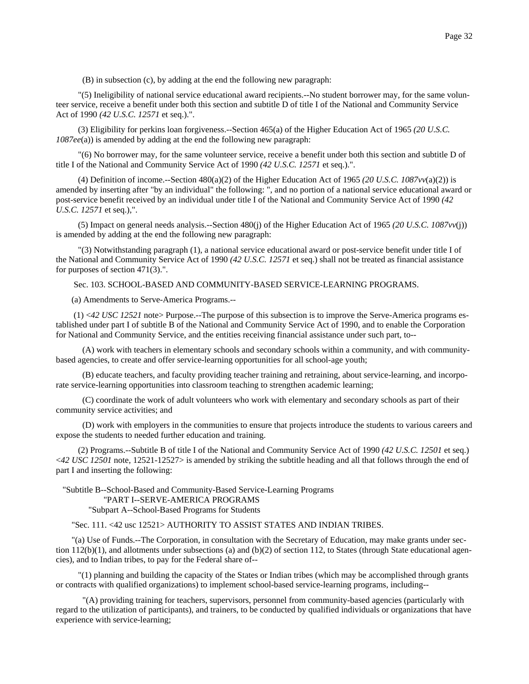(B) in subsection (c), by adding at the end the following new paragraph:

 "(5) Ineligibility of national service educational award recipients.--No student borrower may, for the same volunteer service, receive a benefit under both this section and subtitle D of title I of the National and Community Service Act of 1990 *(42 U.S.C. 12571* et seq.).".

 (3) Eligibility for perkins loan forgiveness.--Section 465(a) of the Higher Education Act of 1965 *(20 U.S.C. 1087ee*(a)) is amended by adding at the end the following new paragraph:

 "(6) No borrower may, for the same volunteer service, receive a benefit under both this section and subtitle D of title I of the National and Community Service Act of 1990 *(42 U.S.C. 12571* et seq.).".

 (4) Definition of income.--Section 480(a)(2) of the Higher Education Act of 1965 *(20 U.S.C. 1087vv*(a)(2)) is amended by inserting after "by an individual" the following: ", and no portion of a national service educational award or post-service benefit received by an individual under title I of the National and Community Service Act of 1990 *(42 U.S.C. 12571* et seq.),".

 (5) Impact on general needs analysis.--Section 480(j) of the Higher Education Act of 1965 *(20 U.S.C. 1087vv*(j)) is amended by adding at the end the following new paragraph:

 "(3) Notwithstanding paragraph (1), a national service educational award or post-service benefit under title I of the National and Community Service Act of 1990 *(42 U.S.C. 12571* et seq.) shall not be treated as financial assistance for purposes of section 471(3).".

Sec. 103. SCHOOL-BASED AND COMMUNITY-BASED SERVICE-LEARNING PROGRAMS.

(a) Amendments to Serve-America Programs.--

 (1) <*42 USC 12521* note> Purpose.--The purpose of this subsection is to improve the Serve-America programs established under part I of subtitle B of the National and Community Service Act of 1990, and to enable the Corporation for National and Community Service, and the entities receiving financial assistance under such part, to--

 (A) work with teachers in elementary schools and secondary schools within a community, and with communitybased agencies, to create and offer service-learning opportunities for all school-age youth;

 (B) educate teachers, and faculty providing teacher training and retraining, about service-learning, and incorporate service-learning opportunities into classroom teaching to strengthen academic learning;

 (C) coordinate the work of adult volunteers who work with elementary and secondary schools as part of their community service activities; and

 (D) work with employers in the communities to ensure that projects introduce the students to various careers and expose the students to needed further education and training.

 (2) Programs.--Subtitle B of title I of the National and Community Service Act of 1990 *(42 U.S.C. 12501* et seq.) <*42 USC 12501* note, 12521-12527> is amended by striking the subtitle heading and all that follows through the end of part I and inserting the following:

 "Subtitle B--School-Based and Community-Based Service-Learning Programs "PART I--SERVE-AMERICA PROGRAMS "Subpart A--School-Based Programs for Students

"Sec. 111. <42 usc 12521> AUTHORITY TO ASSIST STATES AND INDIAN TRIBES.

"(a) Use of Funds.--The Corporation, in consultation with the Secretary of Education, may make grants under section  $112(b)(1)$ , and allotments under subsections (a) and  $(b)(2)$  of section 112, to States (through State educational agencies), and to Indian tribes, to pay for the Federal share of--

 "(1) planning and building the capacity of the States or Indian tribes (which may be accomplished through grants or contracts with qualified organizations) to implement school-based service-learning programs, including--

 "(A) providing training for teachers, supervisors, personnel from community-based agencies (particularly with regard to the utilization of participants), and trainers, to be conducted by qualified individuals or organizations that have experience with service-learning;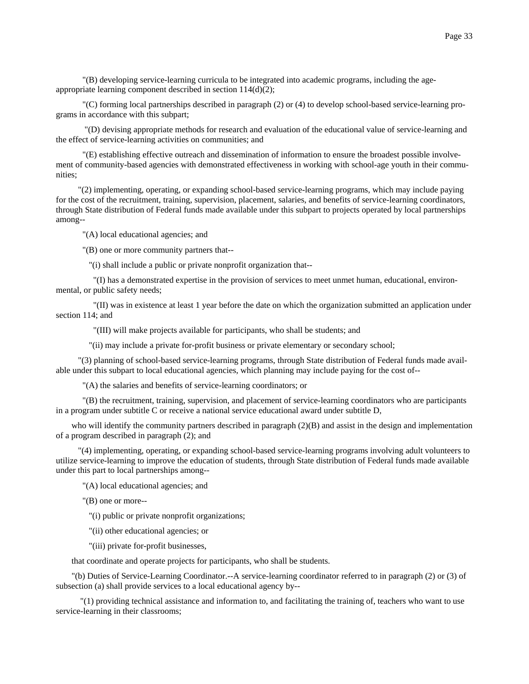"(B) developing service-learning curricula to be integrated into academic programs, including the ageappropriate learning component described in section 114(d)(2);

 "(C) forming local partnerships described in paragraph (2) or (4) to develop school-based service-learning programs in accordance with this subpart;

 "(D) devising appropriate methods for research and evaluation of the educational value of service-learning and the effect of service-learning activities on communities; and

 "(E) establishing effective outreach and dissemination of information to ensure the broadest possible involvement of community-based agencies with demonstrated effectiveness in working with school-age youth in their communities;

 "(2) implementing, operating, or expanding school-based service-learning programs, which may include paying for the cost of the recruitment, training, supervision, placement, salaries, and benefits of service-learning coordinators, through State distribution of Federal funds made available under this subpart to projects operated by local partnerships among--

"(A) local educational agencies; and

"(B) one or more community partners that--

"(i) shall include a public or private nonprofit organization that--

 "(I) has a demonstrated expertise in the provision of services to meet unmet human, educational, environmental, or public safety needs;

 "(II) was in existence at least 1 year before the date on which the organization submitted an application under section 114; and

"(III) will make projects available for participants, who shall be students; and

"(ii) may include a private for-profit business or private elementary or secondary school;

 "(3) planning of school-based service-learning programs, through State distribution of Federal funds made available under this subpart to local educational agencies, which planning may include paying for the cost of--

"(A) the salaries and benefits of service-learning coordinators; or

 "(B) the recruitment, training, supervision, and placement of service-learning coordinators who are participants in a program under subtitle C or receive a national service educational award under subtitle D,

who will identify the community partners described in paragraph (2)(B) and assist in the design and implementation of a program described in paragraph (2); and

 "(4) implementing, operating, or expanding school-based service-learning programs involving adult volunteers to utilize service-learning to improve the education of students, through State distribution of Federal funds made available under this part to local partnerships among--

"(A) local educational agencies; and

"(B) one or more--

"(i) public or private nonprofit organizations;

"(ii) other educational agencies; or

"(iii) private for-profit businesses,

that coordinate and operate projects for participants, who shall be students.

"(b) Duties of Service-Learning Coordinator.--A service-learning coordinator referred to in paragraph (2) or (3) of subsection (a) shall provide services to a local educational agency by--

 "(1) providing technical assistance and information to, and facilitating the training of, teachers who want to use service-learning in their classrooms;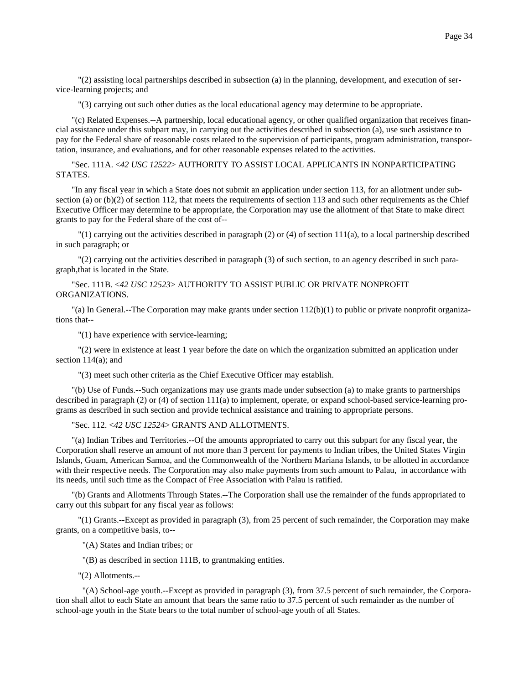"(2) assisting local partnerships described in subsection (a) in the planning, development, and execution of service-learning projects; and

"(3) carrying out such other duties as the local educational agency may determine to be appropriate.

"(c) Related Expenses.--A partnership, local educational agency, or other qualified organization that receives financial assistance under this subpart may, in carrying out the activities described in subsection (a), use such assistance to pay for the Federal share of reasonable costs related to the supervision of participants, program administration, transportation, insurance, and evaluations, and for other reasonable expenses related to the activities.

"Sec. 111A. <*42 USC 12522*> AUTHORITY TO ASSIST LOCAL APPLICANTS IN NONPARTICIPATING STATES.

"In any fiscal year in which a State does not submit an application under section 113, for an allotment under subsection (a) or (b)(2) of section 112, that meets the requirements of section 113 and such other requirements as the Chief Executive Officer may determine to be appropriate, the Corporation may use the allotment of that State to make direct grants to pay for the Federal share of the cost of--

 $\lceil$  (1) carrying out the activities described in paragraph (2) or (4) of section 111(a), to a local partnership described in such paragraph; or

 "(2) carrying out the activities described in paragraph (3) of such section, to an agency described in such paragraph,that is located in the State.

"Sec. 111B. <*42 USC 12523*> AUTHORITY TO ASSIST PUBLIC OR PRIVATE NONPROFIT ORGANIZATIONS.

"(a) In General.--The Corporation may make grants under section 112(b)(1) to public or private nonprofit organizations that--

"(1) have experience with service-learning;

 "(2) were in existence at least 1 year before the date on which the organization submitted an application under section 114(a); and

"(3) meet such other criteria as the Chief Executive Officer may establish.

"(b) Use of Funds.--Such organizations may use grants made under subsection (a) to make grants to partnerships described in paragraph  $(2)$  or  $(4)$  of section  $111(a)$  to implement, operate, or expand school-based service-learning programs as described in such section and provide technical assistance and training to appropriate persons.

## "Sec. 112. <*42 USC 12524*> GRANTS AND ALLOTMENTS.

"(a) Indian Tribes and Territories.--Of the amounts appropriated to carry out this subpart for any fiscal year, the Corporation shall reserve an amount of not more than 3 percent for payments to Indian tribes, the United States Virgin Islands, Guam, American Samoa, and the Commonwealth of the Northern Mariana Islands, to be allotted in accordance with their respective needs. The Corporation may also make payments from such amount to Palau, in accordance with its needs, until such time as the Compact of Free Association with Palau is ratified.

"(b) Grants and Allotments Through States.--The Corporation shall use the remainder of the funds appropriated to carry out this subpart for any fiscal year as follows:

 "(1) Grants.--Except as provided in paragraph (3), from 25 percent of such remainder, the Corporation may make grants, on a competitive basis, to--

"(A) States and Indian tribes; or

"(B) as described in section 111B, to grantmaking entities.

"(2) Allotments.--

 "(A) School-age youth.--Except as provided in paragraph (3), from 37.5 percent of such remainder, the Corporation shall allot to each State an amount that bears the same ratio to 37.5 percent of such remainder as the number of school-age youth in the State bears to the total number of school-age youth of all States.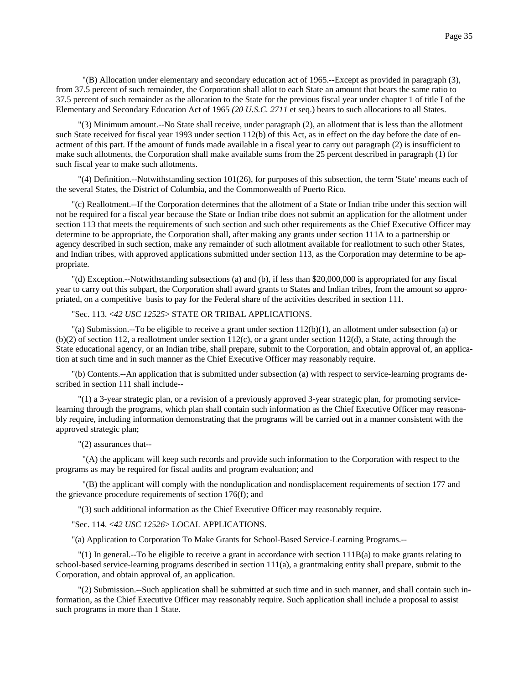"(3) Minimum amount.--No State shall receive, under paragraph (2), an allotment that is less than the allotment such State received for fiscal year 1993 under section 112(b) of this Act, as in effect on the day before the date of enactment of this part. If the amount of funds made available in a fiscal year to carry out paragraph (2) is insufficient to make such allotments, the Corporation shall make available sums from the 25 percent described in paragraph (1) for such fiscal year to make such allotments.

 $''(4)$  Definition.--Notwithstanding section 101(26), for purposes of this subsection, the term 'State' means each of the several States, the District of Columbia, and the Commonwealth of Puerto Rico.

"(c) Reallotment.--If the Corporation determines that the allotment of a State or Indian tribe under this section will not be required for a fiscal year because the State or Indian tribe does not submit an application for the allotment under section 113 that meets the requirements of such section and such other requirements as the Chief Executive Officer may determine to be appropriate, the Corporation shall, after making any grants under section 111A to a partnership or agency described in such section, make any remainder of such allotment available for reallotment to such other States, and Indian tribes, with approved applications submitted under section 113, as the Corporation may determine to be appropriate.

"(d) Exception.--Notwithstanding subsections (a) and (b), if less than \$20,000,000 is appropriated for any fiscal year to carry out this subpart, the Corporation shall award grants to States and Indian tribes, from the amount so appropriated, on a competitive basis to pay for the Federal share of the activities described in section 111.

# "Sec. 113. <*42 USC 12525*> STATE OR TRIBAL APPLICATIONS.

"(a) Submission.--To be eligible to receive a grant under section  $112(b)(1)$ , an allotment under subsection (a) or  $(b)(2)$  of section 112, a reallotment under section 112(c), or a grant under section 112(d), a State, acting through the State educational agency, or an Indian tribe, shall prepare, submit to the Corporation, and obtain approval of, an application at such time and in such manner as the Chief Executive Officer may reasonably require.

"(b) Contents.--An application that is submitted under subsection (a) with respect to service-learning programs described in section 111 shall include--

 "(1) a 3-year strategic plan, or a revision of a previously approved 3-year strategic plan, for promoting servicelearning through the programs, which plan shall contain such information as the Chief Executive Officer may reasonably require, including information demonstrating that the programs will be carried out in a manner consistent with the approved strategic plan;

## "(2) assurances that--

 "(A) the applicant will keep such records and provide such information to the Corporation with respect to the programs as may be required for fiscal audits and program evaluation; and

 "(B) the applicant will comply with the nonduplication and nondisplacement requirements of section 177 and the grievance procedure requirements of section 176(f); and

"(3) such additional information as the Chief Executive Officer may reasonably require.

#### "Sec. 114. <*42 USC 12526*> LOCAL APPLICATIONS.

"(a) Application to Corporation To Make Grants for School-Based Service-Learning Programs.--

 "(1) In general.--To be eligible to receive a grant in accordance with section 111B(a) to make grants relating to school-based service-learning programs described in section 111(a), a grantmaking entity shall prepare, submit to the Corporation, and obtain approval of, an application.

 "(2) Submission.--Such application shall be submitted at such time and in such manner, and shall contain such information, as the Chief Executive Officer may reasonably require. Such application shall include a proposal to assist such programs in more than 1 State.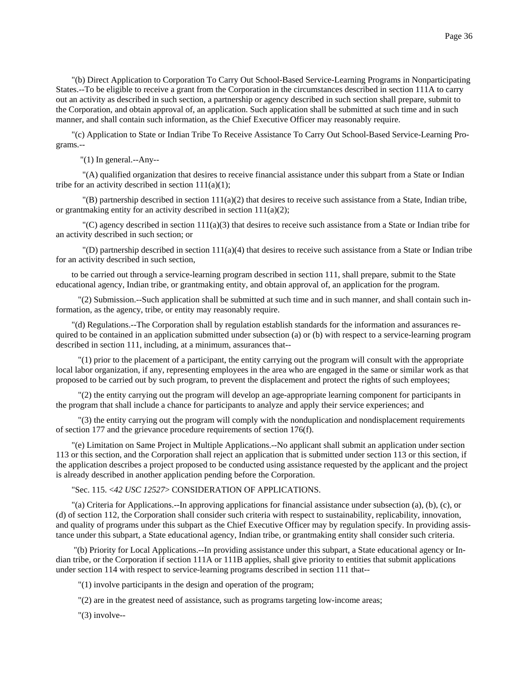"(b) Direct Application to Corporation To Carry Out School-Based Service-Learning Programs in Nonparticipating States.--To be eligible to receive a grant from the Corporation in the circumstances described in section 111A to carry out an activity as described in such section, a partnership or agency described in such section shall prepare, submit to the Corporation, and obtain approval of, an application. Such application shall be submitted at such time and in such manner, and shall contain such information, as the Chief Executive Officer may reasonably require.

"(c) Application to State or Indian Tribe To Receive Assistance To Carry Out School-Based Service-Learning Programs.--

"(1) In general.--Any--

 "(A) qualified organization that desires to receive financial assistance under this subpart from a State or Indian tribe for an activity described in section  $111(a)(1)$ ;

 $\Gamma(B)$  partnership described in section 111(a)(2) that desires to receive such assistance from a State, Indian tribe, or grantmaking entity for an activity described in section  $111(a)(2)$ ;

"(C) agency described in section  $111(a)(3)$  that desires to receive such assistance from a State or Indian tribe for an activity described in such section; or

 $\Gamma(D)$  partnership described in section 111(a)(4) that desires to receive such assistance from a State or Indian tribe for an activity described in such section,

to be carried out through a service-learning program described in section 111, shall prepare, submit to the State educational agency, Indian tribe, or grantmaking entity, and obtain approval of, an application for the program.

 "(2) Submission.--Such application shall be submitted at such time and in such manner, and shall contain such information, as the agency, tribe, or entity may reasonably require.

"(d) Regulations.--The Corporation shall by regulation establish standards for the information and assurances required to be contained in an application submitted under subsection (a) or (b) with respect to a service-learning program described in section 111, including, at a minimum, assurances that--

 "(1) prior to the placement of a participant, the entity carrying out the program will consult with the appropriate local labor organization, if any, representing employees in the area who are engaged in the same or similar work as that proposed to be carried out by such program, to prevent the displacement and protect the rights of such employees;

 "(2) the entity carrying out the program will develop an age-appropriate learning component for participants in the program that shall include a chance for participants to analyze and apply their service experiences; and

 "(3) the entity carrying out the program will comply with the nonduplication and nondisplacement requirements of section 177 and the grievance procedure requirements of section 176(f).

"(e) Limitation on Same Project in Multiple Applications.--No applicant shall submit an application under section 113 or this section, and the Corporation shall reject an application that is submitted under section 113 or this section, if the application describes a project proposed to be conducted using assistance requested by the applicant and the project is already described in another application pending before the Corporation.

"Sec. 115. <*42 USC 12527*> CONSIDERATION OF APPLICATIONS.

"(a) Criteria for Applications.--In approving applications for financial assistance under subsection (a), (b), (c), or (d) of section 112, the Corporation shall consider such criteria with respect to sustainability, replicability, innovation, and quality of programs under this subpart as the Chief Executive Officer may by regulation specify. In providing assistance under this subpart, a State educational agency, Indian tribe, or grantmaking entity shall consider such criteria.

 "(b) Priority for Local Applications.--In providing assistance under this subpart, a State educational agency or Indian tribe, or the Corporation if section 111A or 111B applies, shall give priority to entities that submit applications under section 114 with respect to service-learning programs described in section 111 that--

"(1) involve participants in the design and operation of the program;

"(2) are in the greatest need of assistance, such as programs targeting low-income areas;

 $"(3)$  involve--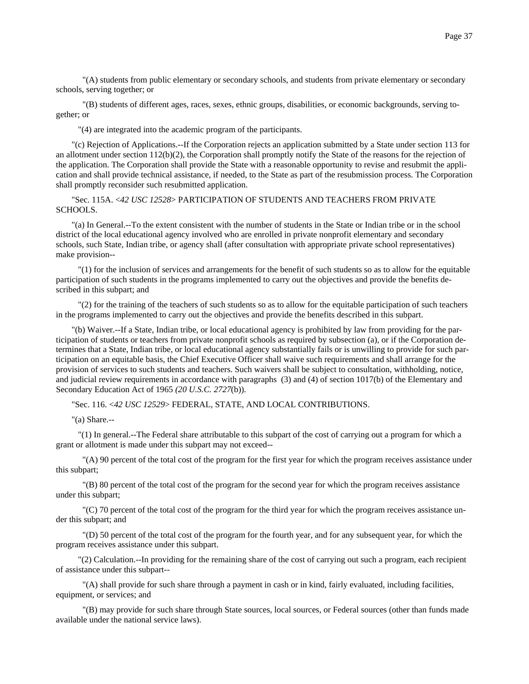"(A) students from public elementary or secondary schools, and students from private elementary or secondary schools, serving together; or

 "(B) students of different ages, races, sexes, ethnic groups, disabilities, or economic backgrounds, serving together; or

"(4) are integrated into the academic program of the participants.

"(c) Rejection of Applications.--If the Corporation rejects an application submitted by a State under section 113 for an allotment under section  $112(b)(2)$ , the Corporation shall promptly notify the State of the reasons for the rejection of the application. The Corporation shall provide the State with a reasonable opportunity to revise and resubmit the application and shall provide technical assistance, if needed, to the State as part of the resubmission process. The Corporation shall promptly reconsider such resubmitted application.

"Sec. 115A. <*42 USC 12528*> PARTICIPATION OF STUDENTS AND TEACHERS FROM PRIVATE SCHOOLS.

"(a) In General.--To the extent consistent with the number of students in the State or Indian tribe or in the school district of the local educational agency involved who are enrolled in private nonprofit elementary and secondary schools, such State, Indian tribe, or agency shall (after consultation with appropriate private school representatives) make provision--

 "(1) for the inclusion of services and arrangements for the benefit of such students so as to allow for the equitable participation of such students in the programs implemented to carry out the objectives and provide the benefits described in this subpart; and

 "(2) for the training of the teachers of such students so as to allow for the equitable participation of such teachers in the programs implemented to carry out the objectives and provide the benefits described in this subpart.

"(b) Waiver.--If a State, Indian tribe, or local educational agency is prohibited by law from providing for the participation of students or teachers from private nonprofit schools as required by subsection (a), or if the Corporation determines that a State, Indian tribe, or local educational agency substantially fails or is unwilling to provide for such participation on an equitable basis, the Chief Executive Officer shall waive such requirements and shall arrange for the provision of services to such students and teachers. Such waivers shall be subject to consultation, withholding, notice, and judicial review requirements in accordance with paragraphs (3) and (4) of section 1017(b) of the Elementary and Secondary Education Act of 1965 *(20 U.S.C. 2727*(b)).

"Sec. 116. <*42 USC 12529*> FEDERAL, STATE, AND LOCAL CONTRIBUTIONS.

"(a) Share.--

 "(1) In general.--The Federal share attributable to this subpart of the cost of carrying out a program for which a grant or allotment is made under this subpart may not exceed--

 "(A) 90 percent of the total cost of the program for the first year for which the program receives assistance under this subpart;

 "(B) 80 percent of the total cost of the program for the second year for which the program receives assistance under this subpart;

 "(C) 70 percent of the total cost of the program for the third year for which the program receives assistance under this subpart; and

 "(D) 50 percent of the total cost of the program for the fourth year, and for any subsequent year, for which the program receives assistance under this subpart.

 "(2) Calculation.--In providing for the remaining share of the cost of carrying out such a program, each recipient of assistance under this subpart--

 "(A) shall provide for such share through a payment in cash or in kind, fairly evaluated, including facilities, equipment, or services; and

 "(B) may provide for such share through State sources, local sources, or Federal sources (other than funds made available under the national service laws).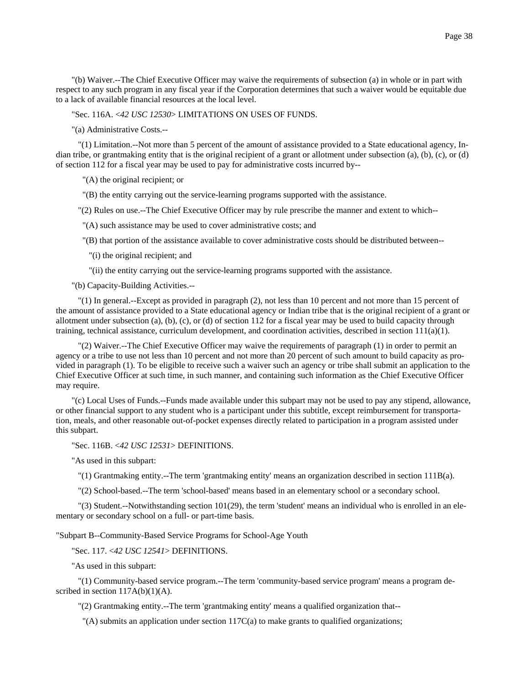"(b) Waiver.--The Chief Executive Officer may waive the requirements of subsection (a) in whole or in part with respect to any such program in any fiscal year if the Corporation determines that such a waiver would be equitable due to a lack of available financial resources at the local level.

"Sec. 116A. <*42 USC 12530*> LIMITATIONS ON USES OF FUNDS.

"(a) Administrative Costs.--

 "(1) Limitation.--Not more than 5 percent of the amount of assistance provided to a State educational agency, Indian tribe, or grantmaking entity that is the original recipient of a grant or allotment under subsection (a), (b), (c), or (d) of section 112 for a fiscal year may be used to pay for administrative costs incurred by--

"(A) the original recipient; or

"(B) the entity carrying out the service-learning programs supported with the assistance.

"(2) Rules on use.--The Chief Executive Officer may by rule prescribe the manner and extent to which--

"(A) such assistance may be used to cover administrative costs; and

"(B) that portion of the assistance available to cover administrative costs should be distributed between--

"(i) the original recipient; and

"(ii) the entity carrying out the service-learning programs supported with the assistance.

"(b) Capacity-Building Activities.--

 "(1) In general.--Except as provided in paragraph (2), not less than 10 percent and not more than 15 percent of the amount of assistance provided to a State educational agency or Indian tribe that is the original recipient of a grant or allotment under subsection (a), (b), (c), or (d) of section 112 for a fiscal year may be used to build capacity through training, technical assistance, curriculum development, and coordination activities, described in section  $111(a)(1)$ .

 "(2) Waiver.--The Chief Executive Officer may waive the requirements of paragraph (1) in order to permit an agency or a tribe to use not less than 10 percent and not more than 20 percent of such amount to build capacity as provided in paragraph (1). To be eligible to receive such a waiver such an agency or tribe shall submit an application to the Chief Executive Officer at such time, in such manner, and containing such information as the Chief Executive Officer may require.

"(c) Local Uses of Funds.--Funds made available under this subpart may not be used to pay any stipend, allowance, or other financial support to any student who is a participant under this subtitle, except reimbursement for transportation, meals, and other reasonable out-of-pocket expenses directly related to participation in a program assisted under this subpart.

"Sec. 116B. <*42 USC 12531*> DEFINITIONS.

"As used in this subpart:

"(1) Grantmaking entity.--The term 'grantmaking entity' means an organization described in section 111B(a).

"(2) School-based.--The term 'school-based' means based in an elementary school or a secondary school.

 "(3) Student.--Notwithstanding section 101(29), the term 'student' means an individual who is enrolled in an elementary or secondary school on a full- or part-time basis.

"Subpart B--Community-Based Service Programs for School-Age Youth

"Sec. 117. <*42 USC 12541*> DEFINITIONS.

"As used in this subpart:

 "(1) Community-based service program.--The term 'community-based service program' means a program described in section  $117A(b)(1)(A)$ .

"(2) Grantmaking entity.--The term 'grantmaking entity' means a qualified organization that--

 $\Gamma(A)$  submits an application under section 117C(a) to make grants to qualified organizations;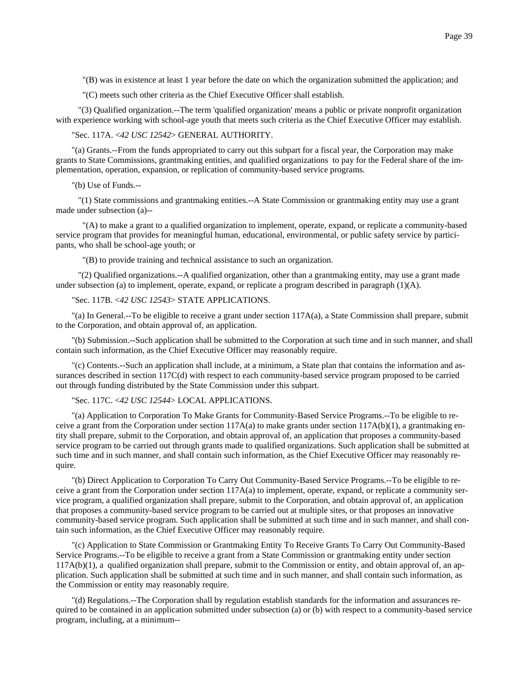"(B) was in existence at least 1 year before the date on which the organization submitted the application; and

"(C) meets such other criteria as the Chief Executive Officer shall establish.

 "(3) Qualified organization.--The term 'qualified organization' means a public or private nonprofit organization with experience working with school-age youth that meets such criteria as the Chief Executive Officer may establish.

"Sec. 117A. <*42 USC 12542*> GENERAL AUTHORITY.

"(a) Grants.--From the funds appropriated to carry out this subpart for a fiscal year, the Corporation may make grants to State Commissions, grantmaking entities, and qualified organizations to pay for the Federal share of the implementation, operation, expansion, or replication of community-based service programs.

"(b) Use of Funds.--

 "(1) State commissions and grantmaking entities.--A State Commission or grantmaking entity may use a grant made under subsection (a)--

 "(A) to make a grant to a qualified organization to implement, operate, expand, or replicate a community-based service program that provides for meaningful human, educational, environmental, or public safety service by participants, who shall be school-age youth; or

"(B) to provide training and technical assistance to such an organization.

 "(2) Qualified organizations.--A qualified organization, other than a grantmaking entity, may use a grant made under subsection (a) to implement, operate, expand, or replicate a program described in paragraph (1)(A).

"Sec. 117B. <*42 USC 12543*> STATE APPLICATIONS.

"(a) In General.--To be eligible to receive a grant under section 117A(a), a State Commission shall prepare, submit to the Corporation, and obtain approval of, an application.

"(b) Submission.--Such application shall be submitted to the Corporation at such time and in such manner, and shall contain such information, as the Chief Executive Officer may reasonably require.

"(c) Contents.--Such an application shall include, at a minimum, a State plan that contains the information and assurances described in section 117C(d) with respect to each community-based service program proposed to be carried out through funding distributed by the State Commission under this subpart.

"Sec. 117C. <*42 USC 12544*> LOCAL APPLICATIONS.

"(a) Application to Corporation To Make Grants for Community-Based Service Programs.--To be eligible to receive a grant from the Corporation under section  $117A(a)$  to make grants under section  $117A(b)(1)$ , a grantmaking entity shall prepare, submit to the Corporation, and obtain approval of, an application that proposes a community-based service program to be carried out through grants made to qualified organizations. Such application shall be submitted at such time and in such manner, and shall contain such information, as the Chief Executive Officer may reasonably require.

"(b) Direct Application to Corporation To Carry Out Community-Based Service Programs.--To be eligible to receive a grant from the Corporation under section  $117A(a)$  to implement, operate, expand, or replicate a community service program, a qualified organization shall prepare, submit to the Corporation, and obtain approval of, an application that proposes a community-based service program to be carried out at multiple sites, or that proposes an innovative community-based service program. Such application shall be submitted at such time and in such manner, and shall contain such information, as the Chief Executive Officer may reasonably require.

"(c) Application to State Commission or Grantmaking Entity To Receive Grants To Carry Out Community-Based Service Programs.--To be eligible to receive a grant from a State Commission or grantmaking entity under section 117A(b)(1), a qualified organization shall prepare, submit to the Commission or entity, and obtain approval of, an application. Such application shall be submitted at such time and in such manner, and shall contain such information, as the Commission or entity may reasonably require.

"(d) Regulations.--The Corporation shall by regulation establish standards for the information and assurances required to be contained in an application submitted under subsection (a) or (b) with respect to a community-based service program, including, at a minimum--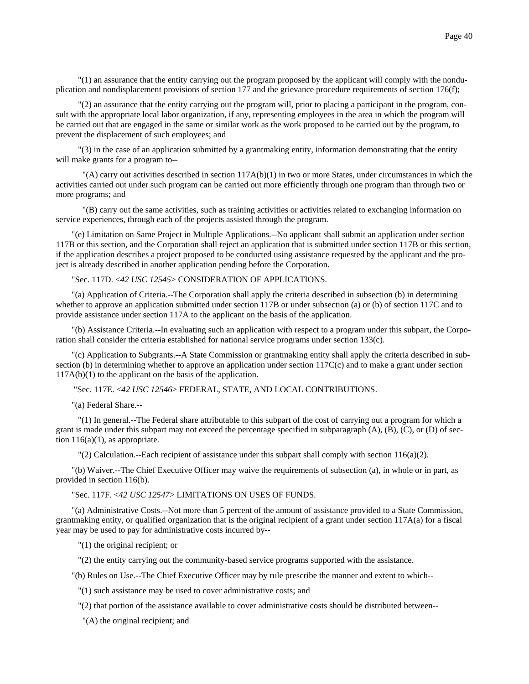"(1) an assurance that the entity carrying out the program proposed by the applicant will comply with the nonduplication and nondisplacement provisions of section 177 and the grievance procedure requirements of section 176(f);

 "(2) an assurance that the entity carrying out the program will, prior to placing a participant in the program, consult with the appropriate local labor organization, if any, representing employees in the area in which the program will be carried out that are engaged in the same or similar work as the work proposed to be carried out by the program, to prevent the displacement of such employees; and

 "(3) in the case of an application submitted by a grantmaking entity, information demonstrating that the entity will make grants for a program to--

 $\Gamma(A)$  carry out activities described in section 117A(b)(1) in two or more States, under circumstances in which the activities carried out under such program can be carried out more efficiently through one program than through two or more programs; and

 "(B) carry out the same activities, such as training activities or activities related to exchanging information on service experiences, through each of the projects assisted through the program.

"(e) Limitation on Same Project in Multiple Applications.--No applicant shall submit an application under section 117B or this section, and the Corporation shall reject an application that is submitted under section 117B or this section, if the application describes a project proposed to be conducted using assistance requested by the applicant and the project is already described in another application pending before the Corporation.

"Sec. 117D. <*42 USC 12545*> CONSIDERATION OF APPLICATIONS.

"(a) Application of Criteria.--The Corporation shall apply the criteria described in subsection (b) in determining whether to approve an application submitted under section 117B or under subsection (a) or (b) of section 117C and to provide assistance under section 117A to the applicant on the basis of the application.

"(b) Assistance Criteria.--In evaluating such an application with respect to a program under this subpart, the Corporation shall consider the criteria established for national service programs under section 133(c).

"(c) Application to Subgrants.--A State Commission or grantmaking entity shall apply the criteria described in subsection (b) in determining whether to approve an application under section 117C(c) and to make a grant under section 117A(b)(1) to the applicant on the basis of the application.

"Sec. 117E. <*42 USC 12546*> FEDERAL, STATE, AND LOCAL CONTRIBUTIONS.

"(a) Federal Share.--

 "(1) In general.--The Federal share attributable to this subpart of the cost of carrying out a program for which a grant is made under this subpart may not exceed the percentage specified in subparagraph (A), (B), (C), or (D) of section  $116(a)(1)$ , as appropriate.

"(2) Calculation.--Each recipient of assistance under this subpart shall comply with section 116(a)(2).

"(b) Waiver.--The Chief Executive Officer may waive the requirements of subsection (a), in whole or in part, as provided in section 116(b).

"Sec. 117F. <*42 USC 12547*> LIMITATIONS ON USES OF FUNDS.

"(a) Administrative Costs.--Not more than 5 percent of the amount of assistance provided to a State Commission, grantmaking entity, or qualified organization that is the original recipient of a grant under section  $117A(a)$  for a fiscal year may be used to pay for administrative costs incurred by--

"(1) the original recipient; or

"(2) the entity carrying out the community-based service programs supported with the assistance.

"(b) Rules on Use.--The Chief Executive Officer may by rule prescribe the manner and extent to which--

"(1) such assistance may be used to cover administrative costs; and

"(2) that portion of the assistance available to cover administrative costs should be distributed between--

"(A) the original recipient; and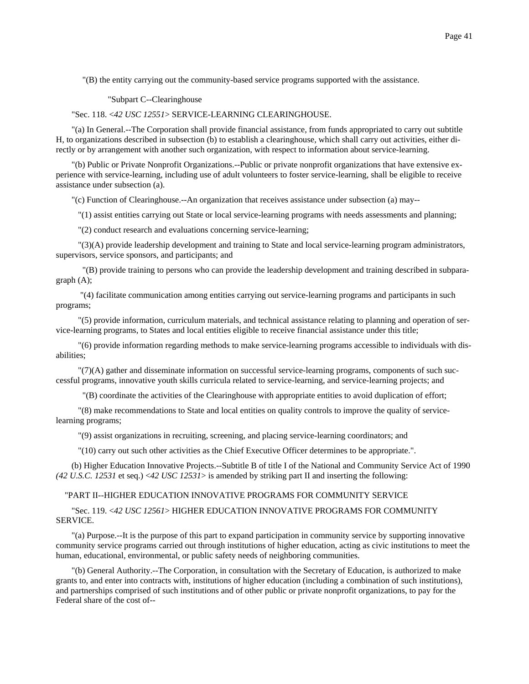"(B) the entity carrying out the community-based service programs supported with the assistance.

"Subpart C--Clearinghouse

"Sec. 118. <*42 USC 12551*> SERVICE-LEARNING CLEARINGHOUSE.

"(a) In General.--The Corporation shall provide financial assistance, from funds appropriated to carry out subtitle H, to organizations described in subsection (b) to establish a clearinghouse, which shall carry out activities, either directly or by arrangement with another such organization, with respect to information about service-learning.

"(b) Public or Private Nonprofit Organizations.--Public or private nonprofit organizations that have extensive experience with service-learning, including use of adult volunteers to foster service-learning, shall be eligible to receive assistance under subsection (a).

"(c) Function of Clearinghouse.--An organization that receives assistance under subsection (a) may--

"(1) assist entities carrying out State or local service-learning programs with needs assessments and planning;

"(2) conduct research and evaluations concerning service-learning;

 "(3)(A) provide leadership development and training to State and local service-learning program administrators, supervisors, service sponsors, and participants; and

 "(B) provide training to persons who can provide the leadership development and training described in subparagraph (A);

 "(4) facilitate communication among entities carrying out service-learning programs and participants in such programs;

 "(5) provide information, curriculum materials, and technical assistance relating to planning and operation of service-learning programs, to States and local entities eligible to receive financial assistance under this title;

 "(6) provide information regarding methods to make service-learning programs accessible to individuals with disabilities;

 "(7)(A) gather and disseminate information on successful service-learning programs, components of such successful programs, innovative youth skills curricula related to service-learning, and service-learning projects; and

"(B) coordinate the activities of the Clearinghouse with appropriate entities to avoid duplication of effort;

 "(8) make recommendations to State and local entities on quality controls to improve the quality of servicelearning programs;

"(9) assist organizations in recruiting, screening, and placing service-learning coordinators; and

"(10) carry out such other activities as the Chief Executive Officer determines to be appropriate.".

(b) Higher Education Innovative Projects.--Subtitle B of title I of the National and Community Service Act of 1990 *(42 U.S.C. 12531* et seq.) <*42 USC 12531*> is amended by striking part II and inserting the following:

### "PART II--HIGHER EDUCATION INNOVATIVE PROGRAMS FOR COMMUNITY SERVICE

"Sec. 119. <*42 USC 12561*> HIGHER EDUCATION INNOVATIVE PROGRAMS FOR COMMUNITY SERVICE.

"(a) Purpose.--It is the purpose of this part to expand participation in community service by supporting innovative community service programs carried out through institutions of higher education, acting as civic institutions to meet the human, educational, environmental, or public safety needs of neighboring communities.

"(b) General Authority.--The Corporation, in consultation with the Secretary of Education, is authorized to make grants to, and enter into contracts with, institutions of higher education (including a combination of such institutions), and partnerships comprised of such institutions and of other public or private nonprofit organizations, to pay for the Federal share of the cost of--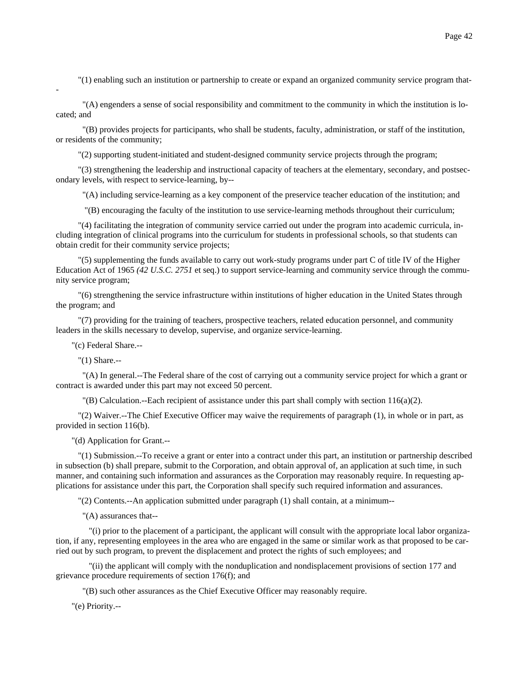"(1) enabling such an institution or partnership to create or expand an organized community service program that-

 "(A) engenders a sense of social responsibility and commitment to the community in which the institution is located; and

 "(B) provides projects for participants, who shall be students, faculty, administration, or staff of the institution, or residents of the community;

"(2) supporting student-initiated and student-designed community service projects through the program;

 "(3) strengthening the leadership and instructional capacity of teachers at the elementary, secondary, and postsecondary levels, with respect to service-learning, by--

"(A) including service-learning as a key component of the preservice teacher education of the institution; and

"(B) encouraging the faculty of the institution to use service-learning methods throughout their curriculum;

 "(4) facilitating the integration of community service carried out under the program into academic curricula, including integration of clinical programs into the curriculum for students in professional schools, so that students can obtain credit for their community service projects;

 "(5) supplementing the funds available to carry out work-study programs under part C of title IV of the Higher Education Act of 1965 *(42 U.S.C. 2751* et seq.) to support service-learning and community service through the community service program;

 "(6) strengthening the service infrastructure within institutions of higher education in the United States through the program; and

 "(7) providing for the training of teachers, prospective teachers, related education personnel, and community leaders in the skills necessary to develop, supervise, and organize service-learning.

"(c) Federal Share.--

"(1) Share.--

-

 "(A) In general.--The Federal share of the cost of carrying out a community service project for which a grant or contract is awarded under this part may not exceed 50 percent.

 $\Gamma(B)$  Calculation.--Each recipient of assistance under this part shall comply with section 116(a)(2).

 "(2) Waiver.--The Chief Executive Officer may waive the requirements of paragraph (1), in whole or in part, as provided in section 116(b).

"(d) Application for Grant.--

 "(1) Submission.--To receive a grant or enter into a contract under this part, an institution or partnership described in subsection (b) shall prepare, submit to the Corporation, and obtain approval of, an application at such time, in such manner, and containing such information and assurances as the Corporation may reasonably require. In requesting applications for assistance under this part, the Corporation shall specify such required information and assurances.

"(2) Contents.--An application submitted under paragraph (1) shall contain, at a minimum--

"(A) assurances that--

 "(i) prior to the placement of a participant, the applicant will consult with the appropriate local labor organization, if any, representing employees in the area who are engaged in the same or similar work as that proposed to be carried out by such program, to prevent the displacement and protect the rights of such employees; and

 "(ii) the applicant will comply with the nonduplication and nondisplacement provisions of section 177 and grievance procedure requirements of section 176(f); and

"(B) such other assurances as the Chief Executive Officer may reasonably require.

"(e) Priority.--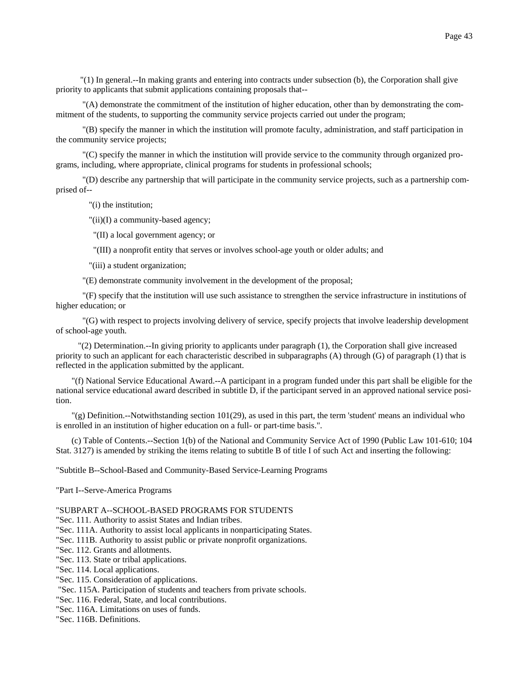"(1) In general.--In making grants and entering into contracts under subsection (b), the Corporation shall give priority to applicants that submit applications containing proposals that--

 "(A) demonstrate the commitment of the institution of higher education, other than by demonstrating the commitment of the students, to supporting the community service projects carried out under the program;

 "(B) specify the manner in which the institution will promote faculty, administration, and staff participation in the community service projects;

 "(C) specify the manner in which the institution will provide service to the community through organized programs, including, where appropriate, clinical programs for students in professional schools;

 "(D) describe any partnership that will participate in the community service projects, such as a partnership comprised of--

"(i) the institution;

"(ii)(I) a community-based agency;

"(II) a local government agency; or

"(III) a nonprofit entity that serves or involves school-age youth or older adults; and

"(iii) a student organization;

"(E) demonstrate community involvement in the development of the proposal;

 "(F) specify that the institution will use such assistance to strengthen the service infrastructure in institutions of higher education; or

 "(G) with respect to projects involving delivery of service, specify projects that involve leadership development of school-age youth.

 "(2) Determination.--In giving priority to applicants under paragraph (1), the Corporation shall give increased priority to such an applicant for each characteristic described in subparagraphs (A) through (G) of paragraph (1) that is reflected in the application submitted by the applicant.

"(f) National Service Educational Award.--A participant in a program funded under this part shall be eligible for the national service educational award described in subtitle D, if the participant served in an approved national service position.

"(g) Definition.--Notwithstanding section 101(29), as used in this part, the term 'student' means an individual who is enrolled in an institution of higher education on a full- or part-time basis.".

(c) Table of Contents.--Section 1(b) of the National and Community Service Act of 1990 (Public Law 101-610; 104 Stat. 3127) is amended by striking the items relating to subtitle B of title I of such Act and inserting the following:

"Subtitle B--School-Based and Community-Based Service-Learning Programs

"Part I--Serve-America Programs

"SUBPART A--SCHOOL-BASED PROGRAMS FOR STUDENTS

"Sec. 111. Authority to assist States and Indian tribes.

"Sec. 111A. Authority to assist local applicants in nonparticipating States.

"Sec. 111B. Authority to assist public or private nonprofit organizations.

"Sec. 112. Grants and allotments.

"Sec. 113. State or tribal applications.

"Sec. 114. Local applications.

"Sec. 115. Consideration of applications.

"Sec. 115A. Participation of students and teachers from private schools.

"Sec. 116. Federal, State, and local contributions.

"Sec. 116A. Limitations on uses of funds.

"Sec. 116B. Definitions.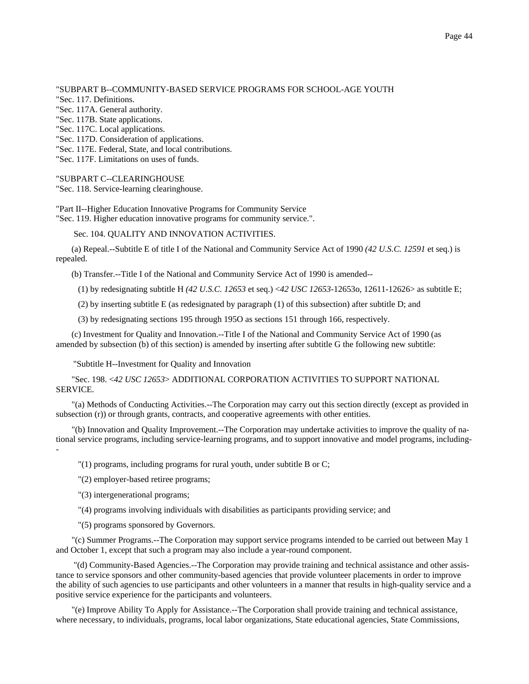"SUBPART B--COMMUNITY-BASED SERVICE PROGRAMS FOR SCHOOL-AGE YOUTH "Sec. 117. Definitions. "Sec. 117A. General authority. "Sec. 117B. State applications. "Sec. 117C. Local applications. "Sec. 117D. Consideration of applications. "Sec. 117E. Federal, State, and local contributions.

"Sec. 117F. Limitations on uses of funds.

"SUBPART C--CLEARINGHOUSE

"Sec. 118. Service-learning clearinghouse.

"Part II--Higher Education Innovative Programs for Community Service "Sec. 119. Higher education innovative programs for community service.".

Sec. 104. QUALITY AND INNOVATION ACTIVITIES.

(a) Repeal.--Subtitle E of title I of the National and Community Service Act of 1990 *(42 U.S.C. 12591* et seq.) is repealed.

(b) Transfer.--Title I of the National and Community Service Act of 1990 is amended--

(1) by redesignating subtitle H *(42 U.S.C. 12653* et seq.) <*42 USC 12653*-12653o, 12611-12626> as subtitle E;

(2) by inserting subtitle E (as redesignated by paragraph (1) of this subsection) after subtitle D; and

(3) by redesignating sections 195 through 195O as sections 151 through 166, respectively.

(c) Investment for Quality and Innovation.--Title I of the National and Community Service Act of 1990 (as amended by subsection (b) of this section) is amended by inserting after subtitle G the following new subtitle:

"Subtitle H--Investment for Quality and Innovation

"Sec. 198. <*42 USC 12653*> ADDITIONAL CORPORATION ACTIVITIES TO SUPPORT NATIONAL SERVICE.

"(a) Methods of Conducting Activities.--The Corporation may carry out this section directly (except as provided in subsection (r)) or through grants, contracts, and cooperative agreements with other entities.

"(b) Innovation and Quality Improvement.--The Corporation may undertake activities to improve the quality of national service programs, including service-learning programs, and to support innovative and model programs, including-

"(1) programs, including programs for rural youth, under subtitle B or C;

"(2) employer-based retiree programs;

"(3) intergenerational programs;

-

"(4) programs involving individuals with disabilities as participants providing service; and

"(5) programs sponsored by Governors.

"(c) Summer Programs.--The Corporation may support service programs intended to be carried out between May 1 and October 1, except that such a program may also include a year-round component.

 "(d) Community-Based Agencies.--The Corporation may provide training and technical assistance and other assistance to service sponsors and other community-based agencies that provide volunteer placements in order to improve the ability of such agencies to use participants and other volunteers in a manner that results in high-quality service and a positive service experience for the participants and volunteers.

"(e) Improve Ability To Apply for Assistance.--The Corporation shall provide training and technical assistance, where necessary, to individuals, programs, local labor organizations, State educational agencies, State Commissions,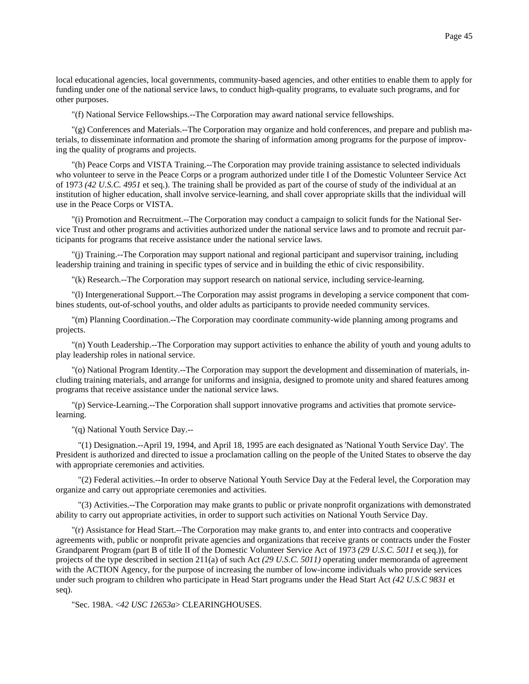local educational agencies, local governments, community-based agencies, and other entities to enable them to apply for funding under one of the national service laws, to conduct high-quality programs, to evaluate such programs, and for other purposes.

"(f) National Service Fellowships.--The Corporation may award national service fellowships.

"(g) Conferences and Materials.--The Corporation may organize and hold conferences, and prepare and publish materials, to disseminate information and promote the sharing of information among programs for the purpose of improving the quality of programs and projects.

"(h) Peace Corps and VISTA Training.--The Corporation may provide training assistance to selected individuals who volunteer to serve in the Peace Corps or a program authorized under title I of the Domestic Volunteer Service Act of 1973 *(42 U.S.C. 4951* et seq.). The training shall be provided as part of the course of study of the individual at an institution of higher education, shall involve service-learning, and shall cover appropriate skills that the individual will use in the Peace Corps or VISTA.

"(i) Promotion and Recruitment.--The Corporation may conduct a campaign to solicit funds for the National Service Trust and other programs and activities authorized under the national service laws and to promote and recruit participants for programs that receive assistance under the national service laws.

"(j) Training.--The Corporation may support national and regional participant and supervisor training, including leadership training and training in specific types of service and in building the ethic of civic responsibility.

"(k) Research.--The Corporation may support research on national service, including service-learning.

"(l) Intergenerational Support.--The Corporation may assist programs in developing a service component that combines students, out-of-school youths, and older adults as participants to provide needed community services.

"(m) Planning Coordination.--The Corporation may coordinate community-wide planning among programs and projects.

"(n) Youth Leadership.--The Corporation may support activities to enhance the ability of youth and young adults to play leadership roles in national service.

"(o) National Program Identity.--The Corporation may support the development and dissemination of materials, including training materials, and arrange for uniforms and insignia, designed to promote unity and shared features among programs that receive assistance under the national service laws.

"(p) Service-Learning.--The Corporation shall support innovative programs and activities that promote servicelearning.

"(q) National Youth Service Day.--

 "(1) Designation.--April 19, 1994, and April 18, 1995 are each designated as 'National Youth Service Day'. The President is authorized and directed to issue a proclamation calling on the people of the United States to observe the day with appropriate ceremonies and activities.

 "(2) Federal activities.--In order to observe National Youth Service Day at the Federal level, the Corporation may organize and carry out appropriate ceremonies and activities.

 "(3) Activities.--The Corporation may make grants to public or private nonprofit organizations with demonstrated ability to carry out appropriate activities, in order to support such activities on National Youth Service Day.

"(r) Assistance for Head Start.--The Corporation may make grants to, and enter into contracts and cooperative agreements with, public or nonprofit private agencies and organizations that receive grants or contracts under the Foster Grandparent Program (part B of title II of the Domestic Volunteer Service Act of 1973 *(29 U.S.C. 5011* et seq.)), for projects of the type described in section 211(a) of such Act *(29 U.S.C. 5011)* operating under memoranda of agreement with the ACTION Agency, for the purpose of increasing the number of low-income individuals who provide services under such program to children who participate in Head Start programs under the Head Start Act *(42 U.S.C 9831* et seq).

"Sec. 198A. <*42 USC 12653a*> CLEARINGHOUSES.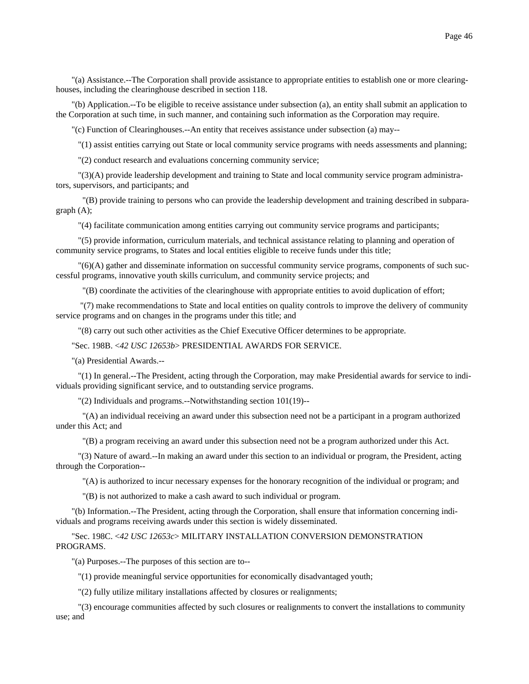"(a) Assistance.--The Corporation shall provide assistance to appropriate entities to establish one or more clearinghouses, including the clearinghouse described in section 118.

"(b) Application.--To be eligible to receive assistance under subsection (a), an entity shall submit an application to the Corporation at such time, in such manner, and containing such information as the Corporation may require.

"(c) Function of Clearinghouses.--An entity that receives assistance under subsection (a) may--

"(1) assist entities carrying out State or local community service programs with needs assessments and planning;

"(2) conduct research and evaluations concerning community service;

 "(3)(A) provide leadership development and training to State and local community service program administrators, supervisors, and participants; and

 "(B) provide training to persons who can provide the leadership development and training described in subparagraph (A);

"(4) facilitate communication among entities carrying out community service programs and participants;

 "(5) provide information, curriculum materials, and technical assistance relating to planning and operation of community service programs, to States and local entities eligible to receive funds under this title;

 "(6)(A) gather and disseminate information on successful community service programs, components of such successful programs, innovative youth skills curriculum, and community service projects; and

"(B) coordinate the activities of the clearinghouse with appropriate entities to avoid duplication of effort;

 "(7) make recommendations to State and local entities on quality controls to improve the delivery of community service programs and on changes in the programs under this title; and

"(8) carry out such other activities as the Chief Executive Officer determines to be appropriate.

"Sec. 198B. <*42 USC 12653b*> PRESIDENTIAL AWARDS FOR SERVICE.

"(a) Presidential Awards.--

 "(1) In general.--The President, acting through the Corporation, may make Presidential awards for service to individuals providing significant service, and to outstanding service programs.

"(2) Individuals and programs.--Notwithstanding section 101(19)--

 "(A) an individual receiving an award under this subsection need not be a participant in a program authorized under this Act; and

"(B) a program receiving an award under this subsection need not be a program authorized under this Act.

 "(3) Nature of award.--In making an award under this section to an individual or program, the President, acting through the Corporation--

"(A) is authorized to incur necessary expenses for the honorary recognition of the individual or program; and

"(B) is not authorized to make a cash award to such individual or program.

"(b) Information.--The President, acting through the Corporation, shall ensure that information concerning individuals and programs receiving awards under this section is widely disseminated.

"Sec. 198C. <*42 USC 12653c*> MILITARY INSTALLATION CONVERSION DEMONSTRATION PROGRAMS.

"(a) Purposes.--The purposes of this section are to--

"(1) provide meaningful service opportunities for economically disadvantaged youth;

"(2) fully utilize military installations affected by closures or realignments;

 "(3) encourage communities affected by such closures or realignments to convert the installations to community use; and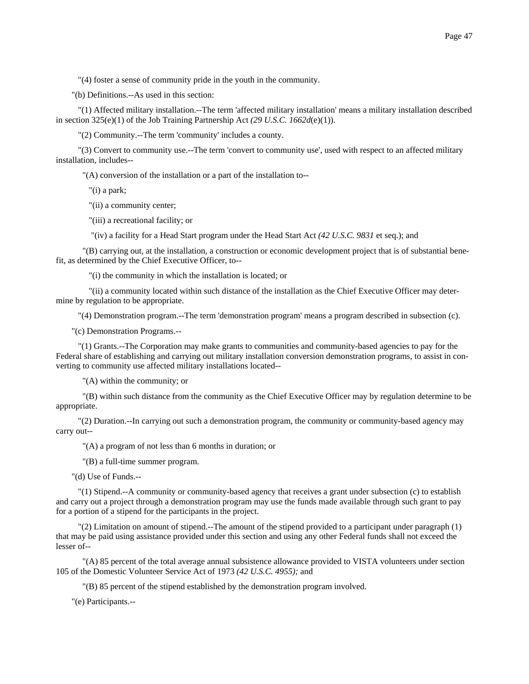"(4) foster a sense of community pride in the youth in the community.

"(b) Definitions.--As used in this section:

 "(1) Affected military installation.--The term 'affected military installation' means a military installation described in section 325(e)(1) of the Job Training Partnership Act *(29 U.S.C. 1662d*(e)(1)).

"(2) Community.--The term 'community' includes a county.

 "(3) Convert to community use.--The term 'convert to community use', used with respect to an affected military installation, includes--

"(A) conversion of the installation or a part of the installation to--

"(i) a park;

"(ii) a community center;

"(iii) a recreational facility; or

"(iv) a facility for a Head Start program under the Head Start Act *(42 U.S.C. 9831* et seq.); and

 "(B) carrying out, at the installation, a construction or economic development project that is of substantial benefit, as determined by the Chief Executive Officer, to--

"(i) the community in which the installation is located; or

 "(ii) a community located within such distance of the installation as the Chief Executive Officer may determine by regulation to be appropriate.

"(4) Demonstration program.--The term 'demonstration program' means a program described in subsection (c).

"(c) Demonstration Programs.--

 "(1) Grants.--The Corporation may make grants to communities and community-based agencies to pay for the Federal share of establishing and carrying out military installation conversion demonstration programs, to assist in converting to community use affected military installations located--

"(A) within the community; or

 "(B) within such distance from the community as the Chief Executive Officer may by regulation determine to be appropriate.

 "(2) Duration.--In carrying out such a demonstration program, the community or community-based agency may carry out--

"(A) a program of not less than 6 months in duration; or

"(B) a full-time summer program.

"(d) Use of Funds.--

 "(1) Stipend.--A community or community-based agency that receives a grant under subsection (c) to establish and carry out a project through a demonstration program may use the funds made available through such grant to pay for a portion of a stipend for the participants in the project.

 "(2) Limitation on amount of stipend.--The amount of the stipend provided to a participant under paragraph (1) that may be paid using assistance provided under this section and using any other Federal funds shall not exceed the lesser of--

 "(A) 85 percent of the total average annual subsistence allowance provided to VISTA volunteers under section 105 of the Domestic Volunteer Service Act of 1973 *(42 U.S.C. 4955);* and

"(B) 85 percent of the stipend established by the demonstration program involved.

"(e) Participants.--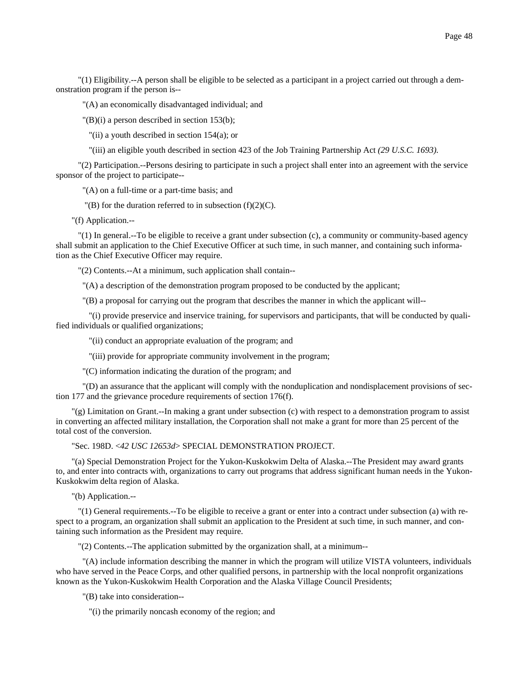"(1) Eligibility.--A person shall be eligible to be selected as a participant in a project carried out through a demonstration program if the person is--

"(A) an economically disadvantaged individual; and

"(B)(i) a person described in section 153(b);

"(ii) a youth described in section 154(a); or

"(iii) an eligible youth described in section 423 of the Job Training Partnership Act *(29 U.S.C. 1693).*

 "(2) Participation.--Persons desiring to participate in such a project shall enter into an agreement with the service sponsor of the project to participate--

"(A) on a full-time or a part-time basis; and

 $\Gamma(B)$  for the duration referred to in subsection (f)(2)(C).

"(f) Application.--

 "(1) In general.--To be eligible to receive a grant under subsection (c), a community or community-based agency shall submit an application to the Chief Executive Officer at such time, in such manner, and containing such information as the Chief Executive Officer may require.

"(2) Contents.--At a minimum, such application shall contain--

"(A) a description of the demonstration program proposed to be conducted by the applicant;

"(B) a proposal for carrying out the program that describes the manner in which the applicant will--

 "(i) provide preservice and inservice training, for supervisors and participants, that will be conducted by qualified individuals or qualified organizations;

"(ii) conduct an appropriate evaluation of the program; and

"(iii) provide for appropriate community involvement in the program;

"(C) information indicating the duration of the program; and

 "(D) an assurance that the applicant will comply with the nonduplication and nondisplacement provisions of section 177 and the grievance procedure requirements of section 176(f).

"(g) Limitation on Grant.--In making a grant under subsection (c) with respect to a demonstration program to assist in converting an affected military installation, the Corporation shall not make a grant for more than 25 percent of the total cost of the conversion.

"Sec. 198D. <*42 USC 12653d*> SPECIAL DEMONSTRATION PROJECT.

"(a) Special Demonstration Project for the Yukon-Kuskokwim Delta of Alaska.--The President may award grants to, and enter into contracts with, organizations to carry out programs that address significant human needs in the Yukon-Kuskokwim delta region of Alaska.

"(b) Application.--

 "(1) General requirements.--To be eligible to receive a grant or enter into a contract under subsection (a) with respect to a program, an organization shall submit an application to the President at such time, in such manner, and containing such information as the President may require.

"(2) Contents.--The application submitted by the organization shall, at a minimum--

 "(A) include information describing the manner in which the program will utilize VISTA volunteers, individuals who have served in the Peace Corps, and other qualified persons, in partnership with the local nonprofit organizations known as the Yukon-Kuskokwim Health Corporation and the Alaska Village Council Presidents;

"(B) take into consideration--

"(i) the primarily noncash economy of the region; and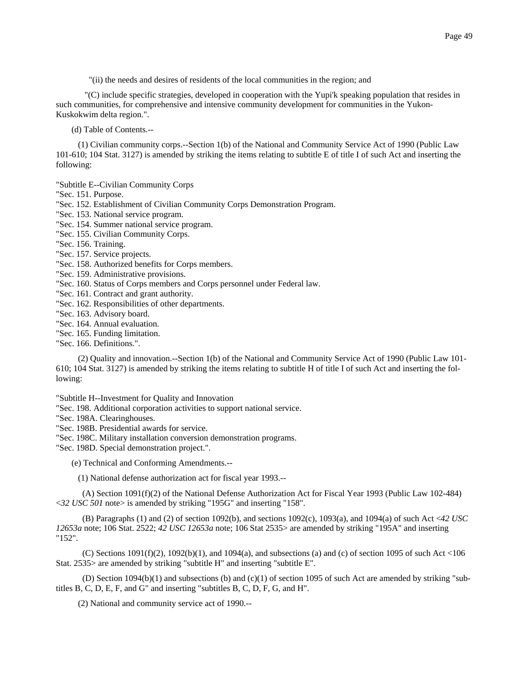"(ii) the needs and desires of residents of the local communities in the region; and

 "(C) include specific strategies, developed in cooperation with the Yupi'k speaking population that resides in such communities, for comprehensive and intensive community development for communities in the Yukon-Kuskokwim delta region.".

(d) Table of Contents.--

 (1) Civilian community corps.--Section 1(b) of the National and Community Service Act of 1990 (Public Law 101-610; 104 Stat. 3127) is amended by striking the items relating to subtitle E of title I of such Act and inserting the following:

"Subtitle E--Civilian Community Corps

"Sec. 151. Purpose.

"Sec. 152. Establishment of Civilian Community Corps Demonstration Program.

"Sec. 153. National service program.

"Sec. 154. Summer national service program.

"Sec. 155. Civilian Community Corps.

"Sec. 156. Training.

"Sec. 157. Service projects.

"Sec. 158. Authorized benefits for Corps members.

"Sec. 159. Administrative provisions.

"Sec. 160. Status of Corps members and Corps personnel under Federal law.

"Sec. 161. Contract and grant authority.

"Sec. 162. Responsibilities of other departments.

"Sec. 163. Advisory board.

"Sec. 164. Annual evaluation.

"Sec. 165. Funding limitation.

"Sec. 166. Definitions.".

 (2) Quality and innovation.--Section 1(b) of the National and Community Service Act of 1990 (Public Law 101- 610; 104 Stat. 3127) is amended by striking the items relating to subtitle H of title I of such Act and inserting the following:

"Subtitle H--Investment for Quality and Innovation

"Sec. 198. Additional corporation activities to support national service.

"Sec. 198A. Clearinghouses.

"Sec. 198B. Presidential awards for service.

"Sec. 198C. Military installation conversion demonstration programs.

"Sec. 198D. Special demonstration project.".

(e) Technical and Conforming Amendments.--

(1) National defense authorization act for fiscal year 1993.--

 (A) Section 1091(f)(2) of the National Defense Authorization Act for Fiscal Year 1993 (Public Law 102-484) <*32 USC 501* note> is amended by striking "195G" and inserting "158".

 (B) Paragraphs (1) and (2) of section 1092(b), and sections 1092(c), 1093(a), and 1094(a) of such Act <*42 USC 12653a* note; 106 Stat. 2522; *42 USC 12653a* note; 106 Stat 2535> are amended by striking "195A" and inserting "152".

(C) Sections  $1091(f)(2)$ ,  $1092(b)(1)$ , and  $1094(a)$ , and subsections (a) and (c) of section 1095 of such Act <106 Stat. 2535> are amended by striking "subtitle H" and inserting "subtitle E".

 (D) Section 1094(b)(1) and subsections (b) and (c)(1) of section 1095 of such Act are amended by striking "subtitles B, C, D, E, F, and G" and inserting "subtitles B, C, D, F, G, and H".

(2) National and community service act of 1990.--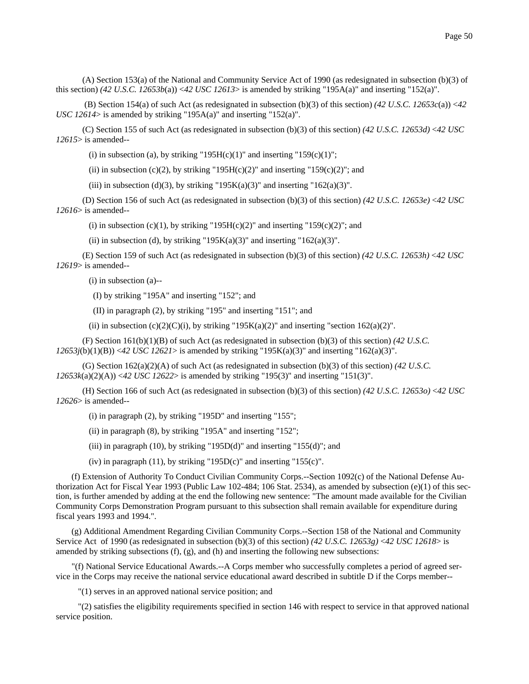(A) Section 153(a) of the National and Community Service Act of 1990 (as redesignated in subsection (b)(3) of this section) *(42 U.S.C. 12653b*(a)) <*42 USC 12613*> is amended by striking "195A(a)" and inserting "152(a)".

(B) Section 154(a) of such Act (as redesignated in subsection (b)(3) of this section)  $(42 \text{ U.S.C. } 12653c(a)) < 42$ *USC 12614*> is amended by striking "195A(a)" and inserting "152(a)".

 (C) Section 155 of such Act (as redesignated in subsection (b)(3) of this section) *(42 U.S.C. 12653d)* <*42 USC 12615*> is amended--

(i) in subsection (a), by striking "195H(c)(1)" and inserting "159(c)(1)";

(ii) in subsection (c)(2), by striking "195H(c)(2)" and inserting "159(c)(2)"; and

(iii) in subsection (d)(3), by striking "195 $K(a)(3)$ " and inserting "162(a)(3)".

 (D) Section 156 of such Act (as redesignated in subsection (b)(3) of this section) *(42 U.S.C. 12653e)* <*42 USC 12616*> is amended--

(i) in subsection (c)(1), by striking "195H(c)(2)" and inserting "159(c)(2)"; and

(ii) in subsection (d), by striking "195 $K(a)(3)$ " and inserting "162(a)(3)".

 (E) Section 159 of such Act (as redesignated in subsection (b)(3) of this section) *(42 U.S.C. 12653h)* <*42 USC 12619*> is amended--

(i) in subsection (a)--

(I) by striking "195A" and inserting "152"; and

(II) in paragraph (2), by striking "195" and inserting "151"; and

(ii) in subsection (c)(2)(C)(i), by striking "195K(a)(2)" and inserting "section 162(a)(2)".

 (F) Section 161(b)(1)(B) of such Act (as redesignated in subsection (b)(3) of this section) *(42 U.S.C. 12653j*(b)(1)(B)) <*42 USC 12621*> is amended by striking "195K(a)(3)" and inserting "162(a)(3)".

 (G) Section 162(a)(2)(A) of such Act (as redesignated in subsection (b)(3) of this section) *(42 U.S.C. 12653k*(a)(2)(A)) <*42 USC 12622*> is amended by striking "195(3)" and inserting "151(3)".

 (H) Section 166 of such Act (as redesignated in subsection (b)(3) of this section) *(42 U.S.C. 12653o)* <*42 USC 12626*> is amended--

(i) in paragraph (2), by striking "195D" and inserting "155";

(ii) in paragraph  $(8)$ , by striking "195A" and inserting "152";

(iii) in paragraph (10), by striking "195D(d)" and inserting "155(d)"; and

(iv) in paragraph (11), by striking "195D(c)" and inserting "155(c)".

(f) Extension of Authority To Conduct Civilian Community Corps.--Section 1092(c) of the National Defense Authorization Act for Fiscal Year 1993 (Public Law 102-484; 106 Stat. 2534), as amended by subsection (e)(1) of this section, is further amended by adding at the end the following new sentence: "The amount made available for the Civilian Community Corps Demonstration Program pursuant to this subsection shall remain available for expenditure during fiscal years 1993 and 1994.".

(g) Additional Amendment Regarding Civilian Community Corps.--Section 158 of the National and Community Service Act of 1990 (as redesignated in subsection (b)(3) of this section) *(42 U.S.C. 12653g)* <*42 USC 12618*> is amended by striking subsections  $(f)$ ,  $(g)$ , and  $(h)$  and inserting the following new subsections:

"(f) National Service Educational Awards.--A Corps member who successfully completes a period of agreed service in the Corps may receive the national service educational award described in subtitle D if the Corps member--

"(1) serves in an approved national service position; and

 "(2) satisfies the eligibility requirements specified in section 146 with respect to service in that approved national service position.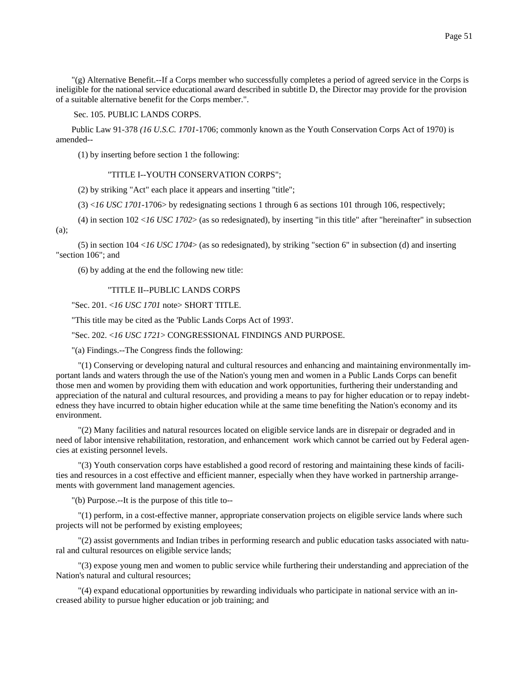"(g) Alternative Benefit.--If a Corps member who successfully completes a period of agreed service in the Corps is ineligible for the national service educational award described in subtitle D, the Director may provide for the provision of a suitable alternative benefit for the Corps member.".

# Sec. 105. PUBLIC LANDS CORPS.

Public Law 91-378 *(16 U.S.C. 1701*-1706; commonly known as the Youth Conservation Corps Act of 1970) is amended--

(1) by inserting before section 1 the following:

### "TITLE I--YOUTH CONSERVATION CORPS";

(2) by striking "Act" each place it appears and inserting "title";

 $(3)$  <*16 USC 1701*-1706> by redesignating sections 1 through 6 as sections 101 through 106, respectively;

 (4) in section 102 <*16 USC 1702*> (as so redesignated), by inserting "in this title" after "hereinafter" in subsection (a);

 (5) in section 104 <*16 USC 1704*> (as so redesignated), by striking "section 6" in subsection (d) and inserting "section 106"; and

(6) by adding at the end the following new title:

# "TITLE II--PUBLIC LANDS CORPS

"Sec. 201. <*16 USC 1701* note> SHORT TITLE.

"This title may be cited as the 'Public Lands Corps Act of 1993'.

### "Sec. 202. <*16 USC 1721*> CONGRESSIONAL FINDINGS AND PURPOSE.

"(a) Findings.--The Congress finds the following:

 "(1) Conserving or developing natural and cultural resources and enhancing and maintaining environmentally important lands and waters through the use of the Nation's young men and women in a Public Lands Corps can benefit those men and women by providing them with education and work opportunities, furthering their understanding and appreciation of the natural and cultural resources, and providing a means to pay for higher education or to repay indebtedness they have incurred to obtain higher education while at the same time benefiting the Nation's economy and its environment.

 "(2) Many facilities and natural resources located on eligible service lands are in disrepair or degraded and in need of labor intensive rehabilitation, restoration, and enhancement work which cannot be carried out by Federal agencies at existing personnel levels.

 "(3) Youth conservation corps have established a good record of restoring and maintaining these kinds of facilities and resources in a cost effective and efficient manner, especially when they have worked in partnership arrangements with government land management agencies.

"(b) Purpose.--It is the purpose of this title to--

 "(1) perform, in a cost-effective manner, appropriate conservation projects on eligible service lands where such projects will not be performed by existing employees;

 "(2) assist governments and Indian tribes in performing research and public education tasks associated with natural and cultural resources on eligible service lands;

 "(3) expose young men and women to public service while furthering their understanding and appreciation of the Nation's natural and cultural resources;

 "(4) expand educational opportunities by rewarding individuals who participate in national service with an increased ability to pursue higher education or job training; and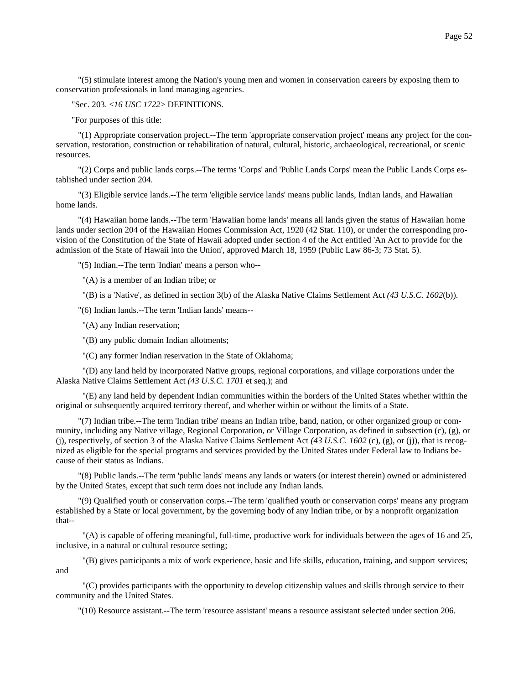"(5) stimulate interest among the Nation's young men and women in conservation careers by exposing them to conservation professionals in land managing agencies.

## "Sec. 203. <*16 USC 1722*> DEFINITIONS.

"For purposes of this title:

 "(1) Appropriate conservation project.--The term 'appropriate conservation project' means any project for the conservation, restoration, construction or rehabilitation of natural, cultural, historic, archaeological, recreational, or scenic resources.

 "(2) Corps and public lands corps.--The terms 'Corps' and 'Public Lands Corps' mean the Public Lands Corps established under section 204.

 "(3) Eligible service lands.--The term 'eligible service lands' means public lands, Indian lands, and Hawaiian home lands.

 "(4) Hawaiian home lands.--The term 'Hawaiian home lands' means all lands given the status of Hawaiian home lands under section 204 of the Hawaiian Homes Commission Act, 1920 (42 Stat. 110), or under the corresponding provision of the Constitution of the State of Hawaii adopted under section 4 of the Act entitled 'An Act to provide for the admission of the State of Hawaii into the Union', approved March 18, 1959 (Public Law 86-3; 73 Stat. 5).

"(5) Indian.--The term 'Indian' means a person who--

"(A) is a member of an Indian tribe; or

"(B) is a 'Native', as defined in section 3(b) of the Alaska Native Claims Settlement Act *(43 U.S.C. 1602*(b)).

"(6) Indian lands.--The term 'Indian lands' means--

"(A) any Indian reservation;

"(B) any public domain Indian allotments;

"(C) any former Indian reservation in the State of Oklahoma;

 "(D) any land held by incorporated Native groups, regional corporations, and village corporations under the Alaska Native Claims Settlement Act *(43 U.S.C. 1701* et seq.); and

 "(E) any land held by dependent Indian communities within the borders of the United States whether within the original or subsequently acquired territory thereof, and whether within or without the limits of a State.

 "(7) Indian tribe.--The term 'Indian tribe' means an Indian tribe, band, nation, or other organized group or community, including any Native village, Regional Corporation, or Village Corporation, as defined in subsection (c), (g), or (j), respectively, of section 3 of the Alaska Native Claims Settlement Act *(43 U.S.C. 1602* (c), (g), or (j)), that is recognized as eligible for the special programs and services provided by the United States under Federal law to Indians because of their status as Indians.

 "(8) Public lands.--The term 'public lands' means any lands or waters (or interest therein) owned or administered by the United States, except that such term does not include any Indian lands.

 "(9) Qualified youth or conservation corps.--The term 'qualified youth or conservation corps' means any program established by a State or local government, by the governing body of any Indian tribe, or by a nonprofit organization that--

 "(A) is capable of offering meaningful, full-time, productive work for individuals between the ages of 16 and 25, inclusive, in a natural or cultural resource setting;

 "(B) gives participants a mix of work experience, basic and life skills, education, training, and support services; and

 "(C) provides participants with the opportunity to develop citizenship values and skills through service to their community and the United States.

"(10) Resource assistant.--The term 'resource assistant' means a resource assistant selected under section 206.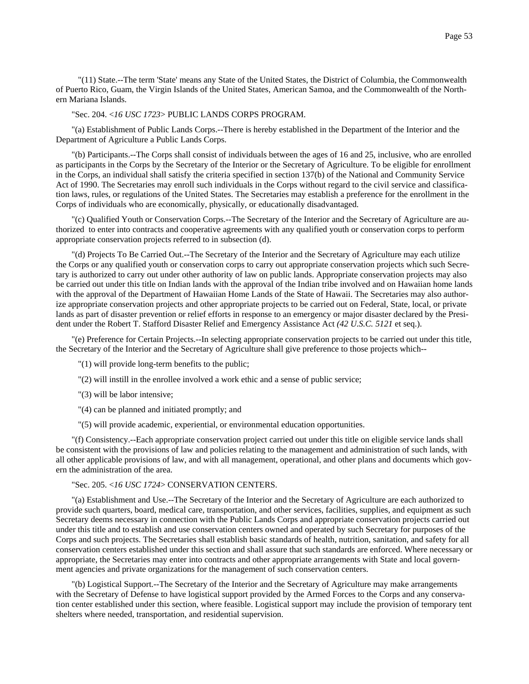"(11) State.--The term 'State' means any State of the United States, the District of Columbia, the Commonwealth of Puerto Rico, Guam, the Virgin Islands of the United States, American Samoa, and the Commonwealth of the Northern Mariana Islands.

### "Sec. 204. <*16 USC 1723*> PUBLIC LANDS CORPS PROGRAM.

"(a) Establishment of Public Lands Corps.--There is hereby established in the Department of the Interior and the Department of Agriculture a Public Lands Corps.

"(b) Participants.--The Corps shall consist of individuals between the ages of 16 and 25, inclusive, who are enrolled as participants in the Corps by the Secretary of the Interior or the Secretary of Agriculture. To be eligible for enrollment in the Corps, an individual shall satisfy the criteria specified in section 137(b) of the National and Community Service Act of 1990. The Secretaries may enroll such individuals in the Corps without regard to the civil service and classification laws, rules, or regulations of the United States. The Secretaries may establish a preference for the enrollment in the Corps of individuals who are economically, physically, or educationally disadvantaged.

"(c) Qualified Youth or Conservation Corps.--The Secretary of the Interior and the Secretary of Agriculture are authorized to enter into contracts and cooperative agreements with any qualified youth or conservation corps to perform appropriate conservation projects referred to in subsection (d).

"(d) Projects To Be Carried Out.--The Secretary of the Interior and the Secretary of Agriculture may each utilize the Corps or any qualified youth or conservation corps to carry out appropriate conservation projects which such Secretary is authorized to carry out under other authority of law on public lands. Appropriate conservation projects may also be carried out under this title on Indian lands with the approval of the Indian tribe involved and on Hawaiian home lands with the approval of the Department of Hawaiian Home Lands of the State of Hawaii. The Secretaries may also authorize appropriate conservation projects and other appropriate projects to be carried out on Federal, State, local, or private lands as part of disaster prevention or relief efforts in response to an emergency or major disaster declared by the President under the Robert T. Stafford Disaster Relief and Emergency Assistance Act *(42 U.S.C. 5121* et seq.).

"(e) Preference for Certain Projects.--In selecting appropriate conservation projects to be carried out under this title, the Secretary of the Interior and the Secretary of Agriculture shall give preference to those projects which--

- "(1) will provide long-term benefits to the public;
- "(2) will instill in the enrollee involved a work ethic and a sense of public service;
- "(3) will be labor intensive;
- "(4) can be planned and initiated promptly; and
- "(5) will provide academic, experiential, or environmental education opportunities.

"(f) Consistency.--Each appropriate conservation project carried out under this title on eligible service lands shall be consistent with the provisions of law and policies relating to the management and administration of such lands, with all other applicable provisions of law, and with all management, operational, and other plans and documents which govern the administration of the area.

### "Sec. 205. <*16 USC 1724*> CONSERVATION CENTERS.

"(a) Establishment and Use.--The Secretary of the Interior and the Secretary of Agriculture are each authorized to provide such quarters, board, medical care, transportation, and other services, facilities, supplies, and equipment as such Secretary deems necessary in connection with the Public Lands Corps and appropriate conservation projects carried out under this title and to establish and use conservation centers owned and operated by such Secretary for purposes of the Corps and such projects. The Secretaries shall establish basic standards of health, nutrition, sanitation, and safety for all conservation centers established under this section and shall assure that such standards are enforced. Where necessary or appropriate, the Secretaries may enter into contracts and other appropriate arrangements with State and local government agencies and private organizations for the management of such conservation centers.

"(b) Logistical Support.--The Secretary of the Interior and the Secretary of Agriculture may make arrangements with the Secretary of Defense to have logistical support provided by the Armed Forces to the Corps and any conservation center established under this section, where feasible. Logistical support may include the provision of temporary tent shelters where needed, transportation, and residential supervision.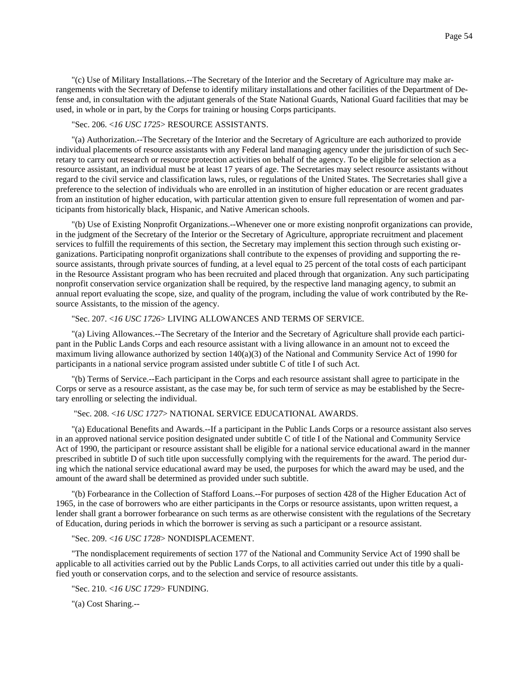"(c) Use of Military Installations.--The Secretary of the Interior and the Secretary of Agriculture may make arrangements with the Secretary of Defense to identify military installations and other facilities of the Department of Defense and, in consultation with the adjutant generals of the State National Guards, National Guard facilities that may be used, in whole or in part, by the Corps for training or housing Corps participants.

### "Sec. 206. <*16 USC 1725*> RESOURCE ASSISTANTS.

"(a) Authorization.--The Secretary of the Interior and the Secretary of Agriculture are each authorized to provide individual placements of resource assistants with any Federal land managing agency under the jurisdiction of such Secretary to carry out research or resource protection activities on behalf of the agency. To be eligible for selection as a resource assistant, an individual must be at least 17 years of age. The Secretaries may select resource assistants without regard to the civil service and classification laws, rules, or regulations of the United States. The Secretaries shall give a preference to the selection of individuals who are enrolled in an institution of higher education or are recent graduates from an institution of higher education, with particular attention given to ensure full representation of women and participants from historically black, Hispanic, and Native American schools.

"(b) Use of Existing Nonprofit Organizations.--Whenever one or more existing nonprofit organizations can provide, in the judgment of the Secretary of the Interior or the Secretary of Agriculture, appropriate recruitment and placement services to fulfill the requirements of this section, the Secretary may implement this section through such existing organizations. Participating nonprofit organizations shall contribute to the expenses of providing and supporting the resource assistants, through private sources of funding, at a level equal to 25 percent of the total costs of each participant in the Resource Assistant program who has been recruited and placed through that organization. Any such participating nonprofit conservation service organization shall be required, by the respective land managing agency, to submit an annual report evaluating the scope, size, and quality of the program, including the value of work contributed by the Resource Assistants, to the mission of the agency.

#### "Sec. 207. <*16 USC 1726*> LIVING ALLOWANCES AND TERMS OF SERVICE.

"(a) Living Allowances.--The Secretary of the Interior and the Secretary of Agriculture shall provide each participant in the Public Lands Corps and each resource assistant with a living allowance in an amount not to exceed the maximum living allowance authorized by section 140(a)(3) of the National and Community Service Act of 1990 for participants in a national service program assisted under subtitle C of title I of such Act.

"(b) Terms of Service.--Each participant in the Corps and each resource assistant shall agree to participate in the Corps or serve as a resource assistant, as the case may be, for such term of service as may be established by the Secretary enrolling or selecting the individual.

### "Sec. 208. <*16 USC 1727*> NATIONAL SERVICE EDUCATIONAL AWARDS.

"(a) Educational Benefits and Awards.--If a participant in the Public Lands Corps or a resource assistant also serves in an approved national service position designated under subtitle C of title I of the National and Community Service Act of 1990, the participant or resource assistant shall be eligible for a national service educational award in the manner prescribed in subtitle D of such title upon successfully complying with the requirements for the award. The period during which the national service educational award may be used, the purposes for which the award may be used, and the amount of the award shall be determined as provided under such subtitle.

"(b) Forbearance in the Collection of Stafford Loans.--For purposes of section 428 of the Higher Education Act of 1965, in the case of borrowers who are either participants in the Corps or resource assistants, upon written request, a lender shall grant a borrower forbearance on such terms as are otherwise consistent with the regulations of the Secretary of Education, during periods in which the borrower is serving as such a participant or a resource assistant.

#### "Sec. 209. <*16 USC 1728*> NONDISPLACEMENT.

"The nondisplacement requirements of section 177 of the National and Community Service Act of 1990 shall be applicable to all activities carried out by the Public Lands Corps, to all activities carried out under this title by a qualified youth or conservation corps, and to the selection and service of resource assistants.

"Sec. 210. <*16 USC 1729*> FUNDING.

"(a) Cost Sharing.--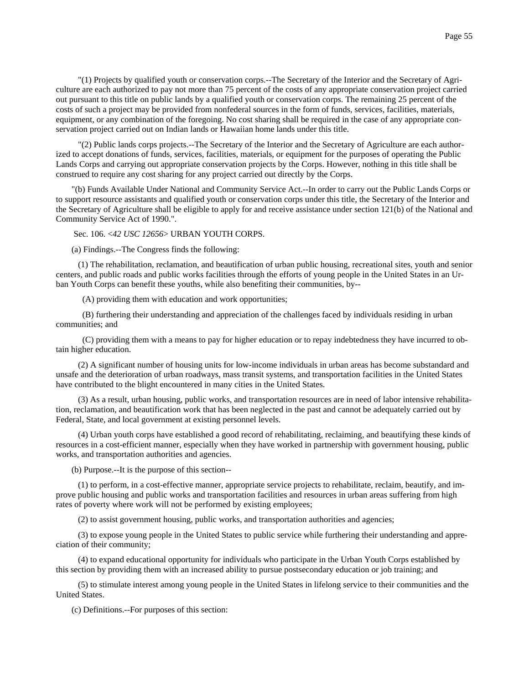"(1) Projects by qualified youth or conservation corps.--The Secretary of the Interior and the Secretary of Agriculture are each authorized to pay not more than 75 percent of the costs of any appropriate conservation project carried out pursuant to this title on public lands by a qualified youth or conservation corps. The remaining 25 percent of the costs of such a project may be provided from nonfederal sources in the form of funds, services, facilities, materials, equipment, or any combination of the foregoing. No cost sharing shall be required in the case of any appropriate conservation project carried out on Indian lands or Hawaiian home lands under this title.

 "(2) Public lands corps projects.--The Secretary of the Interior and the Secretary of Agriculture are each authorized to accept donations of funds, services, facilities, materials, or equipment for the purposes of operating the Public Lands Corps and carrying out appropriate conservation projects by the Corps. However, nothing in this title shall be construed to require any cost sharing for any project carried out directly by the Corps.

"(b) Funds Available Under National and Community Service Act.--In order to carry out the Public Lands Corps or to support resource assistants and qualified youth or conservation corps under this title, the Secretary of the Interior and the Secretary of Agriculture shall be eligible to apply for and receive assistance under section 121(b) of the National and Community Service Act of 1990.".

Sec. 106. <*42 USC 12656*> URBAN YOUTH CORPS.

(a) Findings.--The Congress finds the following:

 (1) The rehabilitation, reclamation, and beautification of urban public housing, recreational sites, youth and senior centers, and public roads and public works facilities through the efforts of young people in the United States in an Urban Youth Corps can benefit these youths, while also benefiting their communities, by--

(A) providing them with education and work opportunities;

 (B) furthering their understanding and appreciation of the challenges faced by individuals residing in urban communities; and

 (C) providing them with a means to pay for higher education or to repay indebtedness they have incurred to obtain higher education.

 (2) A significant number of housing units for low-income individuals in urban areas has become substandard and unsafe and the deterioration of urban roadways, mass transit systems, and transportation facilities in the United States have contributed to the blight encountered in many cities in the United States.

 (3) As a result, urban housing, public works, and transportation resources are in need of labor intensive rehabilitation, reclamation, and beautification work that has been neglected in the past and cannot be adequately carried out by Federal, State, and local government at existing personnel levels.

 (4) Urban youth corps have established a good record of rehabilitating, reclaiming, and beautifying these kinds of resources in a cost-efficient manner, especially when they have worked in partnership with government housing, public works, and transportation authorities and agencies.

(b) Purpose.--It is the purpose of this section--

 (1) to perform, in a cost-effective manner, appropriate service projects to rehabilitate, reclaim, beautify, and improve public housing and public works and transportation facilities and resources in urban areas suffering from high rates of poverty where work will not be performed by existing employees;

(2) to assist government housing, public works, and transportation authorities and agencies;

 (3) to expose young people in the United States to public service while furthering their understanding and appreciation of their community;

 (4) to expand educational opportunity for individuals who participate in the Urban Youth Corps established by this section by providing them with an increased ability to pursue postsecondary education or job training; and

 (5) to stimulate interest among young people in the United States in lifelong service to their communities and the United States.

(c) Definitions.--For purposes of this section: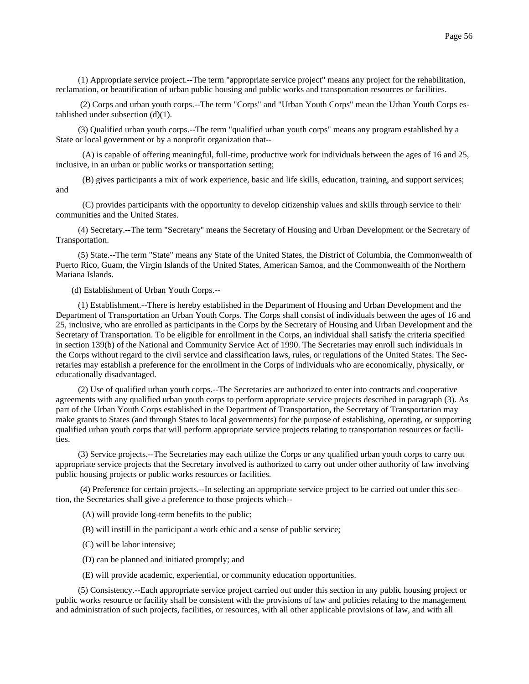(1) Appropriate service project.--The term "appropriate service project" means any project for the rehabilitation, reclamation, or beautification of urban public housing and public works and transportation resources or facilities.

 (2) Corps and urban youth corps.--The term "Corps" and "Urban Youth Corps" mean the Urban Youth Corps established under subsection (d)(1).

 (3) Qualified urban youth corps.--The term "qualified urban youth corps" means any program established by a State or local government or by a nonprofit organization that--

 (A) is capable of offering meaningful, full-time, productive work for individuals between the ages of 16 and 25, inclusive, in an urban or public works or transportation setting;

 (B) gives participants a mix of work experience, basic and life skills, education, training, and support services; and

 (C) provides participants with the opportunity to develop citizenship values and skills through service to their communities and the United States.

 (4) Secretary.--The term "Secretary" means the Secretary of Housing and Urban Development or the Secretary of Transportation.

 (5) State.--The term "State" means any State of the United States, the District of Columbia, the Commonwealth of Puerto Rico, Guam, the Virgin Islands of the United States, American Samoa, and the Commonwealth of the Northern Mariana Islands.

(d) Establishment of Urban Youth Corps.--

 (1) Establishment.--There is hereby established in the Department of Housing and Urban Development and the Department of Transportation an Urban Youth Corps. The Corps shall consist of individuals between the ages of 16 and 25, inclusive, who are enrolled as participants in the Corps by the Secretary of Housing and Urban Development and the Secretary of Transportation. To be eligible for enrollment in the Corps, an individual shall satisfy the criteria specified in section 139(b) of the National and Community Service Act of 1990. The Secretaries may enroll such individuals in the Corps without regard to the civil service and classification laws, rules, or regulations of the United States. The Secretaries may establish a preference for the enrollment in the Corps of individuals who are economically, physically, or educationally disadvantaged.

 (2) Use of qualified urban youth corps.--The Secretaries are authorized to enter into contracts and cooperative agreements with any qualified urban youth corps to perform appropriate service projects described in paragraph (3). As part of the Urban Youth Corps established in the Department of Transportation, the Secretary of Transportation may make grants to States (and through States to local governments) for the purpose of establishing, operating, or supporting qualified urban youth corps that will perform appropriate service projects relating to transportation resources or facilities.

 (3) Service projects.--The Secretaries may each utilize the Corps or any qualified urban youth corps to carry out appropriate service projects that the Secretary involved is authorized to carry out under other authority of law involving public housing projects or public works resources or facilities.

 (4) Preference for certain projects.--In selecting an appropriate service project to be carried out under this section, the Secretaries shall give a preference to those projects which--

(A) will provide long-term benefits to the public;

(B) will instill in the participant a work ethic and a sense of public service;

- (C) will be labor intensive;
- (D) can be planned and initiated promptly; and
- (E) will provide academic, experiential, or community education opportunities.

 (5) Consistency.--Each appropriate service project carried out under this section in any public housing project or public works resource or facility shall be consistent with the provisions of law and policies relating to the management and administration of such projects, facilities, or resources, with all other applicable provisions of law, and with all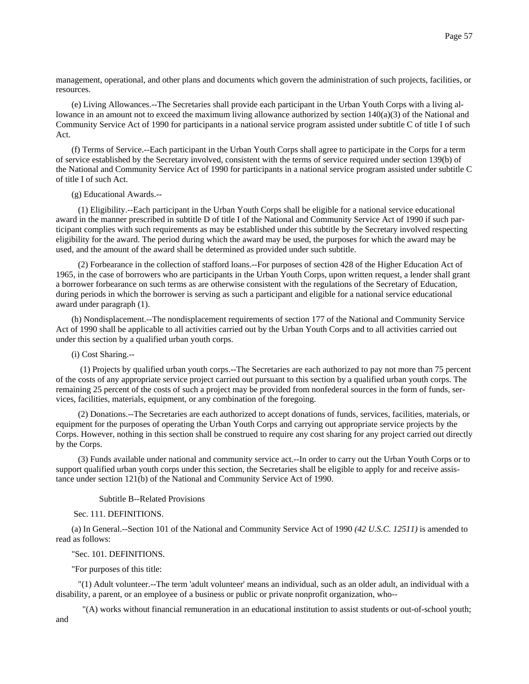management, operational, and other plans and documents which govern the administration of such projects, facilities, or resources.

(e) Living Allowances.--The Secretaries shall provide each participant in the Urban Youth Corps with a living allowance in an amount not to exceed the maximum living allowance authorized by section 140(a)(3) of the National and Community Service Act of 1990 for participants in a national service program assisted under subtitle C of title I of such Act.

(f) Terms of Service.--Each participant in the Urban Youth Corps shall agree to participate in the Corps for a term of service established by the Secretary involved, consistent with the terms of service required under section 139(b) of the National and Community Service Act of 1990 for participants in a national service program assisted under subtitle C of title I of such Act.

(g) Educational Awards.--

 (1) Eligibility.--Each participant in the Urban Youth Corps shall be eligible for a national service educational award in the manner prescribed in subtitle D of title I of the National and Community Service Act of 1990 if such participant complies with such requirements as may be established under this subtitle by the Secretary involved respecting eligibility for the award. The period during which the award may be used, the purposes for which the award may be used, and the amount of the award shall be determined as provided under such subtitle.

 (2) Forbearance in the collection of stafford loans.--For purposes of section 428 of the Higher Education Act of 1965, in the case of borrowers who are participants in the Urban Youth Corps, upon written request, a lender shall grant a borrower forbearance on such terms as are otherwise consistent with the regulations of the Secretary of Education, during periods in which the borrower is serving as such a participant and eligible for a national service educational award under paragraph (1).

(h) Nondisplacement.--The nondisplacement requirements of section 177 of the National and Community Service Act of 1990 shall be applicable to all activities carried out by the Urban Youth Corps and to all activities carried out under this section by a qualified urban youth corps.

(i) Cost Sharing.--

 (1) Projects by qualified urban youth corps.--The Secretaries are each authorized to pay not more than 75 percent of the costs of any appropriate service project carried out pursuant to this section by a qualified urban youth corps. The remaining 25 percent of the costs of such a project may be provided from nonfederal sources in the form of funds, services, facilities, materials, equipment, or any combination of the foregoing.

 (2) Donations.--The Secretaries are each authorized to accept donations of funds, services, facilities, materials, or equipment for the purposes of operating the Urban Youth Corps and carrying out appropriate service projects by the Corps. However, nothing in this section shall be construed to require any cost sharing for any project carried out directly by the Corps.

 (3) Funds available under national and community service act.--In order to carry out the Urban Youth Corps or to support qualified urban youth corps under this section, the Secretaries shall be eligible to apply for and receive assistance under section 121(b) of the National and Community Service Act of 1990.

### Subtitle B--Related Provisions

Sec. 111. DEFINITIONS.

(a) In General.--Section 101 of the National and Community Service Act of 1990 *(42 U.S.C. 12511)* is amended to read as follows:

#### "Sec. 101. DEFINITIONS.

"For purposes of this title:

 "(1) Adult volunteer.--The term 'adult volunteer' means an individual, such as an older adult, an individual with a disability, a parent, or an employee of a business or public or private nonprofit organization, who--

"(A) works without financial remuneration in an educational institution to assist students or out-of-school youth;

and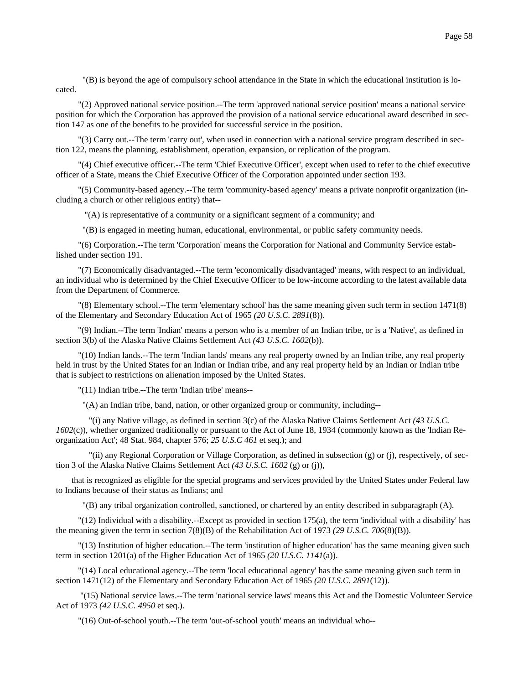"(B) is beyond the age of compulsory school attendance in the State in which the educational institution is located.

 "(2) Approved national service position.--The term 'approved national service position' means a national service position for which the Corporation has approved the provision of a national service educational award described in section 147 as one of the benefits to be provided for successful service in the position.

 "(3) Carry out.--The term 'carry out', when used in connection with a national service program described in section 122, means the planning, establishment, operation, expansion, or replication of the program.

 "(4) Chief executive officer.--The term 'Chief Executive Officer', except when used to refer to the chief executive officer of a State, means the Chief Executive Officer of the Corporation appointed under section 193.

 "(5) Community-based agency.--The term 'community-based agency' means a private nonprofit organization (including a church or other religious entity) that--

"(A) is representative of a community or a significant segment of a community; and

"(B) is engaged in meeting human, educational, environmental, or public safety community needs.

 "(6) Corporation.--The term 'Corporation' means the Corporation for National and Community Service established under section 191.

 "(7) Economically disadvantaged.--The term 'economically disadvantaged' means, with respect to an individual, an individual who is determined by the Chief Executive Officer to be low-income according to the latest available data from the Department of Commerce.

 "(8) Elementary school.--The term 'elementary school' has the same meaning given such term in section 1471(8) of the Elementary and Secondary Education Act of 1965 *(20 U.S.C. 2891*(8)).

 "(9) Indian.--The term 'Indian' means a person who is a member of an Indian tribe, or is a 'Native', as defined in section 3(b) of the Alaska Native Claims Settlement Act *(43 U.S.C. 1602*(b)).

 "(10) Indian lands.--The term 'Indian lands' means any real property owned by an Indian tribe, any real property held in trust by the United States for an Indian or Indian tribe, and any real property held by an Indian or Indian tribe that is subject to restrictions on alienation imposed by the United States.

"(11) Indian tribe.--The term 'Indian tribe' means--

"(A) an Indian tribe, band, nation, or other organized group or community, including--

 "(i) any Native village, as defined in section 3(c) of the Alaska Native Claims Settlement Act *(43 U.S.C. 1602*(c)), whether organized traditionally or pursuant to the Act of June 18, 1934 (commonly known as the 'Indian Reorganization Act'; 48 Stat. 984, chapter 576; *25 U.S.C 461* et seq.); and

 "(ii) any Regional Corporation or Village Corporation, as defined in subsection (g) or (j), respectively, of section 3 of the Alaska Native Claims Settlement Act *(43 U.S.C. 1602* (g) or (j)),

that is recognized as eligible for the special programs and services provided by the United States under Federal law to Indians because of their status as Indians; and

"(B) any tribal organization controlled, sanctioned, or chartered by an entity described in subparagraph (A).

 "(12) Individual with a disability.--Except as provided in section 175(a), the term 'individual with a disability' has the meaning given the term in section 7(8)(B) of the Rehabilitation Act of 1973 *(29 U.S.C. 706*(8)(B)).

 "(13) Institution of higher education.--The term 'institution of higher education' has the same meaning given such term in section 1201(a) of the Higher Education Act of 1965 *(20 U.S.C. 1141*(a)).

 "(14) Local educational agency.--The term 'local educational agency' has the same meaning given such term in section 1471(12) of the Elementary and Secondary Education Act of 1965 *(20 U.S.C. 2891*(12)).

 "(15) National service laws.--The term 'national service laws' means this Act and the Domestic Volunteer Service Act of 1973 *(42 U.S.C. 4950* et seq.).

"(16) Out-of-school youth.--The term 'out-of-school youth' means an individual who--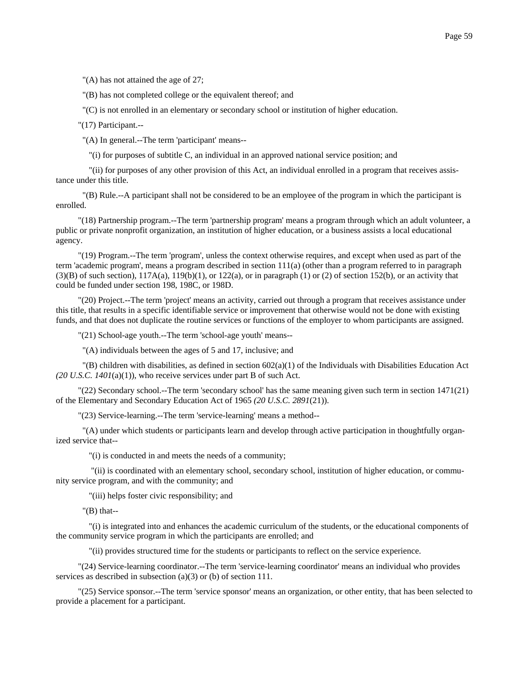"(A) has not attained the age of 27;

"(B) has not completed college or the equivalent thereof; and

"(C) is not enrolled in an elementary or secondary school or institution of higher education.

"(17) Participant.--

"(A) In general.--The term 'participant' means--

"(i) for purposes of subtitle C, an individual in an approved national service position; and

 "(ii) for purposes of any other provision of this Act, an individual enrolled in a program that receives assistance under this title.

 "(B) Rule.--A participant shall not be considered to be an employee of the program in which the participant is enrolled.

 "(18) Partnership program.--The term 'partnership program' means a program through which an adult volunteer, a public or private nonprofit organization, an institution of higher education, or a business assists a local educational agency.

 "(19) Program.--The term 'program', unless the context otherwise requires, and except when used as part of the term 'academic program', means a program described in section 111(a) (other than a program referred to in paragraph  $(3)(B)$  of such section),  $117A(a)$ ,  $119(b)(1)$ , or  $122(a)$ , or in paragraph (1) or (2) of section 152(b), or an activity that could be funded under section 198, 198C, or 198D.

 "(20) Project.--The term 'project' means an activity, carried out through a program that receives assistance under this title, that results in a specific identifiable service or improvement that otherwise would not be done with existing funds, and that does not duplicate the routine services or functions of the employer to whom participants are assigned.

"(21) School-age youth.--The term 'school-age youth' means--

"(A) individuals between the ages of 5 and 17, inclusive; and

 $'(B)$  children with disabilities, as defined in section 602(a)(1) of the Individuals with Disabilities Education Act *(20 U.S.C. 1401*(a)(1)), who receive services under part B of such Act.

 "(22) Secondary school.--The term 'secondary school' has the same meaning given such term in section 1471(21) of the Elementary and Secondary Education Act of 1965 *(20 U.S.C. 2891*(21)).

"(23) Service-learning.--The term 'service-learning' means a method--

 "(A) under which students or participants learn and develop through active participation in thoughtfully organized service that--

"(i) is conducted in and meets the needs of a community;

 "(ii) is coordinated with an elementary school, secondary school, institution of higher education, or community service program, and with the community; and

"(iii) helps foster civic responsibility; and

 $''(B)$  that--

 "(i) is integrated into and enhances the academic curriculum of the students, or the educational components of the community service program in which the participants are enrolled; and

"(ii) provides structured time for the students or participants to reflect on the service experience.

 "(24) Service-learning coordinator.--The term 'service-learning coordinator' means an individual who provides services as described in subsection (a)(3) or (b) of section 111.

 "(25) Service sponsor.--The term 'service sponsor' means an organization, or other entity, that has been selected to provide a placement for a participant.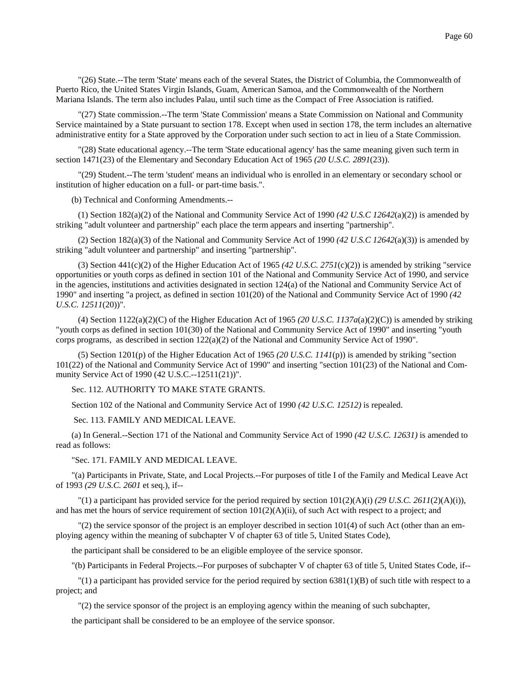"(26) State.--The term 'State' means each of the several States, the District of Columbia, the Commonwealth of Puerto Rico, the United States Virgin Islands, Guam, American Samoa, and the Commonwealth of the Northern Mariana Islands. The term also includes Palau, until such time as the Compact of Free Association is ratified.

 "(27) State commission.--The term 'State Commission' means a State Commission on National and Community Service maintained by a State pursuant to section 178. Except when used in section 178, the term includes an alternative administrative entity for a State approved by the Corporation under such section to act in lieu of a State Commission.

 "(28) State educational agency.--The term 'State educational agency' has the same meaning given such term in section 1471(23) of the Elementary and Secondary Education Act of 1965 *(20 U.S.C. 2891*(23)).

 "(29) Student.--The term 'student' means an individual who is enrolled in an elementary or secondary school or institution of higher education on a full- or part-time basis.".

(b) Technical and Conforming Amendments.--

 (1) Section 182(a)(2) of the National and Community Service Act of 1990 *(42 U.S.C 12642*(a)(2)) is amended by striking "adult volunteer and partnership" each place the term appears and inserting "partnership".

 (2) Section 182(a)(3) of the National and Community Service Act of 1990 *(42 U.S.C 12642*(a)(3)) is amended by striking "adult volunteer and partnership" and inserting "partnership".

 (3) Section 441(c)(2) of the Higher Education Act of 1965 *(42 U.S.C. 2751*(c)(2)) is amended by striking "service opportunities or youth corps as defined in section 101 of the National and Community Service Act of 1990, and service in the agencies, institutions and activities designated in section 124(a) of the National and Community Service Act of 1990" and inserting "a project, as defined in section 101(20) of the National and Community Service Act of 1990 *(42 U.S.C. 12511*(20))".

 (4) Section 1122(a)(2)(C) of the Higher Education Act of 1965 *(20 U.S.C. 1137a*(a)(2)(C)) is amended by striking "youth corps as defined in section 101(30) of the National and Community Service Act of 1990" and inserting "youth corps programs, as described in section 122(a)(2) of the National and Community Service Act of 1990".

 (5) Section 1201(p) of the Higher Education Act of 1965 *(20 U.S.C. 1141*(p)) is amended by striking "section 101(22) of the National and Community Service Act of 1990" and inserting "section 101(23) of the National and Community Service Act of 1990 (42 U.S.C.--12511(21))".

Sec. 112. AUTHORITY TO MAKE STATE GRANTS.

Section 102 of the National and Community Service Act of 1990 *(42 U.S.C. 12512)* is repealed.

Sec. 113. FAMILY AND MEDICAL LEAVE.

(a) In General.--Section 171 of the National and Community Service Act of 1990 *(42 U.S.C. 12631)* is amended to read as follows:

"Sec. 171. FAMILY AND MEDICAL LEAVE.

"(a) Participants in Private, State, and Local Projects.--For purposes of title I of the Family and Medical Leave Act of 1993 *(29 U.S.C. 2601* et seq.), if--

 $T(1)$  a participant has provided service for the period required by section  $101(2)(A)(i)$  *(29 U.S.C. 2611(2)(A)(i))*, and has met the hours of service requirement of section  $101(2)(A)(ii)$ , of such Act with respect to a project; and

 $\degree$  (2) the service sponsor of the project is an employer described in section 101(4) of such Act (other than an employing agency within the meaning of subchapter V of chapter 63 of title 5, United States Code),

the participant shall be considered to be an eligible employee of the service sponsor.

"(b) Participants in Federal Projects.--For purposes of subchapter V of chapter 63 of title 5, United States Code, if--

 $''(1)$  a participant has provided service for the period required by section 6381(1)(B) of such title with respect to a project; and

"(2) the service sponsor of the project is an employing agency within the meaning of such subchapter,

the participant shall be considered to be an employee of the service sponsor.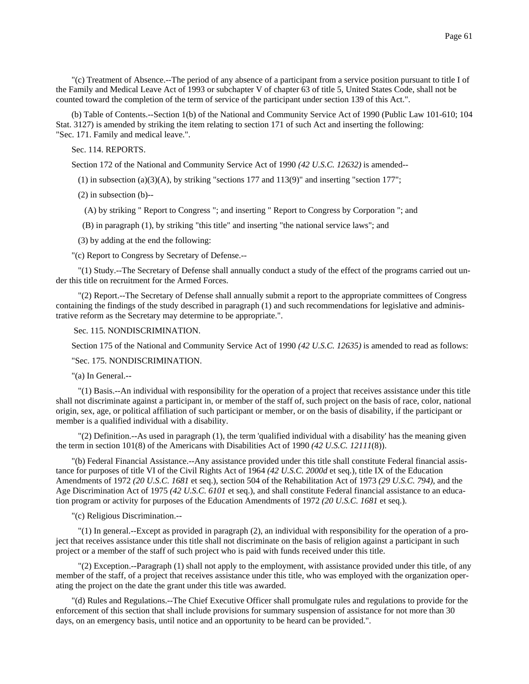"(c) Treatment of Absence.--The period of any absence of a participant from a service position pursuant to title I of the Family and Medical Leave Act of 1993 or subchapter V of chapter 63 of title 5, United States Code, shall not be counted toward the completion of the term of service of the participant under section 139 of this Act.".

(b) Table of Contents.--Section 1(b) of the National and Community Service Act of 1990 (Public Law 101-610; 104 Stat. 3127) is amended by striking the item relating to section 171 of such Act and inserting the following: "Sec. 171. Family and medical leave.".

Sec. 114. REPORTS.

Section 172 of the National and Community Service Act of 1990 *(42 U.S.C. 12632)* is amended--

 $(1)$  in subsection  $(a)(3)(A)$ , by striking "sections 177 and 113(9)" and inserting "section 177";

(2) in subsection (b)--

(A) by striking " Report to Congress "; and inserting " Report to Congress by Corporation "; and

(B) in paragraph (1), by striking "this title" and inserting "the national service laws"; and

(3) by adding at the end the following:

"(c) Report to Congress by Secretary of Defense.--

 "(1) Study.--The Secretary of Defense shall annually conduct a study of the effect of the programs carried out under this title on recruitment for the Armed Forces.

 "(2) Report.--The Secretary of Defense shall annually submit a report to the appropriate committees of Congress containing the findings of the study described in paragraph (1) and such recommendations for legislative and administrative reform as the Secretary may determine to be appropriate.".

Sec. 115. NONDISCRIMINATION.

Section 175 of the National and Community Service Act of 1990 *(42 U.S.C. 12635)* is amended to read as follows:

"Sec. 175. NONDISCRIMINATION.

"(a) In General.--

 "(1) Basis.--An individual with responsibility for the operation of a project that receives assistance under this title shall not discriminate against a participant in, or member of the staff of, such project on the basis of race, color, national origin, sex, age, or political affiliation of such participant or member, or on the basis of disability, if the participant or member is a qualified individual with a disability.

 "(2) Definition.--As used in paragraph (1), the term 'qualified individual with a disability' has the meaning given the term in section 101(8) of the Americans with Disabilities Act of 1990 *(42 U.S.C. 12111*(8)).

"(b) Federal Financial Assistance.--Any assistance provided under this title shall constitute Federal financial assistance for purposes of title VI of the Civil Rights Act of 1964 *(42 U.S.C. 2000d* et seq.), title IX of the Education Amendments of 1972 *(20 U.S.C. 1681* et seq.), section 504 of the Rehabilitation Act of 1973 *(29 U.S.C. 794),* and the Age Discrimination Act of 1975 *(42 U.S.C. 6101* et seq.), and shall constitute Federal financial assistance to an education program or activity for purposes of the Education Amendments of 1972 *(20 U.S.C. 1681* et seq.).

"(c) Religious Discrimination.--

 "(1) In general.--Except as provided in paragraph (2), an individual with responsibility for the operation of a project that receives assistance under this title shall not discriminate on the basis of religion against a participant in such project or a member of the staff of such project who is paid with funds received under this title.

 "(2) Exception.--Paragraph (1) shall not apply to the employment, with assistance provided under this title, of any member of the staff, of a project that receives assistance under this title, who was employed with the organization operating the project on the date the grant under this title was awarded.

"(d) Rules and Regulations.--The Chief Executive Officer shall promulgate rules and regulations to provide for the enforcement of this section that shall include provisions for summary suspension of assistance for not more than 30 days, on an emergency basis, until notice and an opportunity to be heard can be provided.".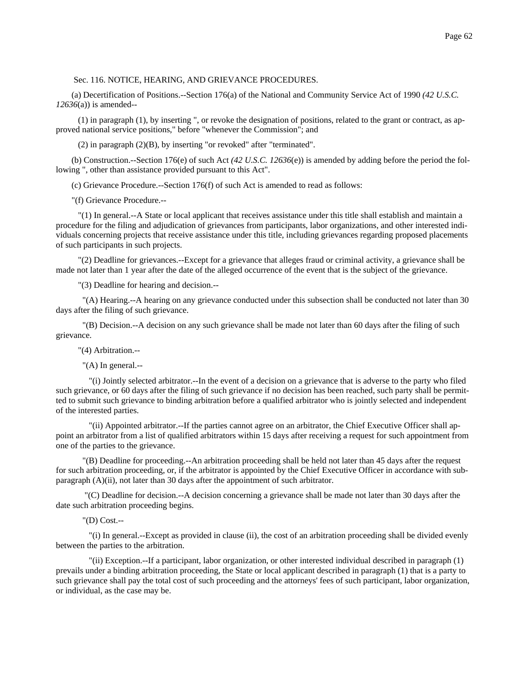#### Sec. 116. NOTICE, HEARING, AND GRIEVANCE PROCEDURES.

(a) Decertification of Positions.--Section 176(a) of the National and Community Service Act of 1990 *(42 U.S.C. 12636*(a)) is amended--

 (1) in paragraph (1), by inserting ", or revoke the designation of positions, related to the grant or contract, as approved national service positions," before "whenever the Commission"; and

(2) in paragraph (2)(B), by inserting "or revoked" after "terminated".

(b) Construction.--Section 176(e) of such Act *(42 U.S.C. 12636*(e)) is amended by adding before the period the following ", other than assistance provided pursuant to this Act".

(c) Grievance Procedure.--Section 176(f) of such Act is amended to read as follows:

"(f) Grievance Procedure.--

 "(1) In general.--A State or local applicant that receives assistance under this title shall establish and maintain a procedure for the filing and adjudication of grievances from participants, labor organizations, and other interested individuals concerning projects that receive assistance under this title, including grievances regarding proposed placements of such participants in such projects.

 "(2) Deadline for grievances.--Except for a grievance that alleges fraud or criminal activity, a grievance shall be made not later than 1 year after the date of the alleged occurrence of the event that is the subject of the grievance.

"(3) Deadline for hearing and decision.--

 "(A) Hearing.--A hearing on any grievance conducted under this subsection shall be conducted not later than 30 days after the filing of such grievance.

 "(B) Decision.--A decision on any such grievance shall be made not later than 60 days after the filing of such grievance.

"(4) Arbitration.--

"(A) In general.--

 "(i) Jointly selected arbitrator.--In the event of a decision on a grievance that is adverse to the party who filed such grievance, or 60 days after the filing of such grievance if no decision has been reached, such party shall be permitted to submit such grievance to binding arbitration before a qualified arbitrator who is jointly selected and independent of the interested parties.

 "(ii) Appointed arbitrator.--If the parties cannot agree on an arbitrator, the Chief Executive Officer shall appoint an arbitrator from a list of qualified arbitrators within 15 days after receiving a request for such appointment from one of the parties to the grievance.

 "(B) Deadline for proceeding.--An arbitration proceeding shall be held not later than 45 days after the request for such arbitration proceeding, or, if the arbitrator is appointed by the Chief Executive Officer in accordance with subparagraph (A)(ii), not later than 30 days after the appointment of such arbitrator.

 "(C) Deadline for decision.--A decision concerning a grievance shall be made not later than 30 days after the date such arbitration proceeding begins.

"(D) Cost.--

 "(i) In general.--Except as provided in clause (ii), the cost of an arbitration proceeding shall be divided evenly between the parties to the arbitration.

 "(ii) Exception.--If a participant, labor organization, or other interested individual described in paragraph (1) prevails under a binding arbitration proceeding, the State or local applicant described in paragraph (1) that is a party to such grievance shall pay the total cost of such proceeding and the attorneys' fees of such participant, labor organization, or individual, as the case may be.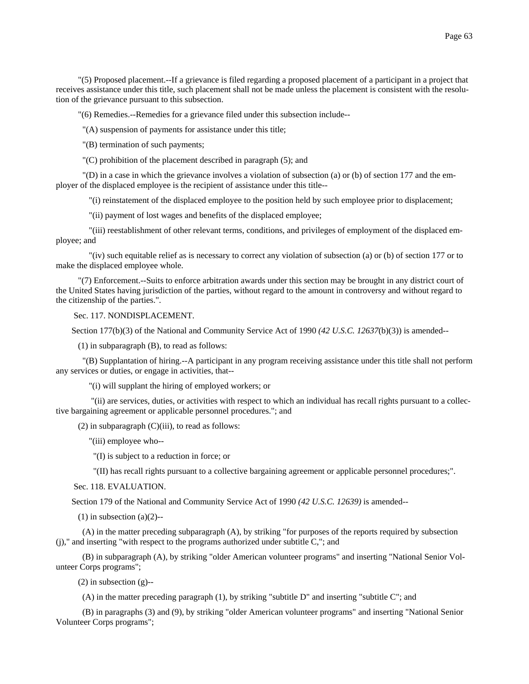"(5) Proposed placement.--If a grievance is filed regarding a proposed placement of a participant in a project that receives assistance under this title, such placement shall not be made unless the placement is consistent with the resolution of the grievance pursuant to this subsection.

"(6) Remedies.--Remedies for a grievance filed under this subsection include--

"(A) suspension of payments for assistance under this title;

"(B) termination of such payments;

"(C) prohibition of the placement described in paragraph (5); and

 "(D) in a case in which the grievance involves a violation of subsection (a) or (b) of section 177 and the employer of the displaced employee is the recipient of assistance under this title--

"(i) reinstatement of the displaced employee to the position held by such employee prior to displacement;

"(ii) payment of lost wages and benefits of the displaced employee;

 "(iii) reestablishment of other relevant terms, conditions, and privileges of employment of the displaced employee; and

 "(iv) such equitable relief as is necessary to correct any violation of subsection (a) or (b) of section 177 or to make the displaced employee whole.

 "(7) Enforcement.--Suits to enforce arbitration awards under this section may be brought in any district court of the United States having jurisdiction of the parties, without regard to the amount in controversy and without regard to the citizenship of the parties.".

Sec. 117. NONDISPLACEMENT.

Section 177(b)(3) of the National and Community Service Act of 1990 *(42 U.S.C. 12637*(b)(3)) is amended--

(1) in subparagraph (B), to read as follows:

 "(B) Supplantation of hiring.--A participant in any program receiving assistance under this title shall not perform any services or duties, or engage in activities, that--

"(i) will supplant the hiring of employed workers; or

 "(ii) are services, duties, or activities with respect to which an individual has recall rights pursuant to a collective bargaining agreement or applicable personnel procedures."; and

 $(2)$  in subparagraph  $(C)(iii)$ , to read as follows:

"(iii) employee who--

"(I) is subject to a reduction in force; or

"(II) has recall rights pursuant to a collective bargaining agreement or applicable personnel procedures;".

Sec. 118. EVALUATION.

Section 179 of the National and Community Service Act of 1990 *(42 U.S.C. 12639)* is amended--

 $(1)$  in subsection  $(a)(2)$ --

 (A) in the matter preceding subparagraph (A), by striking "for purposes of the reports required by subsection (j)," and inserting "with respect to the programs authorized under subtitle C,"; and

 (B) in subparagraph (A), by striking "older American volunteer programs" and inserting "National Senior Volunteer Corps programs";

 $(2)$  in subsection  $(g)$ --

(A) in the matter preceding paragraph (1), by striking "subtitle D" and inserting "subtitle C"; and

 (B) in paragraphs (3) and (9), by striking "older American volunteer programs" and inserting "National Senior Volunteer Corps programs";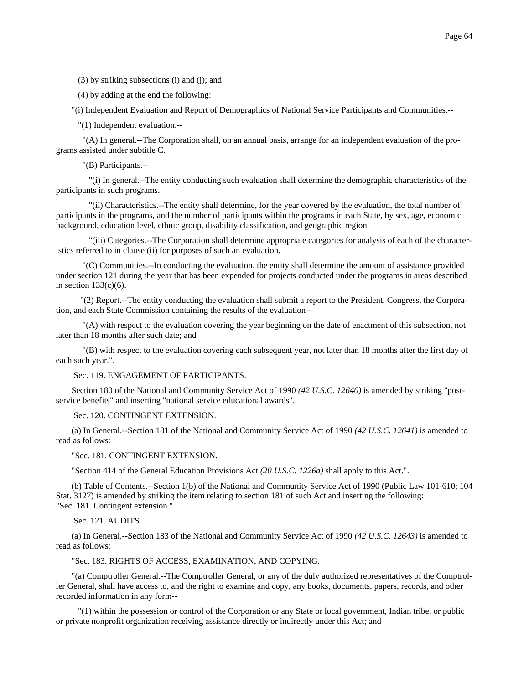Page 64

(3) by striking subsections (i) and (j); and

(4) by adding at the end the following:

"(i) Independent Evaluation and Report of Demographics of National Service Participants and Communities.--

"(1) Independent evaluation.--

 "(A) In general.--The Corporation shall, on an annual basis, arrange for an independent evaluation of the programs assisted under subtitle C.

"(B) Participants.--

 "(i) In general.--The entity conducting such evaluation shall determine the demographic characteristics of the participants in such programs.

 "(ii) Characteristics.--The entity shall determine, for the year covered by the evaluation, the total number of participants in the programs, and the number of participants within the programs in each State, by sex, age, economic background, education level, ethnic group, disability classification, and geographic region.

 "(iii) Categories.--The Corporation shall determine appropriate categories for analysis of each of the characteristics referred to in clause (ii) for purposes of such an evaluation.

 "(C) Communities.--In conducting the evaluation, the entity shall determine the amount of assistance provided under section 121 during the year that has been expended for projects conducted under the programs in areas described in section  $133(c)(6)$ .

 "(2) Report.--The entity conducting the evaluation shall submit a report to the President, Congress, the Corporation, and each State Commission containing the results of the evaluation--

 "(A) with respect to the evaluation covering the year beginning on the date of enactment of this subsection, not later than 18 months after such date; and

 "(B) with respect to the evaluation covering each subsequent year, not later than 18 months after the first day of each such year.".

Sec. 119. ENGAGEMENT OF PARTICIPANTS.

Section 180 of the National and Community Service Act of 1990 *(42 U.S.C. 12640)* is amended by striking "postservice benefits" and inserting "national service educational awards".

Sec. 120. CONTINGENT EXTENSION.

(a) In General.--Section 181 of the National and Community Service Act of 1990 *(42 U.S.C. 12641)* is amended to read as follows:

"Sec. 181. CONTINGENT EXTENSION.

"Section 414 of the General Education Provisions Act *(20 U.S.C. 1226a)* shall apply to this Act.".

(b) Table of Contents.--Section 1(b) of the National and Community Service Act of 1990 (Public Law 101-610; 104 Stat. 3127) is amended by striking the item relating to section 181 of such Act and inserting the following: "Sec. 181. Contingent extension.".

Sec. 121. AUDITS.

(a) In General.--Section 183 of the National and Community Service Act of 1990 *(42 U.S.C. 12643)* is amended to read as follows:

"Sec. 183. RIGHTS OF ACCESS, EXAMINATION, AND COPYING.

"(a) Comptroller General.--The Comptroller General, or any of the duly authorized representatives of the Comptroller General, shall have access to, and the right to examine and copy, any books, documents, papers, records, and other recorded information in any form--

 "(1) within the possession or control of the Corporation or any State or local government, Indian tribe, or public or private nonprofit organization receiving assistance directly or indirectly under this Act; and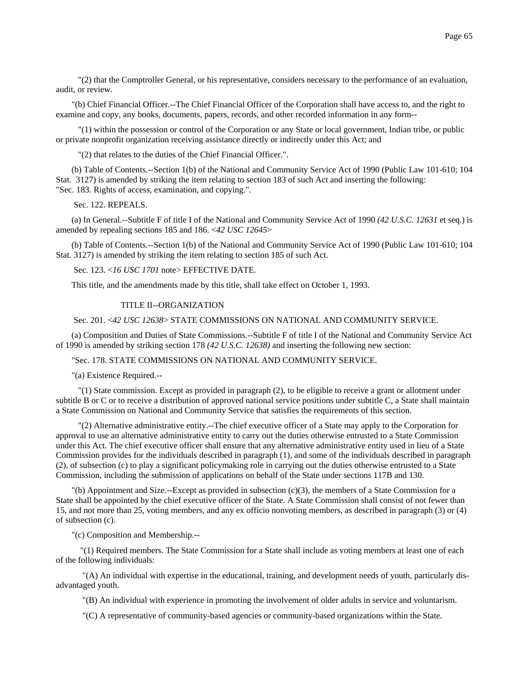"(2) that the Comptroller General, or his representative, considers necessary to the performance of an evaluation, audit, or review.

"(b) Chief Financial Officer.--The Chief Financial Officer of the Corporation shall have access to, and the right to examine and copy, any books, documents, papers, records, and other recorded information in any form--

 "(1) within the possession or control of the Corporation or any State or local government, Indian tribe, or public or private nonprofit organization receiving assistance directly or indirectly under this Act; and

"(2) that relates to the duties of the Chief Financial Officer.".

(b) Table of Contents.--Section 1(b) of the National and Community Service Act of 1990 (Public Law 101-610; 104 Stat. 3127) is amended by striking the item relating to section 183 of such Act and inserting the following: "Sec. 183. Rights of access, examination, and copying.".

Sec. 122. REPEALS.

(a) In General.--Subtitle F of title I of the National and Community Service Act of 1990 *(42 U.S.C. 12631* et seq.) is amended by repealing sections 185 and 186. <*42 USC 12645*>

(b) Table of Contents.--Section 1(b) of the National and Community Service Act of 1990 (Public Law 101-610; 104 Stat. 3127) is amended by striking the item relating to section 185 of such Act.

Sec. 123. <*16 USC 1701* note> EFFECTIVE DATE.

This title, and the amendments made by this title, shall take effect on October 1, 1993.

#### TITLE II--ORGANIZATION

Sec. 201. <*42 USC 12638*> STATE COMMISSIONS ON NATIONAL AND COMMUNITY SERVICE.

(a) Composition and Duties of State Commissions.--Subtitle F of title I of the National and Community Service Act of 1990 is amended by striking section 178 *(42 U.S.C. 12638)* and inserting the following new section:

"Sec. 178. STATE COMMISSIONS ON NATIONAL AND COMMUNITY SERVICE.

"(a) Existence Required.--

 "(1) State commission. Except as provided in paragraph (2), to be eligible to receive a grant or allotment under subtitle B or C or to receive a distribution of approved national service positions under subtitle C, a State shall maintain a State Commission on National and Community Service that satisfies the requirements of this section.

 "(2) Alternative administrative entity.--The chief executive officer of a State may apply to the Corporation for approval to use an alternative administrative entity to carry out the duties otherwise entrusted to a State Commission under this Act. The chief executive officer shall ensure that any alternative administrative entity used in lieu of a State Commission provides for the individuals described in paragraph (1), and some of the individuals described in paragraph (2), of subsection (c) to play a significant policymaking role in carrying out the duties otherwise entrusted to a State Commission, including the submission of applications on behalf of the State under sections 117B and 130.

 $\Gamma$ (b) Appointment and Size.--Except as provided in subsection (c)(3), the members of a State Commission for a State shall be appointed by the chief executive officer of the State. A State Commission shall consist of not fewer than 15, and not more than 25, voting members, and any ex officio nonvoting members, as described in paragraph (3) or (4) of subsection (c).

"(c) Composition and Membership.--

 "(1) Required members. The State Commission for a State shall include as voting members at least one of each of the following individuals:

 "(A) An individual with expertise in the educational, training, and development needs of youth, particularly disadvantaged youth.

"(B) An individual with experience in promoting the involvement of older adults in service and voluntarism.

"(C) A representative of community-based agencies or community-based organizations within the State.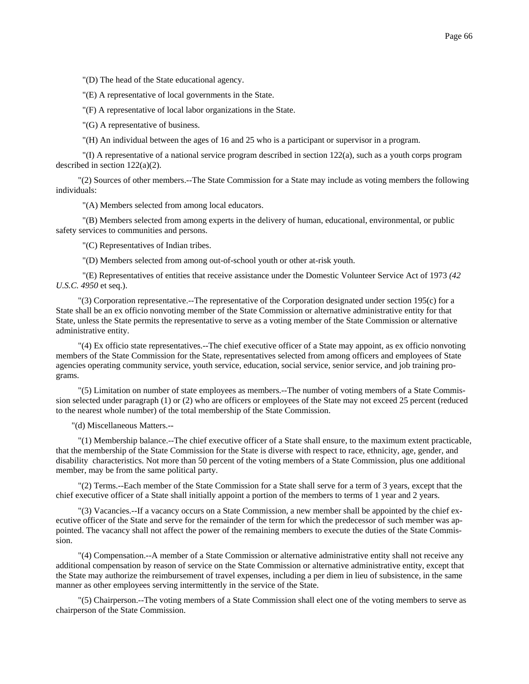"(D) The head of the State educational agency.

"(E) A representative of local governments in the State.

"(F) A representative of local labor organizations in the State.

"(G) A representative of business.

"(H) An individual between the ages of 16 and 25 who is a participant or supervisor in a program.

 "(I) A representative of a national service program described in section 122(a), such as a youth corps program described in section 122(a)(2).

 "(2) Sources of other members.--The State Commission for a State may include as voting members the following individuals:

"(A) Members selected from among local educators.

 "(B) Members selected from among experts in the delivery of human, educational, environmental, or public safety services to communities and persons.

"(C) Representatives of Indian tribes.

"(D) Members selected from among out-of-school youth or other at-risk youth.

 "(E) Representatives of entities that receive assistance under the Domestic Volunteer Service Act of 1973 *(42 U.S.C. 4950* et seq.).

 "(3) Corporation representative.--The representative of the Corporation designated under section 195(c) for a State shall be an ex officio nonvoting member of the State Commission or alternative administrative entity for that State, unless the State permits the representative to serve as a voting member of the State Commission or alternative administrative entity.

 "(4) Ex officio state representatives.--The chief executive officer of a State may appoint, as ex officio nonvoting members of the State Commission for the State, representatives selected from among officers and employees of State agencies operating community service, youth service, education, social service, senior service, and job training programs.

 "(5) Limitation on number of state employees as members.--The number of voting members of a State Commission selected under paragraph (1) or (2) who are officers or employees of the State may not exceed 25 percent (reduced to the nearest whole number) of the total membership of the State Commission.

"(d) Miscellaneous Matters.--

 "(1) Membership balance.--The chief executive officer of a State shall ensure, to the maximum extent practicable, that the membership of the State Commission for the State is diverse with respect to race, ethnicity, age, gender, and disability characteristics. Not more than 50 percent of the voting members of a State Commission, plus one additional member, may be from the same political party.

 "(2) Terms.--Each member of the State Commission for a State shall serve for a term of 3 years, except that the chief executive officer of a State shall initially appoint a portion of the members to terms of 1 year and 2 years.

 "(3) Vacancies.--If a vacancy occurs on a State Commission, a new member shall be appointed by the chief executive officer of the State and serve for the remainder of the term for which the predecessor of such member was appointed. The vacancy shall not affect the power of the remaining members to execute the duties of the State Commission.

 "(4) Compensation.--A member of a State Commission or alternative administrative entity shall not receive any additional compensation by reason of service on the State Commission or alternative administrative entity, except that the State may authorize the reimbursement of travel expenses, including a per diem in lieu of subsistence, in the same manner as other employees serving intermittently in the service of the State.

 "(5) Chairperson.--The voting members of a State Commission shall elect one of the voting members to serve as chairperson of the State Commission.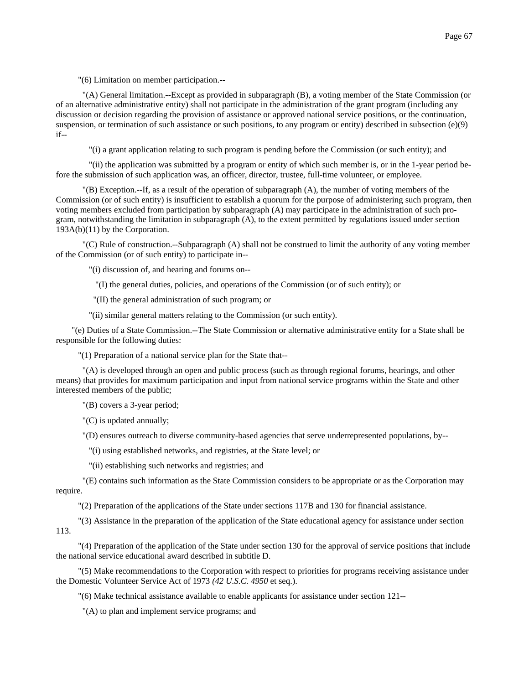"(A) General limitation.--Except as provided in subparagraph (B), a voting member of the State Commission (or of an alternative administrative entity) shall not participate in the administration of the grant program (including any discussion or decision regarding the provision of assistance or approved national service positions, or the continuation, suspension, or termination of such assistance or such positions, to any program or entity) described in subsection  $(e)(9)$ if--

"(i) a grant application relating to such program is pending before the Commission (or such entity); and

 "(ii) the application was submitted by a program or entity of which such member is, or in the 1-year period before the submission of such application was, an officer, director, trustee, full-time volunteer, or employee.

 "(B) Exception.--If, as a result of the operation of subparagraph (A), the number of voting members of the Commission (or of such entity) is insufficient to establish a quorum for the purpose of administering such program, then voting members excluded from participation by subparagraph (A) may participate in the administration of such program, notwithstanding the limitation in subparagraph (A), to the extent permitted by regulations issued under section 193A(b)(11) by the Corporation.

 "(C) Rule of construction.--Subparagraph (A) shall not be construed to limit the authority of any voting member of the Commission (or of such entity) to participate in--

"(i) discussion of, and hearing and forums on--

"(I) the general duties, policies, and operations of the Commission (or of such entity); or

"(II) the general administration of such program; or

"(ii) similar general matters relating to the Commission (or such entity).

"(e) Duties of a State Commission.--The State Commission or alternative administrative entity for a State shall be responsible for the following duties:

"(1) Preparation of a national service plan for the State that--

 "(A) is developed through an open and public process (such as through regional forums, hearings, and other means) that provides for maximum participation and input from national service programs within the State and other interested members of the public;

"(B) covers a 3-year period;

"(C) is updated annually;

"(D) ensures outreach to diverse community-based agencies that serve underrepresented populations, by--

"(i) using established networks, and registries, at the State level; or

"(ii) establishing such networks and registries; and

 "(E) contains such information as the State Commission considers to be appropriate or as the Corporation may require.

"(2) Preparation of the applications of the State under sections 117B and 130 for financial assistance.

 "(3) Assistance in the preparation of the application of the State educational agency for assistance under section 113.

 "(4) Preparation of the application of the State under section 130 for the approval of service positions that include the national service educational award described in subtitle D.

 "(5) Make recommendations to the Corporation with respect to priorities for programs receiving assistance under the Domestic Volunteer Service Act of 1973 *(42 U.S.C. 4950* et seq.).

"(6) Make technical assistance available to enable applicants for assistance under section 121--

"(A) to plan and implement service programs; and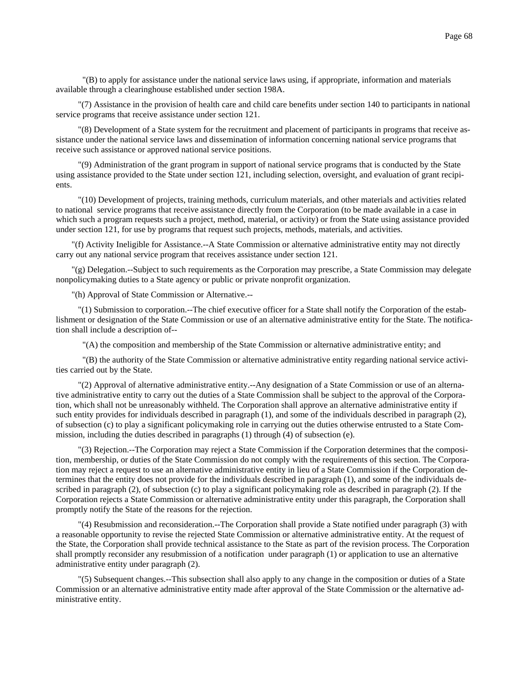"(B) to apply for assistance under the national service laws using, if appropriate, information and materials available through a clearinghouse established under section 198A.

 "(7) Assistance in the provision of health care and child care benefits under section 140 to participants in national service programs that receive assistance under section 121.

 "(8) Development of a State system for the recruitment and placement of participants in programs that receive assistance under the national service laws and dissemination of information concerning national service programs that receive such assistance or approved national service positions.

 "(9) Administration of the grant program in support of national service programs that is conducted by the State using assistance provided to the State under section 121, including selection, oversight, and evaluation of grant recipients.

 "(10) Development of projects, training methods, curriculum materials, and other materials and activities related to national service programs that receive assistance directly from the Corporation (to be made available in a case in which such a program requests such a project, method, material, or activity) or from the State using assistance provided under section 121, for use by programs that request such projects, methods, materials, and activities.

"(f) Activity Ineligible for Assistance.--A State Commission or alternative administrative entity may not directly carry out any national service program that receives assistance under section 121.

"(g) Delegation.--Subject to such requirements as the Corporation may prescribe, a State Commission may delegate nonpolicymaking duties to a State agency or public or private nonprofit organization.

"(h) Approval of State Commission or Alternative.--

 "(1) Submission to corporation.--The chief executive officer for a State shall notify the Corporation of the establishment or designation of the State Commission or use of an alternative administrative entity for the State. The notification shall include a description of--

"(A) the composition and membership of the State Commission or alternative administrative entity; and

 "(B) the authority of the State Commission or alternative administrative entity regarding national service activities carried out by the State.

 "(2) Approval of alternative administrative entity.--Any designation of a State Commission or use of an alternative administrative entity to carry out the duties of a State Commission shall be subject to the approval of the Corporation, which shall not be unreasonably withheld. The Corporation shall approve an alternative administrative entity if such entity provides for individuals described in paragraph (1), and some of the individuals described in paragraph (2), of subsection (c) to play a significant policymaking role in carrying out the duties otherwise entrusted to a State Commission, including the duties described in paragraphs (1) through (4) of subsection (e).

 "(3) Rejection.--The Corporation may reject a State Commission if the Corporation determines that the composition, membership, or duties of the State Commission do not comply with the requirements of this section. The Corporation may reject a request to use an alternative administrative entity in lieu of a State Commission if the Corporation determines that the entity does not provide for the individuals described in paragraph (1), and some of the individuals described in paragraph (2), of subsection (c) to play a significant policymaking role as described in paragraph (2). If the Corporation rejects a State Commission or alternative administrative entity under this paragraph, the Corporation shall promptly notify the State of the reasons for the rejection.

 "(4) Resubmission and reconsideration.--The Corporation shall provide a State notified under paragraph (3) with a reasonable opportunity to revise the rejected State Commission or alternative administrative entity. At the request of the State, the Corporation shall provide technical assistance to the State as part of the revision process. The Corporation shall promptly reconsider any resubmission of a notification under paragraph (1) or application to use an alternative administrative entity under paragraph (2).

 "(5) Subsequent changes.--This subsection shall also apply to any change in the composition or duties of a State Commission or an alternative administrative entity made after approval of the State Commission or the alternative administrative entity.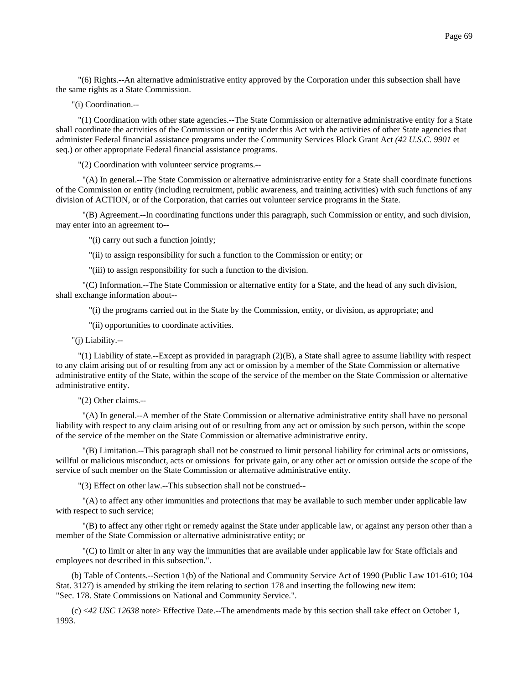"(6) Rights.--An alternative administrative entity approved by the Corporation under this subsection shall have the same rights as a State Commission.

"(i) Coordination.--

 "(1) Coordination with other state agencies.--The State Commission or alternative administrative entity for a State shall coordinate the activities of the Commission or entity under this Act with the activities of other State agencies that administer Federal financial assistance programs under the Community Services Block Grant Act *(42 U.S.C. 9901* et seq.) or other appropriate Federal financial assistance programs.

"(2) Coordination with volunteer service programs.--

 "(A) In general.--The State Commission or alternative administrative entity for a State shall coordinate functions of the Commission or entity (including recruitment, public awareness, and training activities) with such functions of any division of ACTION, or of the Corporation, that carries out volunteer service programs in the State.

 "(B) Agreement.--In coordinating functions under this paragraph, such Commission or entity, and such division, may enter into an agreement to--

"(i) carry out such a function jointly;

"(ii) to assign responsibility for such a function to the Commission or entity; or

"(iii) to assign responsibility for such a function to the division.

 "(C) Information.--The State Commission or alternative entity for a State, and the head of any such division, shall exchange information about--

"(i) the programs carried out in the State by the Commission, entity, or division, as appropriate; and

"(ii) opportunities to coordinate activities.

"(j) Liability.--

 "(1) Liability of state.--Except as provided in paragraph (2)(B), a State shall agree to assume liability with respect to any claim arising out of or resulting from any act or omission by a member of the State Commission or alternative administrative entity of the State, within the scope of the service of the member on the State Commission or alternative administrative entity.

"(2) Other claims.--

 "(A) In general.--A member of the State Commission or alternative administrative entity shall have no personal liability with respect to any claim arising out of or resulting from any act or omission by such person, within the scope of the service of the member on the State Commission or alternative administrative entity.

 "(B) Limitation.--This paragraph shall not be construed to limit personal liability for criminal acts or omissions, willful or malicious misconduct, acts or omissions for private gain, or any other act or omission outside the scope of the service of such member on the State Commission or alternative administrative entity.

"(3) Effect on other law.--This subsection shall not be construed--

 "(A) to affect any other immunities and protections that may be available to such member under applicable law with respect to such service;

 "(B) to affect any other right or remedy against the State under applicable law, or against any person other than a member of the State Commission or alternative administrative entity; or

 "(C) to limit or alter in any way the immunities that are available under applicable law for State officials and employees not described in this subsection.".

(b) Table of Contents.--Section 1(b) of the National and Community Service Act of 1990 (Public Law 101-610; 104 Stat. 3127) is amended by striking the item relating to section 178 and inserting the following new item: "Sec. 178. State Commissions on National and Community Service.".

(c) <*42 USC 12638* note> Effective Date.--The amendments made by this section shall take effect on October 1, 1993.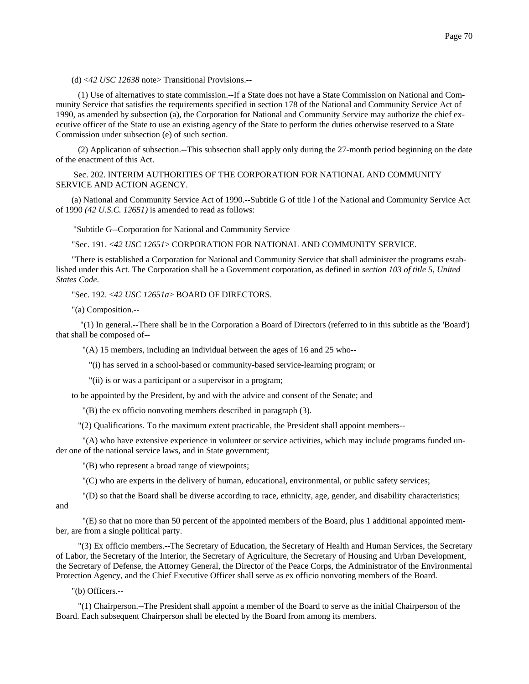(d) <*42 USC 12638* note> Transitional Provisions.--

 (1) Use of alternatives to state commission.--If a State does not have a State Commission on National and Community Service that satisfies the requirements specified in section 178 of the National and Community Service Act of 1990, as amended by subsection (a), the Corporation for National and Community Service may authorize the chief executive officer of the State to use an existing agency of the State to perform the duties otherwise reserved to a State Commission under subsection (e) of such section.

 (2) Application of subsection.--This subsection shall apply only during the 27-month period beginning on the date of the enactment of this Act.

 Sec. 202. INTERIM AUTHORITIES OF THE CORPORATION FOR NATIONAL AND COMMUNITY SERVICE AND ACTION AGENCY.

(a) National and Community Service Act of 1990.--Subtitle G of title I of the National and Community Service Act of 1990 *(42 U.S.C. 12651)* is amended to read as follows:

"Subtitle G--Corporation for National and Community Service

"Sec. 191. <*42 USC 12651*> CORPORATION FOR NATIONAL AND COMMUNITY SERVICE.

"There is established a Corporation for National and Community Service that shall administer the programs established under this Act. The Corporation shall be a Government corporation, as defined in *section 103 of title 5, United States Code*.

"Sec. 192. <*42 USC 12651a*> BOARD OF DIRECTORS.

"(a) Composition.--

 "(1) In general.--There shall be in the Corporation a Board of Directors (referred to in this subtitle as the 'Board') that shall be composed of--

"(A) 15 members, including an individual between the ages of 16 and 25 who--

"(i) has served in a school-based or community-based service-learning program; or

"(ii) is or was a participant or a supervisor in a program;

to be appointed by the President, by and with the advice and consent of the Senate; and

"(B) the ex officio nonvoting members described in paragraph (3).

"(2) Qualifications. To the maximum extent practicable, the President shall appoint members--

 "(A) who have extensive experience in volunteer or service activities, which may include programs funded under one of the national service laws, and in State government;

"(B) who represent a broad range of viewpoints;

"(C) who are experts in the delivery of human, educational, environmental, or public safety services;

 "(D) so that the Board shall be diverse according to race, ethnicity, age, gender, and disability characteristics; and

 "(E) so that no more than 50 percent of the appointed members of the Board, plus 1 additional appointed member, are from a single political party.

 "(3) Ex officio members.--The Secretary of Education, the Secretary of Health and Human Services, the Secretary of Labor, the Secretary of the Interior, the Secretary of Agriculture, the Secretary of Housing and Urban Development, the Secretary of Defense, the Attorney General, the Director of the Peace Corps, the Administrator of the Environmental Protection Agency, and the Chief Executive Officer shall serve as ex officio nonvoting members of the Board.

"(b) Officers.--

 "(1) Chairperson.--The President shall appoint a member of the Board to serve as the initial Chairperson of the Board. Each subsequent Chairperson shall be elected by the Board from among its members.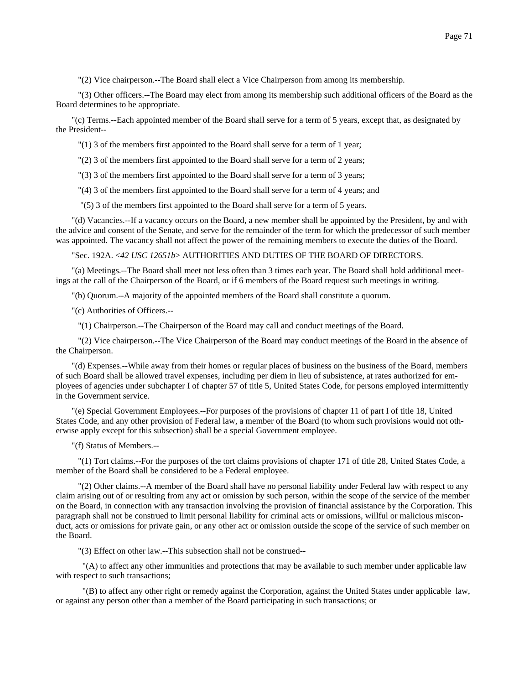"(2) Vice chairperson.--The Board shall elect a Vice Chairperson from among its membership.

 "(3) Other officers.--The Board may elect from among its membership such additional officers of the Board as the Board determines to be appropriate.

"(c) Terms.--Each appointed member of the Board shall serve for a term of 5 years, except that, as designated by the President--

"(1) 3 of the members first appointed to the Board shall serve for a term of 1 year;

"(2) 3 of the members first appointed to the Board shall serve for a term of 2 years;

"(3) 3 of the members first appointed to the Board shall serve for a term of 3 years;

"(4) 3 of the members first appointed to the Board shall serve for a term of 4 years; and

"(5) 3 of the members first appointed to the Board shall serve for a term of 5 years.

"(d) Vacancies.--If a vacancy occurs on the Board, a new member shall be appointed by the President, by and with the advice and consent of the Senate, and serve for the remainder of the term for which the predecessor of such member was appointed. The vacancy shall not affect the power of the remaining members to execute the duties of the Board.

"Sec. 192A. <*42 USC 12651b*> AUTHORITIES AND DUTIES OF THE BOARD OF DIRECTORS.

"(a) Meetings.--The Board shall meet not less often than 3 times each year. The Board shall hold additional meetings at the call of the Chairperson of the Board, or if 6 members of the Board request such meetings in writing.

"(b) Quorum.--A majority of the appointed members of the Board shall constitute a quorum.

"(c) Authorities of Officers.--

"(1) Chairperson.--The Chairperson of the Board may call and conduct meetings of the Board.

 "(2) Vice chairperson.--The Vice Chairperson of the Board may conduct meetings of the Board in the absence of the Chairperson.

"(d) Expenses.--While away from their homes or regular places of business on the business of the Board, members of such Board shall be allowed travel expenses, including per diem in lieu of subsistence, at rates authorized for employees of agencies under subchapter I of chapter 57 of title 5, United States Code, for persons employed intermittently in the Government service.

"(e) Special Government Employees.--For purposes of the provisions of chapter 11 of part I of title 18, United States Code, and any other provision of Federal law, a member of the Board (to whom such provisions would not otherwise apply except for this subsection) shall be a special Government employee.

"(f) Status of Members.--

 "(1) Tort claims.--For the purposes of the tort claims provisions of chapter 171 of title 28, United States Code, a member of the Board shall be considered to be a Federal employee.

 "(2) Other claims.--A member of the Board shall have no personal liability under Federal law with respect to any claim arising out of or resulting from any act or omission by such person, within the scope of the service of the member on the Board, in connection with any transaction involving the provision of financial assistance by the Corporation. This paragraph shall not be construed to limit personal liability for criminal acts or omissions, willful or malicious misconduct, acts or omissions for private gain, or any other act or omission outside the scope of the service of such member on the Board.

"(3) Effect on other law.--This subsection shall not be construed--

 "(A) to affect any other immunities and protections that may be available to such member under applicable law with respect to such transactions;

 "(B) to affect any other right or remedy against the Corporation, against the United States under applicable law, or against any person other than a member of the Board participating in such transactions; or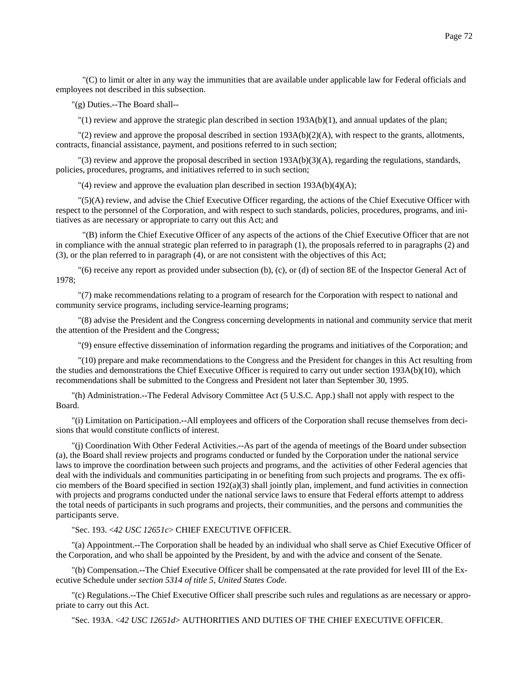"(C) to limit or alter in any way the immunities that are available under applicable law for Federal officials and employees not described in this subsection.

"(g) Duties.--The Board shall--

 $''(1)$  review and approve the strategic plan described in section 193A(b)(1), and annual updates of the plan;

"(2) review and approve the proposal described in section  $193A(b)(2)(A)$ , with respect to the grants, allotments, contracts, financial assistance, payment, and positions referred to in such section;

 $\Gamma$ (3) review and approve the proposal described in section 193A(b)(3)(A), regarding the regulations, standards, policies, procedures, programs, and initiatives referred to in such section;

"(4) review and approve the evaluation plan described in section 193A(b)(4)(A);

 "(5)(A) review, and advise the Chief Executive Officer regarding, the actions of the Chief Executive Officer with respect to the personnel of the Corporation, and with respect to such standards, policies, procedures, programs, and initiatives as are necessary or appropriate to carry out this Act; and

 "(B) inform the Chief Executive Officer of any aspects of the actions of the Chief Executive Officer that are not in compliance with the annual strategic plan referred to in paragraph (1), the proposals referred to in paragraphs (2) and (3), or the plan referred to in paragraph (4), or are not consistent with the objectives of this Act;

 "(6) receive any report as provided under subsection (b), (c), or (d) of section 8E of the Inspector General Act of 1978;

 "(7) make recommendations relating to a program of research for the Corporation with respect to national and community service programs, including service-learning programs;

 "(8) advise the President and the Congress concerning developments in national and community service that merit the attention of the President and the Congress;

"(9) ensure effective dissemination of information regarding the programs and initiatives of the Corporation; and

 "(10) prepare and make recommendations to the Congress and the President for changes in this Act resulting from the studies and demonstrations the Chief Executive Officer is required to carry out under section 193A(b)(10), which recommendations shall be submitted to the Congress and President not later than September 30, 1995.

"(h) Administration.--The Federal Advisory Committee Act (5 U.S.C. App.) shall not apply with respect to the Board.

"(i) Limitation on Participation.--All employees and officers of the Corporation shall recuse themselves from decisions that would constitute conflicts of interest.

"(j) Coordination With Other Federal Activities.--As part of the agenda of meetings of the Board under subsection (a), the Board shall review projects and programs conducted or funded by the Corporation under the national service laws to improve the coordination between such projects and programs, and the activities of other Federal agencies that deal with the individuals and communities participating in or benefiting from such projects and programs. The ex officio members of the Board specified in section 192(a)(3) shall jointly plan, implement, and fund activities in connection with projects and programs conducted under the national service laws to ensure that Federal efforts attempt to address the total needs of participants in such programs and projects, their communities, and the persons and communities the participants serve.

"Sec. 193. <*42 USC 12651c*> CHIEF EXECUTIVE OFFICER.

"(a) Appointment.--The Corporation shall be headed by an individual who shall serve as Chief Executive Officer of the Corporation, and who shall be appointed by the President, by and with the advice and consent of the Senate.

"(b) Compensation.--The Chief Executive Officer shall be compensated at the rate provided for level III of the Executive Schedule under *section 5314 of title 5, United States Code*.

"(c) Regulations.--The Chief Executive Officer shall prescribe such rules and regulations as are necessary or appropriate to carry out this Act.

"Sec. 193A. <*42 USC 12651d*> AUTHORITIES AND DUTIES OF THE CHIEF EXECUTIVE OFFICER.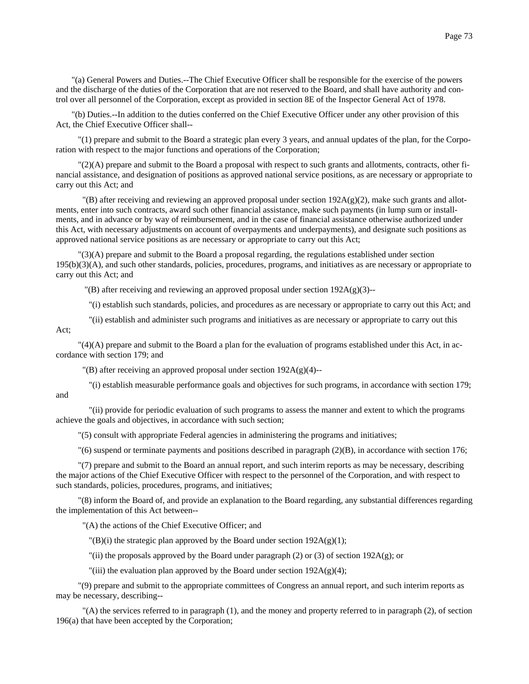"(a) General Powers and Duties.--The Chief Executive Officer shall be responsible for the exercise of the powers and the discharge of the duties of the Corporation that are not reserved to the Board, and shall have authority and control over all personnel of the Corporation, except as provided in section 8E of the Inspector General Act of 1978.

"(b) Duties.--In addition to the duties conferred on the Chief Executive Officer under any other provision of this Act, the Chief Executive Officer shall--

 "(1) prepare and submit to the Board a strategic plan every 3 years, and annual updates of the plan, for the Corporation with respect to the major functions and operations of the Corporation;

 "(2)(A) prepare and submit to the Board a proposal with respect to such grants and allotments, contracts, other financial assistance, and designation of positions as approved national service positions, as are necessary or appropriate to carry out this Act; and

 $'(B)$  after receiving and reviewing an approved proposal under section  $192A(g)(2)$ , make such grants and allotments, enter into such contracts, award such other financial assistance, make such payments (in lump sum or installments, and in advance or by way of reimbursement, and in the case of financial assistance otherwise authorized under this Act, with necessary adjustments on account of overpayments and underpayments), and designate such positions as approved national service positions as are necessary or appropriate to carry out this Act;

 "(3)(A) prepare and submit to the Board a proposal regarding, the regulations established under section 195(b)(3)(A), and such other standards, policies, procedures, programs, and initiatives as are necessary or appropriate to carry out this Act; and

 $\langle B \rangle$  after receiving and reviewing an approved proposal under section 192A(g)(3)--

"(i) establish such standards, policies, and procedures as are necessary or appropriate to carry out this Act; and

"(ii) establish and administer such programs and initiatives as are necessary or appropriate to carry out this

 "(4)(A) prepare and submit to the Board a plan for the evaluation of programs established under this Act, in accordance with section 179; and

 $\Gamma(B)$  after receiving an approved proposal under section 192A(g)(4)--

Act;

 "(i) establish measurable performance goals and objectives for such programs, in accordance with section 179; and

 "(ii) provide for periodic evaluation of such programs to assess the manner and extent to which the programs achieve the goals and objectives, in accordance with such section;

"(5) consult with appropriate Federal agencies in administering the programs and initiatives;

"(6) suspend or terminate payments and positions described in paragraph (2)(B), in accordance with section 176;

 "(7) prepare and submit to the Board an annual report, and such interim reports as may be necessary, describing the major actions of the Chief Executive Officer with respect to the personnel of the Corporation, and with respect to such standards, policies, procedures, programs, and initiatives;

 "(8) inform the Board of, and provide an explanation to the Board regarding, any substantial differences regarding the implementation of this Act between--

"(A) the actions of the Chief Executive Officer; and

"(B)(i) the strategic plan approved by the Board under section  $192A(g)(1)$ ;

"(ii) the proposals approved by the Board under paragraph (2) or (3) of section  $192A(g)$ ; or

"(iii) the evaluation plan approved by the Board under section  $192A(g)(4)$ ;

 "(9) prepare and submit to the appropriate committees of Congress an annual report, and such interim reports as may be necessary, describing--

 "(A) the services referred to in paragraph (1), and the money and property referred to in paragraph (2), of section 196(a) that have been accepted by the Corporation;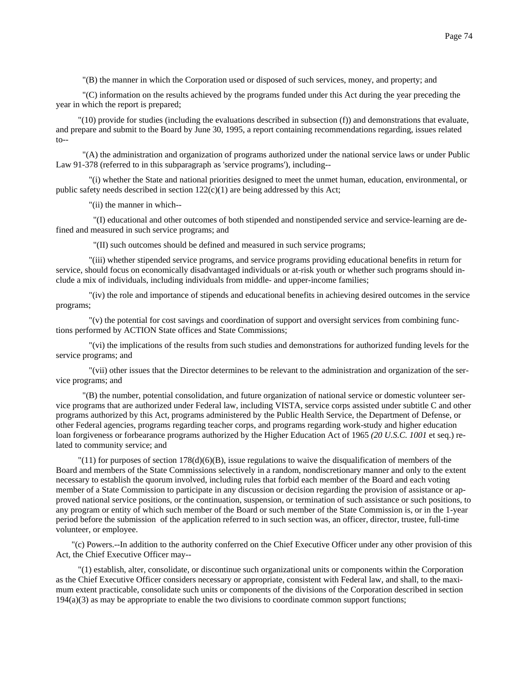"(B) the manner in which the Corporation used or disposed of such services, money, and property; and

 "(C) information on the results achieved by the programs funded under this Act during the year preceding the year in which the report is prepared;

 "(10) provide for studies (including the evaluations described in subsection (f)) and demonstrations that evaluate, and prepare and submit to the Board by June 30, 1995, a report containing recommendations regarding, issues related  $to--$ 

 "(A) the administration and organization of programs authorized under the national service laws or under Public Law 91-378 (referred to in this subparagraph as 'service programs'), including--

 "(i) whether the State and national priorities designed to meet the unmet human, education, environmental, or public safety needs described in section  $122(c)(1)$  are being addressed by this Act;

"(ii) the manner in which--

 "(I) educational and other outcomes of both stipended and nonstipended service and service-learning are defined and measured in such service programs; and

"(II) such outcomes should be defined and measured in such service programs;

 "(iii) whether stipended service programs, and service programs providing educational benefits in return for service, should focus on economically disadvantaged individuals or at-risk youth or whether such programs should include a mix of individuals, including individuals from middle- and upper-income families;

 "(iv) the role and importance of stipends and educational benefits in achieving desired outcomes in the service programs;

 "(v) the potential for cost savings and coordination of support and oversight services from combining functions performed by ACTION State offices and State Commissions;

 "(vi) the implications of the results from such studies and demonstrations for authorized funding levels for the service programs; and

 "(vii) other issues that the Director determines to be relevant to the administration and organization of the service programs; and

 "(B) the number, potential consolidation, and future organization of national service or domestic volunteer service programs that are authorized under Federal law, including VISTA, service corps assisted under subtitle C and other programs authorized by this Act, programs administered by the Public Health Service, the Department of Defense, or other Federal agencies, programs regarding teacher corps, and programs regarding work-study and higher education loan forgiveness or forbearance programs authorized by the Higher Education Act of 1965 *(20 U.S.C. 1001* et seq.) related to community service; and

 $\binom{11}{11}$  for purposes of section 178(d)(6)(B), issue regulations to waive the disqualification of members of the Board and members of the State Commissions selectively in a random, nondiscretionary manner and only to the extent necessary to establish the quorum involved, including rules that forbid each member of the Board and each voting member of a State Commission to participate in any discussion or decision regarding the provision of assistance or approved national service positions, or the continuation, suspension, or termination of such assistance or such positions, to any program or entity of which such member of the Board or such member of the State Commission is, or in the 1-year period before the submission of the application referred to in such section was, an officer, director, trustee, full-time volunteer, or employee.

"(c) Powers.--In addition to the authority conferred on the Chief Executive Officer under any other provision of this Act, the Chief Executive Officer may--

 "(1) establish, alter, consolidate, or discontinue such organizational units or components within the Corporation as the Chief Executive Officer considers necessary or appropriate, consistent with Federal law, and shall, to the maximum extent practicable, consolidate such units or components of the divisions of the Corporation described in section 194(a)(3) as may be appropriate to enable the two divisions to coordinate common support functions;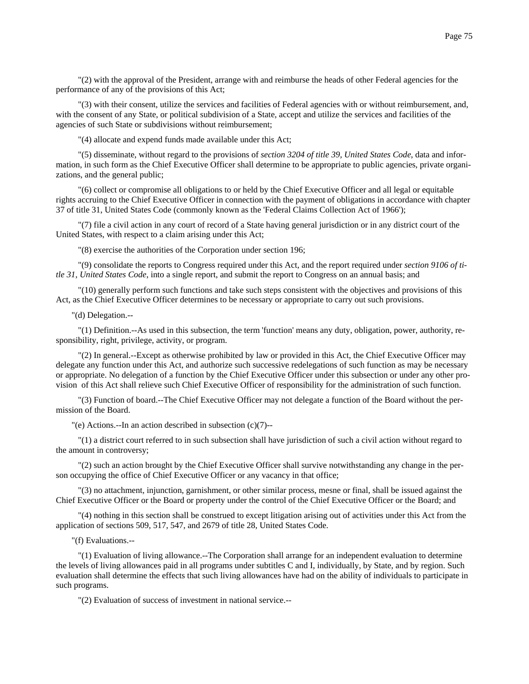"(3) with their consent, utilize the services and facilities of Federal agencies with or without reimbursement, and, with the consent of any State, or political subdivision of a State, accept and utilize the services and facilities of the agencies of such State or subdivisions without reimbursement;

"(4) allocate and expend funds made available under this Act;

 "(5) disseminate, without regard to the provisions of *section 3204 of title 39, United States Code*, data and information, in such form as the Chief Executive Officer shall determine to be appropriate to public agencies, private organizations, and the general public;

 "(6) collect or compromise all obligations to or held by the Chief Executive Officer and all legal or equitable rights accruing to the Chief Executive Officer in connection with the payment of obligations in accordance with chapter 37 of title 31, United States Code (commonly known as the 'Federal Claims Collection Act of 1966');

 "(7) file a civil action in any court of record of a State having general jurisdiction or in any district court of the United States, with respect to a claim arising under this Act;

"(8) exercise the authorities of the Corporation under section 196;

 "(9) consolidate the reports to Congress required under this Act, and the report required under *section 9106 of title 31, United States Code*, into a single report, and submit the report to Congress on an annual basis; and

 "(10) generally perform such functions and take such steps consistent with the objectives and provisions of this Act, as the Chief Executive Officer determines to be necessary or appropriate to carry out such provisions.

"(d) Delegation.--

 "(1) Definition.--As used in this subsection, the term 'function' means any duty, obligation, power, authority, responsibility, right, privilege, activity, or program.

 "(2) In general.--Except as otherwise prohibited by law or provided in this Act, the Chief Executive Officer may delegate any function under this Act, and authorize such successive redelegations of such function as may be necessary or appropriate. No delegation of a function by the Chief Executive Officer under this subsection or under any other provision of this Act shall relieve such Chief Executive Officer of responsibility for the administration of such function.

 "(3) Function of board.--The Chief Executive Officer may not delegate a function of the Board without the permission of the Board.

"(e) Actions.--In an action described in subsection (c)(7)--

 "(1) a district court referred to in such subsection shall have jurisdiction of such a civil action without regard to the amount in controversy;

 "(2) such an action brought by the Chief Executive Officer shall survive notwithstanding any change in the person occupying the office of Chief Executive Officer or any vacancy in that office;

 "(3) no attachment, injunction, garnishment, or other similar process, mesne or final, shall be issued against the Chief Executive Officer or the Board or property under the control of the Chief Executive Officer or the Board; and

 "(4) nothing in this section shall be construed to except litigation arising out of activities under this Act from the application of sections 509, 517, 547, and 2679 of title 28, United States Code.

"(f) Evaluations.--

 "(1) Evaluation of living allowance.--The Corporation shall arrange for an independent evaluation to determine the levels of living allowances paid in all programs under subtitles C and I, individually, by State, and by region. Such evaluation shall determine the effects that such living allowances have had on the ability of individuals to participate in such programs.

"(2) Evaluation of success of investment in national service.--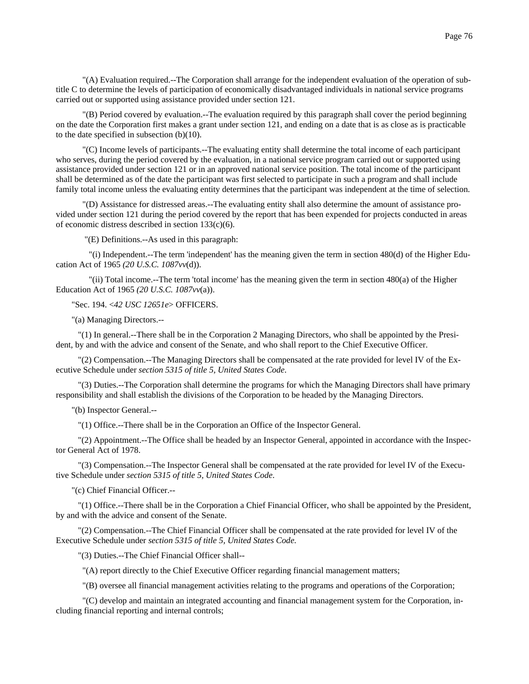"(A) Evaluation required.--The Corporation shall arrange for the independent evaluation of the operation of subtitle C to determine the levels of participation of economically disadvantaged individuals in national service programs carried out or supported using assistance provided under section 121.

 "(B) Period covered by evaluation.--The evaluation required by this paragraph shall cover the period beginning on the date the Corporation first makes a grant under section 121, and ending on a date that is as close as is practicable to the date specified in subsection (b)(10).

 "(C) Income levels of participants.--The evaluating entity shall determine the total income of each participant who serves, during the period covered by the evaluation, in a national service program carried out or supported using assistance provided under section 121 or in an approved national service position. The total income of the participant shall be determined as of the date the participant was first selected to participate in such a program and shall include family total income unless the evaluating entity determines that the participant was independent at the time of selection.

 "(D) Assistance for distressed areas.--The evaluating entity shall also determine the amount of assistance provided under section 121 during the period covered by the report that has been expended for projects conducted in areas of economic distress described in section 133(c)(6).

"(E) Definitions.--As used in this paragraph:

 "(i) Independent.--The term 'independent' has the meaning given the term in section 480(d) of the Higher Education Act of 1965 *(20 U.S.C. 1087vv*(d)).

 "(ii) Total income.--The term 'total income' has the meaning given the term in section 480(a) of the Higher Education Act of 1965 *(20 U.S.C. 1087vv*(a)).

"Sec. 194. <*42 USC 12651e*> OFFICERS.

"(a) Managing Directors.--

 "(1) In general.--There shall be in the Corporation 2 Managing Directors, who shall be appointed by the President, by and with the advice and consent of the Senate, and who shall report to the Chief Executive Officer.

 "(2) Compensation.--The Managing Directors shall be compensated at the rate provided for level IV of the Executive Schedule under *section 5315 of title 5, United States Code*.

 "(3) Duties.--The Corporation shall determine the programs for which the Managing Directors shall have primary responsibility and shall establish the divisions of the Corporation to be headed by the Managing Directors.

"(b) Inspector General.--

"(1) Office.--There shall be in the Corporation an Office of the Inspector General.

 "(2) Appointment.--The Office shall be headed by an Inspector General, appointed in accordance with the Inspector General Act of 1978.

 "(3) Compensation.--The Inspector General shall be compensated at the rate provided for level IV of the Executive Schedule under *section 5315 of title 5, United States Code*.

"(c) Chief Financial Officer.--

 "(1) Office.--There shall be in the Corporation a Chief Financial Officer, who shall be appointed by the President, by and with the advice and consent of the Senate.

 "(2) Compensation.--The Chief Financial Officer shall be compensated at the rate provided for level IV of the Executive Schedule under *section 5315 of title 5, United States Code*.

"(3) Duties.--The Chief Financial Officer shall--

"(A) report directly to the Chief Executive Officer regarding financial management matters;

"(B) oversee all financial management activities relating to the programs and operations of the Corporation;

 "(C) develop and maintain an integrated accounting and financial management system for the Corporation, including financial reporting and internal controls;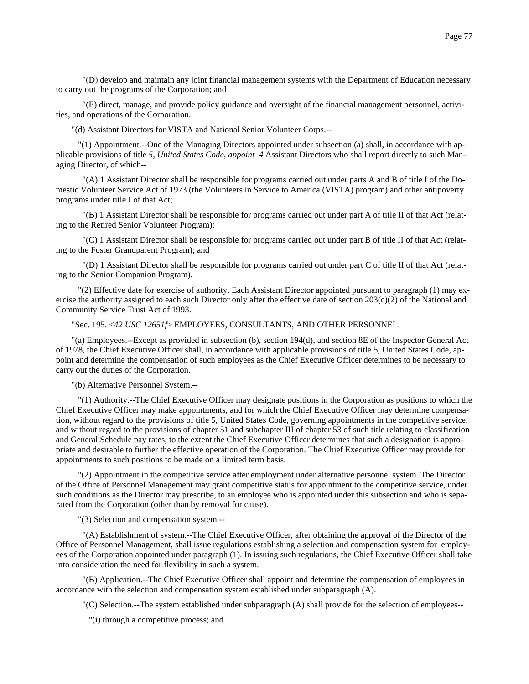"(E) direct, manage, and provide policy guidance and oversight of the financial management personnel, activities, and operations of the Corporation.

"(d) Assistant Directors for VISTA and National Senior Volunteer Corps.--

 "(1) Appointment.--One of the Managing Directors appointed under subsection (a) shall, in accordance with applicable provisions of title *5, United States Code, appoint 4* Assistant Directors who shall report directly to such Managing Director, of which--

 "(A) 1 Assistant Director shall be responsible for programs carried out under parts A and B of title I of the Domestic Volunteer Service Act of 1973 (the Volunteers in Service to America (VISTA) program) and other antipoverty programs under title I of that Act;

 "(B) 1 Assistant Director shall be responsible for programs carried out under part A of title II of that Act (relating to the Retired Senior Volunteer Program);

 "(C) 1 Assistant Director shall be responsible for programs carried out under part B of title II of that Act (relating to the Foster Grandparent Program); and

 "(D) 1 Assistant Director shall be responsible for programs carried out under part C of title II of that Act (relating to the Senior Companion Program).

 "(2) Effective date for exercise of authority. Each Assistant Director appointed pursuant to paragraph (1) may exercise the authority assigned to each such Director only after the effective date of section  $203(c)(2)$  of the National and Community Service Trust Act of 1993.

"Sec. 195. <*42 USC 12651f*> EMPLOYEES, CONSULTANTS, AND OTHER PERSONNEL.

"(a) Employees.--Except as provided in subsection (b), section 194(d), and section 8E of the Inspector General Act of 1978, the Chief Executive Officer shall, in accordance with applicable provisions of title 5, United States Code, appoint and determine the compensation of such employees as the Chief Executive Officer determines to be necessary to carry out the duties of the Corporation.

"(b) Alternative Personnel System.--

 "(1) Authority.--The Chief Executive Officer may designate positions in the Corporation as positions to which the Chief Executive Officer may make appointments, and for which the Chief Executive Officer may determine compensation, without regard to the provisions of title 5, United States Code, governing appointments in the competitive service, and without regard to the provisions of chapter 51 and subchapter III of chapter 53 of such title relating to classification and General Schedule pay rates, to the extent the Chief Executive Officer determines that such a designation is appropriate and desirable to further the effective operation of the Corporation. The Chief Executive Officer may provide for appointments to such positions to be made on a limited term basis.

 "(2) Appointment in the competitive service after employment under alternative personnel system. The Director of the Office of Personnel Management may grant competitive status for appointment to the competitive service, under such conditions as the Director may prescribe, to an employee who is appointed under this subsection and who is separated from the Corporation (other than by removal for cause).

"(3) Selection and compensation system.--

 "(A) Establishment of system.--The Chief Executive Officer, after obtaining the approval of the Director of the Office of Personnel Management, shall issue regulations establishing a selection and compensation system for employees of the Corporation appointed under paragraph (1). In issuing such regulations, the Chief Executive Officer shall take into consideration the need for flexibility in such a system.

 "(B) Application.--The Chief Executive Officer shall appoint and determine the compensation of employees in accordance with the selection and compensation system established under subparagraph (A).

"(C) Selection.--The system established under subparagraph (A) shall provide for the selection of employees--

"(i) through a competitive process; and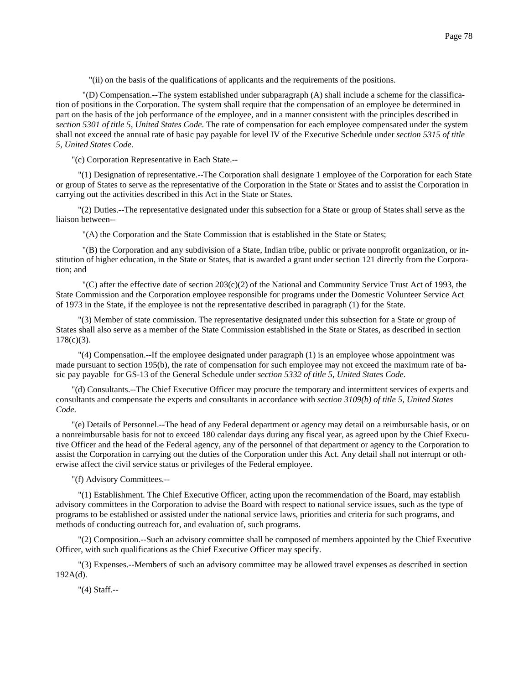"(ii) on the basis of the qualifications of applicants and the requirements of the positions.

 "(D) Compensation.--The system established under subparagraph (A) shall include a scheme for the classification of positions in the Corporation. The system shall require that the compensation of an employee be determined in part on the basis of the job performance of the employee, and in a manner consistent with the principles described in *section 5301 of title 5, United States Code*. The rate of compensation for each employee compensated under the system shall not exceed the annual rate of basic pay payable for level IV of the Executive Schedule under *section 5315 of title 5, United States Code*.

"(c) Corporation Representative in Each State.--

 "(1) Designation of representative.--The Corporation shall designate 1 employee of the Corporation for each State or group of States to serve as the representative of the Corporation in the State or States and to assist the Corporation in carrying out the activities described in this Act in the State or States.

 "(2) Duties.--The representative designated under this subsection for a State or group of States shall serve as the liaison between--

"(A) the Corporation and the State Commission that is established in the State or States;

 "(B) the Corporation and any subdivision of a State, Indian tribe, public or private nonprofit organization, or institution of higher education, in the State or States, that is awarded a grant under section 121 directly from the Corporation; and

"(C) after the effective date of section  $203(c)(2)$  of the National and Community Service Trust Act of 1993, the State Commission and the Corporation employee responsible for programs under the Domestic Volunteer Service Act of 1973 in the State, if the employee is not the representative described in paragraph (1) for the State.

 "(3) Member of state commission. The representative designated under this subsection for a State or group of States shall also serve as a member of the State Commission established in the State or States, as described in section 178(c)(3).

 "(4) Compensation.--If the employee designated under paragraph (1) is an employee whose appointment was made pursuant to section 195(b), the rate of compensation for such employee may not exceed the maximum rate of basic pay payable for GS-13 of the General Schedule under *section 5332 of title 5, United States Code*.

"(d) Consultants.--The Chief Executive Officer may procure the temporary and intermittent services of experts and consultants and compensate the experts and consultants in accordance with *section 3109(b) of title 5, United States Code*.

"(e) Details of Personnel.--The head of any Federal department or agency may detail on a reimbursable basis, or on a nonreimbursable basis for not to exceed 180 calendar days during any fiscal year, as agreed upon by the Chief Executive Officer and the head of the Federal agency, any of the personnel of that department or agency to the Corporation to assist the Corporation in carrying out the duties of the Corporation under this Act. Any detail shall not interrupt or otherwise affect the civil service status or privileges of the Federal employee.

"(f) Advisory Committees.--

 "(1) Establishment. The Chief Executive Officer, acting upon the recommendation of the Board, may establish advisory committees in the Corporation to advise the Board with respect to national service issues, such as the type of programs to be established or assisted under the national service laws, priorities and criteria for such programs, and methods of conducting outreach for, and evaluation of, such programs.

 "(2) Composition.--Such an advisory committee shall be composed of members appointed by the Chief Executive Officer, with such qualifications as the Chief Executive Officer may specify.

 "(3) Expenses.--Members of such an advisory committee may be allowed travel expenses as described in section 192A(d).

"(4) Staff.--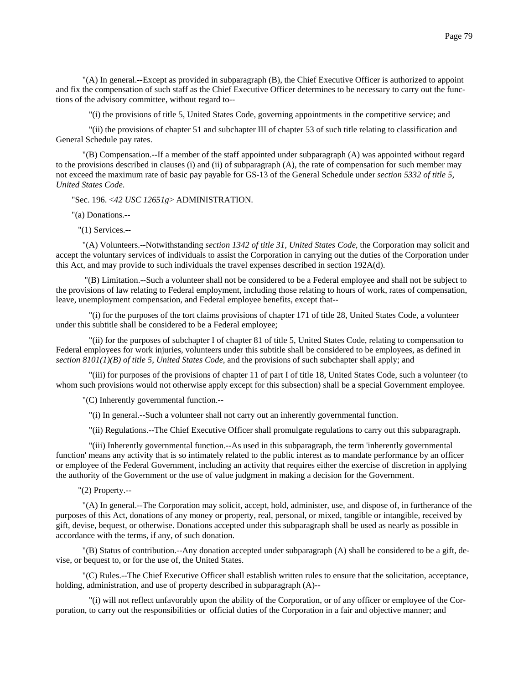"(A) In general.--Except as provided in subparagraph (B), the Chief Executive Officer is authorized to appoint and fix the compensation of such staff as the Chief Executive Officer determines to be necessary to carry out the functions of the advisory committee, without regard to--

"(i) the provisions of title 5, United States Code, governing appointments in the competitive service; and

 "(ii) the provisions of chapter 51 and subchapter III of chapter 53 of such title relating to classification and General Schedule pay rates.

 "(B) Compensation.--If a member of the staff appointed under subparagraph (A) was appointed without regard to the provisions described in clauses (i) and (ii) of subparagraph (A), the rate of compensation for such member may not exceed the maximum rate of basic pay payable for GS-13 of the General Schedule under *section 5332 of title 5, United States Code*.

"Sec. 196. <*42 USC 12651g*> ADMINISTRATION.

"(a) Donations.--

"(1) Services.--

 "(A) Volunteers.--Notwithstanding *section 1342 of title 31, United States Code*, the Corporation may solicit and accept the voluntary services of individuals to assist the Corporation in carrying out the duties of the Corporation under this Act, and may provide to such individuals the travel expenses described in section 192A(d).

 "(B) Limitation.--Such a volunteer shall not be considered to be a Federal employee and shall not be subject to the provisions of law relating to Federal employment, including those relating to hours of work, rates of compensation, leave, unemployment compensation, and Federal employee benefits, except that--

 "(i) for the purposes of the tort claims provisions of chapter 171 of title 28, United States Code, a volunteer under this subtitle shall be considered to be a Federal employee;

 "(ii) for the purposes of subchapter I of chapter 81 of title 5, United States Code, relating to compensation to Federal employees for work injuries, volunteers under this subtitle shall be considered to be employees, as defined in *section 8101(1)(B) of title 5, United States Code*, and the provisions of such subchapter shall apply; and

 "(iii) for purposes of the provisions of chapter 11 of part I of title 18, United States Code, such a volunteer (to whom such provisions would not otherwise apply except for this subsection) shall be a special Government employee.

"(C) Inherently governmental function.--

"(i) In general.--Such a volunteer shall not carry out an inherently governmental function.

"(ii) Regulations.--The Chief Executive Officer shall promulgate regulations to carry out this subparagraph.

 "(iii) Inherently governmental function.--As used in this subparagraph, the term 'inherently governmental function' means any activity that is so intimately related to the public interest as to mandate performance by an officer or employee of the Federal Government, including an activity that requires either the exercise of discretion in applying the authority of the Government or the use of value judgment in making a decision for the Government.

"(2) Property.--

 "(A) In general.--The Corporation may solicit, accept, hold, administer, use, and dispose of, in furtherance of the purposes of this Act, donations of any money or property, real, personal, or mixed, tangible or intangible, received by gift, devise, bequest, or otherwise. Donations accepted under this subparagraph shall be used as nearly as possible in accordance with the terms, if any, of such donation.

 "(B) Status of contribution.--Any donation accepted under subparagraph (A) shall be considered to be a gift, devise, or bequest to, or for the use of, the United States.

 "(C) Rules.--The Chief Executive Officer shall establish written rules to ensure that the solicitation, acceptance, holding, administration, and use of property described in subparagraph (A)--

 "(i) will not reflect unfavorably upon the ability of the Corporation, or of any officer or employee of the Corporation, to carry out the responsibilities or official duties of the Corporation in a fair and objective manner; and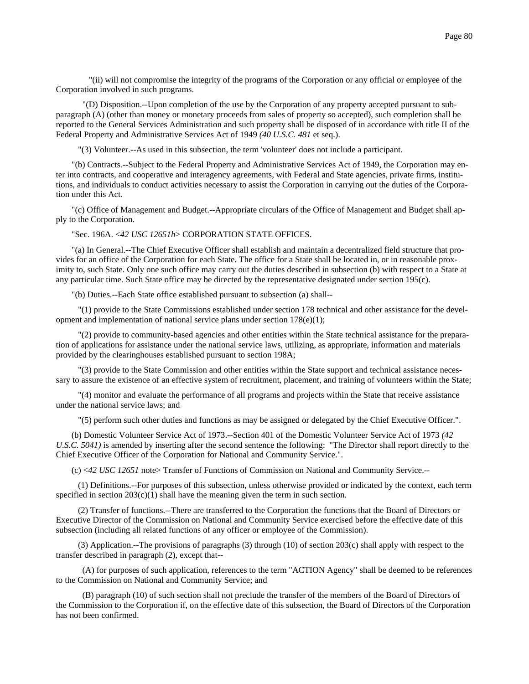"(ii) will not compromise the integrity of the programs of the Corporation or any official or employee of the Corporation involved in such programs.

 "(D) Disposition.--Upon completion of the use by the Corporation of any property accepted pursuant to subparagraph (A) (other than money or monetary proceeds from sales of property so accepted), such completion shall be reported to the General Services Administration and such property shall be disposed of in accordance with title II of the Federal Property and Administrative Services Act of 1949 *(40 U.S.C. 481* et seq.).

"(3) Volunteer.--As used in this subsection, the term 'volunteer' does not include a participant.

"(b) Contracts.--Subject to the Federal Property and Administrative Services Act of 1949, the Corporation may enter into contracts, and cooperative and interagency agreements, with Federal and State agencies, private firms, institutions, and individuals to conduct activities necessary to assist the Corporation in carrying out the duties of the Corporation under this Act.

"(c) Office of Management and Budget.--Appropriate circulars of the Office of Management and Budget shall apply to the Corporation.

"Sec. 196A. <*42 USC 12651h*> CORPORATION STATE OFFICES.

"(a) In General.--The Chief Executive Officer shall establish and maintain a decentralized field structure that provides for an office of the Corporation for each State. The office for a State shall be located in, or in reasonable proximity to, such State. Only one such office may carry out the duties described in subsection (b) with respect to a State at any particular time. Such State office may be directed by the representative designated under section 195(c).

"(b) Duties.--Each State office established pursuant to subsection (a) shall--

 "(1) provide to the State Commissions established under section 178 technical and other assistance for the development and implementation of national service plans under section 178(e)(1);

 "(2) provide to community-based agencies and other entities within the State technical assistance for the preparation of applications for assistance under the national service laws, utilizing, as appropriate, information and materials provided by the clearinghouses established pursuant to section 198A;

 "(3) provide to the State Commission and other entities within the State support and technical assistance necessary to assure the existence of an effective system of recruitment, placement, and training of volunteers within the State;

 "(4) monitor and evaluate the performance of all programs and projects within the State that receive assistance under the national service laws; and

"(5) perform such other duties and functions as may be assigned or delegated by the Chief Executive Officer.".

(b) Domestic Volunteer Service Act of 1973.--Section 401 of the Domestic Volunteer Service Act of 1973 *(42 U.S.C. 5041)* is amended by inserting after the second sentence the following: "The Director shall report directly to the Chief Executive Officer of the Corporation for National and Community Service.".

(c) <*42 USC 12651* note> Transfer of Functions of Commission on National and Community Service.--

 (1) Definitions.--For purposes of this subsection, unless otherwise provided or indicated by the context, each term specified in section  $203(c)(1)$  shall have the meaning given the term in such section.

 (2) Transfer of functions.--There are transferred to the Corporation the functions that the Board of Directors or Executive Director of the Commission on National and Community Service exercised before the effective date of this subsection (including all related functions of any officer or employee of the Commission).

 (3) Application.--The provisions of paragraphs (3) through (10) of section 203(c) shall apply with respect to the transfer described in paragraph (2), except that--

 (A) for purposes of such application, references to the term "ACTION Agency" shall be deemed to be references to the Commission on National and Community Service; and

 (B) paragraph (10) of such section shall not preclude the transfer of the members of the Board of Directors of the Commission to the Corporation if, on the effective date of this subsection, the Board of Directors of the Corporation has not been confirmed.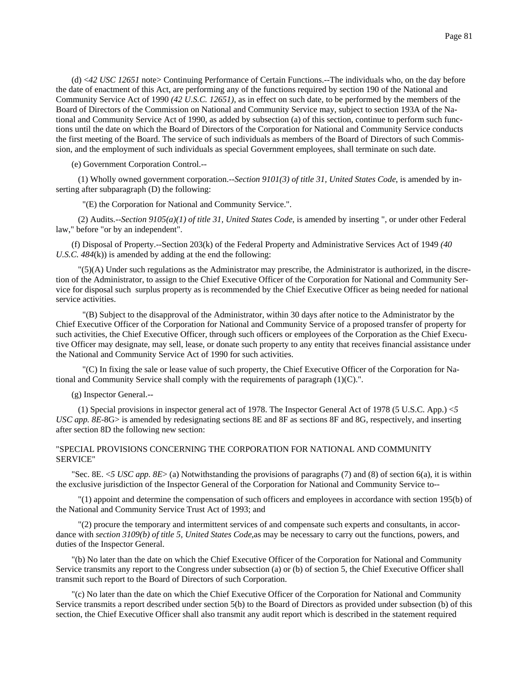(d) <*42 USC 12651* note> Continuing Performance of Certain Functions.--The individuals who, on the day before the date of enactment of this Act, are performing any of the functions required by section 190 of the National and Community Service Act of 1990 *(42 U.S.C. 12651),* as in effect on such date, to be performed by the members of the Board of Directors of the Commission on National and Community Service may, subject to section 193A of the National and Community Service Act of 1990, as added by subsection (a) of this section, continue to perform such functions until the date on which the Board of Directors of the Corporation for National and Community Service conducts the first meeting of the Board. The service of such individuals as members of the Board of Directors of such Commission, and the employment of such individuals as special Government employees, shall terminate on such date.

(e) Government Corporation Control.--

 (1) Wholly owned government corporation.--*Section 9101(3) of title 31, United States Code*, is amended by inserting after subparagraph (D) the following:

"(E) the Corporation for National and Community Service.".

 (2) Audits.--*Section 9105(a)(1) of title 31, United States Code*, is amended by inserting ", or under other Federal law," before "or by an independent".

(f) Disposal of Property.--Section 203(k) of the Federal Property and Administrative Services Act of 1949 *(40 U.S.C. 484*(k)) is amended by adding at the end the following:

 "(5)(A) Under such regulations as the Administrator may prescribe, the Administrator is authorized, in the discretion of the Administrator, to assign to the Chief Executive Officer of the Corporation for National and Community Service for disposal such surplus property as is recommended by the Chief Executive Officer as being needed for national service activities.

 "(B) Subject to the disapproval of the Administrator, within 30 days after notice to the Administrator by the Chief Executive Officer of the Corporation for National and Community Service of a proposed transfer of property for such activities, the Chief Executive Officer, through such officers or employees of the Corporation as the Chief Executive Officer may designate, may sell, lease, or donate such property to any entity that receives financial assistance under the National and Community Service Act of 1990 for such activities.

 "(C) In fixing the sale or lease value of such property, the Chief Executive Officer of the Corporation for National and Community Service shall comply with the requirements of paragraph (1)(C).".

(g) Inspector General.--

 (1) Special provisions in inspector general act of 1978. The Inspector General Act of 1978 (5 U.S.C. App.) <*5 USC app. 8E*-8G> is amended by redesignating sections 8E and 8F as sections 8F and 8G, respectively, and inserting after section 8D the following new section:

## "SPECIAL PROVISIONS CONCERNING THE CORPORATION FOR NATIONAL AND COMMUNITY SERVICE"

"Sec. 8E. <*5 USC app. 8E*> (a) Notwithstanding the provisions of paragraphs (7) and (8) of section 6(a), it is within the exclusive jurisdiction of the Inspector General of the Corporation for National and Community Service to--

 "(1) appoint and determine the compensation of such officers and employees in accordance with section 195(b) of the National and Community Service Trust Act of 1993; and

 "(2) procure the temporary and intermittent services of and compensate such experts and consultants, in accordance with *section 3109(b) of title 5, United States Code*,as may be necessary to carry out the functions, powers, and duties of the Inspector General.

"(b) No later than the date on which the Chief Executive Officer of the Corporation for National and Community Service transmits any report to the Congress under subsection (a) or (b) of section 5, the Chief Executive Officer shall transmit such report to the Board of Directors of such Corporation.

"(c) No later than the date on which the Chief Executive Officer of the Corporation for National and Community Service transmits a report described under section 5(b) to the Board of Directors as provided under subsection (b) of this section, the Chief Executive Officer shall also transmit any audit report which is described in the statement required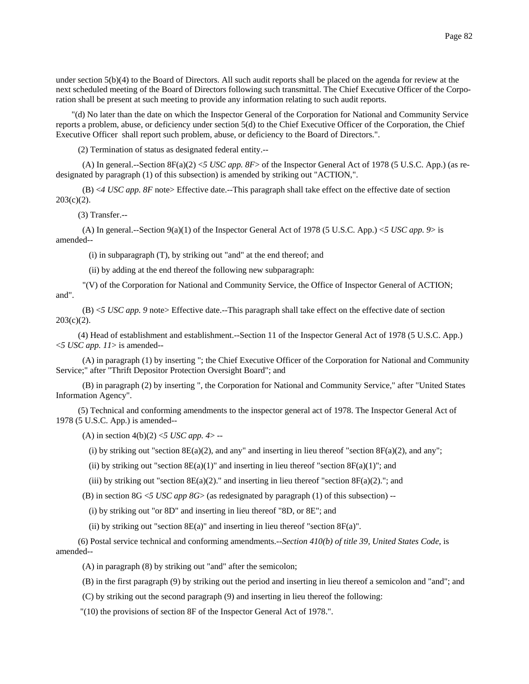under section 5(b)(4) to the Board of Directors. All such audit reports shall be placed on the agenda for review at the next scheduled meeting of the Board of Directors following such transmittal. The Chief Executive Officer of the Corporation shall be present at such meeting to provide any information relating to such audit reports.

"(d) No later than the date on which the Inspector General of the Corporation for National and Community Service reports a problem, abuse, or deficiency under section 5(d) to the Chief Executive Officer of the Corporation, the Chief Executive Officer shall report such problem, abuse, or deficiency to the Board of Directors.".

(2) Termination of status as designated federal entity.--

 (A) In general.--Section 8F(a)(2) <*5 USC app. 8F*> of the Inspector General Act of 1978 (5 U.S.C. App.) (as redesignated by paragraph (1) of this subsection) is amended by striking out "ACTION,".

 (B) <*4 USC app. 8F* note> Effective date.--This paragraph shall take effect on the effective date of section  $203(c)(2)$ .

(3) Transfer.--

 (A) In general.--Section 9(a)(1) of the Inspector General Act of 1978 (5 U.S.C. App.) <*5 USC app. 9*> is amended--

(i) in subparagraph (T), by striking out "and" at the end thereof; and

(ii) by adding at the end thereof the following new subparagraph:

 "(V) of the Corporation for National and Community Service, the Office of Inspector General of ACTION; and".

 (B) <*5 USC app. 9* note> Effective date.--This paragraph shall take effect on the effective date of section  $203(c)(2)$ .

 (4) Head of establishment and establishment.--Section 11 of the Inspector General Act of 1978 (5 U.S.C. App.) <*5 USC app. 11*> is amended--

 (A) in paragraph (1) by inserting "; the Chief Executive Officer of the Corporation for National and Community Service;" after "Thrift Depositor Protection Oversight Board"; and

 (B) in paragraph (2) by inserting ", the Corporation for National and Community Service," after "United States Information Agency".

 (5) Technical and conforming amendments to the inspector general act of 1978. The Inspector General Act of 1978 (5 U.S.C. App.) is amended--

(A) in section  $4(b)(2) < 5$  *USC app. 4* > --

(i) by striking out "section  $8E(a)(2)$ , and any" and inserting in lieu thereof "section  $8F(a)(2)$ , and any";

(ii) by striking out "section  $8E(a)(1)$ " and inserting in lieu thereof "section  $8F(a)(1)$ "; and

(iii) by striking out "section  $8E(a)(2)$ ." and inserting in lieu thereof "section  $8F(a)(2)$ ."; and

(B) in section  $8G \leq USC$  *app*  $8G$  (as redesignated by paragraph (1) of this subsection) --

(i) by striking out "or 8D" and inserting in lieu thereof "8D, or 8E"; and

(ii) by striking out "section  $8E(a)$ " and inserting in lieu thereof "section  $8F(a)$ ".

 (6) Postal service technical and conforming amendments.--*Section 410(b) of title 39, United States Code*, is amended--

(A) in paragraph (8) by striking out "and" after the semicolon;

(B) in the first paragraph (9) by striking out the period and inserting in lieu thereof a semicolon and "and"; and

(C) by striking out the second paragraph (9) and inserting in lieu thereof the following:

"(10) the provisions of section 8F of the Inspector General Act of 1978.".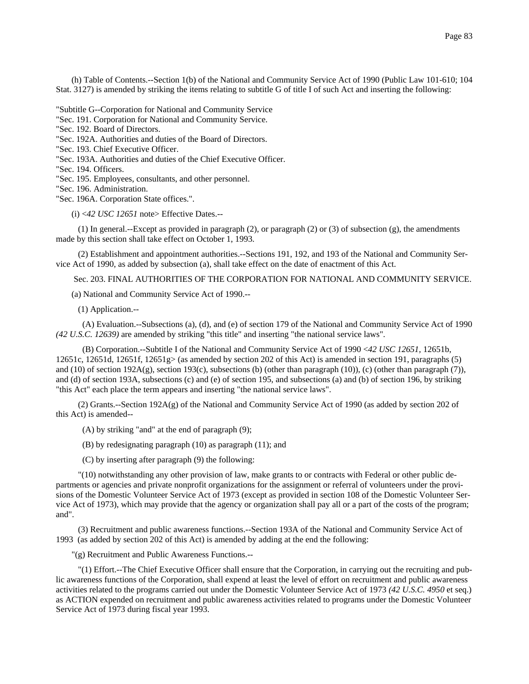(h) Table of Contents.--Section 1(b) of the National and Community Service Act of 1990 (Public Law 101-610; 104 Stat. 3127) is amended by striking the items relating to subtitle G of title I of such Act and inserting the following:

"Subtitle G--Corporation for National and Community Service

"Sec. 191. Corporation for National and Community Service.

"Sec. 192. Board of Directors.

"Sec. 192A. Authorities and duties of the Board of Directors.

- "Sec. 193. Chief Executive Officer.
- "Sec. 193A. Authorities and duties of the Chief Executive Officer.

"Sec. 194. Officers.

"Sec. 195. Employees, consultants, and other personnel.

"Sec. 196. Administration.

"Sec. 196A. Corporation State offices.".

(i) <*42 USC 12651* note> Effective Dates.--

 (1) In general.--Except as provided in paragraph (2), or paragraph (2) or (3) of subsection (g), the amendments made by this section shall take effect on October 1, 1993.

 (2) Establishment and appointment authorities.--Sections 191, 192, and 193 of the National and Community Service Act of 1990, as added by subsection (a), shall take effect on the date of enactment of this Act.

Sec. 203. FINAL AUTHORITIES OF THE CORPORATION FOR NATIONAL AND COMMUNITY SERVICE.

(a) National and Community Service Act of 1990.--

(1) Application.--

 (A) Evaluation.--Subsections (a), (d), and (e) of section 179 of the National and Community Service Act of 1990 *(42 U.S.C. 12639)* are amended by striking "this title" and inserting "the national service laws".

 (B) Corporation.--Subtitle I of the National and Community Service Act of 1990 <*42 USC 12651,* 12651b, 12651c, 12651d, 12651f, 12651g> (as amended by section 202 of this Act) is amended in section 191, paragraphs (5) and (10) of section 192A(g), section 193(c), subsections (b) (other than paragraph (10)), (c) (other than paragraph (7)), and (d) of section 193A, subsections (c) and (e) of section 195, and subsections (a) and (b) of section 196, by striking "this Act" each place the term appears and inserting "the national service laws".

 (2) Grants.--Section 192A(g) of the National and Community Service Act of 1990 (as added by section 202 of this Act) is amended--

(A) by striking "and" at the end of paragraph (9);

(B) by redesignating paragraph (10) as paragraph (11); and

(C) by inserting after paragraph (9) the following:

 "(10) notwithstanding any other provision of law, make grants to or contracts with Federal or other public departments or agencies and private nonprofit organizations for the assignment or referral of volunteers under the provisions of the Domestic Volunteer Service Act of 1973 (except as provided in section 108 of the Domestic Volunteer Service Act of 1973), which may provide that the agency or organization shall pay all or a part of the costs of the program; and".

 (3) Recruitment and public awareness functions.--Section 193A of the National and Community Service Act of 1993 (as added by section 202 of this Act) is amended by adding at the end the following:

"(g) Recruitment and Public Awareness Functions.--

 "(1) Effort.--The Chief Executive Officer shall ensure that the Corporation, in carrying out the recruiting and public awareness functions of the Corporation, shall expend at least the level of effort on recruitment and public awareness activities related to the programs carried out under the Domestic Volunteer Service Act of 1973 *(42 U.S.C. 4950* et seq.) as ACTION expended on recruitment and public awareness activities related to programs under the Domestic Volunteer Service Act of 1973 during fiscal year 1993.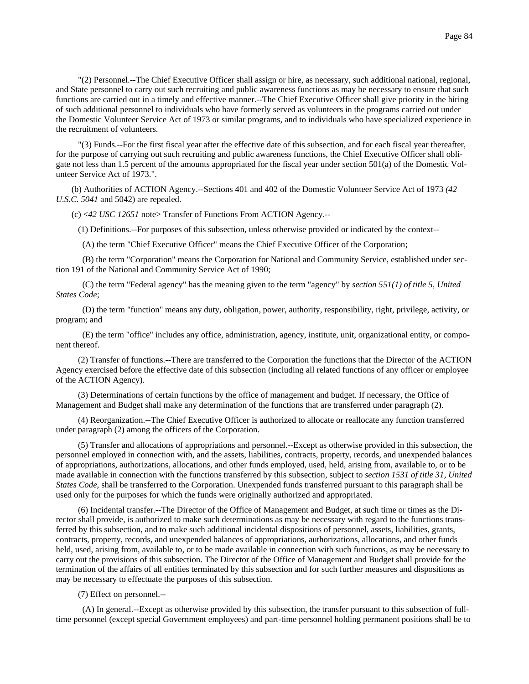"(2) Personnel.--The Chief Executive Officer shall assign or hire, as necessary, such additional national, regional, and State personnel to carry out such recruiting and public awareness functions as may be necessary to ensure that such functions are carried out in a timely and effective manner.--The Chief Executive Officer shall give priority in the hiring of such additional personnel to individuals who have formerly served as volunteers in the programs carried out under the Domestic Volunteer Service Act of 1973 or similar programs, and to individuals who have specialized experience in the recruitment of volunteers.

 "(3) Funds.--For the first fiscal year after the effective date of this subsection, and for each fiscal year thereafter, for the purpose of carrying out such recruiting and public awareness functions, the Chief Executive Officer shall obligate not less than 1.5 percent of the amounts appropriated for the fiscal year under section 501(a) of the Domestic Volunteer Service Act of 1973.".

(b) Authorities of ACTION Agency.--Sections 401 and 402 of the Domestic Volunteer Service Act of 1973 *(42 U.S.C. 5041* and 5042) are repealed.

(c) <*42 USC 12651* note> Transfer of Functions From ACTION Agency.--

(1) Definitions.--For purposes of this subsection, unless otherwise provided or indicated by the context--

(A) the term "Chief Executive Officer" means the Chief Executive Officer of the Corporation;

 (B) the term "Corporation" means the Corporation for National and Community Service, established under section 191 of the National and Community Service Act of 1990;

 (C) the term "Federal agency" has the meaning given to the term "agency" by *section 551(1) of title 5, United States Code*;

 (D) the term "function" means any duty, obligation, power, authority, responsibility, right, privilege, activity, or program; and

 (E) the term "office" includes any office, administration, agency, institute, unit, organizational entity, or component thereof.

 (2) Transfer of functions.--There are transferred to the Corporation the functions that the Director of the ACTION Agency exercised before the effective date of this subsection (including all related functions of any officer or employee of the ACTION Agency).

 (3) Determinations of certain functions by the office of management and budget. If necessary, the Office of Management and Budget shall make any determination of the functions that are transferred under paragraph (2).

 (4) Reorganization.--The Chief Executive Officer is authorized to allocate or reallocate any function transferred under paragraph (2) among the officers of the Corporation.

 (5) Transfer and allocations of appropriations and personnel.--Except as otherwise provided in this subsection, the personnel employed in connection with, and the assets, liabilities, contracts, property, records, and unexpended balances of appropriations, authorizations, allocations, and other funds employed, used, held, arising from, available to, or to be made available in connection with the functions transferred by this subsection, subject to *section 1531 of title 31, United States Code*, shall be transferred to the Corporation. Unexpended funds transferred pursuant to this paragraph shall be used only for the purposes for which the funds were originally authorized and appropriated.

 (6) Incidental transfer.--The Director of the Office of Management and Budget, at such time or times as the Director shall provide, is authorized to make such determinations as may be necessary with regard to the functions transferred by this subsection, and to make such additional incidental dispositions of personnel, assets, liabilities, grants, contracts, property, records, and unexpended balances of appropriations, authorizations, allocations, and other funds held, used, arising from, available to, or to be made available in connection with such functions, as may be necessary to carry out the provisions of this subsection. The Director of the Office of Management and Budget shall provide for the termination of the affairs of all entities terminated by this subsection and for such further measures and dispositions as may be necessary to effectuate the purposes of this subsection.

(7) Effect on personnel.--

 (A) In general.--Except as otherwise provided by this subsection, the transfer pursuant to this subsection of fulltime personnel (except special Government employees) and part-time personnel holding permanent positions shall be to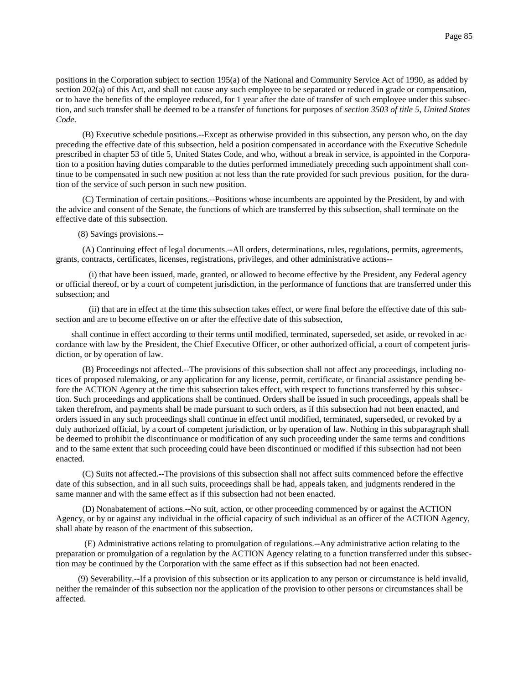positions in the Corporation subject to section 195(a) of the National and Community Service Act of 1990, as added by section 202(a) of this Act, and shall not cause any such employee to be separated or reduced in grade or compensation, or to have the benefits of the employee reduced, for 1 year after the date of transfer of such employee under this subsection, and such transfer shall be deemed to be a transfer of functions for purposes of *section 3503 of title 5, United States Code*.

 (B) Executive schedule positions.--Except as otherwise provided in this subsection, any person who, on the day preceding the effective date of this subsection, held a position compensated in accordance with the Executive Schedule prescribed in chapter 53 of title 5, United States Code, and who, without a break in service, is appointed in the Corporation to a position having duties comparable to the duties performed immediately preceding such appointment shall continue to be compensated in such new position at not less than the rate provided for such previous position, for the duration of the service of such person in such new position.

 (C) Termination of certain positions.--Positions whose incumbents are appointed by the President, by and with the advice and consent of the Senate, the functions of which are transferred by this subsection, shall terminate on the effective date of this subsection.

### (8) Savings provisions.--

 (A) Continuing effect of legal documents.--All orders, determinations, rules, regulations, permits, agreements, grants, contracts, certificates, licenses, registrations, privileges, and other administrative actions--

 (i) that have been issued, made, granted, or allowed to become effective by the President, any Federal agency or official thereof, or by a court of competent jurisdiction, in the performance of functions that are transferred under this subsection; and

 (ii) that are in effect at the time this subsection takes effect, or were final before the effective date of this subsection and are to become effective on or after the effective date of this subsection,

shall continue in effect according to their terms until modified, terminated, superseded, set aside, or revoked in accordance with law by the President, the Chief Executive Officer, or other authorized official, a court of competent jurisdiction, or by operation of law.

 (B) Proceedings not affected.--The provisions of this subsection shall not affect any proceedings, including notices of proposed rulemaking, or any application for any license, permit, certificate, or financial assistance pending before the ACTION Agency at the time this subsection takes effect, with respect to functions transferred by this subsection. Such proceedings and applications shall be continued. Orders shall be issued in such proceedings, appeals shall be taken therefrom, and payments shall be made pursuant to such orders, as if this subsection had not been enacted, and orders issued in any such proceedings shall continue in effect until modified, terminated, superseded, or revoked by a duly authorized official, by a court of competent jurisdiction, or by operation of law. Nothing in this subparagraph shall be deemed to prohibit the discontinuance or modification of any such proceeding under the same terms and conditions and to the same extent that such proceeding could have been discontinued or modified if this subsection had not been enacted.

 (C) Suits not affected.--The provisions of this subsection shall not affect suits commenced before the effective date of this subsection, and in all such suits, proceedings shall be had, appeals taken, and judgments rendered in the same manner and with the same effect as if this subsection had not been enacted.

 (D) Nonabatement of actions.--No suit, action, or other proceeding commenced by or against the ACTION Agency, or by or against any individual in the official capacity of such individual as an officer of the ACTION Agency, shall abate by reason of the enactment of this subsection.

 (E) Administrative actions relating to promulgation of regulations.--Any administrative action relating to the preparation or promulgation of a regulation by the ACTION Agency relating to a function transferred under this subsection may be continued by the Corporation with the same effect as if this subsection had not been enacted.

 (9) Severability.--If a provision of this subsection or its application to any person or circumstance is held invalid, neither the remainder of this subsection nor the application of the provision to other persons or circumstances shall be affected.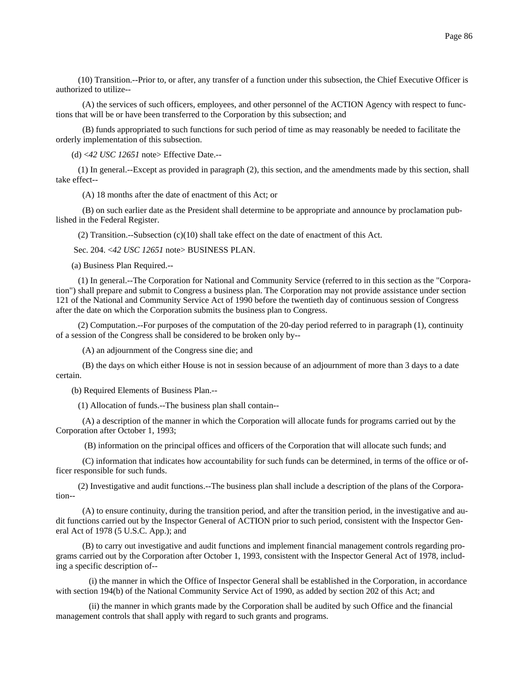(10) Transition.--Prior to, or after, any transfer of a function under this subsection, the Chief Executive Officer is authorized to utilize--

 (A) the services of such officers, employees, and other personnel of the ACTION Agency with respect to functions that will be or have been transferred to the Corporation by this subsection; and

 (B) funds appropriated to such functions for such period of time as may reasonably be needed to facilitate the orderly implementation of this subsection.

(d) <*42 USC 12651* note> Effective Date.--

 (1) In general.--Except as provided in paragraph (2), this section, and the amendments made by this section, shall take effect--

(A) 18 months after the date of enactment of this Act; or

 (B) on such earlier date as the President shall determine to be appropriate and announce by proclamation published in the Federal Register.

(2) Transition.--Subsection  $(c)(10)$  shall take effect on the date of enactment of this Act.

Sec. 204. <*42 USC 12651* note> BUSINESS PLAN.

(a) Business Plan Required.--

 (1) In general.--The Corporation for National and Community Service (referred to in this section as the "Corporation") shall prepare and submit to Congress a business plan. The Corporation may not provide assistance under section 121 of the National and Community Service Act of 1990 before the twentieth day of continuous session of Congress after the date on which the Corporation submits the business plan to Congress.

 (2) Computation.--For purposes of the computation of the 20-day period referred to in paragraph (1), continuity of a session of the Congress shall be considered to be broken only by--

(A) an adjournment of the Congress sine die; and

 (B) the days on which either House is not in session because of an adjournment of more than 3 days to a date certain.

(b) Required Elements of Business Plan.--

(1) Allocation of funds.--The business plan shall contain--

 (A) a description of the manner in which the Corporation will allocate funds for programs carried out by the Corporation after October 1, 1993;

(B) information on the principal offices and officers of the Corporation that will allocate such funds; and

 (C) information that indicates how accountability for such funds can be determined, in terms of the office or officer responsible for such funds.

 (2) Investigative and audit functions.--The business plan shall include a description of the plans of the Corporation--

 (A) to ensure continuity, during the transition period, and after the transition period, in the investigative and audit functions carried out by the Inspector General of ACTION prior to such period, consistent with the Inspector General Act of 1978 (5 U.S.C. App.); and

 (B) to carry out investigative and audit functions and implement financial management controls regarding programs carried out by the Corporation after October 1, 1993, consistent with the Inspector General Act of 1978, including a specific description of--

 (i) the manner in which the Office of Inspector General shall be established in the Corporation, in accordance with section 194(b) of the National Community Service Act of 1990, as added by section 202 of this Act; and

 (ii) the manner in which grants made by the Corporation shall be audited by such Office and the financial management controls that shall apply with regard to such grants and programs.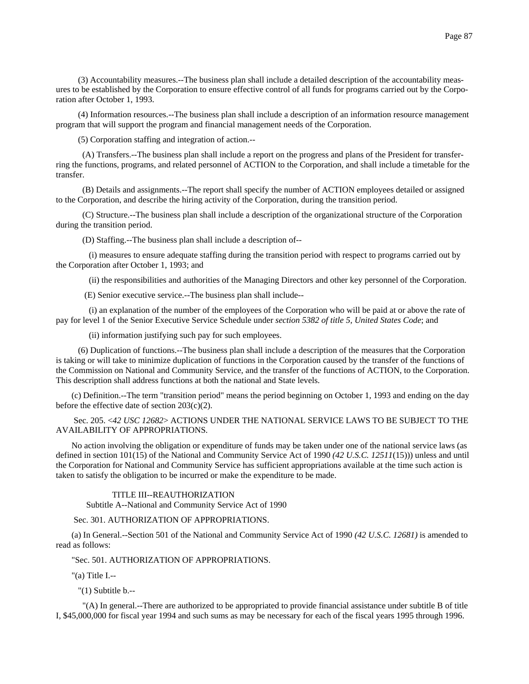(3) Accountability measures.--The business plan shall include a detailed description of the accountability measures to be established by the Corporation to ensure effective control of all funds for programs carried out by the Corporation after October 1, 1993.

 (4) Information resources.--The business plan shall include a description of an information resource management program that will support the program and financial management needs of the Corporation.

(5) Corporation staffing and integration of action.--

 (A) Transfers.--The business plan shall include a report on the progress and plans of the President for transferring the functions, programs, and related personnel of ACTION to the Corporation, and shall include a timetable for the transfer.

 (B) Details and assignments.--The report shall specify the number of ACTION employees detailed or assigned to the Corporation, and describe the hiring activity of the Corporation, during the transition period.

 (C) Structure.--The business plan shall include a description of the organizational structure of the Corporation during the transition period.

(D) Staffing.--The business plan shall include a description of--

 (i) measures to ensure adequate staffing during the transition period with respect to programs carried out by the Corporation after October 1, 1993; and

(ii) the responsibilities and authorities of the Managing Directors and other key personnel of the Corporation.

(E) Senior executive service.--The business plan shall include--

 (i) an explanation of the number of the employees of the Corporation who will be paid at or above the rate of pay for level 1 of the Senior Executive Service Schedule under *section 5382 of title 5, United States Code*; and

(ii) information justifying such pay for such employees.

 (6) Duplication of functions.--The business plan shall include a description of the measures that the Corporation is taking or will take to minimize duplication of functions in the Corporation caused by the transfer of the functions of the Commission on National and Community Service, and the transfer of the functions of ACTION, to the Corporation. This description shall address functions at both the national and State levels.

(c) Definition.--The term "transition period" means the period beginning on October 1, 1993 and ending on the day before the effective date of section  $203(c)(2)$ .

 Sec. 205. <*42 USC 12682*> ACTIONS UNDER THE NATIONAL SERVICE LAWS TO BE SUBJECT TO THE AVAILABILITY OF APPROPRIATIONS.

No action involving the obligation or expenditure of funds may be taken under one of the national service laws (as defined in section 101(15) of the National and Community Service Act of 1990 *(42 U.S.C. 12511*(15))) unless and until the Corporation for National and Community Service has sufficient appropriations available at the time such action is taken to satisfy the obligation to be incurred or make the expenditure to be made.

## TITLE III--REAUTHORIZATION

Subtitle A--National and Community Service Act of 1990

Sec. 301. AUTHORIZATION OF APPROPRIATIONS.

(a) In General.--Section 501 of the National and Community Service Act of 1990 *(42 U.S.C. 12681)* is amended to read as follows:

"Sec. 501. AUTHORIZATION OF APPROPRIATIONS.

"(a) Title I.--

"(1) Subtitle b.--

 "(A) In general.--There are authorized to be appropriated to provide financial assistance under subtitle B of title I, \$45,000,000 for fiscal year 1994 and such sums as may be necessary for each of the fiscal years 1995 through 1996.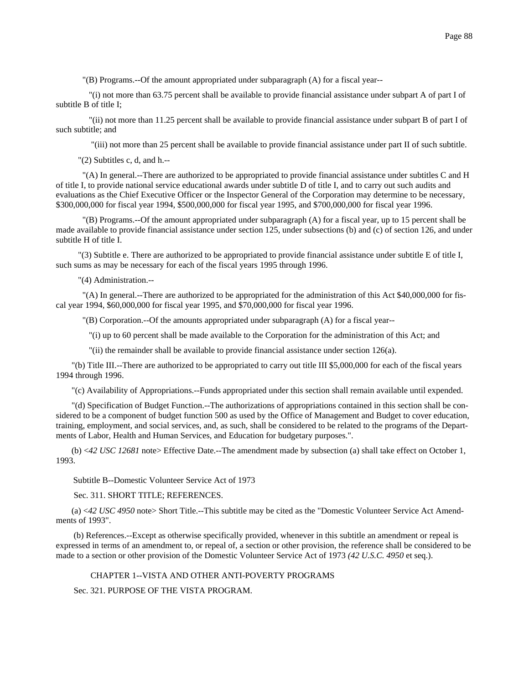"(B) Programs.--Of the amount appropriated under subparagraph (A) for a fiscal year--

 "(i) not more than 63.75 percent shall be available to provide financial assistance under subpart A of part I of subtitle B of title I;

 "(ii) not more than 11.25 percent shall be available to provide financial assistance under subpart B of part I of such subtitle; and

"(iii) not more than 25 percent shall be available to provide financial assistance under part II of such subtitle.

"(2) Subtitles c, d, and h.--

 "(A) In general.--There are authorized to be appropriated to provide financial assistance under subtitles C and H of title I, to provide national service educational awards under subtitle D of title I, and to carry out such audits and evaluations as the Chief Executive Officer or the Inspector General of the Corporation may determine to be necessary, \$300,000,000 for fiscal year 1994, \$500,000,000 for fiscal year 1995, and \$700,000,000 for fiscal year 1996.

 "(B) Programs.--Of the amount appropriated under subparagraph (A) for a fiscal year, up to 15 percent shall be made available to provide financial assistance under section 125, under subsections (b) and (c) of section 126, and under subtitle H of title I.

 "(3) Subtitle e. There are authorized to be appropriated to provide financial assistance under subtitle E of title I, such sums as may be necessary for each of the fiscal years 1995 through 1996.

"(4) Administration.--

 "(A) In general.--There are authorized to be appropriated for the administration of this Act \$40,000,000 for fiscal year 1994, \$60,000,000 for fiscal year 1995, and \$70,000,000 for fiscal year 1996.

"(B) Corporation.--Of the amounts appropriated under subparagraph (A) for a fiscal year--

"(i) up to 60 percent shall be made available to the Corporation for the administration of this Act; and

"(ii) the remainder shall be available to provide financial assistance under section 126(a).

"(b) Title III.--There are authorized to be appropriated to carry out title III \$5,000,000 for each of the fiscal years 1994 through 1996.

"(c) Availability of Appropriations.--Funds appropriated under this section shall remain available until expended.

"(d) Specification of Budget Function.--The authorizations of appropriations contained in this section shall be considered to be a component of budget function 500 as used by the Office of Management and Budget to cover education, training, employment, and social services, and, as such, shall be considered to be related to the programs of the Departments of Labor, Health and Human Services, and Education for budgetary purposes.".

(b) <*42 USC 12681* note> Effective Date.--The amendment made by subsection (a) shall take effect on October 1, 1993.

Subtitle B--Domestic Volunteer Service Act of 1973

Sec. 311. SHORT TITLE; REFERENCES.

(a) <*42 USC 4950* note> Short Title.--This subtitle may be cited as the "Domestic Volunteer Service Act Amendments of 1993".

 (b) References.--Except as otherwise specifically provided, whenever in this subtitle an amendment or repeal is expressed in terms of an amendment to, or repeal of, a section or other provision, the reference shall be considered to be made to a section or other provision of the Domestic Volunteer Service Act of 1973 *(42 U.S.C. 4950* et seq.).

CHAPTER 1--VISTA AND OTHER ANTI-POVERTY PROGRAMS

Sec. 321. PURPOSE OF THE VISTA PROGRAM.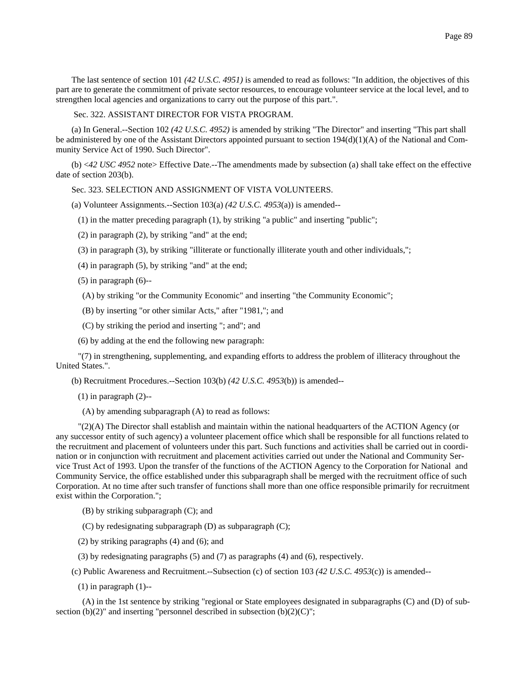The last sentence of section 101 *(42 U.S.C. 4951)* is amended to read as follows: "In addition, the objectives of this part are to generate the commitment of private sector resources, to encourage volunteer service at the local level, and to strengthen local agencies and organizations to carry out the purpose of this part.".

Sec. 322. ASSISTANT DIRECTOR FOR VISTA PROGRAM.

(a) In General.--Section 102 *(42 U.S.C. 4952)* is amended by striking "The Director" and inserting "This part shall be administered by one of the Assistant Directors appointed pursuant to section  $194(d)(1)(A)$  of the National and Community Service Act of 1990. Such Director".

(b) <*42 USC 4952* note> Effective Date.--The amendments made by subsection (a) shall take effect on the effective date of section 203(b).

Sec. 323. SELECTION AND ASSIGNMENT OF VISTA VOLUNTEERS.

- (a) Volunteer Assignments.--Section 103(a) *(42 U.S.C. 4953*(a)) is amended--
	- (1) in the matter preceding paragraph (1), by striking "a public" and inserting "public";
	- (2) in paragraph (2), by striking "and" at the end;
	- (3) in paragraph (3), by striking "illiterate or functionally illiterate youth and other individuals,";
	- (4) in paragraph (5), by striking "and" at the end;
	- $(5)$  in paragraph  $(6)$ --
	- (A) by striking "or the Community Economic" and inserting "the Community Economic";
	- (B) by inserting "or other similar Acts," after "1981,"; and
	- (C) by striking the period and inserting "; and"; and
	- (6) by adding at the end the following new paragraph:

 "(7) in strengthening, supplementing, and expanding efforts to address the problem of illiteracy throughout the United States.".

(b) Recruitment Procedures.--Section 103(b) *(42 U.S.C. 4953*(b)) is amended--

- $(1)$  in paragraph  $(2)$ --
- (A) by amending subparagraph (A) to read as follows:

 "(2)(A) The Director shall establish and maintain within the national headquarters of the ACTION Agency (or any successor entity of such agency) a volunteer placement office which shall be responsible for all functions related to the recruitment and placement of volunteers under this part. Such functions and activities shall be carried out in coordination or in conjunction with recruitment and placement activities carried out under the National and Community Service Trust Act of 1993. Upon the transfer of the functions of the ACTION Agency to the Corporation for National and Community Service, the office established under this subparagraph shall be merged with the recruitment office of such Corporation. At no time after such transfer of functions shall more than one office responsible primarily for recruitment exist within the Corporation.";

- (B) by striking subparagraph (C); and
- (C) by redesignating subparagraph (D) as subparagraph (C);
- (2) by striking paragraphs (4) and (6); and
- (3) by redesignating paragraphs (5) and (7) as paragraphs (4) and (6), respectively.
- (c) Public Awareness and Recruitment.--Subsection (c) of section 103 *(42 U.S.C. 4953*(c)) is amended--
	- $(1)$  in paragraph  $(1)$ --

 (A) in the 1st sentence by striking "regional or State employees designated in subparagraphs (C) and (D) of subsection (b)(2)" and inserting "personnel described in subsection (b)(2)(C)";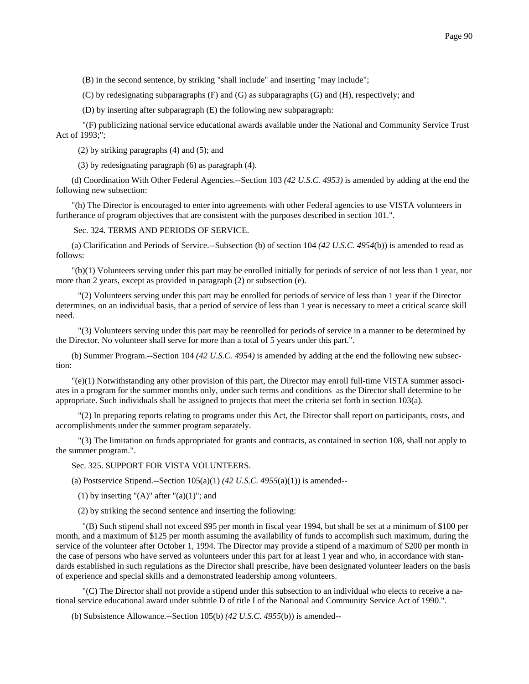(B) in the second sentence, by striking "shall include" and inserting "may include";

(C) by redesignating subparagraphs (F) and (G) as subparagraphs (G) and (H), respectively; and

(D) by inserting after subparagraph (E) the following new subparagraph:

 "(F) publicizing national service educational awards available under the National and Community Service Trust Act of 1993;";

(2) by striking paragraphs (4) and (5); and

(3) by redesignating paragraph (6) as paragraph (4).

(d) Coordination With Other Federal Agencies.--Section 103 *(42 U.S.C. 4953)* is amended by adding at the end the following new subsection:

"(h) The Director is encouraged to enter into agreements with other Federal agencies to use VISTA volunteers in furtherance of program objectives that are consistent with the purposes described in section 101.".

Sec. 324. TERMS AND PERIODS OF SERVICE.

(a) Clarification and Periods of Service.--Subsection (b) of section 104 *(42 U.S.C. 4954*(b)) is amended to read as follows:

"(b)(1) Volunteers serving under this part may be enrolled initially for periods of service of not less than 1 year, nor more than 2 years, except as provided in paragraph (2) or subsection (e).

 "(2) Volunteers serving under this part may be enrolled for periods of service of less than 1 year if the Director determines, on an individual basis, that a period of service of less than 1 year is necessary to meet a critical scarce skill need.

 "(3) Volunteers serving under this part may be reenrolled for periods of service in a manner to be determined by the Director. No volunteer shall serve for more than a total of 5 years under this part.".

(b) Summer Program.--Section 104 *(42 U.S.C. 4954)* is amended by adding at the end the following new subsection:

"(e)(1) Notwithstanding any other provision of this part, the Director may enroll full-time VISTA summer associates in a program for the summer months only, under such terms and conditions as the Director shall determine to be appropriate. Such individuals shall be assigned to projects that meet the criteria set forth in section 103(a).

 "(2) In preparing reports relating to programs under this Act, the Director shall report on participants, costs, and accomplishments under the summer program separately.

 "(3) The limitation on funds appropriated for grants and contracts, as contained in section 108, shall not apply to the summer program.".

### Sec. 325. SUPPORT FOR VISTA VOLUNTEERS.

(a) Postservice Stipend.--Section 105(a)(1) *(42 U.S.C. 4955*(a)(1)) is amended--

(1) by inserting " $(A)$ " after " $(a)(1)$ "; and

(2) by striking the second sentence and inserting the following:

 "(B) Such stipend shall not exceed \$95 per month in fiscal year 1994, but shall be set at a minimum of \$100 per month, and a maximum of \$125 per month assuming the availability of funds to accomplish such maximum, during the service of the volunteer after October 1, 1994. The Director may provide a stipend of a maximum of \$200 per month in the case of persons who have served as volunteers under this part for at least 1 year and who, in accordance with standards established in such regulations as the Director shall prescribe, have been designated volunteer leaders on the basis of experience and special skills and a demonstrated leadership among volunteers.

 "(C) The Director shall not provide a stipend under this subsection to an individual who elects to receive a national service educational award under subtitle D of title I of the National and Community Service Act of 1990.".

(b) Subsistence Allowance.--Section 105(b) *(42 U.S.C. 4955*(b)) is amended--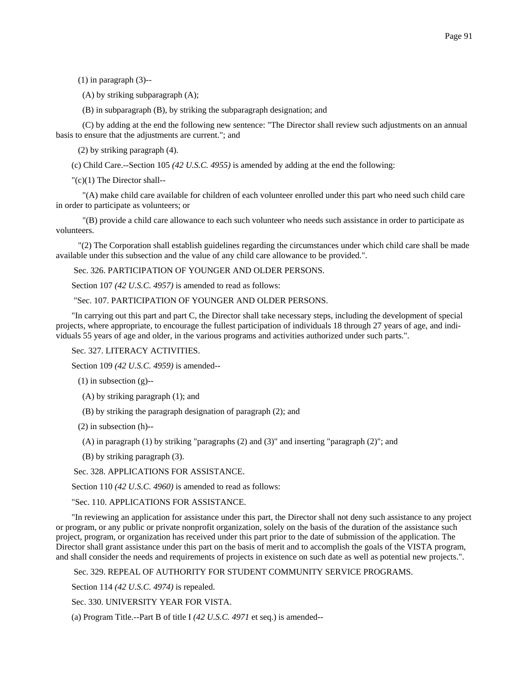$(1)$  in paragraph  $(3)$ --

(A) by striking subparagraph (A);

(B) in subparagraph (B), by striking the subparagraph designation; and

 (C) by adding at the end the following new sentence: "The Director shall review such adjustments on an annual basis to ensure that the adjustments are current."; and

(2) by striking paragraph (4).

(c) Child Care.--Section 105 *(42 U.S.C. 4955)* is amended by adding at the end the following:

"(c)(1) The Director shall--

 "(A) make child care available for children of each volunteer enrolled under this part who need such child care in order to participate as volunteers; or

 "(B) provide a child care allowance to each such volunteer who needs such assistance in order to participate as volunteers.

 "(2) The Corporation shall establish guidelines regarding the circumstances under which child care shall be made available under this subsection and the value of any child care allowance to be provided.".

Sec. 326. PARTICIPATION OF YOUNGER AND OLDER PERSONS.

Section 107 *(42 U.S.C. 4957)* is amended to read as follows:

"Sec. 107. PARTICIPATION OF YOUNGER AND OLDER PERSONS.

"In carrying out this part and part C, the Director shall take necessary steps, including the development of special projects, where appropriate, to encourage the fullest participation of individuals 18 through 27 years of age, and individuals 55 years of age and older, in the various programs and activities authorized under such parts.".

Sec. 327. LITERACY ACTIVITIES.

Section 109 *(42 U.S.C. 4959)* is amended--

 $(1)$  in subsection  $(g)$ --

(A) by striking paragraph (1); and

(B) by striking the paragraph designation of paragraph (2); and

(2) in subsection (h)--

(A) in paragraph (1) by striking "paragraphs (2) and (3)" and inserting "paragraph (2)"; and

(B) by striking paragraph (3).

Sec. 328. APPLICATIONS FOR ASSISTANCE.

Section 110 *(42 U.S.C. 4960)* is amended to read as follows:

"Sec. 110. APPLICATIONS FOR ASSISTANCE.

"In reviewing an application for assistance under this part, the Director shall not deny such assistance to any project or program, or any public or private nonprofit organization, solely on the basis of the duration of the assistance such project, program, or organization has received under this part prior to the date of submission of the application. The Director shall grant assistance under this part on the basis of merit and to accomplish the goals of the VISTA program, and shall consider the needs and requirements of projects in existence on such date as well as potential new projects.".

Sec. 329. REPEAL OF AUTHORITY FOR STUDENT COMMUNITY SERVICE PROGRAMS.

Section 114 *(42 U.S.C. 4974)* is repealed.

Sec. 330. UNIVERSITY YEAR FOR VISTA.

(a) Program Title.--Part B of title I *(42 U.S.C. 4971* et seq.) is amended--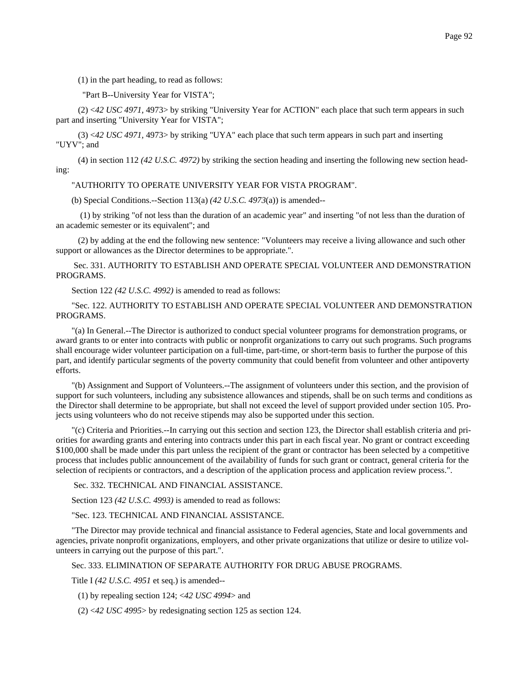(1) in the part heading, to read as follows:

### "Part B--University Year for VISTA";

 (2) <*42 USC 4971,* 4973> by striking "University Year for ACTION" each place that such term appears in such part and inserting "University Year for VISTA";

 (3) <*42 USC 4971,* 4973> by striking "UYA" each place that such term appears in such part and inserting "UYV"; and

 (4) in section 112 *(42 U.S.C. 4972)* by striking the section heading and inserting the following new section heading:

"AUTHORITY TO OPERATE UNIVERSITY YEAR FOR VISTA PROGRAM".

(b) Special Conditions.--Section 113(a) *(42 U.S.C. 4973*(a)) is amended--

 (1) by striking "of not less than the duration of an academic year" and inserting "of not less than the duration of an academic semester or its equivalent"; and

 (2) by adding at the end the following new sentence: "Volunteers may receive a living allowance and such other support or allowances as the Director determines to be appropriate.".

 Sec. 331. AUTHORITY TO ESTABLISH AND OPERATE SPECIAL VOLUNTEER AND DEMONSTRATION PROGRAMS.

Section 122 *(42 U.S.C. 4992)* is amended to read as follows:

"Sec. 122. AUTHORITY TO ESTABLISH AND OPERATE SPECIAL VOLUNTEER AND DEMONSTRATION PROGRAMS.

"(a) In General.--The Director is authorized to conduct special volunteer programs for demonstration programs, or award grants to or enter into contracts with public or nonprofit organizations to carry out such programs. Such programs shall encourage wider volunteer participation on a full-time, part-time, or short-term basis to further the purpose of this part, and identify particular segments of the poverty community that could benefit from volunteer and other antipoverty efforts.

"(b) Assignment and Support of Volunteers.--The assignment of volunteers under this section, and the provision of support for such volunteers, including any subsistence allowances and stipends, shall be on such terms and conditions as the Director shall determine to be appropriate, but shall not exceed the level of support provided under section 105. Projects using volunteers who do not receive stipends may also be supported under this section.

"(c) Criteria and Priorities.--In carrying out this section and section 123, the Director shall establish criteria and priorities for awarding grants and entering into contracts under this part in each fiscal year. No grant or contract exceeding \$100,000 shall be made under this part unless the recipient of the grant or contractor has been selected by a competitive process that includes public announcement of the availability of funds for such grant or contract, general criteria for the selection of recipients or contractors, and a description of the application process and application review process.".

Sec. 332. TECHNICAL AND FINANCIAL ASSISTANCE.

Section 123 *(42 U.S.C. 4993)* is amended to read as follows:

"Sec. 123. TECHNICAL AND FINANCIAL ASSISTANCE.

"The Director may provide technical and financial assistance to Federal agencies, State and local governments and agencies, private nonprofit organizations, employers, and other private organizations that utilize or desire to utilize volunteers in carrying out the purpose of this part.".

## Sec. 333. ELIMINATION OF SEPARATE AUTHORITY FOR DRUG ABUSE PROGRAMS.

Title I *(42 U.S.C. 4951* et seq.) is amended--

(1) by repealing section 124; <*42 USC 4994*> and

(2) <*42 USC 4995*> by redesignating section 125 as section 124.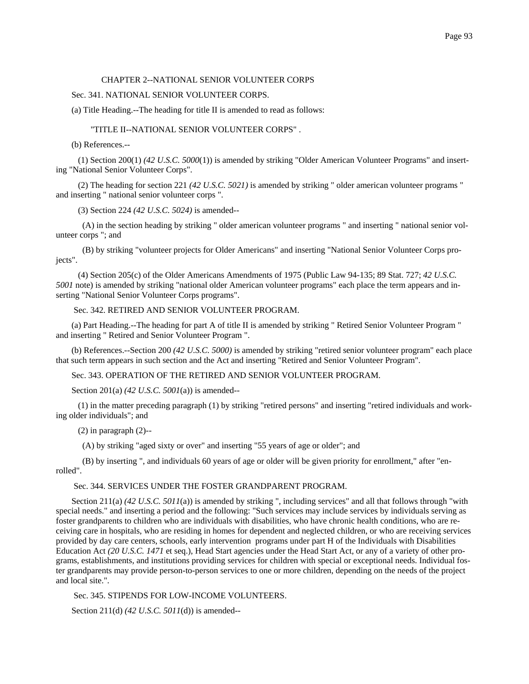### CHAPTER 2--NATIONAL SENIOR VOLUNTEER CORPS

### Sec. 341. NATIONAL SENIOR VOLUNTEER CORPS.

(a) Title Heading.--The heading for title II is amended to read as follows:

#### "TITLE II--NATIONAL SENIOR VOLUNTEER CORPS" .

(b) References.--

 (1) Section 200(1) *(42 U.S.C. 5000*(1)) is amended by striking "Older American Volunteer Programs" and inserting "National Senior Volunteer Corps".

 (2) The heading for section 221 *(42 U.S.C. 5021)* is amended by striking " older american volunteer programs " and inserting " national senior volunteer corps ".

(3) Section 224 *(42 U.S.C. 5024)* is amended--

 (A) in the section heading by striking " older american volunteer programs " and inserting " national senior volunteer corps "; and

 (B) by striking "volunteer projects for Older Americans" and inserting "National Senior Volunteer Corps projects".

 (4) Section 205(c) of the Older Americans Amendments of 1975 (Public Law 94-135; 89 Stat. 727; *42 U.S.C. 5001* note) is amended by striking "national older American volunteer programs" each place the term appears and inserting "National Senior Volunteer Corps programs".

Sec. 342. RETIRED AND SENIOR VOLUNTEER PROGRAM.

(a) Part Heading.--The heading for part A of title II is amended by striking " Retired Senior Volunteer Program " and inserting " Retired and Senior Volunteer Program ".

(b) References.--Section 200 *(42 U.S.C. 5000)* is amended by striking "retired senior volunteer program" each place that such term appears in such section and the Act and inserting "Retired and Senior Volunteer Program".

Sec. 343. OPERATION OF THE RETIRED AND SENIOR VOLUNTEER PROGRAM.

Section 201(a) *(42 U.S.C. 5001*(a)) is amended--

 (1) in the matter preceding paragraph (1) by striking "retired persons" and inserting "retired individuals and working older individuals"; and

 $(2)$  in paragraph  $(2)$ --

(A) by striking "aged sixty or over" and inserting "55 years of age or older"; and

 (B) by inserting ", and individuals 60 years of age or older will be given priority for enrollment," after "enrolled".

## Sec. 344. SERVICES UNDER THE FOSTER GRANDPARENT PROGRAM.

Section 211(a) (42 U.S.C. 5011(a)) is amended by striking ", including services" and all that follows through "with special needs." and inserting a period and the following: "Such services may include services by individuals serving as foster grandparents to children who are individuals with disabilities, who have chronic health conditions, who are receiving care in hospitals, who are residing in homes for dependent and neglected children, or who are receiving services provided by day care centers, schools, early intervention programs under part H of the Individuals with Disabilities Education Act *(20 U.S.C. 1471* et seq.), Head Start agencies under the Head Start Act, or any of a variety of other programs, establishments, and institutions providing services for children with special or exceptional needs. Individual foster grandparents may provide person-to-person services to one or more children, depending on the needs of the project and local site.".

Sec. 345. STIPENDS FOR LOW-INCOME VOLUNTEERS.

Section 211(d) *(42 U.S.C. 5011*(d)) is amended--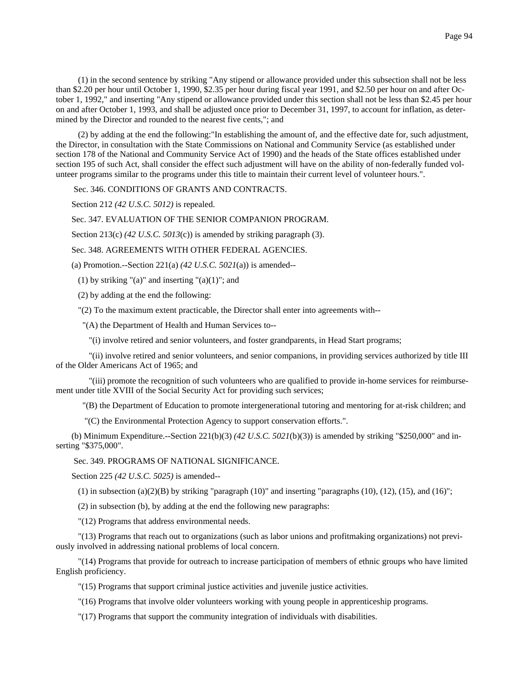(1) in the second sentence by striking "Any stipend or allowance provided under this subsection shall not be less than \$2.20 per hour until October 1, 1990, \$2.35 per hour during fiscal year 1991, and \$2.50 per hour on and after October 1, 1992," and inserting "Any stipend or allowance provided under this section shall not be less than \$2.45 per hour on and after October 1, 1993, and shall be adjusted once prior to December 31, 1997, to account for inflation, as determined by the Director and rounded to the nearest five cents,"; and

 (2) by adding at the end the following:"In establishing the amount of, and the effective date for, such adjustment, the Director, in consultation with the State Commissions on National and Community Service (as established under section 178 of the National and Community Service Act of 1990) and the heads of the State offices established under section 195 of such Act, shall consider the effect such adjustment will have on the ability of non-federally funded volunteer programs similar to the programs under this title to maintain their current level of volunteer hours.".

Sec. 346. CONDITIONS OF GRANTS AND CONTRACTS.

Section 212 *(42 U.S.C. 5012)* is repealed.

Sec. 347. EVALUATION OF THE SENIOR COMPANION PROGRAM.

Section 213(c) *(42 U.S.C. 5013*(c)) is amended by striking paragraph (3).

Sec. 348. AGREEMENTS WITH OTHER FEDERAL AGENCIES.

(a) Promotion.--Section 221(a) *(42 U.S.C. 5021*(a)) is amended--

(1) by striking "(a)" and inserting " $(a)(1)$ "; and

(2) by adding at the end the following:

"(2) To the maximum extent practicable, the Director shall enter into agreements with--

"(A) the Department of Health and Human Services to--

"(i) involve retired and senior volunteers, and foster grandparents, in Head Start programs;

 "(ii) involve retired and senior volunteers, and senior companions, in providing services authorized by title III of the Older Americans Act of 1965; and

 "(iii) promote the recognition of such volunteers who are qualified to provide in-home services for reimbursement under title XVIII of the Social Security Act for providing such services;

"(B) the Department of Education to promote intergenerational tutoring and mentoring for at-risk children; and

"(C) the Environmental Protection Agency to support conservation efforts.".

(b) Minimum Expenditure.--Section 221(b)(3) *(42 U.S.C. 5021*(b)(3)) is amended by striking "\$250,000" and inserting "\$375,000".

### Sec. 349. PROGRAMS OF NATIONAL SIGNIFICANCE.

Section 225 *(42 U.S.C. 5025)* is amended--

(1) in subsection (a)(2)(B) by striking "paragraph (10)" and inserting "paragraphs (10), (12), (15), and (16)";

(2) in subsection (b), by adding at the end the following new paragraphs:

"(12) Programs that address environmental needs.

 "(13) Programs that reach out to organizations (such as labor unions and profitmaking organizations) not previously involved in addressing national problems of local concern.

 "(14) Programs that provide for outreach to increase participation of members of ethnic groups who have limited English proficiency.

"(15) Programs that support criminal justice activities and juvenile justice activities.

"(16) Programs that involve older volunteers working with young people in apprenticeship programs.

"(17) Programs that support the community integration of individuals with disabilities.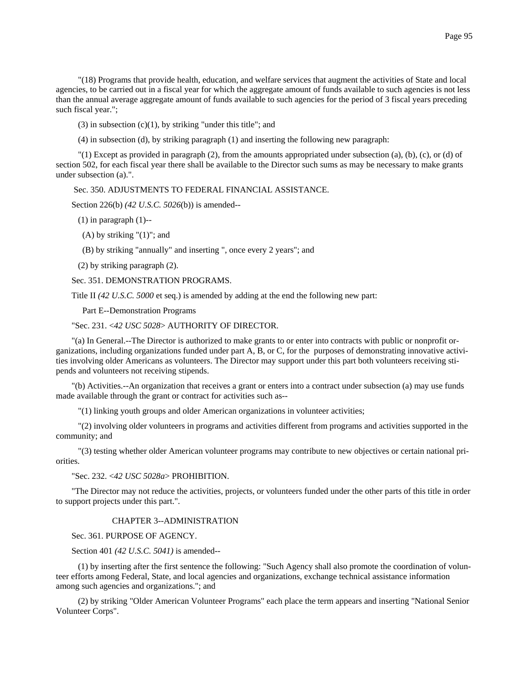"(18) Programs that provide health, education, and welfare services that augment the activities of State and local agencies, to be carried out in a fiscal year for which the aggregate amount of funds available to such agencies is not less than the annual average aggregate amount of funds available to such agencies for the period of 3 fiscal years preceding such fiscal year.";

 $(3)$  in subsection  $(c)(1)$ , by striking "under this title"; and

(4) in subsection (d), by striking paragraph (1) and inserting the following new paragraph:

 $''(1)$  Except as provided in paragraph (2), from the amounts appropriated under subsection (a), (b), (c), or (d) of section 502, for each fiscal year there shall be available to the Director such sums as may be necessary to make grants under subsection (a).".

Sec. 350. ADJUSTMENTS TO FEDERAL FINANCIAL ASSISTANCE.

Section 226(b) *(42 U.S.C. 5026*(b)) is amended--

 $(1)$  in paragraph  $(1)$ --

(A) by striking "(1)"; and

(B) by striking "annually" and inserting ", once every 2 years"; and

(2) by striking paragraph (2).

Sec. 351. DEMONSTRATION PROGRAMS.

Title II *(42 U.S.C. 5000* et seq.) is amended by adding at the end the following new part:

Part E--Demonstration Programs

"Sec. 231. <*42 USC 5028*> AUTHORITY OF DIRECTOR.

"(a) In General.--The Director is authorized to make grants to or enter into contracts with public or nonprofit organizations, including organizations funded under part A, B, or C, for the purposes of demonstrating innovative activities involving older Americans as volunteers. The Director may support under this part both volunteers receiving stipends and volunteers not receiving stipends.

"(b) Activities.--An organization that receives a grant or enters into a contract under subsection (a) may use funds made available through the grant or contract for activities such as--

"(1) linking youth groups and older American organizations in volunteer activities;

 "(2) involving older volunteers in programs and activities different from programs and activities supported in the community; and

 "(3) testing whether older American volunteer programs may contribute to new objectives or certain national priorities.

"Sec. 232. <*42 USC 5028a*> PROHIBITION.

"The Director may not reduce the activities, projects, or volunteers funded under the other parts of this title in order to support projects under this part.".

# CHAPTER 3--ADMINISTRATION

Sec. 361. PURPOSE OF AGENCY.

Section 401 *(42 U.S.C. 5041)* is amended--

 (1) by inserting after the first sentence the following: "Such Agency shall also promote the coordination of volunteer efforts among Federal, State, and local agencies and organizations, exchange technical assistance information among such agencies and organizations."; and

 (2) by striking "Older American Volunteer Programs" each place the term appears and inserting "National Senior Volunteer Corps".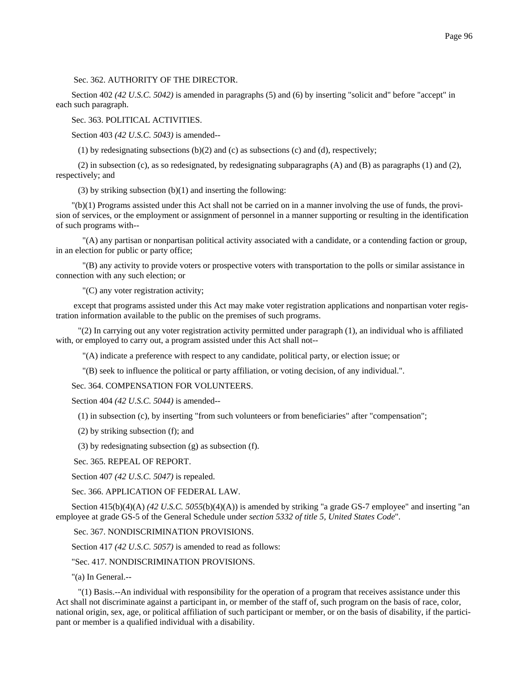Sec. 362. AUTHORITY OF THE DIRECTOR.

Section 402 *(42 U.S.C. 5042)* is amended in paragraphs (5) and (6) by inserting "solicit and" before "accept" in each such paragraph.

Sec. 363. POLITICAL ACTIVITIES.

Section 403 *(42 U.S.C. 5043)* is amended--

(1) by redesignating subsections  $(b)(2)$  and  $(c)$  as subsections  $(c)$  and  $(d)$ , respectively;

(2) in subsection (c), as so redesignated, by redesignating subparagraphs  $(A)$  and  $(B)$  as paragraphs  $(1)$  and  $(2)$ , respectively; and

(3) by striking subsection  $(b)(1)$  and inserting the following:

"(b)(1) Programs assisted under this Act shall not be carried on in a manner involving the use of funds, the provision of services, or the employment or assignment of personnel in a manner supporting or resulting in the identification of such programs with--

 "(A) any partisan or nonpartisan political activity associated with a candidate, or a contending faction or group, in an election for public or party office;

 "(B) any activity to provide voters or prospective voters with transportation to the polls or similar assistance in connection with any such election; or

"(C) any voter registration activity;

 except that programs assisted under this Act may make voter registration applications and nonpartisan voter registration information available to the public on the premises of such programs.

 "(2) In carrying out any voter registration activity permitted under paragraph (1), an individual who is affiliated with, or employed to carry out, a program assisted under this Act shall not--

"(A) indicate a preference with respect to any candidate, political party, or election issue; or

"(B) seek to influence the political or party affiliation, or voting decision, of any individual.".

Sec. 364. COMPENSATION FOR VOLUNTEERS.

Section 404 *(42 U.S.C. 5044)* is amended--

(1) in subsection (c), by inserting "from such volunteers or from beneficiaries" after "compensation";

(2) by striking subsection (f); and

(3) by redesignating subsection (g) as subsection (f).

Sec. 365. REPEAL OF REPORT.

Section 407 *(42 U.S.C. 5047)* is repealed.

Sec. 366. APPLICATION OF FEDERAL LAW.

Section 415(b)(4)(A) *(42 U.S.C. 5055*(b)(4)(A)) is amended by striking "a grade GS-7 employee" and inserting "an employee at grade GS-5 of the General Schedule under *section 5332 of title 5, United States Code*".

Sec. 367. NONDISCRIMINATION PROVISIONS.

Section 417 *(42 U.S.C. 5057)* is amended to read as follows:

"Sec. 417. NONDISCRIMINATION PROVISIONS.

"(a) In General.--

 "(1) Basis.--An individual with responsibility for the operation of a program that receives assistance under this Act shall not discriminate against a participant in, or member of the staff of, such program on the basis of race, color, national origin, sex, age, or political affiliation of such participant or member, or on the basis of disability, if the participant or member is a qualified individual with a disability.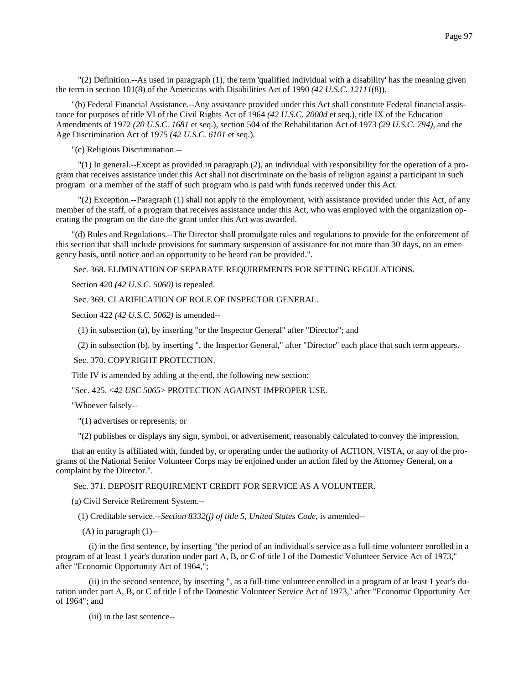"(2) Definition.--As used in paragraph (1), the term 'qualified individual with a disability' has the meaning given the term in section 101(8) of the Americans with Disabilities Act of 1990 *(42 U.S.C. 12111*(8)).

"(b) Federal Financial Assistance.--Any assistance provided under this Act shall constitute Federal financial assistance for purposes of title VI of the Civil Rights Act of 1964 *(42 U.S.C. 2000d* et seq.), title IX of the Education Amendments of 1972 *(20 U.S.C. 1681* et seq.), section 504 of the Rehabilitation Act of 1973 *(29 U.S.C. 794),* and the Age Discrimination Act of 1975 *(42 U.S.C. 6101* et seq.).

"(c) Religious Discrimination.--

 "(1) In general.--Except as provided in paragraph (2), an individual with responsibility for the operation of a program that receives assistance under this Act shall not discriminate on the basis of religion against a participant in such program or a member of the staff of such program who is paid with funds received under this Act.

 "(2) Exception.--Paragraph (1) shall not apply to the employment, with assistance provided under this Act, of any member of the staff, of a program that receives assistance under this Act, who was employed with the organization operating the program on the date the grant under this Act was awarded.

"(d) Rules and Regulations.--The Director shall promulgate rules and regulations to provide for the enforcement of this section that shall include provisions for summary suspension of assistance for not more than 30 days, on an emergency basis, until notice and an opportunity to be heard can be provided.".

Sec. 368. ELIMINATION OF SEPARATE REQUIREMENTS FOR SETTING REGULATIONS.

Section 420 *(42 U.S.C. 5060)* is repealed.

Sec. 369. CLARIFICATION OF ROLE OF INSPECTOR GENERAL.

Section 422 *(42 U.S.C. 5062)* is amended--

(1) in subsection (a), by inserting "or the Inspector General" after "Director"; and

(2) in subsection (b), by inserting ", the Inspector General," after "Director" each place that such term appears.

## Sec. 370. COPYRIGHT PROTECTION.

Title IV is amended by adding at the end, the following new section:

"Sec. 425. <*42 USC 5065*> PROTECTION AGAINST IMPROPER USE.

"Whoever falsely--

"(1) advertises or represents; or

"(2) publishes or displays any sign, symbol, or advertisement, reasonably calculated to convey the impression,

that an entity is affiliated with, funded by, or operating under the authority of ACTION, VISTA, or any of the programs of the National Senior Volunteer Corps may be enjoined under an action filed by the Attorney General, on a complaint by the Director.".

Sec. 371. DEPOSIT REQUIREMENT CREDIT FOR SERVICE AS A VOLUNTEER.

(a) Civil Service Retirement System.--

(1) Creditable service.--*Section 8332(j) of title 5, United States Code*, is amended--

(A) in paragraph (1)--

 (i) in the first sentence, by inserting "the period of an individual's service as a full-time volunteer enrolled in a program of at least 1 year's duration under part A, B, or C of title I of the Domestic Volunteer Service Act of 1973," after "Economic Opportunity Act of 1964,";

 (ii) in the second sentence, by inserting ", as a full-time volunteer enrolled in a program of at least 1 year's duration under part A, B, or C of title I of the Domestic Volunteer Service Act of 1973," after "Economic Opportunity Act of 1964"; and

(iii) in the last sentence--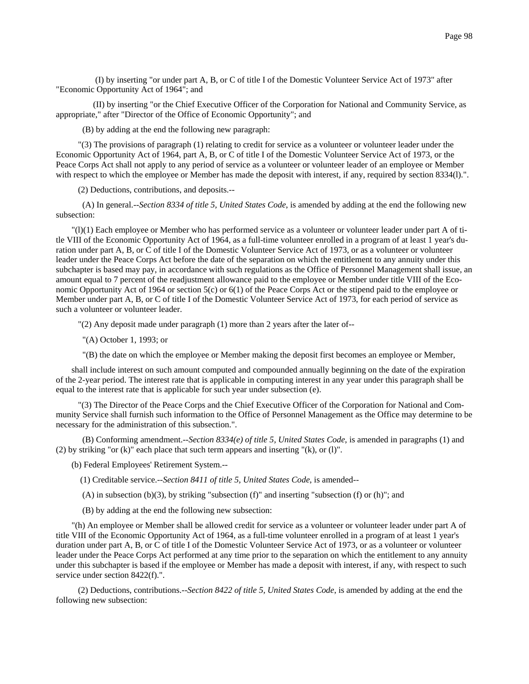(I) by inserting "or under part A, B, or C of title I of the Domestic Volunteer Service Act of 1973" after "Economic Opportunity Act of 1964"; and

 (II) by inserting "or the Chief Executive Officer of the Corporation for National and Community Service, as appropriate," after "Director of the Office of Economic Opportunity"; and

(B) by adding at the end the following new paragraph:

 "(3) The provisions of paragraph (1) relating to credit for service as a volunteer or volunteer leader under the Economic Opportunity Act of 1964, part A, B, or C of title I of the Domestic Volunteer Service Act of 1973, or the Peace Corps Act shall not apply to any period of service as a volunteer or volunteer leader of an employee or Member with respect to which the employee or Member has made the deposit with interest, if any, required by section 8334(l).".

(2) Deductions, contributions, and deposits.--

 (A) In general.--*Section 8334 of title 5, United States Code*, is amended by adding at the end the following new subsection:

"(l)(1) Each employee or Member who has performed service as a volunteer or volunteer leader under part A of title VIII of the Economic Opportunity Act of 1964, as a full-time volunteer enrolled in a program of at least 1 year's duration under part A, B, or C of title I of the Domestic Volunteer Service Act of 1973, or as a volunteer or volunteer leader under the Peace Corps Act before the date of the separation on which the entitlement to any annuity under this subchapter is based may pay, in accordance with such regulations as the Office of Personnel Management shall issue, an amount equal to 7 percent of the readjustment allowance paid to the employee or Member under title VIII of the Economic Opportunity Act of 1964 or section 5(c) or 6(1) of the Peace Corps Act or the stipend paid to the employee or Member under part A, B, or C of title I of the Domestic Volunteer Service Act of 1973, for each period of service as such a volunteer or volunteer leader.

"(2) Any deposit made under paragraph (1) more than 2 years after the later of--

"(A) October 1, 1993; or

"(B) the date on which the employee or Member making the deposit first becomes an employee or Member,

shall include interest on such amount computed and compounded annually beginning on the date of the expiration of the 2-year period. The interest rate that is applicable in computing interest in any year under this paragraph shall be equal to the interest rate that is applicable for such year under subsection (e).

 "(3) The Director of the Peace Corps and the Chief Executive Officer of the Corporation for National and Community Service shall furnish such information to the Office of Personnel Management as the Office may determine to be necessary for the administration of this subsection.".

 (B) Conforming amendment.--*Section 8334(e) of title 5, United States Code*, is amended in paragraphs (1) and (2) by striking "or  $(k)$ " each place that such term appears and inserting " $(k)$ , or  $(l)$ ".

- (b) Federal Employees' Retirement System.--
	- (1) Creditable service.--*Section 8411 of title 5, United States Code*, is amended--
	- (A) in subsection (b)(3), by striking "subsection (f)" and inserting "subsection (f) or (h)"; and
	- (B) by adding at the end the following new subsection:

"(h) An employee or Member shall be allowed credit for service as a volunteer or volunteer leader under part A of title VIII of the Economic Opportunity Act of 1964, as a full-time volunteer enrolled in a program of at least 1 year's duration under part A, B, or C of title I of the Domestic Volunteer Service Act of 1973, or as a volunteer or volunteer leader under the Peace Corps Act performed at any time prior to the separation on which the entitlement to any annuity under this subchapter is based if the employee or Member has made a deposit with interest, if any, with respect to such service under section 8422(f).".

 (2) Deductions, contributions.--*Section 8422 of title 5, United States Code*, is amended by adding at the end the following new subsection: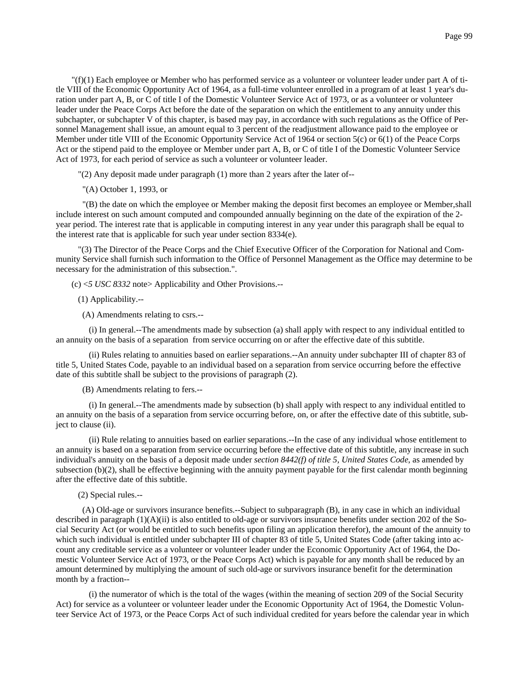"(f)(1) Each employee or Member who has performed service as a volunteer or volunteer leader under part A of title VIII of the Economic Opportunity Act of 1964, as a full-time volunteer enrolled in a program of at least 1 year's duration under part A, B, or C of title I of the Domestic Volunteer Service Act of 1973, or as a volunteer or volunteer leader under the Peace Corps Act before the date of the separation on which the entitlement to any annuity under this subchapter, or subchapter V of this chapter, is based may pay, in accordance with such regulations as the Office of Personnel Management shall issue, an amount equal to 3 percent of the readjustment allowance paid to the employee or Member under title VIII of the Economic Opportunity Service Act of 1964 or section 5(c) or 6(1) of the Peace Corps Act or the stipend paid to the employee or Member under part A, B, or C of title I of the Domestic Volunteer Service Act of 1973, for each period of service as such a volunteer or volunteer leader.

"(2) Any deposit made under paragraph (1) more than 2 years after the later of--

"(A) October 1, 1993, or

 "(B) the date on which the employee or Member making the deposit first becomes an employee or Member,shall include interest on such amount computed and compounded annually beginning on the date of the expiration of the 2 year period. The interest rate that is applicable in computing interest in any year under this paragraph shall be equal to the interest rate that is applicable for such year under section 8334(e).

 "(3) The Director of the Peace Corps and the Chief Executive Officer of the Corporation for National and Community Service shall furnish such information to the Office of Personnel Management as the Office may determine to be necessary for the administration of this subsection.".

(c) <*5 USC 8332* note> Applicability and Other Provisions.--

(1) Applicability.--

(A) Amendments relating to csrs.--

 (i) In general.--The amendments made by subsection (a) shall apply with respect to any individual entitled to an annuity on the basis of a separation from service occurring on or after the effective date of this subtitle.

 (ii) Rules relating to annuities based on earlier separations.--An annuity under subchapter III of chapter 83 of title 5, United States Code, payable to an individual based on a separation from service occurring before the effective date of this subtitle shall be subject to the provisions of paragraph (2).

(B) Amendments relating to fers.--

 (i) In general.--The amendments made by subsection (b) shall apply with respect to any individual entitled to an annuity on the basis of a separation from service occurring before, on, or after the effective date of this subtitle, subject to clause (ii).

 (ii) Rule relating to annuities based on earlier separations.--In the case of any individual whose entitlement to an annuity is based on a separation from service occurring before the effective date of this subtitle, any increase in such individual's annuity on the basis of a deposit made under *section 8442(f) of title 5, United States Code*, as amended by subsection (b)(2), shall be effective beginning with the annuity payment payable for the first calendar month beginning after the effective date of this subtitle.

(2) Special rules.--

 (A) Old-age or survivors insurance benefits.--Subject to subparagraph (B), in any case in which an individual described in paragraph  $(1)(A)(ii)$  is also entitled to old-age or survivors insurance benefits under section 202 of the Social Security Act (or would be entitled to such benefits upon filing an application therefor), the amount of the annuity to which such individual is entitled under subchapter III of chapter 83 of title 5, United States Code (after taking into account any creditable service as a volunteer or volunteer leader under the Economic Opportunity Act of 1964, the Domestic Volunteer Service Act of 1973, or the Peace Corps Act) which is payable for any month shall be reduced by an amount determined by multiplying the amount of such old-age or survivors insurance benefit for the determination month by a fraction--

 (i) the numerator of which is the total of the wages (within the meaning of section 209 of the Social Security Act) for service as a volunteer or volunteer leader under the Economic Opportunity Act of 1964, the Domestic Volunteer Service Act of 1973, or the Peace Corps Act of such individual credited for years before the calendar year in which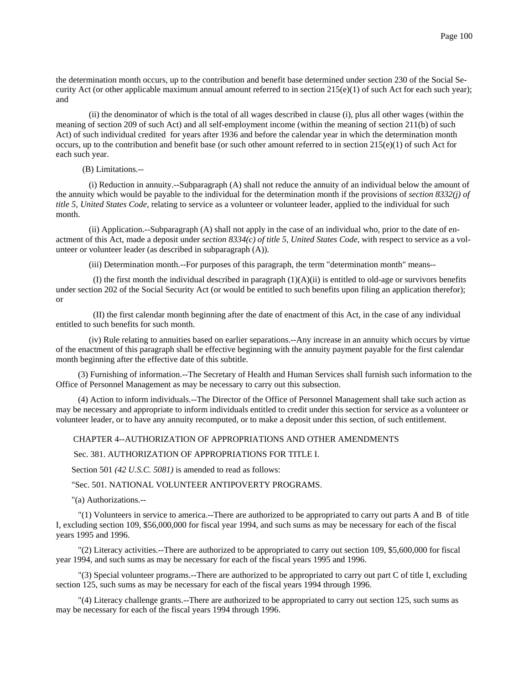the determination month occurs, up to the contribution and benefit base determined under section 230 of the Social Security Act (or other applicable maximum annual amount referred to in section  $215(e)(1)$  of such Act for each such year); and

 (ii) the denominator of which is the total of all wages described in clause (i), plus all other wages (within the meaning of section 209 of such Act) and all self-employment income (within the meaning of section 211(b) of such Act) of such individual credited for years after 1936 and before the calendar year in which the determination month occurs, up to the contribution and benefit base (or such other amount referred to in section  $215(e)(1)$  of such Act for each such year.

### (B) Limitations.--

 (i) Reduction in annuity.--Subparagraph (A) shall not reduce the annuity of an individual below the amount of the annuity which would be payable to the individual for the determination month if the provisions of *section 8332(j) of title 5, United States Code*, relating to service as a volunteer or volunteer leader, applied to the individual for such month.

 (ii) Application.--Subparagraph (A) shall not apply in the case of an individual who, prior to the date of enactment of this Act, made a deposit under *section 8334(c) of title 5, United States Code*, with respect to service as a volunteer or volunteer leader (as described in subparagraph (A)).

(iii) Determination month.--For purposes of this paragraph, the term "determination month" means--

(I) the first month the individual described in paragraph  $(1)(A)(ii)$  is entitled to old-age or survivors benefits under section 202 of the Social Security Act (or would be entitled to such benefits upon filing an application therefor); or

 (II) the first calendar month beginning after the date of enactment of this Act, in the case of any individual entitled to such benefits for such month.

 (iv) Rule relating to annuities based on earlier separations.--Any increase in an annuity which occurs by virtue of the enactment of this paragraph shall be effective beginning with the annuity payment payable for the first calendar month beginning after the effective date of this subtitle.

 (3) Furnishing of information.--The Secretary of Health and Human Services shall furnish such information to the Office of Personnel Management as may be necessary to carry out this subsection.

 (4) Action to inform individuals.--The Director of the Office of Personnel Management shall take such action as may be necessary and appropriate to inform individuals entitled to credit under this section for service as a volunteer or volunteer leader, or to have any annuity recomputed, or to make a deposit under this section, of such entitlement.

#### CHAPTER 4--AUTHORIZATION OF APPROPRIATIONS AND OTHER AMENDMENTS

Sec. 381. AUTHORIZATION OF APPROPRIATIONS FOR TITLE I.

Section 501 *(42 U.S.C. 5081)* is amended to read as follows:

## "Sec. 501. NATIONAL VOLUNTEER ANTIPOVERTY PROGRAMS.

"(a) Authorizations.--

 "(1) Volunteers in service to america.--There are authorized to be appropriated to carry out parts A and B of title I, excluding section 109, \$56,000,000 for fiscal year 1994, and such sums as may be necessary for each of the fiscal years 1995 and 1996.

 "(2) Literacy activities.--There are authorized to be appropriated to carry out section 109, \$5,600,000 for fiscal year 1994, and such sums as may be necessary for each of the fiscal years 1995 and 1996.

 "(3) Special volunteer programs.--There are authorized to be appropriated to carry out part C of title I, excluding section 125, such sums as may be necessary for each of the fiscal years 1994 through 1996.

 "(4) Literacy challenge grants.--There are authorized to be appropriated to carry out section 125, such sums as may be necessary for each of the fiscal years 1994 through 1996.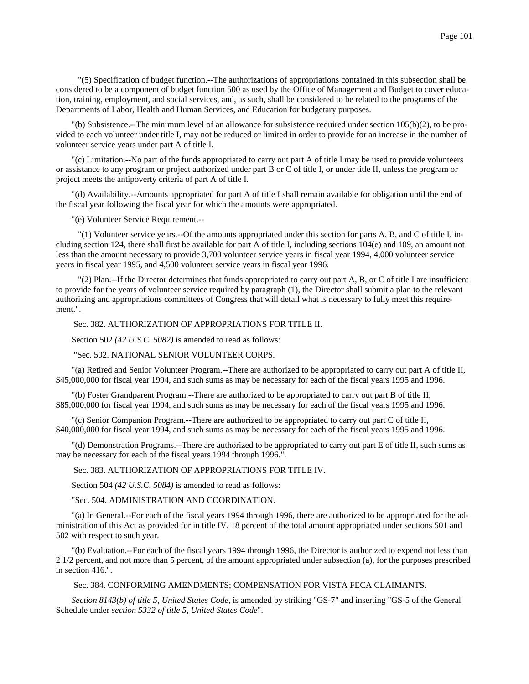"(5) Specification of budget function.--The authorizations of appropriations contained in this subsection shall be considered to be a component of budget function 500 as used by the Office of Management and Budget to cover education, training, employment, and social services, and, as such, shall be considered to be related to the programs of the Departments of Labor, Health and Human Services, and Education for budgetary purposes.

"(b) Subsistence.--The minimum level of an allowance for subsistence required under section 105(b)(2), to be provided to each volunteer under title I, may not be reduced or limited in order to provide for an increase in the number of volunteer service years under part A of title I.

"(c) Limitation.--No part of the funds appropriated to carry out part A of title I may be used to provide volunteers or assistance to any program or project authorized under part B or C of title I, or under title II, unless the program or project meets the antipoverty criteria of part A of title I.

"(d) Availability.--Amounts appropriated for part A of title I shall remain available for obligation until the end of the fiscal year following the fiscal year for which the amounts were appropriated.

"(e) Volunteer Service Requirement.--

 "(1) Volunteer service years.--Of the amounts appropriated under this section for parts A, B, and C of title I, including section 124, there shall first be available for part A of title I, including sections 104(e) and 109, an amount not less than the amount necessary to provide 3,700 volunteer service years in fiscal year 1994, 4,000 volunteer service years in fiscal year 1995, and 4,500 volunteer service years in fiscal year 1996.

 "(2) Plan.--If the Director determines that funds appropriated to carry out part A, B, or C of title I are insufficient to provide for the years of volunteer service required by paragraph (1), the Director shall submit a plan to the relevant authorizing and appropriations committees of Congress that will detail what is necessary to fully meet this requirement.".

## Sec. 382. AUTHORIZATION OF APPROPRIATIONS FOR TITLE II.

Section 502 *(42 U.S.C. 5082)* is amended to read as follows:

"Sec. 502. NATIONAL SENIOR VOLUNTEER CORPS.

"(a) Retired and Senior Volunteer Program.--There are authorized to be appropriated to carry out part A of title II, \$45,000,000 for fiscal year 1994, and such sums as may be necessary for each of the fiscal years 1995 and 1996.

"(b) Foster Grandparent Program.--There are authorized to be appropriated to carry out part B of title II, \$85,000,000 for fiscal year 1994, and such sums as may be necessary for each of the fiscal years 1995 and 1996.

"(c) Senior Companion Program.--There are authorized to be appropriated to carry out part C of title II, \$40,000,000 for fiscal year 1994, and such sums as may be necessary for each of the fiscal years 1995 and 1996.

"(d) Demonstration Programs.--There are authorized to be appropriated to carry out part E of title II, such sums as may be necessary for each of the fiscal years 1994 through 1996.".

## Sec. 383. AUTHORIZATION OF APPROPRIATIONS FOR TITLE IV.

Section 504 *(42 U.S.C. 5084)* is amended to read as follows:

### "Sec. 504. ADMINISTRATION AND COORDINATION.

"(a) In General.--For each of the fiscal years 1994 through 1996, there are authorized to be appropriated for the administration of this Act as provided for in title IV, 18 percent of the total amount appropriated under sections 501 and 502 with respect to such year.

"(b) Evaluation.--For each of the fiscal years 1994 through 1996, the Director is authorized to expend not less than 2 1/2 percent, and not more than 5 percent, of the amount appropriated under subsection (a), for the purposes prescribed in section 416.".

Sec. 384. CONFORMING AMENDMENTS; COMPENSATION FOR VISTA FECA CLAIMANTS.

*Section 8143(b) of title 5, United States Code*, is amended by striking "GS-7" and inserting "GS-5 of the General Schedule under *section 5332 of title 5, United States Code*".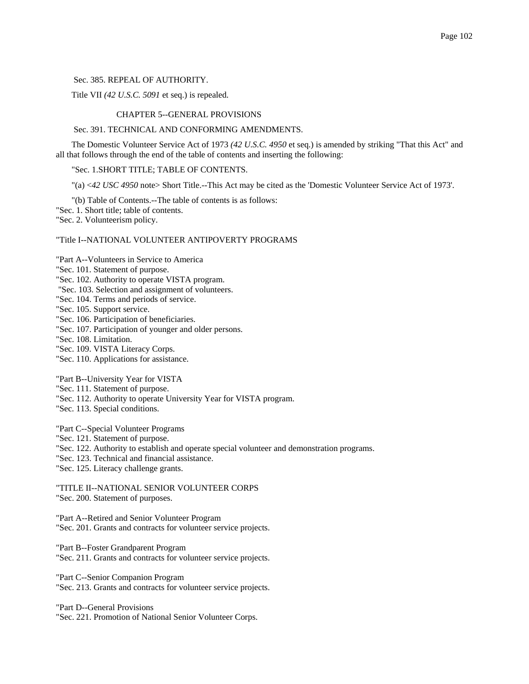Sec. 385. REPEAL OF AUTHORITY.

Title VII *(42 U.S.C. 5091* et seq.) is repealed.

## CHAPTER 5--GENERAL PROVISIONS

#### Sec. 391. TECHNICAL AND CONFORMING AMENDMENTS.

The Domestic Volunteer Service Act of 1973 *(42 U.S.C. 4950* et seq.) is amended by striking "That this Act" and all that follows through the end of the table of contents and inserting the following:

"Sec. 1.SHORT TITLE; TABLE OF CONTENTS.

"(a) <*42 USC 4950* note> Short Title.--This Act may be cited as the 'Domestic Volunteer Service Act of 1973'.

"(b) Table of Contents.--The table of contents is as follows:

"Sec. 1. Short title; table of contents.

"Sec. 2. Volunteerism policy.

## "Title I--NATIONAL VOLUNTEER ANTIPOVERTY PROGRAMS

"Part A--Volunteers in Service to America

- "Sec. 101. Statement of purpose.
- "Sec. 102. Authority to operate VISTA program.
- "Sec. 103. Selection and assignment of volunteers.
- "Sec. 104. Terms and periods of service.
- "Sec. 105. Support service.
- "Sec. 106. Participation of beneficiaries.
- "Sec. 107. Participation of younger and older persons.
- "Sec. 108. Limitation.
- "Sec. 109. VISTA Literacy Corps.
- "Sec. 110. Applications for assistance.

"Part B--University Year for VISTA

- "Sec. 111. Statement of purpose.
- "Sec. 112. Authority to operate University Year for VISTA program.
- "Sec. 113. Special conditions.

"Part C--Special Volunteer Programs

- "Sec. 121. Statement of purpose.
- "Sec. 122. Authority to establish and operate special volunteer and demonstration programs.
- "Sec. 123. Technical and financial assistance.
- "Sec. 125. Literacy challenge grants.

"TITLE II--NATIONAL SENIOR VOLUNTEER CORPS

"Sec. 200. Statement of purposes.

"Part A--Retired and Senior Volunteer Program "Sec. 201. Grants and contracts for volunteer service projects.

"Part B--Foster Grandparent Program "Sec. 211. Grants and contracts for volunteer service projects.

"Part C--Senior Companion Program "Sec. 213. Grants and contracts for volunteer service projects.

"Part D--General Provisions

"Sec. 221. Promotion of National Senior Volunteer Corps.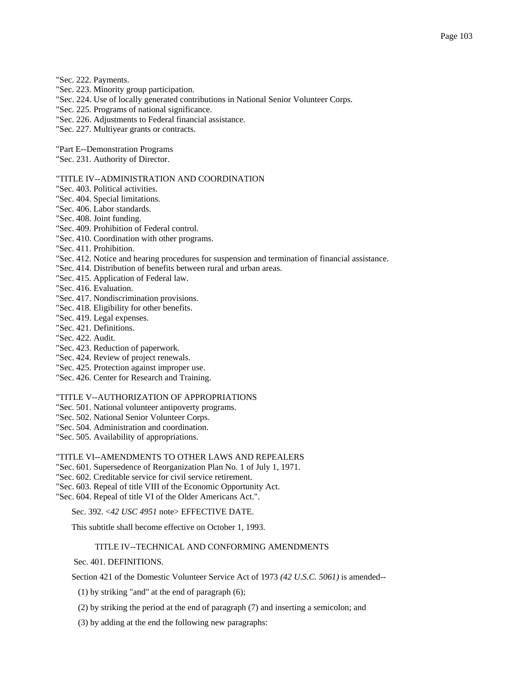- "Sec. 222. Payments.
- "Sec. 223. Minority group participation.
- "Sec. 224. Use of locally generated contributions in National Senior Volunteer Corps.
- "Sec. 225. Programs of national significance.
- "Sec. 226. Adjustments to Federal financial assistance.
- "Sec. 227. Multiyear grants or contracts.
- "Part E--Demonstration Programs
- "Sec. 231. Authority of Director.

#### "TITLE IV--ADMINISTRATION AND COORDINATION

- "Sec. 403. Political activities.
- "Sec. 404. Special limitations.
- "Sec. 406. Labor standards.
- "Sec. 408. Joint funding.
- "Sec. 409. Prohibition of Federal control.
- "Sec. 410. Coordination with other programs.
- "Sec. 411. Prohibition.
- "Sec. 412. Notice and hearing procedures for suspension and termination of financial assistance.
- "Sec. 414. Distribution of benefits between rural and urban areas.
- "Sec. 415. Application of Federal law.
- "Sec. 416. Evaluation.
- "Sec. 417. Nondiscrimination provisions.
- "Sec. 418. Eligibility for other benefits.
- "Sec. 419. Legal expenses.
- "Sec. 421. Definitions.
- "Sec. 422. Audit.
- "Sec. 423. Reduction of paperwork.
- "Sec. 424. Review of project renewals.
- "Sec. 425. Protection against improper use.
- "Sec. 426. Center for Research and Training.

#### "TITLE V--AUTHORIZATION OF APPROPRIATIONS

- "Sec. 501. National volunteer antipoverty programs.
- "Sec. 502. National Senior Volunteer Corps.
- "Sec. 504. Administration and coordination.
- "Sec. 505. Availability of appropriations.
- "TITLE VI--AMENDMENTS TO OTHER LAWS AND REPEALERS
- "Sec. 601. Supersedence of Reorganization Plan No. 1 of July 1, 1971.
- "Sec. 602. Creditable service for civil service retirement.
- "Sec. 603. Repeal of title VIII of the Economic Opportunity Act.
- "Sec. 604. Repeal of title VI of the Older Americans Act.".

# Sec. 392. <*42 USC 4951* note> EFFECTIVE DATE.

This subtitle shall become effective on October 1, 1993.

## TITLE IV--TECHNICAL AND CONFORMING AMENDMENTS

Sec. 401. DEFINITIONS.

Section 421 of the Domestic Volunteer Service Act of 1973 *(42 U.S.C. 5061)* is amended--

(1) by striking "and" at the end of paragraph (6);

- (2) by striking the period at the end of paragraph (7) and inserting a semicolon; and
- (3) by adding at the end the following new paragraphs: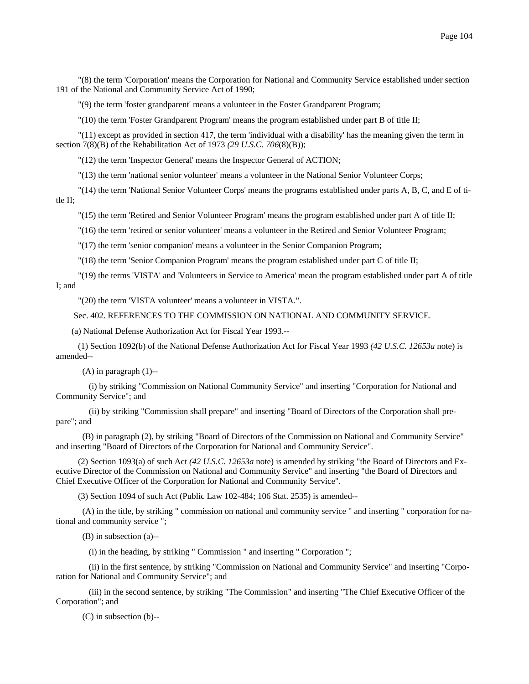"(8) the term 'Corporation' means the Corporation for National and Community Service established under section 191 of the National and Community Service Act of 1990;

"(9) the term 'foster grandparent' means a volunteer in the Foster Grandparent Program;

"(10) the term 'Foster Grandparent Program' means the program established under part B of title II;

 "(11) except as provided in section 417, the term 'individual with a disability' has the meaning given the term in section 7(8)(B) of the Rehabilitation Act of 1973 *(29 U.S.C. 706*(8)(B));

"(12) the term 'Inspector General' means the Inspector General of ACTION;

"(13) the term 'national senior volunteer' means a volunteer in the National Senior Volunteer Corps;

 "(14) the term 'National Senior Volunteer Corps' means the programs established under parts A, B, C, and E of title II;

"(15) the term 'Retired and Senior Volunteer Program' means the program established under part A of title II;

"(16) the term 'retired or senior volunteer' means a volunteer in the Retired and Senior Volunteer Program;

"(17) the term 'senior companion' means a volunteer in the Senior Companion Program;

"(18) the term 'Senior Companion Program' means the program established under part C of title II;

 "(19) the terms 'VISTA' and 'Volunteers in Service to America' mean the program established under part A of title I; and

"(20) the term 'VISTA volunteer' means a volunteer in VISTA.".

Sec. 402. REFERENCES TO THE COMMISSION ON NATIONAL AND COMMUNITY SERVICE.

(a) National Defense Authorization Act for Fiscal Year 1993.--

 (1) Section 1092(b) of the National Defense Authorization Act for Fiscal Year 1993 *(42 U.S.C. 12653a* note) is amended--

(A) in paragraph (1)--

 (i) by striking "Commission on National Community Service" and inserting "Corporation for National and Community Service"; and

 (ii) by striking "Commission shall prepare" and inserting "Board of Directors of the Corporation shall prepare"; and

 (B) in paragraph (2), by striking "Board of Directors of the Commission on National and Community Service" and inserting "Board of Directors of the Corporation for National and Community Service".

 (2) Section 1093(a) of such Act *(42 U.S.C. 12653a* note) is amended by striking "the Board of Directors and Executive Director of the Commission on National and Community Service" and inserting "the Board of Directors and Chief Executive Officer of the Corporation for National and Community Service".

(3) Section 1094 of such Act (Public Law 102-484; 106 Stat. 2535) is amended--

 (A) in the title, by striking " commission on national and community service " and inserting " corporation for national and community service ";

(B) in subsection (a)--

(i) in the heading, by striking " Commission " and inserting " Corporation ";

 (ii) in the first sentence, by striking "Commission on National and Community Service" and inserting "Corporation for National and Community Service"; and

 (iii) in the second sentence, by striking "The Commission" and inserting "The Chief Executive Officer of the Corporation"; and

(C) in subsection (b)--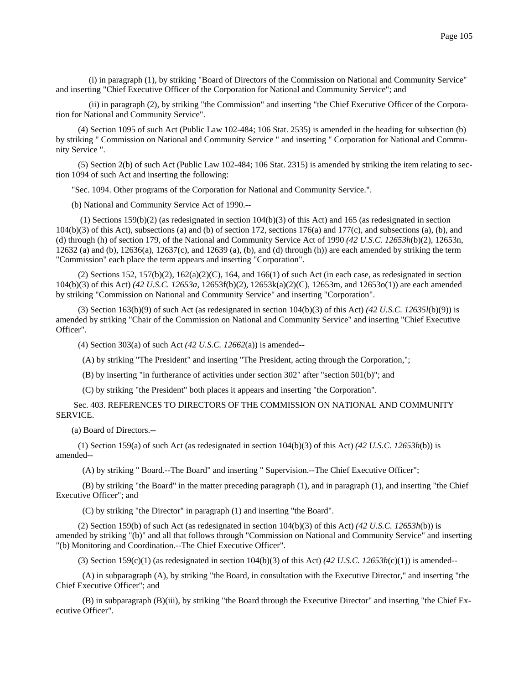(i) in paragraph (1), by striking "Board of Directors of the Commission on National and Community Service" and inserting "Chief Executive Officer of the Corporation for National and Community Service"; and

 (ii) in paragraph (2), by striking "the Commission" and inserting "the Chief Executive Officer of the Corporation for National and Community Service".

 (4) Section 1095 of such Act (Public Law 102-484; 106 Stat. 2535) is amended in the heading for subsection (b) by striking " Commission on National and Community Service " and inserting " Corporation for National and Community Service ".

 (5) Section 2(b) of such Act (Public Law 102-484; 106 Stat. 2315) is amended by striking the item relating to section 1094 of such Act and inserting the following:

"Sec. 1094. Other programs of the Corporation for National and Community Service.".

(b) National and Community Service Act of 1990.--

 (1) Sections 159(b)(2) (as redesignated in section 104(b)(3) of this Act) and 165 (as redesignated in section  $104(b)(3)$  of this Act), subsections (a) and (b) of section 172, sections 176(a) and 177(c), and subsections (a), (b), and (d) through (h) of section 179, of the National and Community Service Act of 1990 *(42 U.S.C. 12653h*(b)(2), 12653n, 12632 (a) and (b), 12636(a), 12637(c), and 12639 (a), (b), and (d) through (h)) are each amended by striking the term "Commission" each place the term appears and inserting "Corporation".

(2) Sections 152, 157(b)(2),  $162(a)(2)(C)$ , 164, and 166(1) of such Act (in each case, as redesignated in section 104(b)(3) of this Act) *(42 U.S.C. 12653a,* 12653f(b)(2), 12653k(a)(2)(C), 12653m, and 12653o(1)) are each amended by striking "Commission on National and Community Service" and inserting "Corporation".

 (3) Section 163(b)(9) of such Act (as redesignated in section 104(b)(3) of this Act) *(42 U.S.C. 12635l*(b)(9)) is amended by striking "Chair of the Commission on National and Community Service" and inserting "Chief Executive Officer".

(4) Section 303(a) of such Act *(42 U.S.C. 12662*(a)) is amended--

(A) by striking "The President" and inserting "The President, acting through the Corporation,";

(B) by inserting "in furtherance of activities under section 302" after "section 501(b)"; and

(C) by striking "the President" both places it appears and inserting "the Corporation".

 Sec. 403. REFERENCES TO DIRECTORS OF THE COMMISSION ON NATIONAL AND COMMUNITY SERVICE.

(a) Board of Directors.--

 (1) Section 159(a) of such Act (as redesignated in section 104(b)(3) of this Act) *(42 U.S.C. 12653h*(b)) is amended--

(A) by striking " Board.--The Board" and inserting " Supervision.--The Chief Executive Officer";

 (B) by striking "the Board" in the matter preceding paragraph (1), and in paragraph (1), and inserting "the Chief Executive Officer"; and

(C) by striking "the Director" in paragraph (1) and inserting "the Board".

 (2) Section 159(b) of such Act (as redesignated in section 104(b)(3) of this Act) *(42 U.S.C. 12653h*(b)) is amended by striking "(b)" and all that follows through "Commission on National and Community Service" and inserting "(b) Monitoring and Coordination.--The Chief Executive Officer".

(3) Section 159(c)(1) (as redesignated in section 104(b)(3) of this Act) *(42 U.S.C. 12653h*(c)(1)) is amended--

 (A) in subparagraph (A), by striking "the Board, in consultation with the Executive Director," and inserting "the Chief Executive Officer"; and

 (B) in subparagraph (B)(iii), by striking "the Board through the Executive Director" and inserting "the Chief Executive Officer".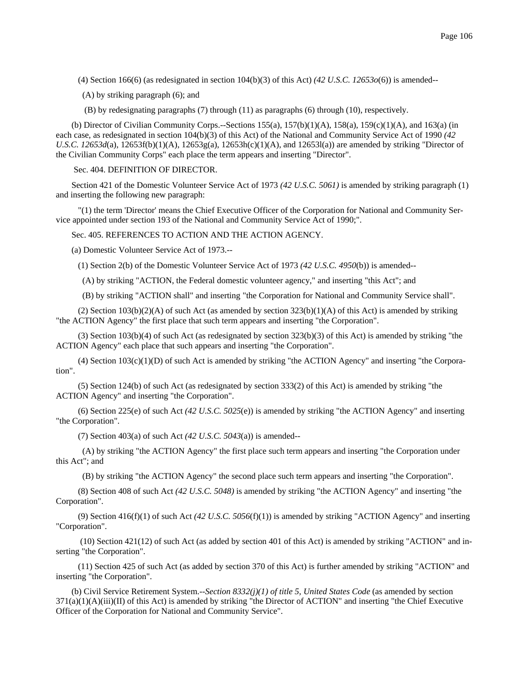(4) Section 166(6) (as redesignated in section 104(b)(3) of this Act) *(42 U.S.C. 12653o*(6)) is amended--

(A) by striking paragraph (6); and

(B) by redesignating paragraphs (7) through (11) as paragraphs (6) through (10), respectively.

(b) Director of Civilian Community Corps.--Sections 155(a), 157(b)(1)(A), 158(a), 159(c)(1)(A), and 163(a) (in each case, as redesignated in section 104(b)(3) of this Act) of the National and Community Service Act of 1990 *(42 U.S.C. 12653d*(a), 12653f(b)(1)(A), 12653g(a), 12653h(c)(1)(A), and 12653l(a)) are amended by striking "Director of the Civilian Community Corps" each place the term appears and inserting "Director".

Sec. 404. DEFINITION OF DIRECTOR.

Section 421 of the Domestic Volunteer Service Act of 1973 *(42 U.S.C. 5061)* is amended by striking paragraph (1) and inserting the following new paragraph:

 "(1) the term 'Director' means the Chief Executive Officer of the Corporation for National and Community Service appointed under section 193 of the National and Community Service Act of 1990;".

Sec. 405. REFERENCES TO ACTION AND THE ACTION AGENCY.

(a) Domestic Volunteer Service Act of 1973.--

(1) Section 2(b) of the Domestic Volunteer Service Act of 1973 *(42 U.S.C. 4950*(b)) is amended--

(A) by striking "ACTION, the Federal domestic volunteer agency," and inserting "this Act"; and

(B) by striking "ACTION shall" and inserting "the Corporation for National and Community Service shall".

(2) Section  $103(b)(2)(A)$  of such Act (as amended by section  $323(b)(1)(A)$  of this Act) is amended by striking "the ACTION Agency" the first place that such term appears and inserting "the Corporation".

 (3) Section 103(b)(4) of such Act (as redesignated by section 323(b)(3) of this Act) is amended by striking "the ACTION Agency" each place that such appears and inserting "the Corporation".

(4) Section  $103(c)(1)(D)$  of such Act is amended by striking "the ACTION Agency" and inserting "the Corporation".

 (5) Section 124(b) of such Act (as redesignated by section 333(2) of this Act) is amended by striking "the ACTION Agency" and inserting "the Corporation".

 (6) Section 225(e) of such Act *(42 U.S.C. 5025*(e)) is amended by striking "the ACTION Agency" and inserting "the Corporation".

(7) Section 403(a) of such Act *(42 U.S.C. 5043*(a)) is amended--

 (A) by striking "the ACTION Agency" the first place such term appears and inserting "the Corporation under this Act"; and

(B) by striking "the ACTION Agency" the second place such term appears and inserting "the Corporation".

 (8) Section 408 of such Act *(42 U.S.C. 5048)* is amended by striking "the ACTION Agency" and inserting "the Corporation".

 (9) Section 416(f)(1) of such Act *(42 U.S.C. 5056*(f)(1)) is amended by striking "ACTION Agency" and inserting "Corporation".

 (10) Section 421(12) of such Act (as added by section 401 of this Act) is amended by striking "ACTION" and inserting "the Corporation".

 (11) Section 425 of such Act (as added by section 370 of this Act) is further amended by striking "ACTION" and inserting "the Corporation".

(b) Civil Service Retirement System.--*Section 8332(j)(1) of title 5, United States Code* (as amended by section  $371(a)(1)(A)(iii)(II)$  of this Act) is amended by striking "the Director of ACTION" and inserting "the Chief Executive Officer of the Corporation for National and Community Service".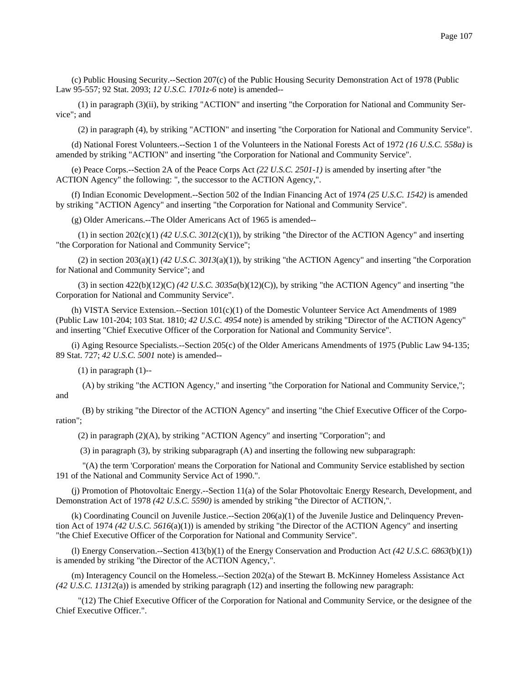(c) Public Housing Security.--Section 207(c) of the Public Housing Security Demonstration Act of 1978 (Public Law 95-557; 92 Stat. 2093; *12 U.S.C. 1701z-6* note) is amended--

 (1) in paragraph (3)(ii), by striking "ACTION" and inserting "the Corporation for National and Community Service"; and

(2) in paragraph (4), by striking "ACTION" and inserting "the Corporation for National and Community Service".

(d) National Forest Volunteers.--Section 1 of the Volunteers in the National Forests Act of 1972 *(16 U.S.C. 558a)* is amended by striking "ACTION" and inserting "the Corporation for National and Community Service".

(e) Peace Corps.--Section 2A of the Peace Corps Act *(22 U.S.C. 2501-1)* is amended by inserting after "the ACTION Agency" the following: ", the successor to the ACTION Agency,".

(f) Indian Economic Development.--Section 502 of the Indian Financing Act of 1974 *(25 U.S.C. 1542)* is amended by striking "ACTION Agency" and inserting "the Corporation for National and Community Service".

(g) Older Americans.--The Older Americans Act of 1965 is amended--

 (1) in section 202(c)(1) *(42 U.S.C. 3012*(c)(1)), by striking "the Director of the ACTION Agency" and inserting "the Corporation for National and Community Service";

 (2) in section 203(a)(1) *(42 U.S.C. 3013*(a)(1)), by striking "the ACTION Agency" and inserting "the Corporation for National and Community Service"; and

 (3) in section 422(b)(12)(C) *(42 U.S.C. 3035a*(b)(12)(C)), by striking "the ACTION Agency" and inserting "the Corporation for National and Community Service".

(h) VISTA Service Extension.--Section 101(c)(1) of the Domestic Volunteer Service Act Amendments of 1989 (Public Law 101-204; 103 Stat. 1810; *42 U.S.C. 4954* note) is amended by striking "Director of the ACTION Agency" and inserting "Chief Executive Officer of the Corporation for National and Community Service".

(i) Aging Resource Specialists.--Section 205(c) of the Older Americans Amendments of 1975 (Public Law 94-135; 89 Stat. 727; *42 U.S.C. 5001* note) is amended--

 $(1)$  in paragraph  $(1)$ --

 (A) by striking "the ACTION Agency," and inserting "the Corporation for National and Community Service,"; and

 (B) by striking "the Director of the ACTION Agency" and inserting "the Chief Executive Officer of the Corporation";

(2) in paragraph (2)(A), by striking "ACTION Agency" and inserting "Corporation"; and

(3) in paragraph (3), by striking subparagraph (A) and inserting the following new subparagraph:

 "(A) the term 'Corporation' means the Corporation for National and Community Service established by section 191 of the National and Community Service Act of 1990.".

(j) Promotion of Photovoltaic Energy.--Section 11(a) of the Solar Photovoltaic Energy Research, Development, and Demonstration Act of 1978 *(42 U.S.C. 5590)* is amended by striking "the Director of ACTION,".

(k) Coordinating Council on Juvenile Justice.--Section 206(a)(1) of the Juvenile Justice and Delinquency Prevention Act of 1974 *(42 U.S.C. 5616*(a)(1)) is amended by striking "the Director of the ACTION Agency" and inserting "the Chief Executive Officer of the Corporation for National and Community Service".

(l) Energy Conservation.--Section 413(b)(1) of the Energy Conservation and Production Act *(42 U.S.C. 6863*(b)(1)) is amended by striking "the Director of the ACTION Agency,".

(m) Interagency Council on the Homeless.--Section 202(a) of the Stewart B. McKinney Homeless Assistance Act *(42 U.S.C. 11312*(a)) is amended by striking paragraph (12) and inserting the following new paragraph:

 "(12) The Chief Executive Officer of the Corporation for National and Community Service, or the designee of the Chief Executive Officer.".